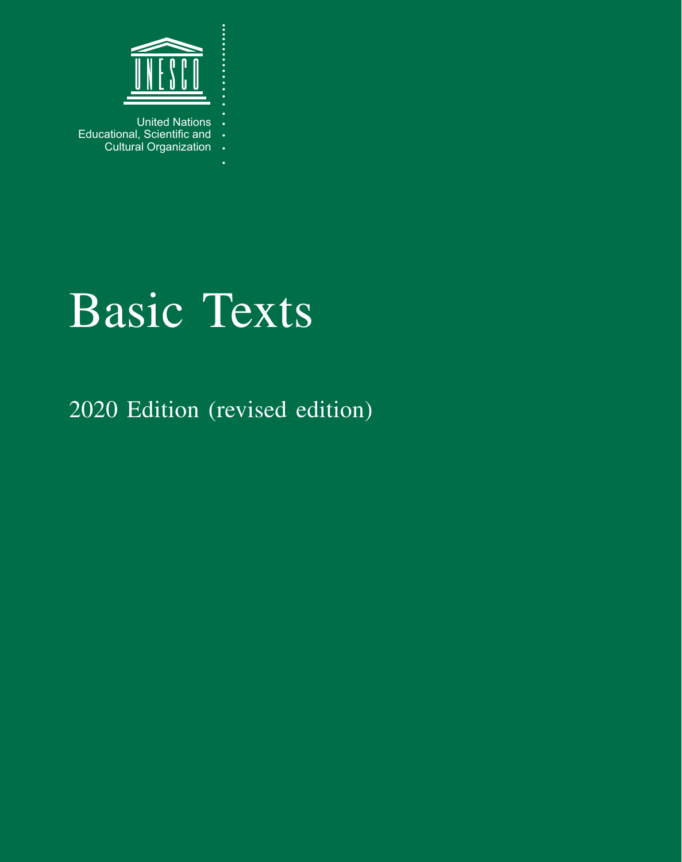

United Nations Educational, Scientific and Cultural Organization

# Basic Texts

2020 Edition (revised edition)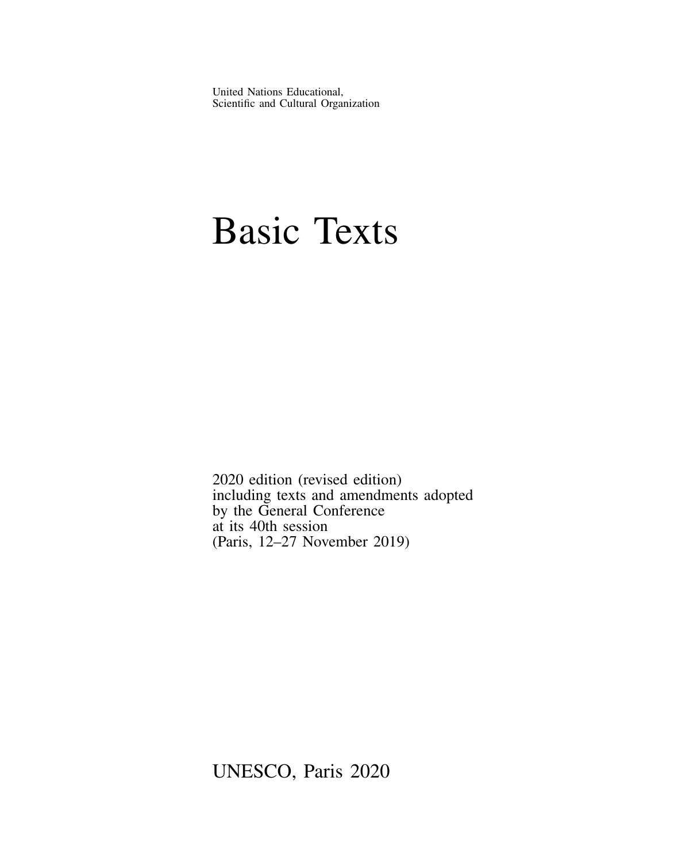United Nations Educational, Scientific and Cultural Organization

# Basic Texts

2020 edition (revised edition) including texts and amendments adopted by the General Conference at its 40th session (Paris, 12–27 November 2019)

UNESCO, Paris 2020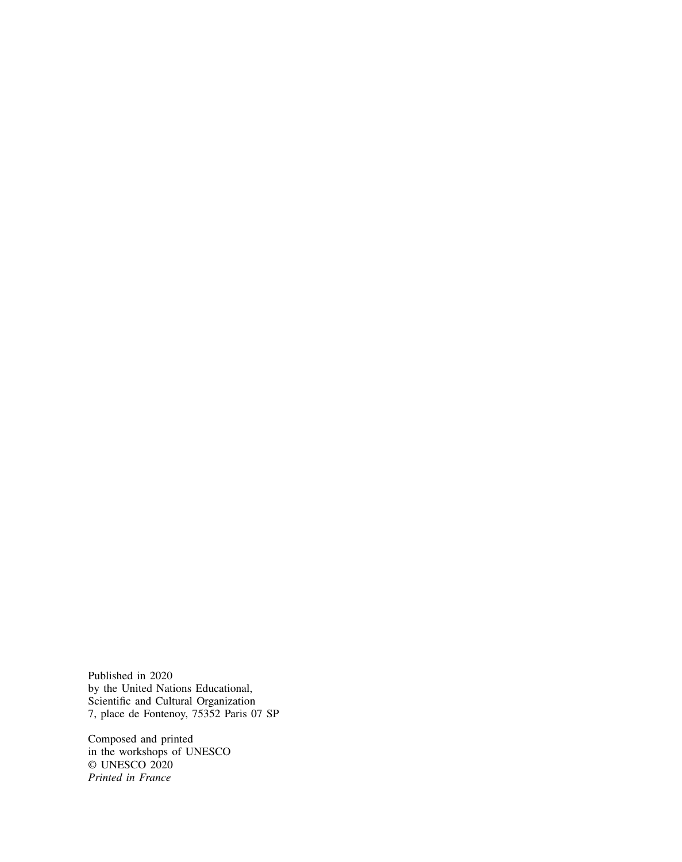Published in 2020 by the United Nations Educational, Scientific and Cultural Organization 7, place de Fontenoy, 75352 Paris 07 SP

Composed and printed in the workshops of UNESCO © UNESCO 2020 *Printed in France*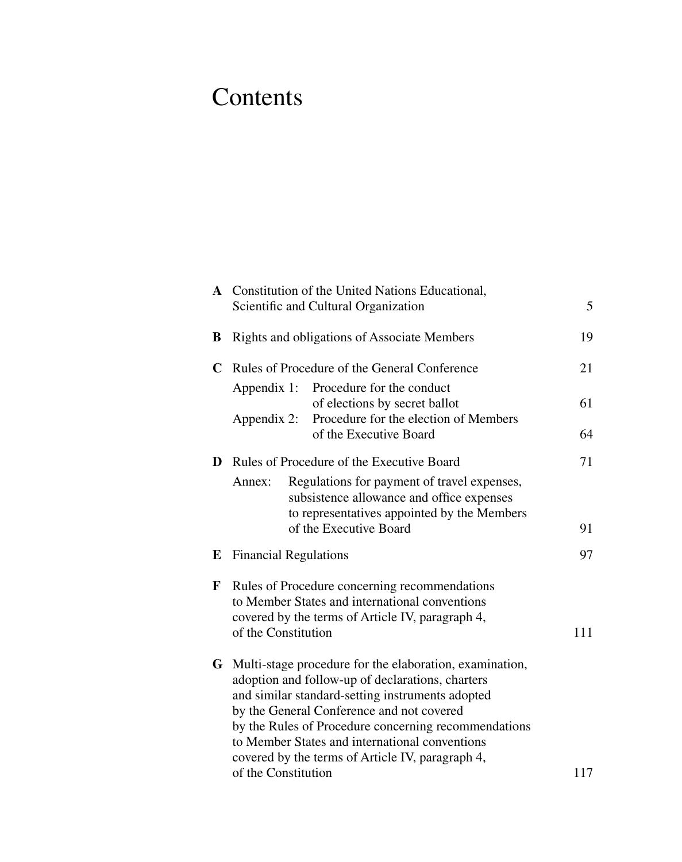### Contents

|   | A Constitution of the United Nations Educational,<br>5<br>Scientific and Cultural Organization                                                                                                                                                                                                                                                                                                             |    |  |
|---|------------------------------------------------------------------------------------------------------------------------------------------------------------------------------------------------------------------------------------------------------------------------------------------------------------------------------------------------------------------------------------------------------------|----|--|
| В | Rights and obligations of Associate Members                                                                                                                                                                                                                                                                                                                                                                | 19 |  |
| C | Rules of Procedure of the General Conference                                                                                                                                                                                                                                                                                                                                                               | 21 |  |
|   | Appendix 1: Procedure for the conduct<br>of elections by secret ballot                                                                                                                                                                                                                                                                                                                                     | 61 |  |
|   | Appendix 2: Procedure for the election of Members<br>of the Executive Board                                                                                                                                                                                                                                                                                                                                | 64 |  |
| D | Rules of Procedure of the Executive Board                                                                                                                                                                                                                                                                                                                                                                  | 71 |  |
|   | Regulations for payment of travel expenses,<br>Annex:<br>subsistence allowance and office expenses<br>to representatives appointed by the Members<br>of the Executive Board                                                                                                                                                                                                                                | 91 |  |
|   | <b>E</b> Financial Regulations                                                                                                                                                                                                                                                                                                                                                                             | 97 |  |
| F | Rules of Procedure concerning recommendations<br>to Member States and international conventions<br>covered by the terms of Article IV, paragraph 4,<br>of the Constitution<br>111                                                                                                                                                                                                                          |    |  |
|   | G Multi-stage procedure for the elaboration, examination,<br>adoption and follow-up of declarations, charters<br>and similar standard-setting instruments adopted<br>by the General Conference and not covered<br>by the Rules of Procedure concerning recommendations<br>to Member States and international conventions<br>covered by the terms of Article IV, paragraph 4,<br>of the Constitution<br>117 |    |  |
|   |                                                                                                                                                                                                                                                                                                                                                                                                            |    |  |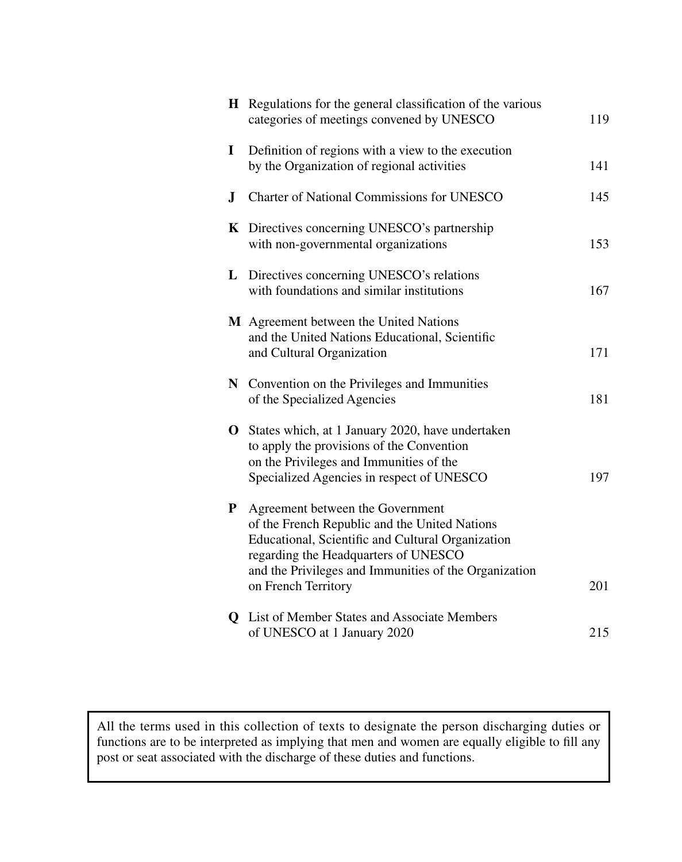|          | <b>H</b> Regulations for the general classification of the various<br>categories of meetings convened by UNESCO                                                                                                                                                | 119 |
|----------|----------------------------------------------------------------------------------------------------------------------------------------------------------------------------------------------------------------------------------------------------------------|-----|
| Ι        | Definition of regions with a view to the execution<br>by the Organization of regional activities                                                                                                                                                               | 141 |
| $\bf{J}$ | <b>Charter of National Commissions for UNESCO</b>                                                                                                                                                                                                              | 145 |
|          | K Directives concerning UNESCO's partnership<br>with non-governmental organizations                                                                                                                                                                            | 153 |
|          | L Directives concerning UNESCO's relations<br>with foundations and similar institutions                                                                                                                                                                        | 167 |
|          | <b>M</b> Agreement between the United Nations<br>and the United Nations Educational, Scientific<br>and Cultural Organization                                                                                                                                   | 171 |
| N        | Convention on the Privileges and Immunities<br>of the Specialized Agencies                                                                                                                                                                                     | 181 |
|          | O States which, at 1 January 2020, have undertaken<br>to apply the provisions of the Convention<br>on the Privileges and Immunities of the<br>Specialized Agencies in respect of UNESCO                                                                        | 197 |
| P        | Agreement between the Government<br>of the French Republic and the United Nations<br>Educational, Scientific and Cultural Organization<br>regarding the Headquarters of UNESCO<br>and the Privileges and Immunities of the Organization<br>on French Territory | 201 |
|          | <b>Q</b> List of Member States and Associate Members<br>of UNESCO at 1 January 2020                                                                                                                                                                            | 215 |

All the terms used in this collection of texts to designate the person discharging duties or functions are to be interpreted as implying that men and women are equally eligible to fill any post or seat associated with the discharge of these duties and functions.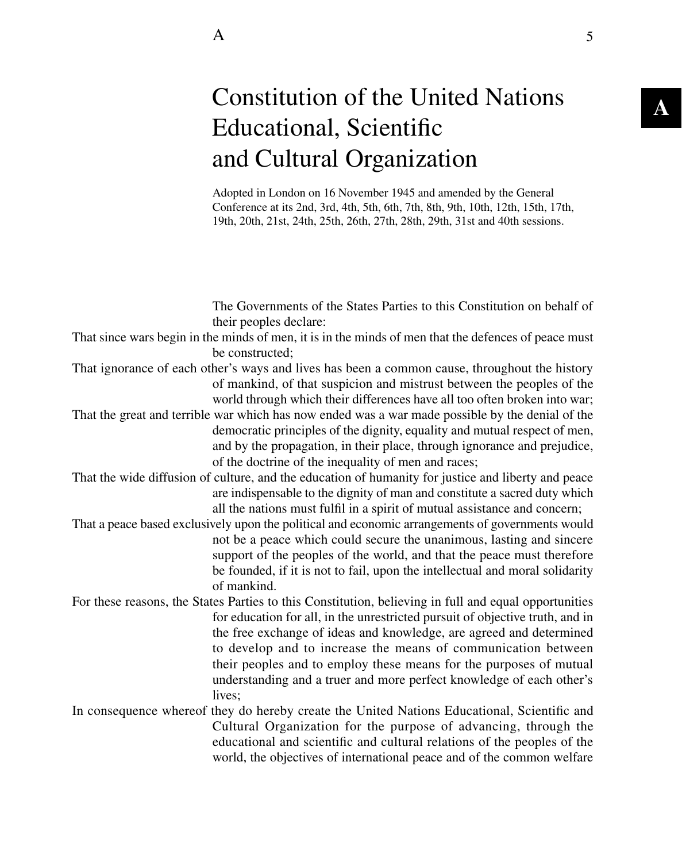## <span id="page-5-0"></span>Constitution of the United Nations Educational, Scientific and Cultural Organization

Adopted in London on 16 November 1945 and amended by the General Conference at its 2nd, 3rd, 4th, 5th, 6th, 7th, 8th, 9th, 10th, 12th, 15th, 17th, 19th, 20th, 21st, 24th, 25th, 26th, 27th, 28th, 29th, 31st and 40th sessions.

| The Governments of the States Parties to this Constitution on behalf of                                                                                                                                                                                                                                             |
|---------------------------------------------------------------------------------------------------------------------------------------------------------------------------------------------------------------------------------------------------------------------------------------------------------------------|
| their peoples declare:                                                                                                                                                                                                                                                                                              |
| That since wars begin in the minds of men, it is in the minds of men that the defences of peace must                                                                                                                                                                                                                |
| be constructed:                                                                                                                                                                                                                                                                                                     |
| That ignorance of each other's ways and lives has been a common cause, throughout the history                                                                                                                                                                                                                       |
| of mankind, of that suspicion and mistrust between the peoples of the                                                                                                                                                                                                                                               |
| world through which their differences have all too often broken into war;                                                                                                                                                                                                                                           |
| That the great and terrible war which has now ended was a war made possible by the denial of the                                                                                                                                                                                                                    |
| democratic principles of the dignity, equality and mutual respect of men,<br>and by the propagation, in their place, through ignorance and prejudice,                                                                                                                                                               |
| of the doctrine of the inequality of men and races;                                                                                                                                                                                                                                                                 |
| That the wide diffusion of culture, and the education of humanity for justice and liberty and peace<br>are indispensable to the dignity of man and constitute a sacred duty which                                                                                                                                   |
| all the nations must fulfil in a spirit of mutual assistance and concern;                                                                                                                                                                                                                                           |
| That a peace based exclusively upon the political and economic arrangements of governments would                                                                                                                                                                                                                    |
|                                                                                                                                                                                                                                                                                                                     |
| not be a peace which could secure the unanimous, lasting and sincere                                                                                                                                                                                                                                                |
| support of the peoples of the world, and that the peace must therefore                                                                                                                                                                                                                                              |
| be founded, if it is not to fail, upon the intellectual and moral solidarity<br>of mankind.                                                                                                                                                                                                                         |
|                                                                                                                                                                                                                                                                                                                     |
| For these reasons, the States Parties to this Constitution, believing in full and equal opportunities                                                                                                                                                                                                               |
| for education for all, in the unrestricted pursuit of objective truth, and in                                                                                                                                                                                                                                       |
| the free exchange of ideas and knowledge, are agreed and determined                                                                                                                                                                                                                                                 |
| to develop and to increase the means of communication between                                                                                                                                                                                                                                                       |
| their peoples and to employ these means for the purposes of mutual                                                                                                                                                                                                                                                  |
| understanding and a truer and more perfect knowledge of each other's                                                                                                                                                                                                                                                |
| lives:                                                                                                                                                                                                                                                                                                              |
| In consequence whereof they do hereby create the United Nations Educational, Scientific and<br>Cultural Organization for the purpose of advancing, through the<br>educational and scientific and cultural relations of the peoples of the<br>world, the objectives of international peace and of the common welfare |
|                                                                                                                                                                                                                                                                                                                     |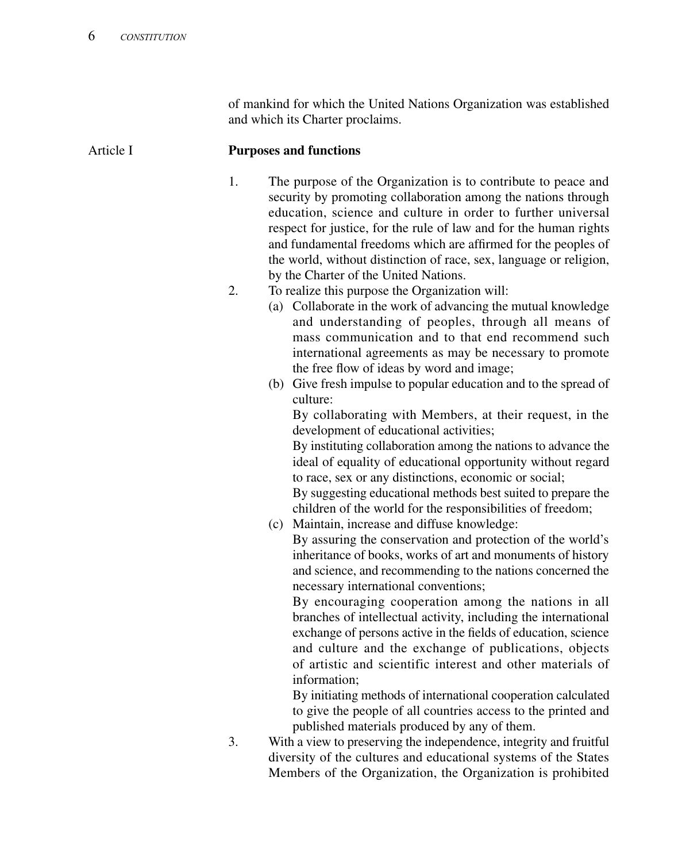of mankind for which the United Nations Organization was established and which its Charter proclaims.

#### Article I **Purposes and functions**

- 1. The purpose of the Organization is to contribute to peace and security by promoting collaboration among the nations through education, science and culture in order to further universal respect for justice, for the rule of law and for the human rights and fundamental freedoms which are affirmed for the peoples of the world, without distinction of race, sex, language or religion, by the Charter of the United Nations.
- 2. To realize this purpose the Organization will:
	- (a) Collaborate in the work of advancing the mutual knowledge and understanding of peoples, through all means of mass communication and to that end recommend such international agreements as may be necessary to promote the free flow of ideas by word and image;
	- (b) Give fresh impulse to popular education and to the spread of culture:

By collaborating with Members, at their request, in the development of educational activities;

By instituting collaboration among the nations to advance the ideal of equality of educational opportunity without regard to race, sex or any distinctions, economic or social;

By suggesting educational methods best suited to prepare the children of the world for the responsibilities of freedom;

(c) Maintain, increase and diffuse knowledge:

By assuring the conservation and protection of the world's inheritance of books, works of art and monuments of history and science, and recommending to the nations concerned the necessary international conventions;

By encouraging cooperation among the nations in all branches of intellectual activity, including the international exchange of persons active in the fields of education, science and culture and the exchange of publications, objects of artistic and scientific interest and other materials of information;

By initiating methods of international cooperation calculated to give the people of all countries access to the printed and published materials produced by any of them.

3. With a view to preserving the independence, integrity and fruitful diversity of the cultures and educational systems of the States Members of the Organization, the Organization is prohibited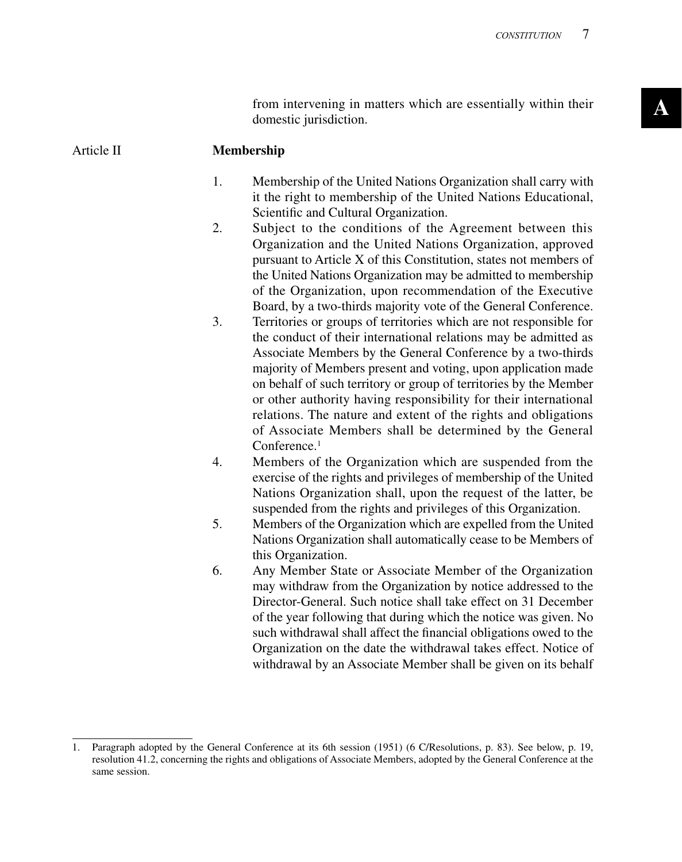from intervening in matters which are essentially within their domestic jurisdiction.

#### Article II **Membership**

- 1. Membership of the United Nations Organization shall carry with it the right to membership of the United Nations Educational, Scientific and Cultural Organization.
- 2. Subject to the conditions of the Agreement between this Organization and the United Nations Organization, approved pursuant to Article X of this Constitution, states not members of the United Nations Organization may be admitted to membership of the Organization, upon recommendation of the Executive Board, by a two-thirds majority vote of the General Conference.
- 3. Territories or groups of territories which are not responsible for the conduct of their international relations may be admitted as Associate Members by the General Conference by a two-thirds majority of Members present and voting, upon application made on behalf of such territory or group of territories by the Member or other authority having responsibility for their international relations. The nature and extent of the rights and obligations of Associate Members shall be determined by the General Conference.<sup>1</sup>
- 4. Members of the Organization which are suspended from the exercise of the rights and privileges of membership of the United Nations Organization shall, upon the request of the latter, be suspended from the rights and privileges of this Organization.
- 5. Members of the Organization which are expelled from the United Nations Organization shall automatically cease to be Members of this Organization.
- 6. Any Member State or Associate Member of the Organization may withdraw from the Organization by notice addressed to the Director-General. Such notice shall take effect on 31 December of the year following that during which the notice was given. No such withdrawal shall affect the financial obligations owed to the Organization on the date the withdrawal takes effect. Notice of withdrawal by an Associate Member shall be given on its behalf

<sup>1.</sup> Paragraph adopted by the General Conference at its 6th session (1951) (6 C/Resolutions, p. 83). See below, p. 19, resolution 41.2, concerning the rights and obligations of Associate Members, adopted by the General Conference at the same session.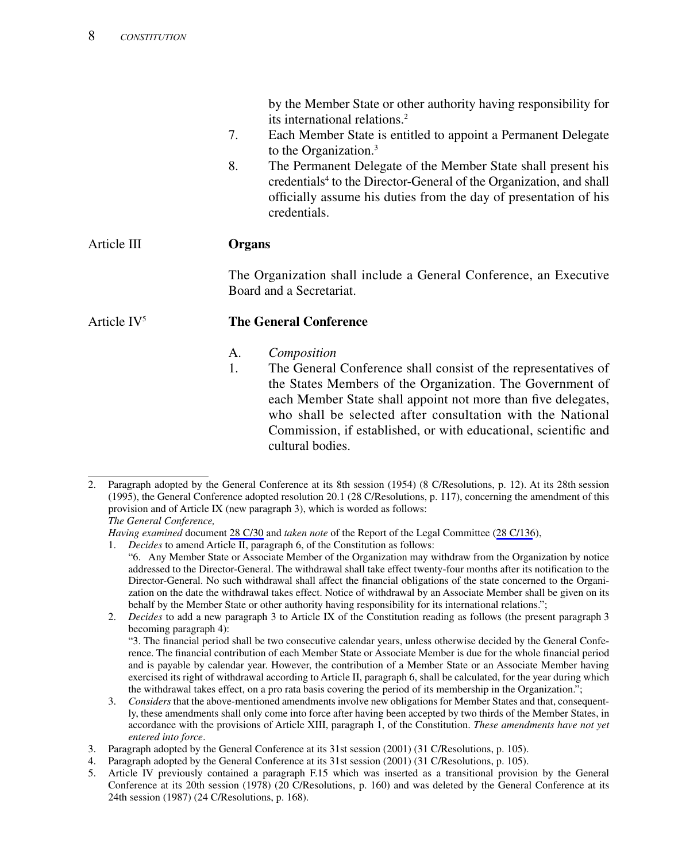|                         | by the Member State or other authority having responsibility for<br>its international relations. <sup>2</sup><br>Each Member State is entitled to appoint a Permanent Delegate<br>7.<br>to the Organization. $3$<br>The Permanent Delegate of the Member State shall present his<br>8.<br>credentials <sup>4</sup> to the Director-General of the Organization, and shall<br>officially assume his duties from the day of presentation of his<br>credentials. |
|-------------------------|---------------------------------------------------------------------------------------------------------------------------------------------------------------------------------------------------------------------------------------------------------------------------------------------------------------------------------------------------------------------------------------------------------------------------------------------------------------|
| Article III             | Organs                                                                                                                                                                                                                                                                                                                                                                                                                                                        |
|                         | The Organization shall include a General Conference, an Executive<br>Board and a Secretariat.                                                                                                                                                                                                                                                                                                                                                                 |
| Article IV <sup>5</sup> | <b>The General Conference</b>                                                                                                                                                                                                                                                                                                                                                                                                                                 |
|                         | A.<br>Composition<br>1.<br>The General Conference shall consist of the representatives of<br>the States Members of the Organization. The Government of<br>each Member State shall appoint not more than five delegates,<br>who shall be selected after consultation with the National<br>Commission, if established, or with educational, scientific and<br>cultural bodies.                                                                                  |

1. *Decides* to amend Article II, paragraph 6, of the Constitution as follows:

<sup>2.</sup> Paragraph adopted by the General Conference at its 8th session (1954) (8 C/Resolutions, p. 12). At its 28th session (1995), the General Conference adopted resolution 20.1 (28 C/Resolutions, p. 117), concerning the amendment of this provision and of Article IX (new paragraph 3), which is worded as follows: *The General Conference,* 

*Having examined* document [28 C/30](https://unesdoc.unesco.org/ark:/48223/pf0000101395_eng) and *taken note* of the Report of the Legal Committee ([28 C/136](https://unesdoc.unesco.org/ark:/48223/pf0000101907_eng)),

<sup>&</sup>quot;6. Any Member State or Associate Member of the Organization may withdraw from the Organization by notice addressed to the Director-General. The withdrawal shall take effect twenty-four months after its notification to the Director-General. No such withdrawal shall affect the financial obligations of the state concerned to the Organization on the date the withdrawal takes effect. Notice of withdrawal by an Associate Member shall be given on its behalf by the Member State or other authority having responsibility for its international relations.";

<sup>2.</sup> *Decides* to add a new paragraph 3 to Article IX of the Constitution reading as follows (the present paragraph 3 becoming paragraph 4):

<sup>&</sup>quot;3. The financial period shall be two consecutive calendar years, unless otherwise decided by the General Conference. The financial contribution of each Member State or Associate Member is due for the whole financial period and is payable by calendar year. However, the contribution of a Member State or an Associate Member having exercised its right of withdrawal according to Article II, paragraph 6, shall be calculated, for the year during which the withdrawal takes effect, on a pro rata basis covering the period of its membership in the Organization.";

<sup>3.</sup> *Considers* that the above-mentioned amendments involve new obligations for Member States and that, consequently, these amendments shall only come into force after having been accepted by two thirds of the Member States, in accordance with the provisions of Article XIII, paragraph 1, of the Constitution. *These amendments have not yet entered into force*.

<sup>3.</sup> Paragraph adopted by the General Conference at its 31st session (2001) (31 C/Resolutions, p. 105).

<sup>4.</sup> Paragraph adopted by the General Conference at its 31st session (2001) (31 C/Resolutions, p. 105).

<sup>5.</sup> Article IV previously contained a paragraph F.15 which was inserted as a transitional provision by the General Conference at its 20th session (1978) (20 C/Resolutions, p. 160) and was deleted by the General Conference at its 24th session (1987) (24 C/Resolutions, p. 168).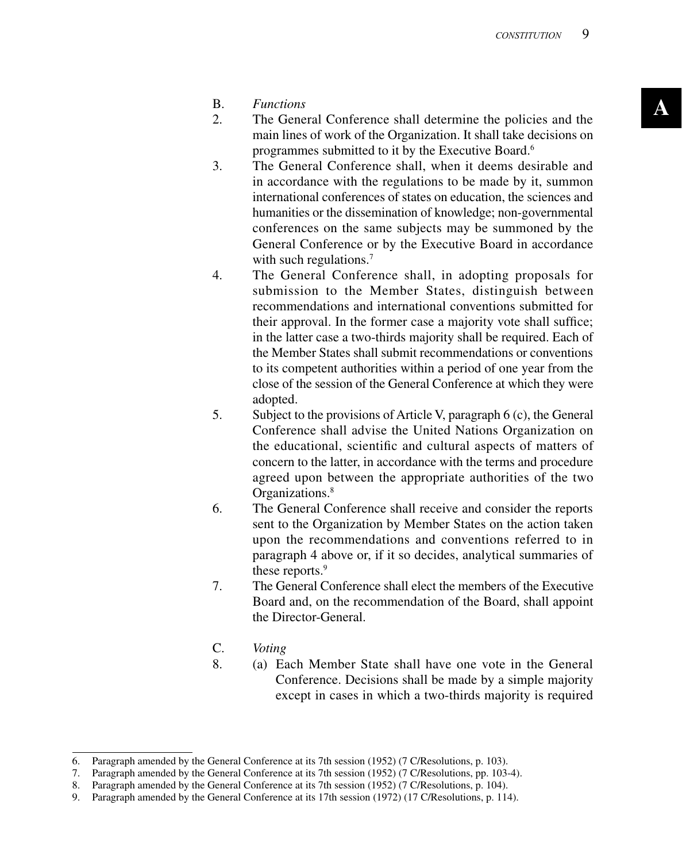- 
- B. *Functions*<br>2. The General Conference shall determine the policies and the main lines of work of the Organization. It shall take decisions on programmes submitted to it by the Executive Board.6
- 3. The General Conference shall, when it deems desirable and in accordance with the regulations to be made by it, summon international conferences of states on education, the sciences and humanities or the dissemination of knowledge; non-governmental conferences on the same subjects may be summoned by the General Conference or by the Executive Board in accordance with such regulations.<sup>7</sup>
- 4. The General Conference shall, in adopting proposals for submission to the Member States, distinguish between recommendations and international conventions submitted for their approval. In the former case a majority vote shall suffice; in the latter case a two-thirds majority shall be required. Each of the Member States shall submit recommendations or conventions to its competent authorities within a period of one year from the close of the session of the General Conference at which they were adopted.
- 5. Subject to the provisions of Article V, paragraph 6 (c), the General Conference shall advise the United Nations Organization on the educational, scientific and cultural aspects of matters of concern to the latter, in accordance with the terms and procedure agreed upon between the appropriate authorities of the two Organizations.<sup>8</sup>
- 6. The General Conference shall receive and consider the reports sent to the Organization by Member States on the action taken upon the recommendations and conventions referred to in paragraph 4 above or, if it so decides, analytical summaries of these reports.<sup>9</sup>
- 7. The General Conference shall elect the members of the Executive Board and, on the recommendation of the Board, shall appoint the Director-General.
- C. *Voting*
- 8. (a) Each Member State shall have one vote in the General Conference. Decisions shall be made by a simple majority except in cases in which a two-thirds majority is required

<sup>6.</sup> Paragraph amended by the General Conference at its 7th session (1952) (7 C/Resolutions, p. 103).

<sup>7.</sup> Paragraph amended by the General Conference at its 7th session (1952) (7 C/Resolutions, pp. 103-4).

<sup>8.</sup> Paragraph amended by the General Conference at its 7th session (1952) (7 C/Resolutions, p. 104).

<sup>9.</sup> Paragraph amended by the General Conference at its 17th session (1972) (17 C/Resolutions, p. 114).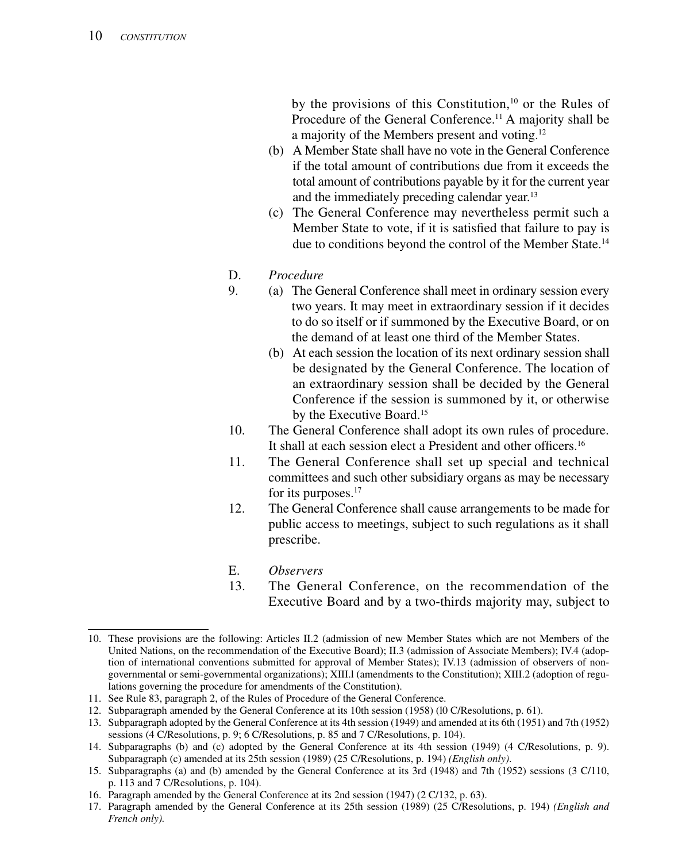by the provisions of this Constitution, $10$  or the Rules of Procedure of the General Conference.<sup>11</sup> A majority shall be a majority of the Members present and voting.12

- (b) A Member State shall have no vote in the General Conference if the total amount of contributions due from it exceeds the total amount of contributions payable by it for the current year and the immediately preceding calendar year.13
- (c) The General Conference may nevertheless permit such a Member State to vote, if it is satisfied that failure to pay is due to conditions beyond the control of the Member State.14

#### D. *Procedure*

- 9. (a) The General Conference shall meet in ordinary session every two years. It may meet in extraordinary session if it decides to do so itself or if summoned by the Executive Board, or on the demand of at least one third of the Member States.
	- (b) At each session the location of its next ordinary session shall be designated by the General Conference. The location of an extraordinary session shall be decided by the General Conference if the session is summoned by it, or otherwise by the Executive Board.<sup>15</sup>
- 10. The General Conference shall adopt its own rules of procedure. It shall at each session elect a President and other officers.<sup>16</sup>
- 11. The General Conference shall set up special and technical committees and such other subsidiary organs as may be necessary for its purposes.<sup>17</sup>
- 12. The General Conference shall cause arrangements to be made for public access to meetings, subject to such regulations as it shall prescribe.
- E. *Observers*
- 13. The General Conference, on the recommendation of the Executive Board and by a two-thirds majority may, subject to

<sup>10.</sup> These provisions are the following: Articles II.2 (admission of new Member States which are not Members of the United Nations, on the recommendation of the Executive Board); II.3 (admission of Associate Members); IV.4 (adoption of international conventions submitted for approval of Member States); IV.13 (admission of observers of nongovernmental or semi-governmental organizations); XIII.l (amendments to the Constitution); XIII.2 (adoption of regulations governing the procedure for amendments of the Constitution).

<sup>11.</sup> See Rule 83, paragraph 2, of the Rules of Procedure of the General Conference.

<sup>12.</sup> Subparagraph amended by the General Conference at its 10th session (1958) (l0 C/Resolutions, p. 61).

<sup>13.</sup> Subparagraph adopted by the General Conference at its 4th session (1949) and amended at its 6th (1951) and 7th (1952) sessions (4 C/Resolutions, p. 9; 6 C/Resolutions, p. 85 and 7 C/Resolutions, p. 104).

<sup>14.</sup> Subparagraphs (b) and (c) adopted by the General Conference at its 4th session (1949) (4 C/Resolutions, p. 9). Subparagraph (c) amended at its 25th session (1989) (25 C/Resolutions, p. 194) *(English only)*.

<sup>15.</sup> Subparagraphs (a) and (b) amended by the General Conference at its 3rd (1948) and 7th (1952) sessions (3 C/110, p. 113 and 7 C/Resolutions, p. 104).

<sup>16.</sup> Paragraph amended by the General Conference at its 2nd session (1947) (2 C/132, p. 63).

<sup>17.</sup> Paragraph amended by the General Conference at its 25th session (1989) (25 C/Resolutions, p. 194) *(English and French only).*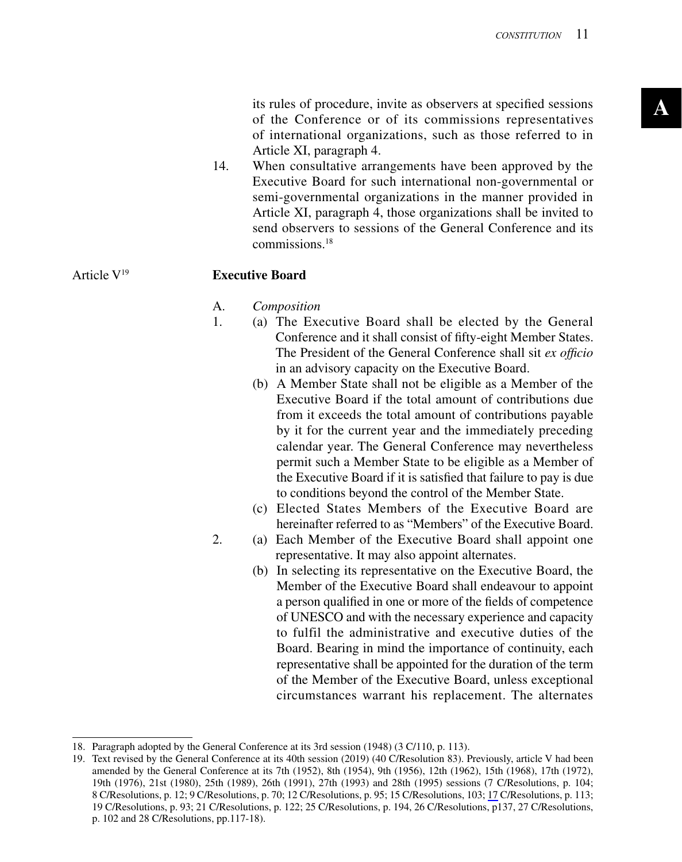its rules of procedure, invite as observers at specified sessions **A** of the Conference or of its commissions representatives of international organizations, such as those referred to in Article XI, paragraph 4.

14. When consultative arrangements have been approved by the Executive Board for such international non-governmental or semi-governmental organizations in the manner provided in Article XI, paragraph 4, those organizations shall be invited to send observers to sessions of the General Conference and its commissions.18

#### Article V19 **Executive Board**

#### A. *Composition*

- 1. (a) The Executive Board shall be elected by the General Conference and it shall consist of fifty-eight Member States. The President of the General Conference shall sit *ex officio*  in an advisory capacity on the Executive Board.
	- (b) A Member State shall not be eligible as a Member of the Executive Board if the total amount of contributions due from it exceeds the total amount of contributions payable by it for the current year and the immediately preceding calendar year. The General Conference may nevertheless permit such a Member State to be eligible as a Member of the Executive Board if it is satisfied that failure to pay is due to conditions beyond the control of the Member State.
	- (c) Elected States Members of the Executive Board are hereinafter referred to as "Members" of the Executive Board.
- 2. (a) Each Member of the Executive Board shall appoint one representative. It may also appoint alternates.
	- (b) In selecting its representative on the Executive Board, the Member of the Executive Board shall endeavour to appoint a person qualified in one or more of the fields of competence of UNESCO and with the necessary experience and capacity to fulfil the administrative and executive duties of the Board. Bearing in mind the importance of continuity, each representative shall be appointed for the duration of the term of the Member of the Executive Board, unless exceptional circumstances warrant his replacement. The alternates

<sup>18.</sup> Paragraph adopted by the General Conference at its 3rd session (1948) (3 C/110, p. 113).

<sup>19.</sup> Text revised by the General Conference at its 40th session (2019) (40 C/Resolution 83). Previously, article V had been amended by the General Conference at its 7th (1952), 8th (1954), 9th (1956), 12th (1962), 15th (1968), 17th (1972), 19th (1976), 21st (1980), 25th (1989), 26th (1991), 27th (1993) and 28th (1995) sessions (7 C/Resolutions, p. 104; 8 C/Resolutions, p. 12; 9 C/Resolutions, p. 70; 12 C/Resolutions, p. 95; 15 C/Resolutions, 103; [17](https://unesdoc.unesco.org/ark:/48223/pf0000114047_eng.nameddest=17) C/Resolutions, p. 113; 19 C/Resolutions, p. 93; 21 C/Resolutions, p. 122; 25 C/Resolutions, p. 194, 26 C/Resolutions, p137, 27 C/Resolutions, p. 102 and 28 C/Resolutions, pp.117-18).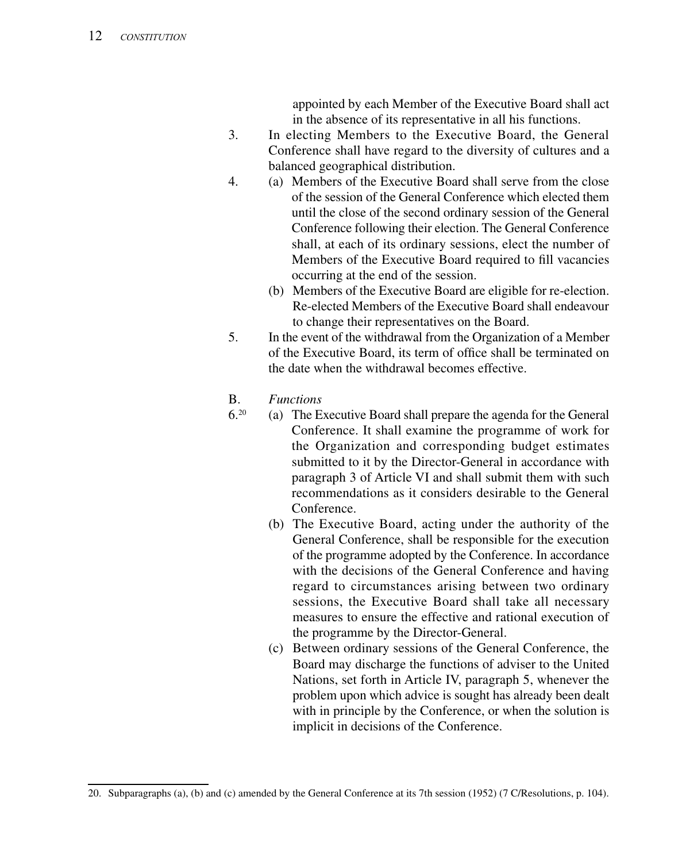appointed by each Member of the Executive Board shall act in the absence of its representative in all his functions.

- 3. In electing Members to the Executive Board, the General Conference shall have regard to the diversity of cultures and a balanced geographical distribution.
- 4. (a) Members of the Executive Board shall serve from the close of the session of the General Conference which elected them until the close of the second ordinary session of the General Conference following their election. The General Conference shall, at each of its ordinary sessions, elect the number of Members of the Executive Board required to fill vacancies occurring at the end of the session.
	- (b) Members of the Executive Board are eligible for re-election. Re-elected Members of the Executive Board shall endeavour to change their representatives on the Board.
- 5. In the event of the withdrawal from the Organization of a Member of the Executive Board, its term of office shall be terminated on the date when the withdrawal becomes effective.

#### B. *Functions*

- 6.20 (a) The Executive Board shall prepare the agenda for the General Conference. It shall examine the programme of work for the Organization and corresponding budget estimates submitted to it by the Director-General in accordance with paragraph 3 of Article VI and shall submit them with such recommendations as it considers desirable to the General Conference.
	- (b) The Executive Board, acting under the authority of the General Conference, shall be responsible for the execution of the programme adopted by the Conference. In accordance with the decisions of the General Conference and having regard to circumstances arising between two ordinary sessions, the Executive Board shall take all necessary measures to ensure the effective and rational execution of the programme by the Director-General.
	- (c) Between ordinary sessions of the General Conference, the Board may discharge the functions of adviser to the United Nations, set forth in Article IV, paragraph 5, whenever the problem upon which advice is sought has already been dealt with in principle by the Conference, or when the solution is implicit in decisions of the Conference.

<sup>20.</sup> Subparagraphs (a), (b) and (c) amended by the General Conference at its 7th session (1952) (7 C/Resolutions, p. 104).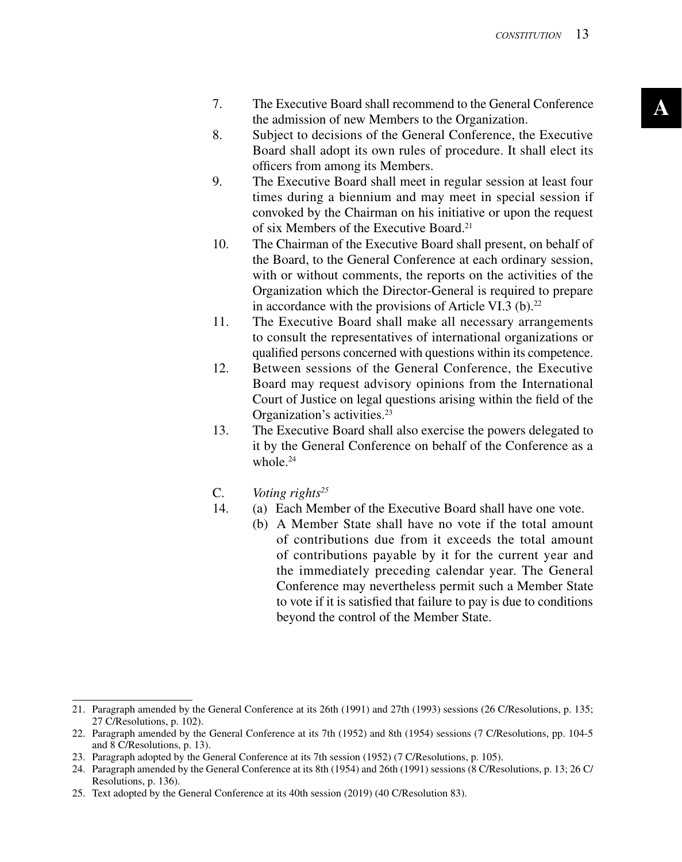- 7. The Executive Board shall recommend to the General Conference **A** the admission of new Members to the Organization.
- 8. Subject to decisions of the General Conference, the Executive Board shall adopt its own rules of procedure. It shall elect its officers from among its Members.
- 9. The Executive Board shall meet in regular session at least four times during a biennium and may meet in special session if convoked by the Chairman on his initiative or upon the request of six Members of the Executive Board.21
- 10. The Chairman of the Executive Board shall present, on behalf of the Board, to the General Conference at each ordinary session, with or without comments, the reports on the activities of the Organization which the Director-General is required to prepare in accordance with the provisions of Article VI.3 (b). $^{22}$
- 11. The Executive Board shall make all necessary arrangements to consult the representatives of international organizations or qualified persons concerned with questions within its competence.
- 12. Between sessions of the General Conference, the Executive Board may request advisory opinions from the International Court of Justice on legal questions arising within the field of the Organization's activities.23
- 13. The Executive Board shall also exercise the powers delegated to it by the General Conference on behalf of the Conference as a whole.24
- C. *Voting rights25*
- 14. (a) Each Member of the Executive Board shall have one vote.
	- (b) A Member State shall have no vote if the total amount of contributions due from it exceeds the total amount of contributions payable by it for the current year and the immediately preceding calendar year. The General Conference may nevertheless permit such a Member State to vote if it is satisfied that failure to pay is due to conditions beyond the control of the Member State.

<sup>21.</sup> Paragraph amended by the General Conference at its 26th (1991) and 27th (1993) sessions (26 C/Resolutions, p. 135; 27 C/Resolutions, p. 102).

<sup>22.</sup> Paragraph amended by the General Conference at its 7th (1952) and 8th (1954) sessions (7 C/Resolutions, pp. 104-5 and 8 C/Resolutions, p. 13).

<sup>23.</sup> Paragraph adopted by the General Conference at its 7th session (1952) (7 C/Resolutions, p. 105).

<sup>24.</sup> Paragraph amended by the General Conference at its 8th (1954) and 26th (1991) sessions (8 C/Resolutions, p. 13; 26 C/ Resolutions, p. 136).

<sup>25.</sup> Text adopted by the General Conference at its 40th session (2019) (40 C/Resolution 83).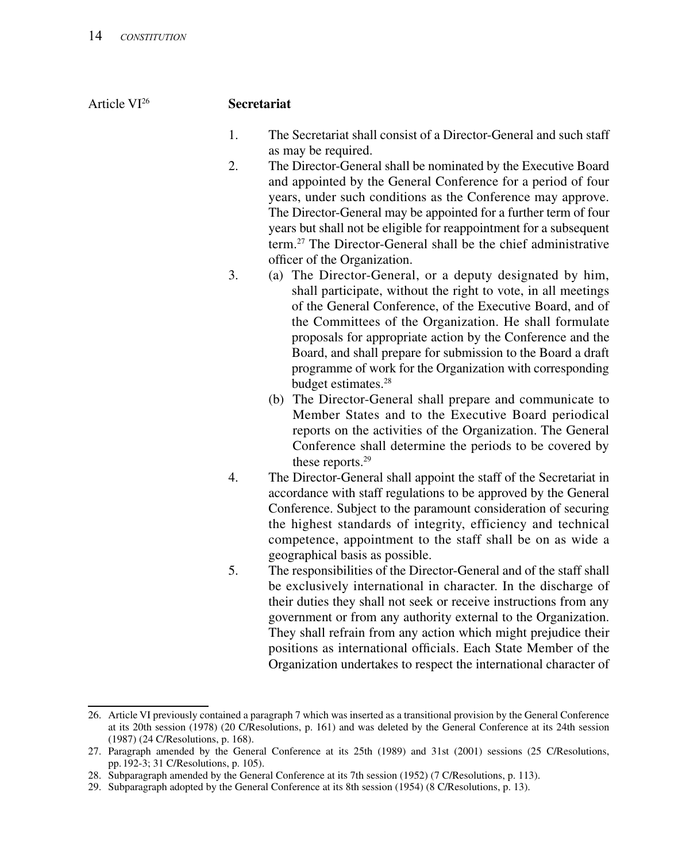#### Article VI26 **Secretariat**

- 1. The Secretariat shall consist of a Director-General and such staff as may be required.
- 2. The Director-General shall be nominated by the Executive Board and appointed by the General Conference for a period of four years, under such conditions as the Conference may approve. The Director-General may be appointed for a further term of four years but shall not be eligible for reappointment for a subsequent term.27 The Director-General shall be the chief administrative officer of the Organization.
- 3. (a) The Director-General, or a deputy designated by him, shall participate, without the right to vote, in all meetings of the General Conference, of the Executive Board, and of the Committees of the Organization. He shall formulate proposals for appropriate action by the Conference and the Board, and shall prepare for submission to the Board a draft programme of work for the Organization with corresponding budget estimates.<sup>28</sup>
	- (b) The Director-General shall prepare and communicate to Member States and to the Executive Board periodical reports on the activities of the Organization. The General Conference shall determine the periods to be covered by these reports.29
- 4. The Director-General shall appoint the staff of the Secretariat in accordance with staff regulations to be approved by the General Conference. Subject to the paramount consideration of securing the highest standards of integrity, efficiency and technical competence, appointment to the staff shall be on as wide a geographical basis as possible.
- 5. The responsibilities of the Director-General and of the staff shall be exclusively international in character. In the discharge of their duties they shall not seek or receive instructions from any government or from any authority external to the Organization. They shall refrain from any action which might prejudice their positions as international officials. Each State Member of the Organization undertakes to respect the international character of

<sup>26.</sup> Article VI previously contained a paragraph 7 which was inserted as a transitional provision by the General Conference at its 20th session (1978) (20 C/Resolutions, p. 161) and was deleted by the General Conference at its 24th session (1987) (24 C/Resolutions, p. 168).

<sup>27.</sup> Paragraph amended by the General Conference at its 25th (1989) and 31st (2001) sessions (25 C/Resolutions, pp. 192-3; 31 C/Resolutions, p. 105).

<sup>28.</sup> Subparagraph amended by the General Conference at its 7th session (1952) (7 C/Resolutions, p. 113).

<sup>29.</sup> Subparagraph adopted by the General Conference at its 8th session (1954) (8 C/Resolutions, p. 13).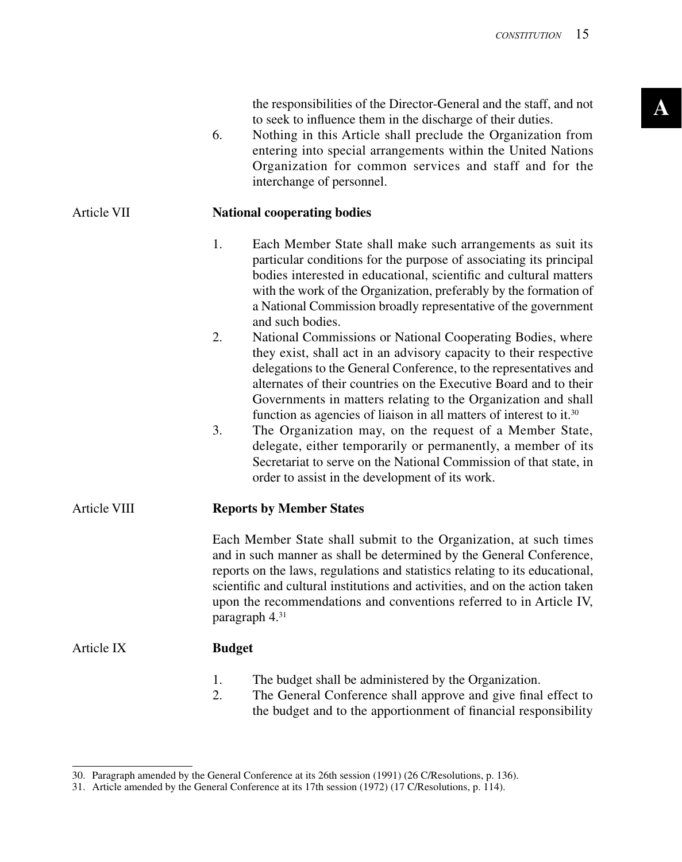|              | the responsibilities of the Director-General and the staff, and not<br>A<br>to seek to influence them in the discharge of their duties.<br>6.<br>Nothing in this Article shall preclude the Organization from<br>entering into special arrangements within the United Nations<br>Organization for common services and staff and for the<br>interchange of personnel.                                                                                                                                 |
|--------------|------------------------------------------------------------------------------------------------------------------------------------------------------------------------------------------------------------------------------------------------------------------------------------------------------------------------------------------------------------------------------------------------------------------------------------------------------------------------------------------------------|
| Article VII  | <b>National cooperating bodies</b>                                                                                                                                                                                                                                                                                                                                                                                                                                                                   |
|              | 1.<br>Each Member State shall make such arrangements as suit its<br>particular conditions for the purpose of associating its principal<br>bodies interested in educational, scientific and cultural matters<br>with the work of the Organization, preferably by the formation of<br>a National Commission broadly representative of the government<br>and such bodies.                                                                                                                               |
|              | 2.<br>National Commissions or National Cooperating Bodies, where<br>they exist, shall act in an advisory capacity to their respective<br>delegations to the General Conference, to the representatives and<br>alternates of their countries on the Executive Board and to their<br>Governments in matters relating to the Organization and shall<br>function as agencies of liaison in all matters of interest to it. <sup>30</sup><br>The Organization may, on the request of a Member State,<br>3. |
|              | delegate, either temporarily or permanently, a member of its<br>Secretariat to serve on the National Commission of that state, in<br>order to assist in the development of its work.                                                                                                                                                                                                                                                                                                                 |
| Article VIII | <b>Reports by Member States</b>                                                                                                                                                                                                                                                                                                                                                                                                                                                                      |
|              | Each Member State shall submit to the Organization, at such times<br>and in such manner as shall be determined by the General Conference,<br>reports on the laws, regulations and statistics relating to its educational,<br>scientific and cultural institutions and activities, and on the action taken<br>upon the recommendations and conventions referred to in Article IV,<br>paragraph 4.31                                                                                                   |
| Article IX   | <b>Budget</b>                                                                                                                                                                                                                                                                                                                                                                                                                                                                                        |
|              | 1.<br>The budget shall be administered by the Organization.<br>2.<br>The General Conference shall approve and give final effect to<br>the budget and to the apportionment of financial responsibility                                                                                                                                                                                                                                                                                                |

<sup>30.</sup> Paragraph amended by the General Conference at its 26th session (1991) (26 C/Resolutions, p. 136).

<sup>31.</sup> Article amended by the General Conference at its 17th session (1972) (17 C/Resolutions, p. 114).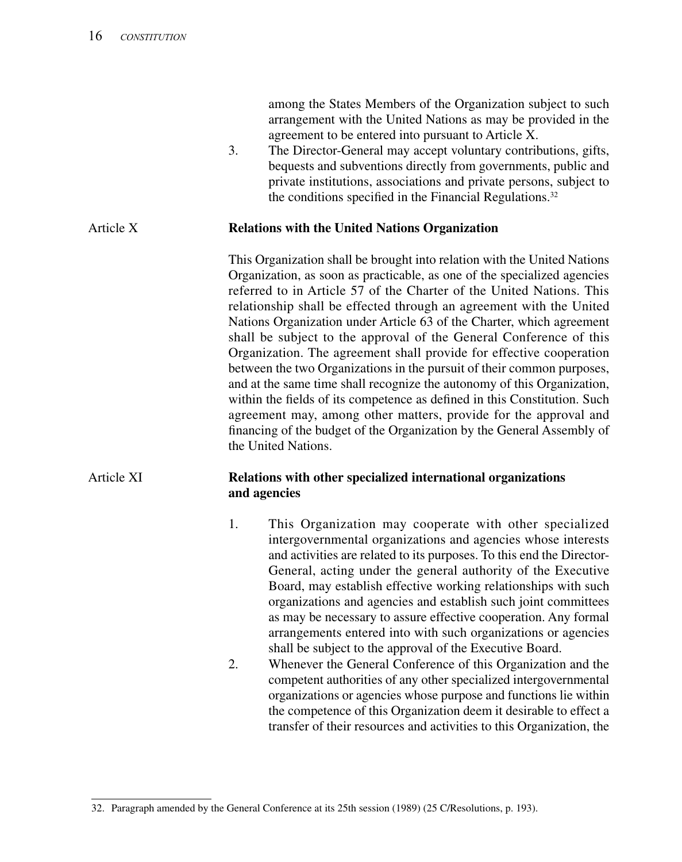|            | among the States Members of the Organization subject to such<br>arrangement with the United Nations as may be provided in the<br>agreement to be entered into pursuant to Article X.<br>3.<br>The Director-General may accept voluntary contributions, gifts,<br>bequests and subventions directly from governments, public and<br>private institutions, associations and private persons, subject to<br>the conditions specified in the Financial Regulations. <sup>32</sup>                                                                                                                                                                                                                                                                                                                                                                                                                                                                                        |
|------------|----------------------------------------------------------------------------------------------------------------------------------------------------------------------------------------------------------------------------------------------------------------------------------------------------------------------------------------------------------------------------------------------------------------------------------------------------------------------------------------------------------------------------------------------------------------------------------------------------------------------------------------------------------------------------------------------------------------------------------------------------------------------------------------------------------------------------------------------------------------------------------------------------------------------------------------------------------------------|
| Article X  | <b>Relations with the United Nations Organization</b>                                                                                                                                                                                                                                                                                                                                                                                                                                                                                                                                                                                                                                                                                                                                                                                                                                                                                                                |
|            | This Organization shall be brought into relation with the United Nations<br>Organization, as soon as practicable, as one of the specialized agencies<br>referred to in Article 57 of the Charter of the United Nations. This<br>relationship shall be effected through an agreement with the United<br>Nations Organization under Article 63 of the Charter, which agreement<br>shall be subject to the approval of the General Conference of this<br>Organization. The agreement shall provide for effective cooperation<br>between the two Organizations in the pursuit of their common purposes,<br>and at the same time shall recognize the autonomy of this Organization,<br>within the fields of its competence as defined in this Constitution. Such<br>agreement may, among other matters, provide for the approval and<br>financing of the budget of the Organization by the General Assembly of<br>the United Nations.                                     |
| Article XI | Relations with other specialized international organizations<br>and agencies                                                                                                                                                                                                                                                                                                                                                                                                                                                                                                                                                                                                                                                                                                                                                                                                                                                                                         |
|            | 1.<br>This Organization may cooperate with other specialized<br>intergovernmental organizations and agencies whose interests<br>and activities are related to its purposes. To this end the Director-<br>General, acting under the general authority of the Executive<br>Board, may establish effective working relationships with such<br>organizations and agencies and establish such joint committees<br>as may be necessary to assure effective cooperation. Any formal<br>arrangements entered into with such organizations or agencies<br>shall be subject to the approval of the Executive Board.<br>2.<br>Whenever the General Conference of this Organization and the<br>competent authorities of any other specialized intergovernmental<br>organizations or agencies whose purpose and functions lie within<br>the competence of this Organization deem it desirable to effect a<br>transfer of their resources and activities to this Organization, the |

<sup>32.</sup> Paragraph amended by the General Conference at its 25th session (1989) (25 C/Resolutions, p. 193).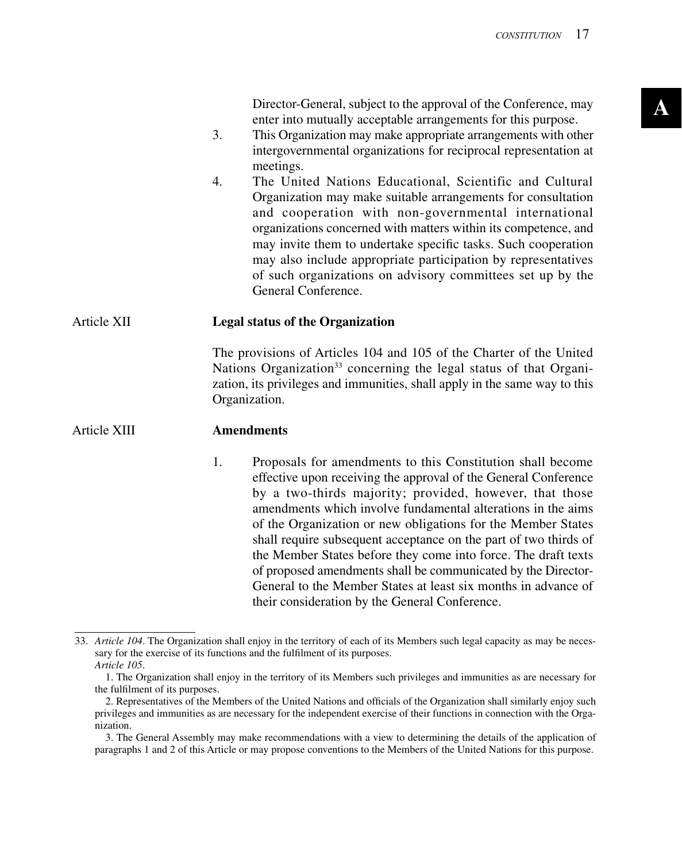|              | Director-General, subject to the approval of the Conference, may<br>enter into mutually acceptable arrangements for this purpose.<br>This Organization may make appropriate arrangements with other<br>3.<br>intergovernmental organizations for reciprocal representation at                                                                                                                                                                                                                                                        | A |
|--------------|--------------------------------------------------------------------------------------------------------------------------------------------------------------------------------------------------------------------------------------------------------------------------------------------------------------------------------------------------------------------------------------------------------------------------------------------------------------------------------------------------------------------------------------|---|
|              | meetings.<br>The United Nations Educational, Scientific and Cultural<br>4.<br>Organization may make suitable arrangements for consultation<br>and cooperation with non-governmental international<br>organizations concerned with matters within its competence, and<br>may invite them to undertake specific tasks. Such cooperation<br>may also include appropriate participation by representatives<br>of such organizations on advisory committees set up by the<br>General Conference.                                          |   |
| Article XII  | <b>Legal status of the Organization</b>                                                                                                                                                                                                                                                                                                                                                                                                                                                                                              |   |
|              | The provisions of Articles 104 and 105 of the Charter of the United<br>Nations Organization <sup>33</sup> concerning the legal status of that Organi-<br>zation, its privileges and immunities, shall apply in the same way to this<br>Organization.                                                                                                                                                                                                                                                                                 |   |
| Article XIII | <b>Amendments</b>                                                                                                                                                                                                                                                                                                                                                                                                                                                                                                                    |   |
|              | 1.<br>Proposals for amendments to this Constitution shall become<br>effective upon receiving the approval of the General Conference<br>by a two-thirds majority; provided, however, that those<br>amendments which involve fundamental alterations in the aims<br>of the Organization or new obligations for the Member States<br>shall require subsequent acceptance on the part of two thirds of<br>the Member States before they come into force. The draft texts<br>of proposed amendments shall be communicated by the Director |   |

of proposed amendments shall be communicated by the Director-General to the Member States at least six months in advance of their consideration by the General Conference.

<sup>33.</sup> *Article 104*. The Organization shall enjoy in the territory of each of its Members such legal capacity as may be necessary for the exercise of its functions and the fulfilment of its purposes. *Article 105*.

 <sup>1.</sup> The Organization shall enjoy in the territory of its Members such privileges and immunities as are necessary for the fulfilment of its purposes.

 <sup>2.</sup> Representatives of the Members of the United Nations and officials of the Organization shall similarly enjoy such privileges and immunities as are necessary for the independent exercise of their functions in connection with the Organization.

 <sup>3.</sup> The General Assembly may make recommendations with a view to determining the details of the application of paragraphs 1 and 2 of this Article or may propose conventions to the Members of the United Nations for this purpose.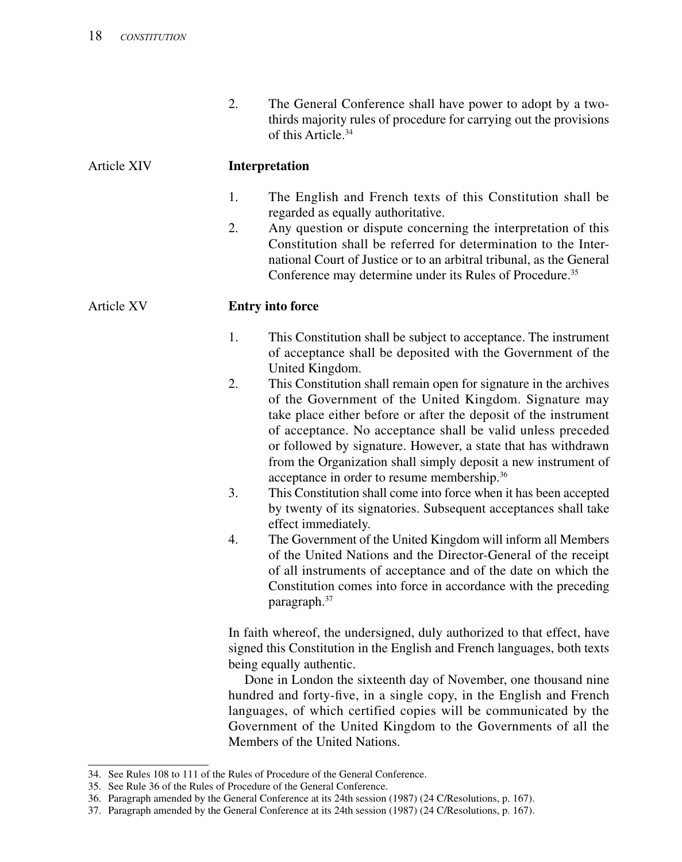|                    | 2.<br>The General Conference shall have power to adopt by a two-<br>thirds majority rules of procedure for carrying out the provisions<br>of this Article. <sup>34</sup>                                                                                                                                                                                                                                                                                                                                                                                                                                                                                                                                                                                                                                                                                                                                                                                                                                                                                                                                 |
|--------------------|----------------------------------------------------------------------------------------------------------------------------------------------------------------------------------------------------------------------------------------------------------------------------------------------------------------------------------------------------------------------------------------------------------------------------------------------------------------------------------------------------------------------------------------------------------------------------------------------------------------------------------------------------------------------------------------------------------------------------------------------------------------------------------------------------------------------------------------------------------------------------------------------------------------------------------------------------------------------------------------------------------------------------------------------------------------------------------------------------------|
| <b>Article XIV</b> | Interpretation                                                                                                                                                                                                                                                                                                                                                                                                                                                                                                                                                                                                                                                                                                                                                                                                                                                                                                                                                                                                                                                                                           |
|                    | 1.<br>The English and French texts of this Constitution shall be<br>regarded as equally authoritative.<br>2.<br>Any question or dispute concerning the interpretation of this<br>Constitution shall be referred for determination to the Inter-<br>national Court of Justice or to an arbitral tribunal, as the General<br>Conference may determine under its Rules of Procedure. <sup>35</sup>                                                                                                                                                                                                                                                                                                                                                                                                                                                                                                                                                                                                                                                                                                          |
| Article XV         | <b>Entry into force</b>                                                                                                                                                                                                                                                                                                                                                                                                                                                                                                                                                                                                                                                                                                                                                                                                                                                                                                                                                                                                                                                                                  |
|                    | 1.<br>This Constitution shall be subject to acceptance. The instrument<br>of acceptance shall be deposited with the Government of the<br>United Kingdom.<br>2.<br>This Constitution shall remain open for signature in the archives<br>of the Government of the United Kingdom. Signature may<br>take place either before or after the deposit of the instrument<br>of acceptance. No acceptance shall be valid unless preceded<br>or followed by signature. However, a state that has withdrawn<br>from the Organization shall simply deposit a new instrument of<br>acceptance in order to resume membership. <sup>36</sup><br>3.<br>This Constitution shall come into force when it has been accepted<br>by twenty of its signatories. Subsequent acceptances shall take<br>effect immediately.<br>4.<br>The Government of the United Kingdom will inform all Members<br>of the United Nations and the Director-General of the receipt<br>of all instruments of acceptance and of the date on which the<br>Constitution comes into force in accordance with the preceding<br>paragraph. <sup>37</sup> |
|                    | In faith whereof, the undersigned, duly authorized to that effect, have<br>signed this Constitution in the English and French languages, both texts<br>being equally authentic.<br>Done in London the sixteenth day of November, one thousand nine<br>hundred and forty-five, in a single copy, in the English and French<br>languages, of which certified copies will be communicated by the<br>Government of the United Kingdom to the Governments of all the                                                                                                                                                                                                                                                                                                                                                                                                                                                                                                                                                                                                                                          |

34. See Rules 108 to 111 of the Rules of Procedure of the General Conference.

Members of the United Nations.

<sup>35.</sup> See Rule 36 of the Rules of Procedure of the General Conference.

<sup>36.</sup> Paragraph amended by the General Conference at its 24th session (1987) (24 C/Resolutions, p. 167).

<sup>37.</sup> Paragraph amended by the General Conference at its 24th session (1987) (24 C/Resolutions, p. 167).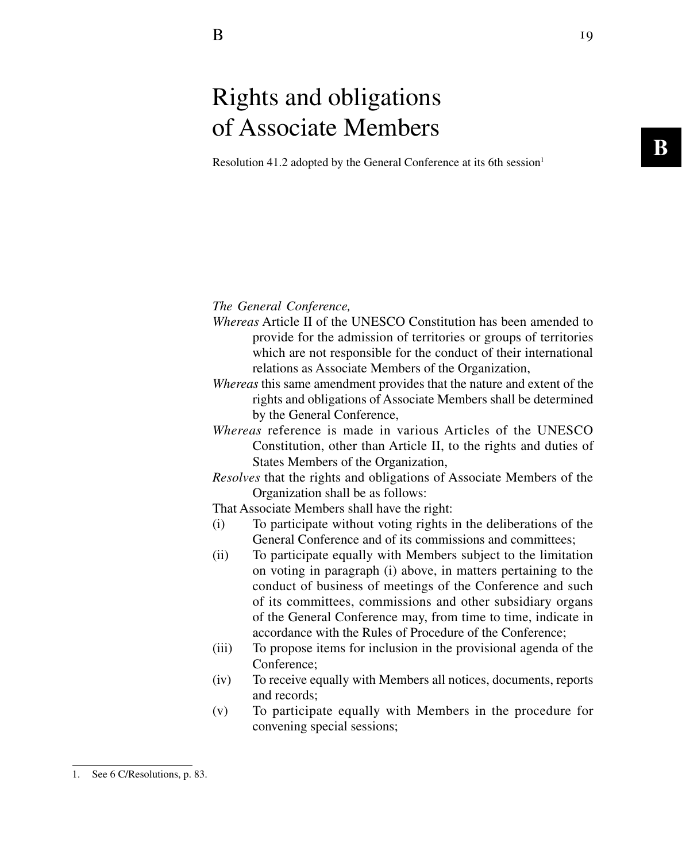### <span id="page-19-0"></span>Rights and obligations of Associate Members

Resolution 41.2 adopted by the General Conference at its 6th session<sup>1</sup>

#### *The General Conference,*

- *Whereas* Article II of the UNESCO Constitution has been amended to provide for the admission of territories or groups of territories which are not responsible for the conduct of their international relations as Associate Members of the Organization,
- *Whereas* this same amendment provides that the nature and extent of the rights and obligations of Associate Members shall be determined by the General Conference,
- *Whereas* reference is made in various Articles of the UNESCO Constitution, other than Article II, to the rights and duties of States Members of the Organization,
- *Resolves* that the rights and obligations of Associate Members of the Organization shall be as follows:

That Associate Members shall have the right:

- (i) To participate without voting rights in the deliberations of the General Conference and of its commissions and committees;
- (ii) To participate equally with Members subject to the limitation on voting in paragraph (i) above, in matters pertaining to the conduct of business of meetings of the Conference and such of its committees, commissions and other subsidiary organs of the General Conference may, from time to time, indicate in accordance with the Rules of Procedure of the Conference;
- (iii) To propose items for inclusion in the provisional agenda of the Conference;
- (iv) To receive equally with Members all notices, documents, reports and records;
- (v) To participate equally with Members in the procedure for convening special sessions;

**B**

<sup>1.</sup> See 6 C/Resolutions, p. 83.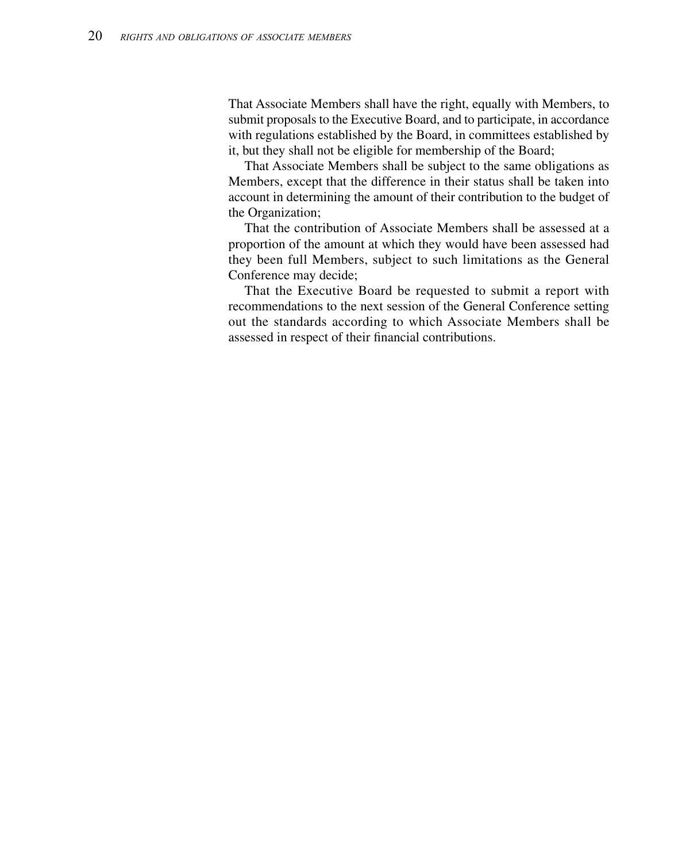That Associate Members shall have the right, equally with Members, to submit proposals to the Executive Board, and to participate, in accordance with regulations established by the Board, in committees established by it, but they shall not be eligible for membership of the Board;

That Associate Members shall be subject to the same obligations as Members, except that the difference in their status shall be taken into account in determining the amount of their contribution to the budget of the Organization;

That the contribution of Associate Members shall be assessed at a proportion of the amount at which they would have been assessed had they been full Members, subject to such limitations as the General Conference may decide;

That the Executive Board be requested to submit a report with recommendations to the next session of the General Conference setting out the standards according to which Associate Members shall be assessed in respect of their financial contributions.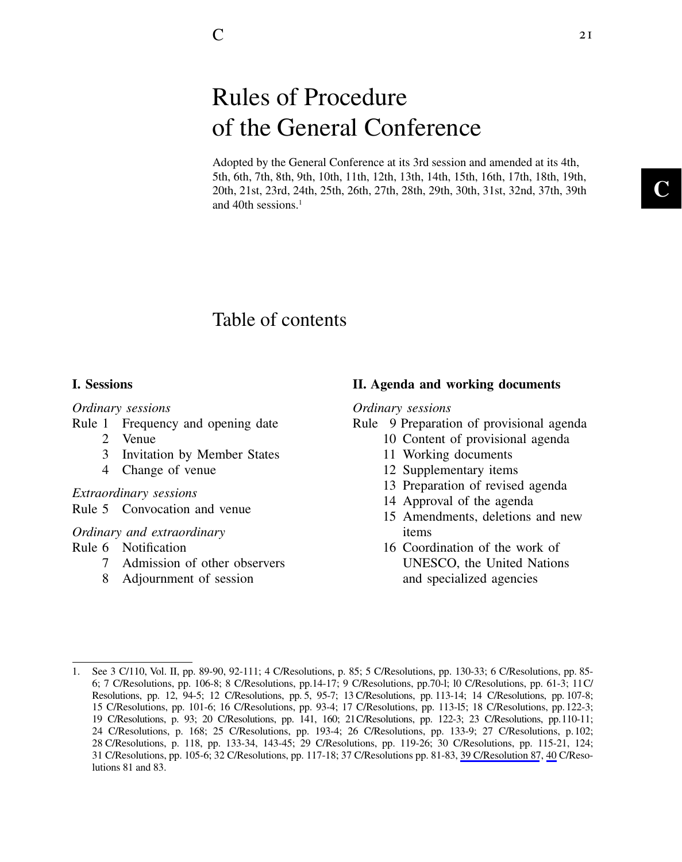## <span id="page-21-0"></span>Rules of Procedure of the General Conference

Adopted by the General Conference at its 3rd session and amended at its 4th, 5th, 6th, 7th, 8th, 9th, 10th, 11th, 12th, 13th, 14th, 15th, 16th, 17th, 18th, 19th, 20th, 21st, 23rd, 24th, 25th, 26th, 27th, 28th, 29th, 30th, 31st, 32nd, 37th, 39th and 40th sessions.<sup>1</sup>

### Table of contents

#### **I. Sessions**

*Ordinary sessions*

Rule 1 Frequency and opening date

- 2 Venue
- 3 Invitation by Member States
- 4 Change of venue

*Extraordinary sessions*

Rule 5 Convocation and venue

#### *Ordinary and extraordinary*

- Rule 6 Notification
	- 7 Admission of other observers
	- 8 Adjournment of session

#### **II. Agenda and working documents**

*Ordinary sessions*

Rule 9 Preparation of provisional agenda

- 10 Content of provisional agenda
- 11 Working documents
- 12 Supplementary items
- 13 Preparation of revised agenda
- 14 Approval of the agenda
- 15 Amendments, deletions and new items
- 16 Coordination of the work of UNESCO, the United Nations and specialized agencies

 $2<sub>1</sub>$ 

<sup>1.</sup> See 3 C/110, Vol. II, pp. 89-90, 92-111; 4 C/Resolutions, p. 85; 5 C/Resolutions, pp. 130-33; 6 C/Resolutions, pp. 85- 6; 7 C/Resolutions, pp. 106-8; 8 C/Resolutions, pp.14-17; 9 C/Resolutions, pp.70-l; l0 C/Resolutions, pp. 61-3; 11C/ Resolutions, pp. 12, 94-5; 12 C/Resolutions, pp. 5, 95-7; 13 C/Resolutions, pp. 113-14; 14 C/Resolutions, pp. 107-8; 15 C/Resolutions, pp. 101-6; 16 C/Resolutions, pp. 93-4; 17 C/Resolutions, pp. 113-l5; 18 C/Resolutions, pp.122-3; 19 C/Resolutions, p. 93; 20 C/Resolutions, pp. 141, 160; 21C/Resolutions, pp. 122-3; 23 C/Resolutions, pp.110-11; 24 C/Resolutions, p. 168; 25 C/Resolutions, pp. 193-4; 26 C/Resolutions, pp. 133-9; 27 C/Resolutions, p.102; 28 C/Resolutions, p. 118, pp. 133-34, 143-45; 29 C/Resolutions, pp. 119-26; 30 C/Resolutions, pp. 115-21, 124; 31 C/Resolutions, pp. 105-6; 32 C/Resolutions, pp. 117-18; 37 C/Resolutions pp. 81-83, [39 C/Resolution 87](https://unesdoc.unesco.org/ark:/48223/pf0000260889_eng.nameddest=87), [40](https://unesdoc.unesco.org/ark:/48223/pf0000260889_eng.nameddest=40) C/Resolutions 81 and 83.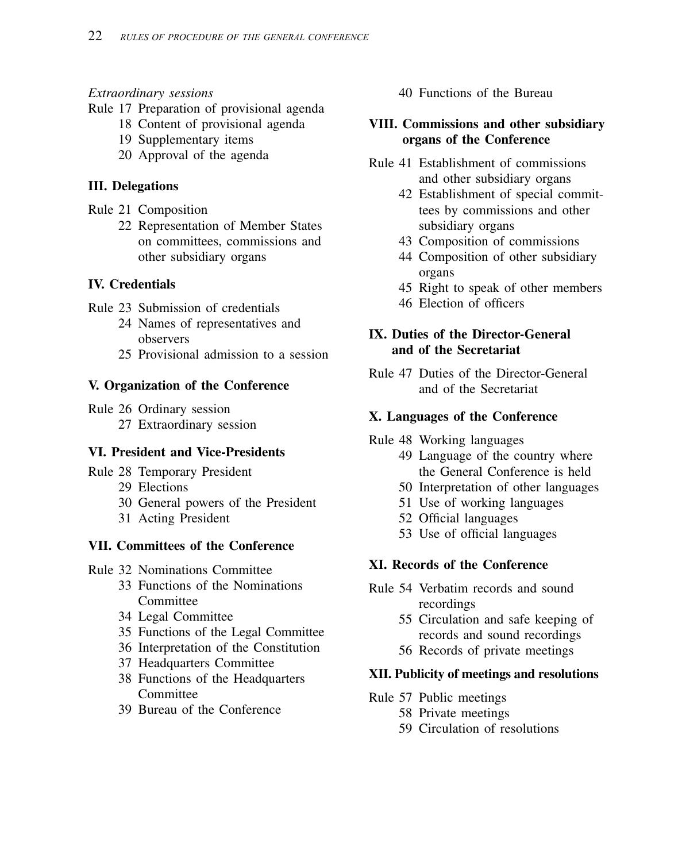#### *Extraordinary sessions*

Rule 17 Preparation of provisional agenda

- 18 Content of provisional agenda
- 19 Supplementary items
- 20 Approval of the agenda

#### **III. Delegations**

- Rule 21 Composition
	- 22 Representation of Member States on committees, commissions and other subsidiary organs

#### **IV. Credentials**

- Rule 23 Submission of credentials
	- 24 Names of representatives and observers
	- 25 Provisional admission to a session

#### **V. Organization of the Conference**

Rule 26 Ordinary session 27 Extraordinary session

#### **VI. President and Vice-Presidents**

- Rule 28 Temporary President
	- 29 Elections
	- 30 General powers of the President
	- 31 Acting President

#### **VII. Committees of the Conference**

- Rule 32 Nominations Committee
	- 33 Functions of the Nominations **Committee**
	- 34 Legal Committee
	- 35 Functions of the Legal Committee
	- 36 Interpretation of the Constitution
	- 37 Headquarters Committee
	- 38 Functions of the Headquarters **Committee**
	- 39 Bureau of the Conference

40 Functions of the Bureau

#### **VIII. Commissions and other subsidiary organs of the Conference**

- Rule 41 Establishment of commissions and other subsidiary organs
	- 42 Establishment of special committees by commissions and other subsidiary organs
	- 43 Composition of commissions
	- 44 Composition of other subsidiary organs
	- 45 Right to speak of other members
	- 46 Election of officers

#### **IX. Duties of the Director-General and of the Secretariat**

Rule 47 Duties of the Director-General and of the Secretariat

#### **X. Languages of the Conference**

#### Rule 48 Working languages

- 49 Language of the country where the General Conference is held
- 50 Interpretation of other languages
- 51 Use of working languages
- 52 Official languages
- 53 Use of official languages

#### **XI. Records of the Conference**

- Rule 54 Verbatim records and sound recordings
	- 55 Circulation and safe keeping of records and sound recordings
	- 56 Records of private meetings

#### **XII. Publicity of meetings and resolutions**

- Rule 57 Public meetings
	- 58 Private meetings
	- 59 Circulation of resolutions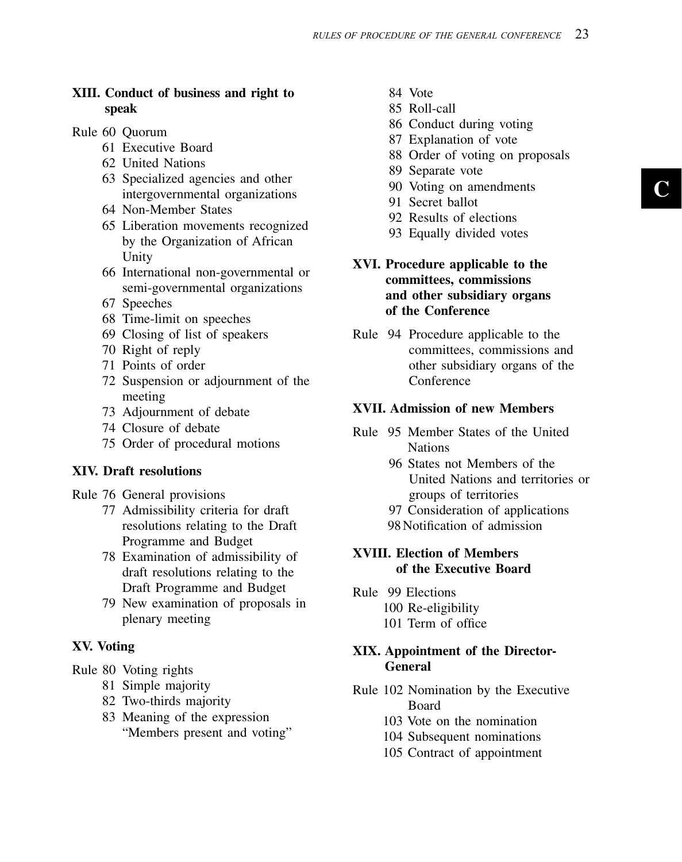#### **XIII. Conduct of business and right to speak**

- Rule 60 Quorum
	- 61 Executive Board
	- 62 United Nations
	- 63 Specialized agencies and other intergovernmental organizations
	- 64 Non-Member States
	- 65 Liberation movements recognized by the Organization of African Unity
	- 66 International non-governmental or semi-governmental organizations
	- 67 Speeches
	- 68 Time-limit on speeches
	- 69 Closing of list of speakers
	- 70 Right of reply
	- 71 Points of order
	- 72 Suspension or adjournment of the meeting
	- 73 Adjournment of debate
	- 74 Closure of debate
	- 75 Order of procedural motions

#### **XIV. Draft resolutions**

- Rule 76 General provisions
	- 77 Admissibility criteria for draft resolutions relating to the Draft Programme and Budget
	- 78 Examination of admissibility of draft resolutions relating to the Draft Programme and Budget
	- 79 New examination of proposals in plenary meeting

#### **XV. Voting**

- Rule 80 Voting rights
	- 81 Simple majority
	- 82 Two-thirds majority
	- 83 Meaning of the expression "Members present and voting"
- 84 Vote
- 85 Roll-call
- 86 Conduct during voting
- 87 Explanation of vote
- 88 Order of voting on proposals
- 89 Separate vote
- 90 Voting on amendments
- 91 Secret ballot
- 92 Results of elections
- 93 Equally divided votes
- **XVI. Procedure applicable to the committees, commissions and other subsidiary organs of the Conference**
- Rule 94 Procedure applicable to the committees, commissions and other subsidiary organs of the Conference

#### **XVII. Admission of new Members**

- Rule 95 Member States of the United Nations
	- 96 States not Members of the United Nations and territories or groups of territories
	- 97 Consideration of applications
	- 98Notification of admission

#### **XVIII. Election of Members of the Executive Board**

- Rule 99 Elections
	- 100 Re-eligibility 101 Term of office

#### **XIX. Appointment of the Director-General**

- Rule 102 Nomination by the Executive Board
	- 103 Vote on the nomination
	- 104 Subsequent nominations
	- 105 Contract of appointment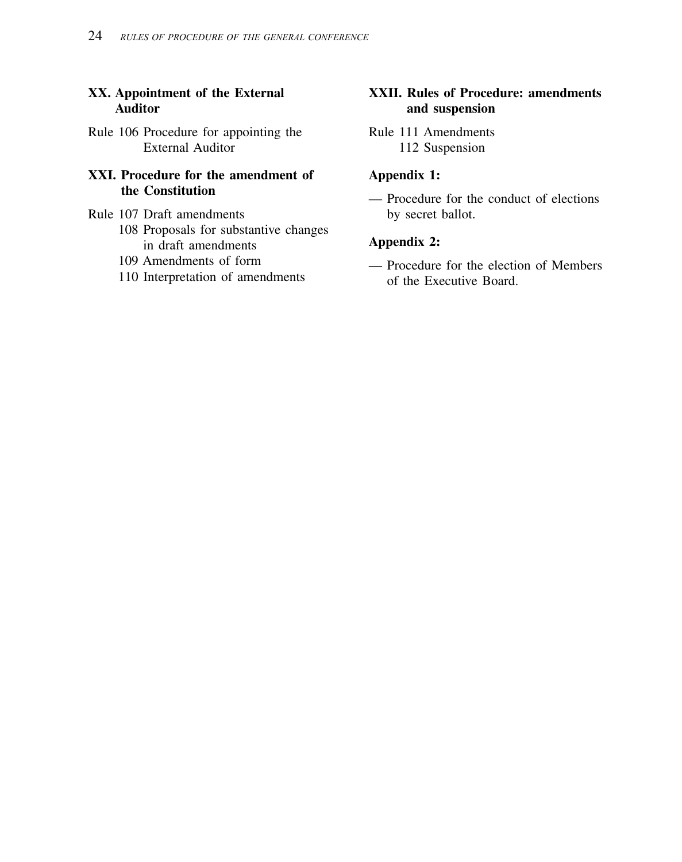#### **XX. Appointment of the External Auditor**

Rule 106 Procedure for appointing the External Auditor

#### **XXI. Procedure for the amendment of the Constitution**

- Rule 107 Draft amendments
	- 108 Proposals for substantive changes in draft amendments
	- 109 Amendments of form
	- 110 Interpretation of amendments

#### **XXII. Rules of Procedure: amendments and suspension**

Rule 111 Amendments 112 Suspension

#### **Appendix 1:**

— Procedure for the conduct of elections by secret ballot.

#### **Appendix 2:**

— Procedure for the election of Members of the Executive Board.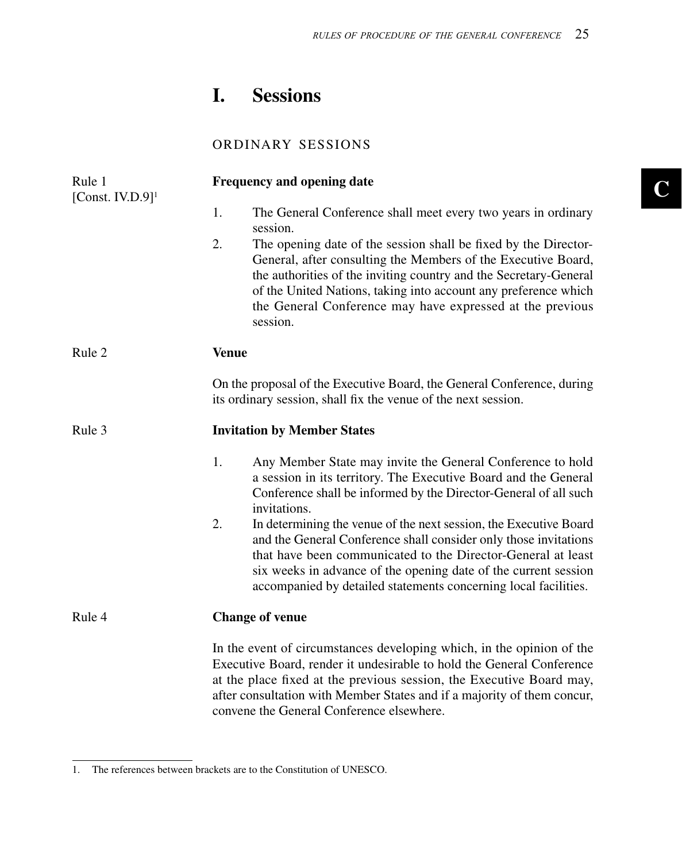### **I. Sessions**

### ORDINARY SESSIONS

| Rule 1<br>[Const. IV.D.9] $1$ | Frequency and opening date                                                                                                                                                                                                                                                                                                                                                                                                                 |  |
|-------------------------------|--------------------------------------------------------------------------------------------------------------------------------------------------------------------------------------------------------------------------------------------------------------------------------------------------------------------------------------------------------------------------------------------------------------------------------------------|--|
|                               | 1.<br>The General Conference shall meet every two years in ordinary<br>session.<br>2.<br>The opening date of the session shall be fixed by the Director-<br>General, after consulting the Members of the Executive Board,<br>the authorities of the inviting country and the Secretary-General<br>of the United Nations, taking into account any preference which<br>the General Conference may have expressed at the previous<br>session. |  |
| Rule 2                        | <b>Venue</b>                                                                                                                                                                                                                                                                                                                                                                                                                               |  |
|                               | On the proposal of the Executive Board, the General Conference, during<br>its ordinary session, shall fix the venue of the next session.                                                                                                                                                                                                                                                                                                   |  |
| Rule 3                        | <b>Invitation by Member States</b>                                                                                                                                                                                                                                                                                                                                                                                                         |  |
|                               | 1.<br>Any Member State may invite the General Conference to hold<br>a session in its territory. The Executive Board and the General<br>Conference shall be informed by the Director-General of all such<br>invitations.                                                                                                                                                                                                                    |  |
|                               | 2.<br>In determining the venue of the next session, the Executive Board<br>and the General Conference shall consider only those invitations<br>that have been communicated to the Director-General at least<br>six weeks in advance of the opening date of the current session<br>accompanied by detailed statements concerning local facilities.                                                                                          |  |
| Rule 4                        | <b>Change of venue</b>                                                                                                                                                                                                                                                                                                                                                                                                                     |  |
|                               | In the event of circumstances developing which, in the opinion of the<br>Executive Board, render it undesirable to hold the General Conference<br>at the place fixed at the previous session, the Executive Board may,<br>after consultation with Member States and if a majority of them concur,<br>convene the General Conference elsewhere.                                                                                             |  |

<sup>1.</sup> The references between brackets are to the Constitution of UNESCO.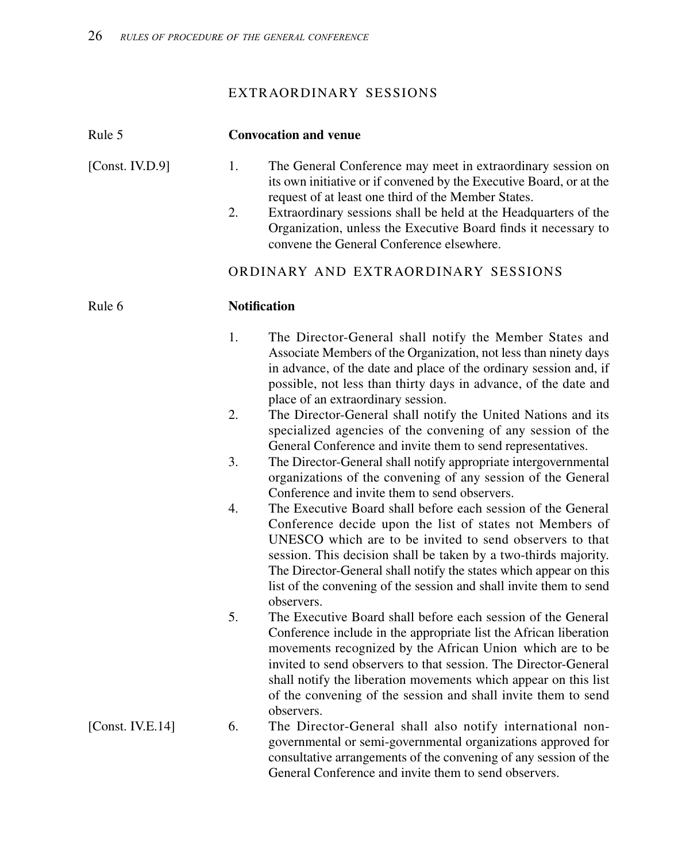### EXTRAORDINARY SESSIONS

| Rule 5           |          | <b>Convocation and venue</b>                                                                                                                                                                                                                                                                                                                                                                                        |
|------------------|----------|---------------------------------------------------------------------------------------------------------------------------------------------------------------------------------------------------------------------------------------------------------------------------------------------------------------------------------------------------------------------------------------------------------------------|
| [Const. IV.D.9]  | 1.<br>2. | The General Conference may meet in extraordinary session on<br>its own initiative or if convened by the Executive Board, or at the<br>request of at least one third of the Member States.<br>Extraordinary sessions shall be held at the Headquarters of the<br>Organization, unless the Executive Board finds it necessary to<br>convene the General Conference elsewhere.                                         |
|                  |          | ORDINARY AND EXTRAORDINARY SESSIONS                                                                                                                                                                                                                                                                                                                                                                                 |
| Rule 6           |          | <b>Notification</b>                                                                                                                                                                                                                                                                                                                                                                                                 |
|                  | 1.       | The Director-General shall notify the Member States and<br>Associate Members of the Organization, not less than ninety days<br>in advance, of the date and place of the ordinary session and, if<br>possible, not less than thirty days in advance, of the date and<br>place of an extraordinary session.                                                                                                           |
|                  | 2.       | The Director-General shall notify the United Nations and its<br>specialized agencies of the convening of any session of the                                                                                                                                                                                                                                                                                         |
|                  | 3.       | General Conference and invite them to send representatives.<br>The Director-General shall notify appropriate intergovernmental<br>organizations of the convening of any session of the General<br>Conference and invite them to send observers.                                                                                                                                                                     |
|                  | 4.       | The Executive Board shall before each session of the General<br>Conference decide upon the list of states not Members of<br>UNESCO which are to be invited to send observers to that<br>session. This decision shall be taken by a two-thirds majority.<br>The Director-General shall notify the states which appear on this<br>list of the convening of the session and shall invite them to send<br>observers.    |
|                  | 5.       | The Executive Board shall before each session of the General<br>Conference include in the appropriate list the African liberation<br>movements recognized by the African Union which are to be<br>invited to send observers to that session. The Director-General<br>shall notify the liberation movements which appear on this list<br>of the convening of the session and shall invite them to send<br>observers. |
| [Const. IV.E.14] | 6.       | The Director-General shall also notify international non-<br>governmental or semi-governmental organizations approved for<br>consultative arrangements of the convening of any session of the                                                                                                                                                                                                                       |

General Conference and invite them to send observers.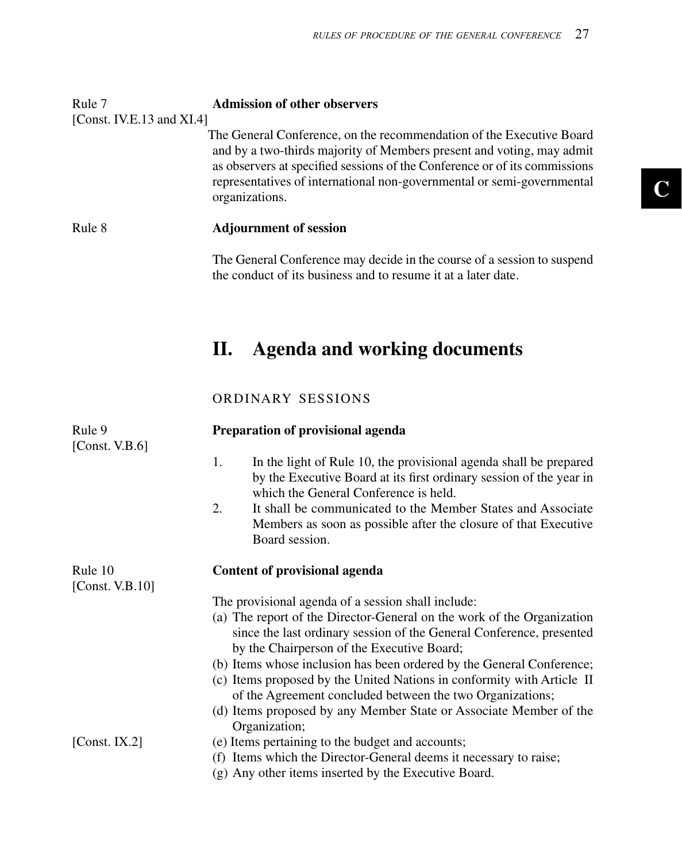#### Rule 7 **Admission of other observers**

[Const. IV.E.13 and XI.4]

The General Conference, on the recommendation of the Executive Board and by a two-thirds majority of Members present and voting, may admit as observers at specified sessions of the Conference or of its commissions representatives of international non-governmental or semi-governmental organizations.

#### Rule 8 **Adjournment of session**

The General Conference may decide in the course of a session to suspend the conduct of its business and to resume it at a later date.

### **II. Agenda and working documents**

#### ORDINARY SESSIONS

| Rule 9<br>[Const. $V.B.6$ ]   | Preparation of provisional agenda                                                                                                                                                       |
|-------------------------------|-----------------------------------------------------------------------------------------------------------------------------------------------------------------------------------------|
|                               | 1.<br>In the light of Rule 10, the provisional agenda shall be prepared<br>by the Executive Board at its first ordinary session of the year in<br>which the General Conference is held. |
|                               | 2.<br>It shall be communicated to the Member States and Associate<br>Members as soon as possible after the closure of that Executive<br>Board session.                                  |
| Rule 10<br>[Const. $V.B.10$ ] | Content of provisional agenda                                                                                                                                                           |
|                               | The provisional agenda of a session shall include:                                                                                                                                      |
|                               | (a) The report of the Director-General on the work of the Organization                                                                                                                  |
|                               | since the last ordinary session of the General Conference, presented<br>by the Chairperson of the Executive Board;                                                                      |
|                               | (b) Items whose inclusion has been ordered by the General Conference;                                                                                                                   |
|                               | (c) Items proposed by the United Nations in conformity with Article II<br>of the Agreement concluded between the two Organizations;                                                     |
|                               | (d) Items proposed by any Member State or Associate Member of the<br>Organization;                                                                                                      |
| [Const. IX.2]                 | (e) Items pertaining to the budget and accounts;                                                                                                                                        |
|                               | (f) Items which the Director-General deems it necessary to raise;                                                                                                                       |
|                               | (g) Any other items inserted by the Executive Board.                                                                                                                                    |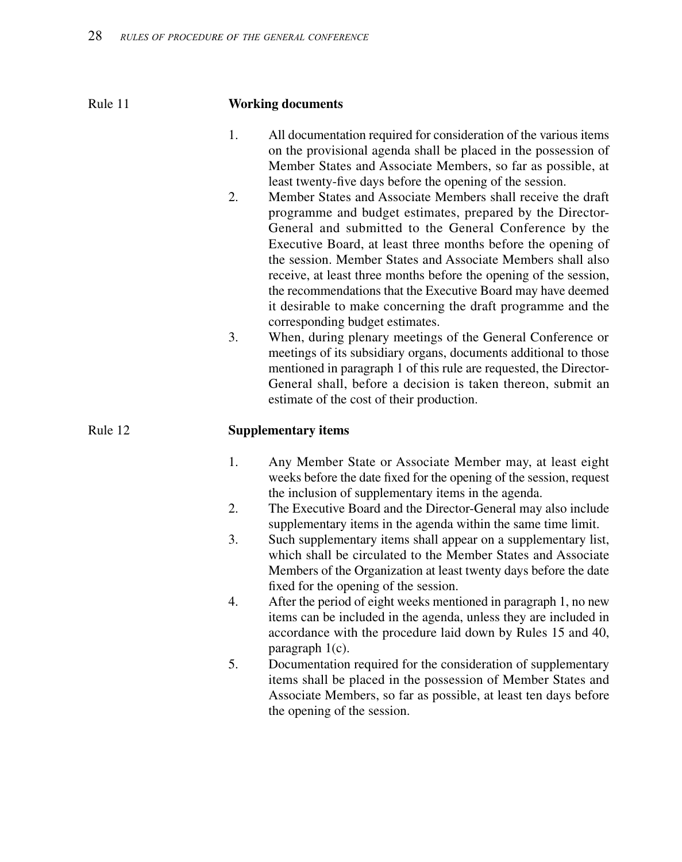| Rule 11 | <b>Working documents</b>                                                                                                                                                                                                                                                                                                                                                                                                                                                                                                                                                                                                                                                                                                                                                                                                                                                                                                                                                                                                                                                                                                                                           |
|---------|--------------------------------------------------------------------------------------------------------------------------------------------------------------------------------------------------------------------------------------------------------------------------------------------------------------------------------------------------------------------------------------------------------------------------------------------------------------------------------------------------------------------------------------------------------------------------------------------------------------------------------------------------------------------------------------------------------------------------------------------------------------------------------------------------------------------------------------------------------------------------------------------------------------------------------------------------------------------------------------------------------------------------------------------------------------------------------------------------------------------------------------------------------------------|
|         | 1.<br>All documentation required for consideration of the various items<br>on the provisional agenda shall be placed in the possession of<br>Member States and Associate Members, so far as possible, at<br>least twenty-five days before the opening of the session.<br>2.<br>Member States and Associate Members shall receive the draft<br>programme and budget estimates, prepared by the Director-<br>General and submitted to the General Conference by the<br>Executive Board, at least three months before the opening of<br>the session. Member States and Associate Members shall also<br>receive, at least three months before the opening of the session,<br>the recommendations that the Executive Board may have deemed<br>it desirable to make concerning the draft programme and the<br>corresponding budget estimates.<br>3.<br>When, during plenary meetings of the General Conference or<br>meetings of its subsidiary organs, documents additional to those<br>mentioned in paragraph 1 of this rule are requested, the Director-<br>General shall, before a decision is taken thereon, submit an<br>estimate of the cost of their production. |
| Rule 12 | <b>Supplementary items</b>                                                                                                                                                                                                                                                                                                                                                                                                                                                                                                                                                                                                                                                                                                                                                                                                                                                                                                                                                                                                                                                                                                                                         |
|         | 1.<br>Any Member State or Associate Member may, at least eight<br>weeks before the date fixed for the opening of the session, request<br>the inclusion of supplementary items in the agenda.<br>2.<br>The Executive Board and the Director-General may also include<br>supplementary items in the agenda within the same time limit.<br>3.<br>Such supplementary items shall appear on a supplementary list,<br>which shall be circulated to the Member States and Associate<br>Members of the Organization at least twenty days before the date<br>fixed for the opening of the session.<br>4.<br>After the period of eight weeks mentioned in paragraph 1, no new<br>items can be included in the agenda, unless they are included in<br>accordance with the procedure laid down by Rules 15 and 40,<br>paragraph $1(c)$ .<br>5.<br>Documentation required for the consideration of supplementary<br>items shall be placed in the possession of Member States and<br>Associate Members, so far as possible, at least ten days before<br>the opening of the session.                                                                                              |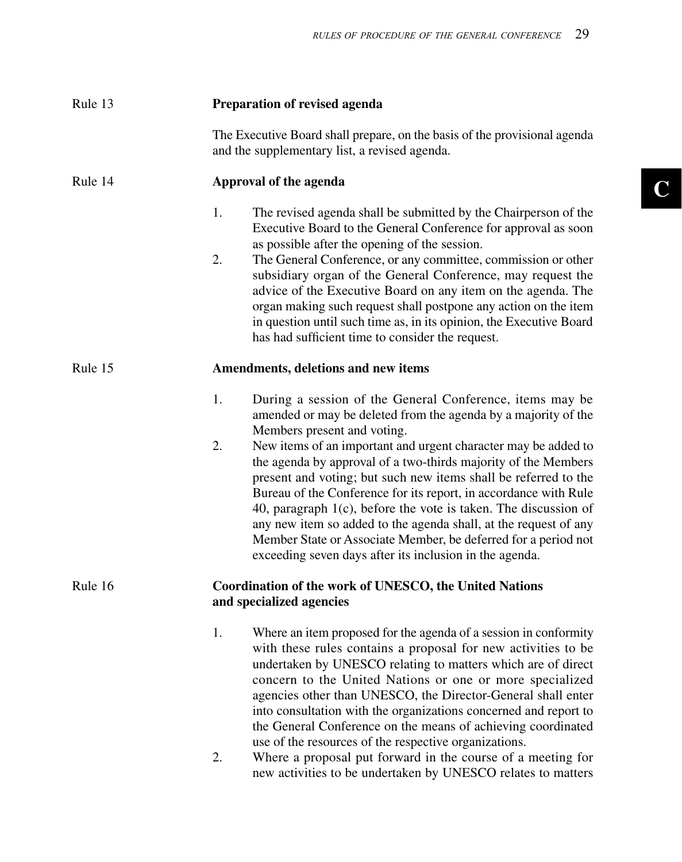| Rule 13 | Preparation of revised agenda                                                                                                                                                                                                                                                                                                                                                                                                                                                                                                                                                                                                                                                                                           |
|---------|-------------------------------------------------------------------------------------------------------------------------------------------------------------------------------------------------------------------------------------------------------------------------------------------------------------------------------------------------------------------------------------------------------------------------------------------------------------------------------------------------------------------------------------------------------------------------------------------------------------------------------------------------------------------------------------------------------------------------|
|         | The Executive Board shall prepare, on the basis of the provisional agenda<br>and the supplementary list, a revised agenda.                                                                                                                                                                                                                                                                                                                                                                                                                                                                                                                                                                                              |
| Rule 14 | Approval of the agenda                                                                                                                                                                                                                                                                                                                                                                                                                                                                                                                                                                                                                                                                                                  |
|         | 1.<br>The revised agenda shall be submitted by the Chairperson of the<br>Executive Board to the General Conference for approval as soon<br>as possible after the opening of the session.<br>2.<br>The General Conference, or any committee, commission or other<br>subsidiary organ of the General Conference, may request the<br>advice of the Executive Board on any item on the agenda. The<br>organ making such request shall postpone any action on the item<br>in question until such time as, in its opinion, the Executive Board<br>has had sufficient time to consider the request.                                                                                                                            |
| Rule 15 | Amendments, deletions and new items                                                                                                                                                                                                                                                                                                                                                                                                                                                                                                                                                                                                                                                                                     |
|         | 1.<br>During a session of the General Conference, items may be<br>amended or may be deleted from the agenda by a majority of the<br>Members present and voting.<br>2.<br>New items of an important and urgent character may be added to<br>the agenda by approval of a two-thirds majority of the Members<br>present and voting; but such new items shall be referred to the<br>Bureau of the Conference for its report, in accordance with Rule<br>40, paragraph $1(c)$ , before the vote is taken. The discussion of<br>any new item so added to the agenda shall, at the request of any<br>Member State or Associate Member, be deferred for a period not<br>exceeding seven days after its inclusion in the agenda. |
| Rule 16 | Coordination of the work of UNESCO, the United Nations<br>and specialized agencies                                                                                                                                                                                                                                                                                                                                                                                                                                                                                                                                                                                                                                      |
|         | 1.<br>Where an item proposed for the agenda of a session in conformity<br>with these rules contains a proposal for new activities to be<br>undertaken by UNESCO relating to matters which are of direct<br>concern to the United Nations or one or more specialized<br>agencies other than UNESCO, the Director-General shall enter<br>into consultation with the organizations concerned and report to<br>the General Conference on the means of achieving coordinated<br>use of the resources of the respective organizations.<br>2.<br>Where a proposal put forward in the course of a meeting for<br>new activities to be undertaken by UNESCO relates to matters                                                   |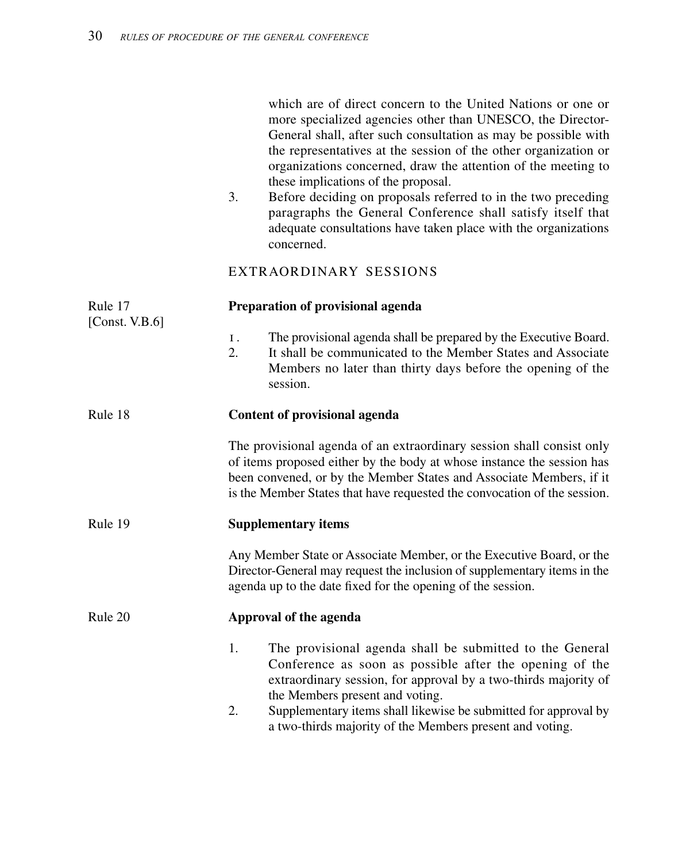|                              | which are of direct concern to the United Nations or one or<br>more specialized agencies other than UNESCO, the Director-<br>General shall, after such consultation as may be possible with<br>the representatives at the session of the other organization or<br>organizations concerned, draw the attention of the meeting to<br>these implications of the proposal. |
|------------------------------|------------------------------------------------------------------------------------------------------------------------------------------------------------------------------------------------------------------------------------------------------------------------------------------------------------------------------------------------------------------------|
|                              | 3.<br>Before deciding on proposals referred to in the two preceding<br>paragraphs the General Conference shall satisfy itself that<br>adequate consultations have taken place with the organizations<br>concerned.                                                                                                                                                     |
|                              | EXTRAORDINARY SESSIONS                                                                                                                                                                                                                                                                                                                                                 |
| Rule 17<br>[Const. $V.B.6$ ] | Preparation of provisional agenda                                                                                                                                                                                                                                                                                                                                      |
|                              | The provisional agenda shall be prepared by the Executive Board.<br>Ι.<br>2.<br>It shall be communicated to the Member States and Associate<br>Members no later than thirty days before the opening of the<br>session.                                                                                                                                                 |
| Rule 18                      | Content of provisional agenda                                                                                                                                                                                                                                                                                                                                          |
|                              | The provisional agenda of an extraordinary session shall consist only<br>of items proposed either by the body at whose instance the session has<br>been convened, or by the Member States and Associate Members, if it<br>is the Member States that have requested the convocation of the session.                                                                     |
| Rule 19                      | <b>Supplementary items</b>                                                                                                                                                                                                                                                                                                                                             |
|                              | Any Member State or Associate Member, or the Executive Board, or the<br>Director-General may request the inclusion of supplementary items in the<br>agenda up to the date fixed for the opening of the session.                                                                                                                                                        |
| Rule 20                      | Approval of the agenda                                                                                                                                                                                                                                                                                                                                                 |
|                              | 1.<br>The provisional agenda shall be submitted to the General<br>Conference as soon as possible after the opening of the<br>extraordinary session, for approval by a two-thirds majority of<br>the Members present and voting.                                                                                                                                        |
|                              | 2.<br>Supplementary items shall likewise be submitted for approval by<br>a two-thirds majority of the Members present and voting.                                                                                                                                                                                                                                      |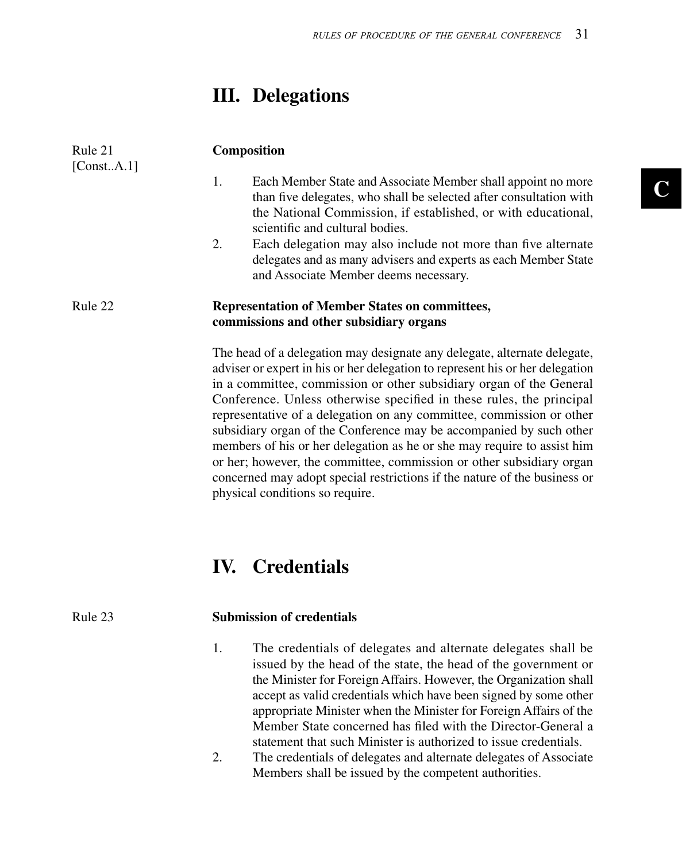### **III. Delegations**

| Rule 21<br>[ConstA.1] | <b>Composition</b>                                                                                                                                                                                                                                                                                                                                                                                                                                                                                                                                                                                                                                                                                                         |
|-----------------------|----------------------------------------------------------------------------------------------------------------------------------------------------------------------------------------------------------------------------------------------------------------------------------------------------------------------------------------------------------------------------------------------------------------------------------------------------------------------------------------------------------------------------------------------------------------------------------------------------------------------------------------------------------------------------------------------------------------------------|
|                       | 1.<br>Each Member State and Associate Member shall appoint no more<br>than five delegates, who shall be selected after consultation with<br>the National Commission, if established, or with educational,<br>scientific and cultural bodies.<br>Each delegation may also include not more than five alternate<br>2.<br>delegates and as many advisers and experts as each Member State<br>and Associate Member deems necessary.                                                                                                                                                                                                                                                                                            |
| Rule 22               | <b>Representation of Member States on committees,</b><br>commissions and other subsidiary organs                                                                                                                                                                                                                                                                                                                                                                                                                                                                                                                                                                                                                           |
|                       | The head of a delegation may designate any delegate, alternate delegate,<br>adviser or expert in his or her delegation to represent his or her delegation<br>in a committee, commission or other subsidiary organ of the General<br>Conference. Unless otherwise specified in these rules, the principal<br>representative of a delegation on any committee, commission or other<br>subsidiary organ of the Conference may be accompanied by such other<br>members of his or her delegation as he or she may require to assist him<br>or her; however, the committee, commission or other subsidiary organ<br>concerned may adopt special restrictions if the nature of the business or<br>physical conditions so require. |

### **IV. Credentials**

#### Rule 23 **Submission of credentials**

- 1. The credentials of delegates and alternate delegates shall be issued by the head of the state, the head of the government or the Minister for Foreign Affairs. However, the Organization shall accept as valid credentials which have been signed by some other appropriate Minister when the Minister for Foreign Affairs of the Member State concerned has filed with the Director-General a statement that such Minister is authorized to issue credentials.
- 2. The credentials of delegates and alternate delegates of Associate Members shall be issued by the competent authorities.

**C**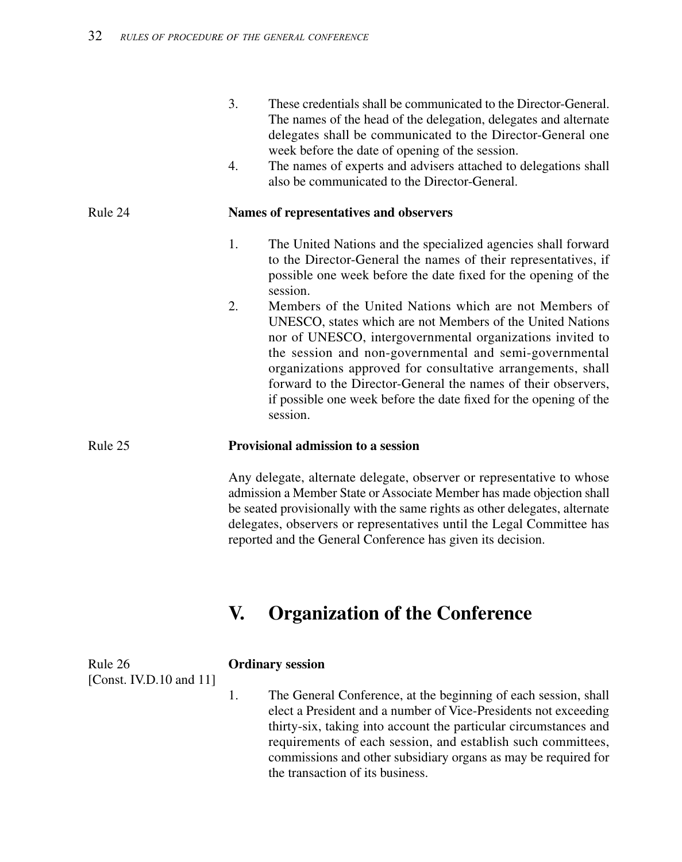| These credentials shall be communicated to the Director-General. |
|------------------------------------------------------------------|
| The names of the head of the delegation, delegates and alternate |
| delegates shall be communicated to the Director-General one      |
| week before the date of opening of the session.                  |
|                                                                  |

4. The names of experts and advisers attached to delegations shall also be communicated to the Director-General.

#### Rule 24 **Names of representatives and observers**

- 1. The United Nations and the specialized agencies shall forward to the Director-General the names of their representatives, if possible one week before the date fixed for the opening of the session.
- 2. Members of the United Nations which are not Members of UNESCO, states which are not Members of the United Nations nor of UNESCO, intergovernmental organizations invited to the session and non-governmental and semi-governmental organizations approved for consultative arrangements, shall forward to the Director-General the names of their observers, if possible one week before the date fixed for the opening of the session.

#### Rule 25 **Provisional admission to a session**

Any delegate, alternate delegate, observer or representative to whose admission a Member State or Associate Member has made objection shall be seated provisionally with the same rights as other delegates, alternate delegates, observers or representatives until the Legal Committee has reported and the General Conference has given its decision.

### **V. Organization of the Conference**

Rule 26 **Ordinary session**

[Const. IV.D.10 and 11]

1. The General Conference, at the beginning of each session, shall elect a President and a number of Vice-Presidents not exceeding thirty-six, taking into account the particular circumstances and requirements of each session, and establish such committees, commissions and other subsidiary organs as may be required for the transaction of its business.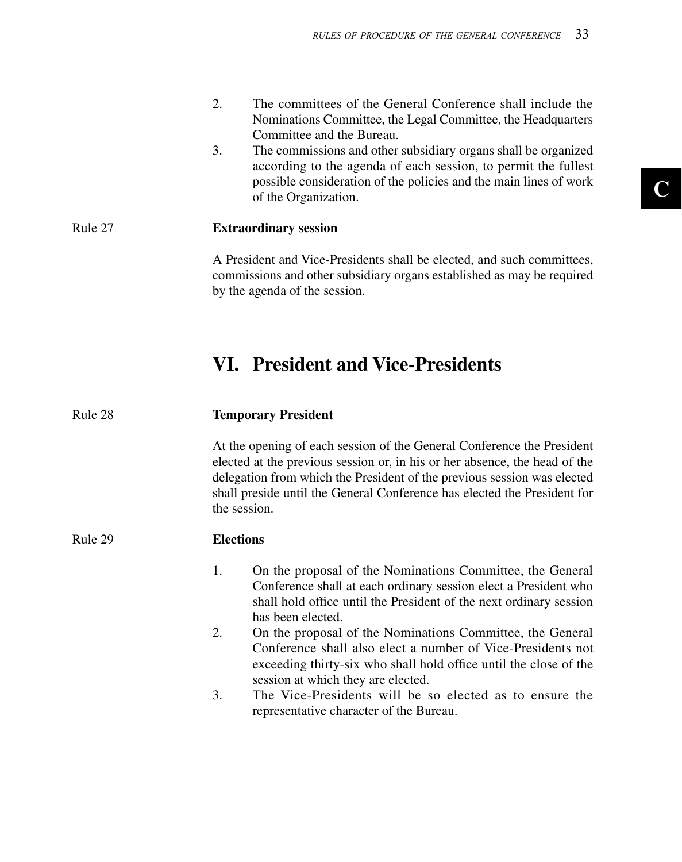|         | The committees of the General Conference shall include the<br>2.                                                                                                                                                                    |
|---------|-------------------------------------------------------------------------------------------------------------------------------------------------------------------------------------------------------------------------------------|
|         | Nominations Committee, the Legal Committee, the Headquarters                                                                                                                                                                        |
|         | Committee and the Bureau.                                                                                                                                                                                                           |
|         | The commissions and other subsidiary organs shall be organized<br>3.<br>according to the agenda of each session, to permit the fullest<br>possible consideration of the policies and the main lines of work<br>of the Organization. |
| Rule 27 | <b>Extraordinary session</b>                                                                                                                                                                                                        |
|         | A President and Vice-Presidents shall be elected, and such committees,<br>commissions and other subsidiary organs established as may be required                                                                                    |

by the agenda of the session.

### **VI. President and Vice-Presidents**

| Rule 28 | <b>Temporary President</b>                                                                                                                                                                                                                                                                                                  |
|---------|-----------------------------------------------------------------------------------------------------------------------------------------------------------------------------------------------------------------------------------------------------------------------------------------------------------------------------|
|         | At the opening of each session of the General Conference the President<br>elected at the previous session or, in his or her absence, the head of the<br>delegation from which the President of the previous session was elected<br>shall preside until the General Conference has elected the President for<br>the session. |
| Rule 29 | <b>Elections</b>                                                                                                                                                                                                                                                                                                            |
|         | 1.<br>On the proposal of the Nominations Committee, the General<br>Conference shall at each ordinary session elect a President who<br>shall hold office until the President of the next ordinary session<br>has been elected.                                                                                               |
|         | 2.<br>On the proposal of the Nominations Committee, the General<br>Conference shall also elect a number of Vice-Presidents not<br>exceeding thirty-six who shall hold office until the close of the<br>session at which they are elected.                                                                                   |
|         | 3.<br>The Vice-Presidents will be so elected as to ensure the<br>representative character of the Bureau.                                                                                                                                                                                                                    |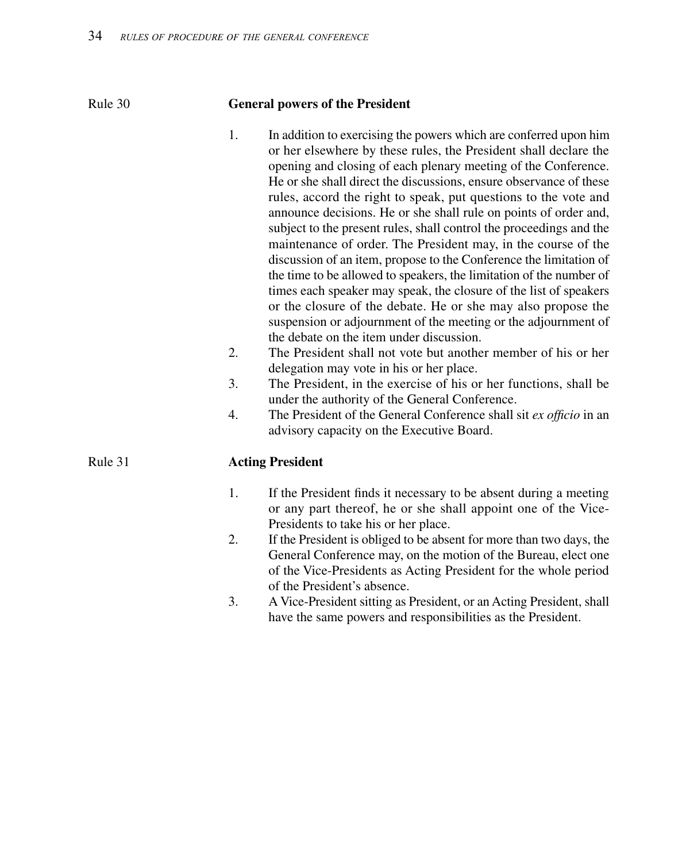#### Rule 30 **General powers of the President**

| 1. | In addition to exercising the powers which are conferred upon him<br>or her elsewhere by these rules, the President shall declare the |
|----|---------------------------------------------------------------------------------------------------------------------------------------|
|    | opening and closing of each plenary meeting of the Conference.                                                                        |
|    | He or she shall direct the discussions, ensure observance of these                                                                    |
|    | rules, accord the right to speak, put questions to the vote and                                                                       |
|    | announce decisions. He or she shall rule on points of order and,                                                                      |
|    | subject to the present rules, shall control the proceedings and the                                                                   |
|    | maintenance of order. The President may, in the course of the                                                                         |
|    | discussion of an item, propose to the Conference the limitation of                                                                    |
|    | the time to be allowed to speakers, the limitation of the number of                                                                   |
|    | times each speaker may speak, the closure of the list of speakers                                                                     |
|    | or the closure of the debate. He or she may also propose the                                                                          |
|    | suspension or adjournment of the meeting or the adjournment of                                                                        |
|    | the debate on the item under discussion.                                                                                              |

- 2. The President shall not vote but another member of his or her delegation may vote in his or her place.
- 3. The President, in the exercise of his or her functions, shall be under the authority of the General Conference.
- 4. The President of the General Conference shall sit *ex officio* in an advisory capacity on the Executive Board.

#### Rule 31 **Acting President**

- 1. If the President finds it necessary to be absent during a meeting or any part thereof, he or she shall appoint one of the Vice-Presidents to take his or her place.
- 2. If the President is obliged to be absent for more than two days, the General Conference may, on the motion of the Bureau, elect one of the Vice-Presidents as Acting President for the whole period of the President's absence.
- 3. A Vice-President sitting as President, or an Acting President, shall have the same powers and responsibilities as the President.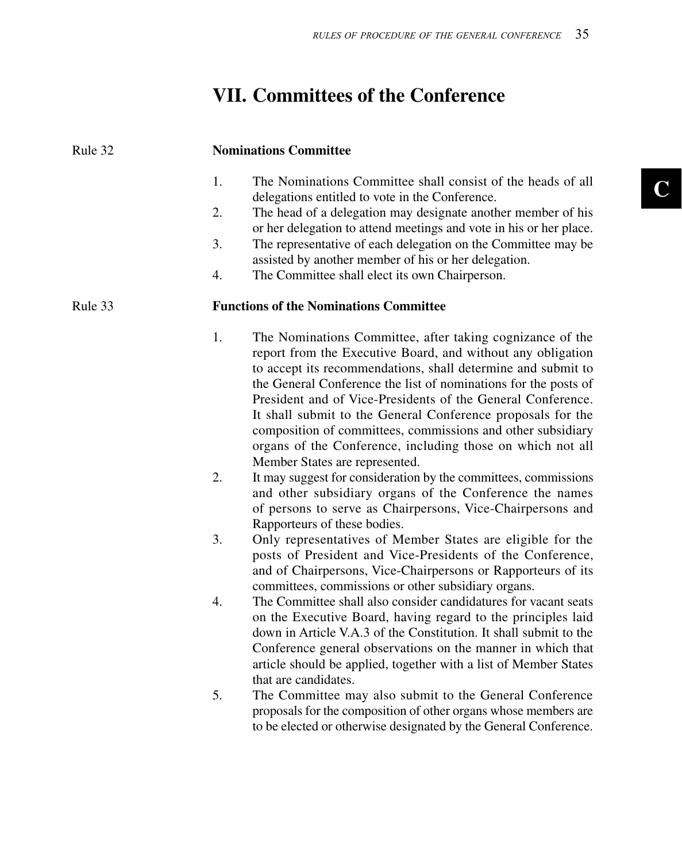### **VII. Committees of the Conference**

| Rule 32 | <b>Nominations Committee</b>                                                                                                                                                                                                                                                                                                                                                                                                                                                                                                                                   |
|---------|----------------------------------------------------------------------------------------------------------------------------------------------------------------------------------------------------------------------------------------------------------------------------------------------------------------------------------------------------------------------------------------------------------------------------------------------------------------------------------------------------------------------------------------------------------------|
|         | 1.<br>The Nominations Committee shall consist of the heads of all<br>delegations entitled to vote in the Conference.<br>2.<br>The head of a delegation may designate another member of his                                                                                                                                                                                                                                                                                                                                                                     |
|         | or her delegation to attend meetings and vote in his or her place.<br>3.<br>The representative of each delegation on the Committee may be<br>assisted by another member of his or her delegation.                                                                                                                                                                                                                                                                                                                                                              |
|         | 4.<br>The Committee shall elect its own Chairperson.                                                                                                                                                                                                                                                                                                                                                                                                                                                                                                           |
| Rule 33 | <b>Functions of the Nominations Committee</b>                                                                                                                                                                                                                                                                                                                                                                                                                                                                                                                  |
|         | 1.<br>The Nominations Committee, after taking cognizance of the<br>report from the Executive Board, and without any obligation<br>to accept its recommendations, shall determine and submit to<br>the General Conference the list of nominations for the posts of<br>President and of Vice-Presidents of the General Conference.<br>It shall submit to the General Conference proposals for the<br>composition of committees, commissions and other subsidiary<br>organs of the Conference, including those on which not all<br>Member States are represented. |
|         | 2.<br>It may suggest for consideration by the committees, commissions<br>and other subsidiary organs of the Conference the names<br>of persons to serve as Chairpersons, Vice-Chairpersons and<br>Rapporteurs of these bodies.                                                                                                                                                                                                                                                                                                                                 |
|         | 3.<br>Only representatives of Member States are eligible for the<br>posts of President and Vice-Presidents of the Conference,<br>and of Chairpersons, Vice-Chairpersons or Rapporteurs of its<br>committees, commissions or other subsidiary organs.                                                                                                                                                                                                                                                                                                           |
|         | The Committee shall also consider candidatures for vacant seats<br>4.<br>on the Executive Board, having regard to the principles laid<br>down in Article V.A.3 of the Constitution. It shall submit to the<br>Conference general observations on the manner in which that<br>article should be applied, together with a list of Member States<br>that are candidates.                                                                                                                                                                                          |
|         | 5.<br>The Committee may also submit to the General Conference<br>proposals for the composition of other organs whose members are<br>to be elected or otherwise designated by the General Conference.                                                                                                                                                                                                                                                                                                                                                           |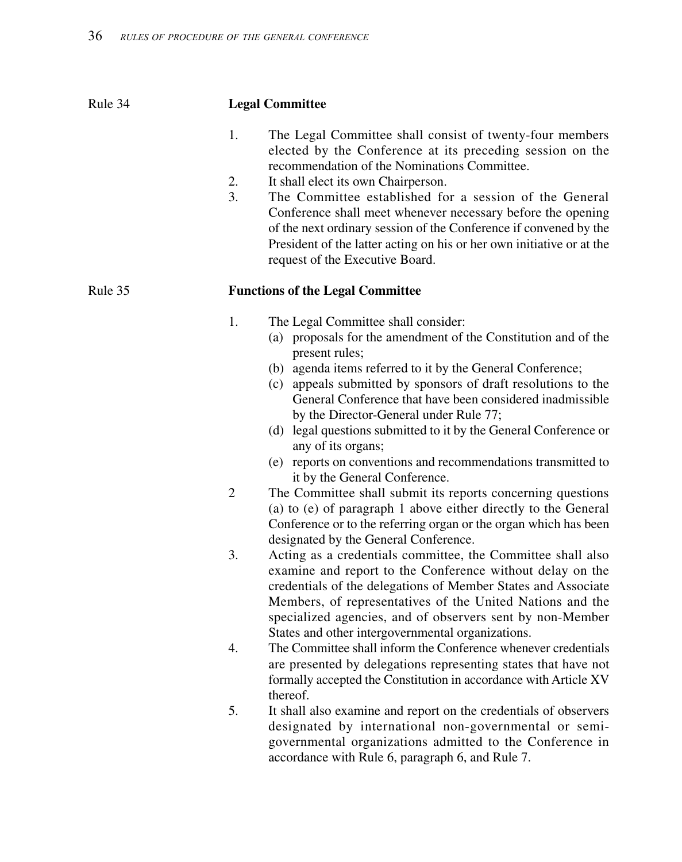| Rule 34 | <b>Legal Committee</b>                                                                                                                                                                                                                                                                                                                                                                                                                                                                                                                                                                                                                                                                                                                                                                                             |  |  |
|---------|--------------------------------------------------------------------------------------------------------------------------------------------------------------------------------------------------------------------------------------------------------------------------------------------------------------------------------------------------------------------------------------------------------------------------------------------------------------------------------------------------------------------------------------------------------------------------------------------------------------------------------------------------------------------------------------------------------------------------------------------------------------------------------------------------------------------|--|--|
|         | 1.<br>The Legal Committee shall consist of twenty-four members<br>elected by the Conference at its preceding session on the<br>recommendation of the Nominations Committee.<br>It shall elect its own Chairperson.<br>2.<br>3.<br>The Committee established for a session of the General<br>Conference shall meet whenever necessary before the opening<br>of the next ordinary session of the Conference if convened by the<br>President of the latter acting on his or her own initiative or at the<br>request of the Executive Board.                                                                                                                                                                                                                                                                           |  |  |
| Rule 35 | <b>Functions of the Legal Committee</b>                                                                                                                                                                                                                                                                                                                                                                                                                                                                                                                                                                                                                                                                                                                                                                            |  |  |
|         | 1.<br>The Legal Committee shall consider:<br>(a) proposals for the amendment of the Constitution and of the<br>present rules;<br>(b) agenda items referred to it by the General Conference;<br>(c) appeals submitted by sponsors of draft resolutions to the<br>General Conference that have been considered inadmissible<br>by the Director-General under Rule 77;<br>(d) legal questions submitted to it by the General Conference or<br>any of its organs;<br>(e) reports on conventions and recommendations transmitted to<br>it by the General Conference.<br>2<br>The Committee shall submit its reports concerning questions<br>(a) to (e) of paragraph 1 above either directly to the General<br>Conference or to the referring organ or the organ which has been<br>designated by the General Conference. |  |  |
|         | 3.<br>Acting as a credentials committee, the Committee shall also<br>examine and report to the Conference without delay on the<br>credentials of the delegations of Member States and Associate<br>Members, of representatives of the United Nations and the<br>specialized agencies, and of observers sent by non-Member<br>States and other intergovernmental organizations.                                                                                                                                                                                                                                                                                                                                                                                                                                     |  |  |
|         | 4.<br>The Committee shall inform the Conference whenever credentials<br>are presented by delegations representing states that have not<br>formally accepted the Constitution in accordance with Article XV<br>thereof.                                                                                                                                                                                                                                                                                                                                                                                                                                                                                                                                                                                             |  |  |
|         | 5.<br>It shall also examine and report on the credentials of observers<br>designated by international non-governmental or semi-<br>governmental organizations admitted to the Conference in<br>accordance with Rule 6, paragraph 6, and Rule 7.                                                                                                                                                                                                                                                                                                                                                                                                                                                                                                                                                                    |  |  |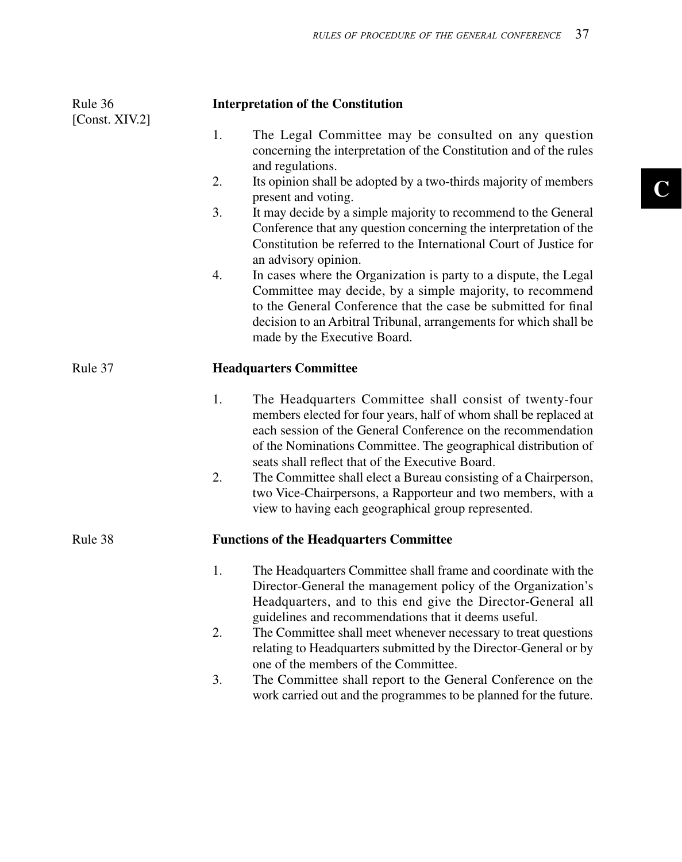| Rule 36<br>[Const. XIV.2] | <b>Interpretation of the Constitution</b> |                                                                                                                                                                                                                                                                                                                    |  |  |
|---------------------------|-------------------------------------------|--------------------------------------------------------------------------------------------------------------------------------------------------------------------------------------------------------------------------------------------------------------------------------------------------------------------|--|--|
|                           | 1.                                        | The Legal Committee may be consulted on any question<br>concerning the interpretation of the Constitution and of the rules<br>and regulations.                                                                                                                                                                     |  |  |
|                           | 2.                                        | Its opinion shall be adopted by a two-thirds majority of members<br>present and voting.                                                                                                                                                                                                                            |  |  |
|                           | 3.                                        | It may decide by a simple majority to recommend to the General<br>Conference that any question concerning the interpretation of the<br>Constitution be referred to the International Court of Justice for<br>an advisory opinion.                                                                                  |  |  |
|                           | 4.                                        | In cases where the Organization is party to a dispute, the Legal<br>Committee may decide, by a simple majority, to recommend<br>to the General Conference that the case be submitted for final<br>decision to an Arbitral Tribunal, arrangements for which shall be<br>made by the Executive Board.                |  |  |
| Rule 37                   |                                           | <b>Headquarters Committee</b>                                                                                                                                                                                                                                                                                      |  |  |
|                           | 1.                                        | The Headquarters Committee shall consist of twenty-four<br>members elected for four years, half of whom shall be replaced at<br>each session of the General Conference on the recommendation<br>of the Nominations Committee. The geographical distribution of<br>seats shall reflect that of the Executive Board. |  |  |
|                           | 2.                                        | The Committee shall elect a Bureau consisting of a Chairperson,<br>two Vice-Chairpersons, a Rapporteur and two members, with a<br>view to having each geographical group represented.                                                                                                                              |  |  |
| Rule 38                   |                                           | <b>Functions of the Headquarters Committee</b>                                                                                                                                                                                                                                                                     |  |  |
|                           | 1.                                        | The Headquarters Committee shall frame and coordinate with the<br>Director-General the management policy of the Organization's<br>Headquarters, and to this end give the Director-General all                                                                                                                      |  |  |
|                           | 2.                                        | guidelines and recommendations that it deems useful.<br>The Committee shall meet whenever necessary to treat questions<br>relating to Headquarters submitted by the Director-General or by<br>one of the members of the Committee.                                                                                 |  |  |
|                           | 3.                                        | The Committee shall report to the General Conference on the<br>work carried out and the programmes to be planned for the future.                                                                                                                                                                                   |  |  |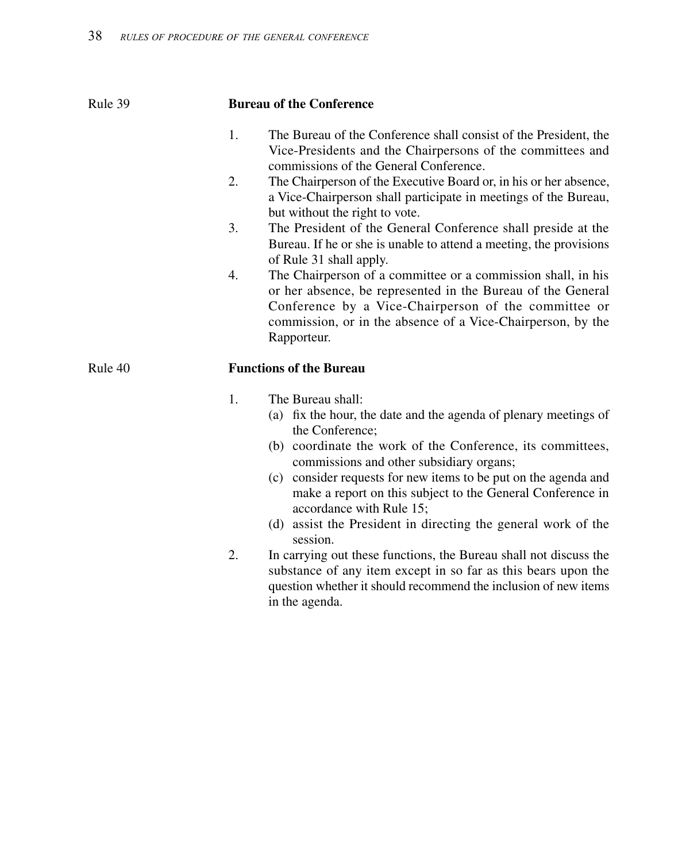| Rule 39 | <b>Bureau of the Conference</b>                                                                                                                                                                                                                                                                                                                                                                                                                                                                                                                                                                                                                                                                     |  |  |
|---------|-----------------------------------------------------------------------------------------------------------------------------------------------------------------------------------------------------------------------------------------------------------------------------------------------------------------------------------------------------------------------------------------------------------------------------------------------------------------------------------------------------------------------------------------------------------------------------------------------------------------------------------------------------------------------------------------------------|--|--|
|         | 1.<br>The Bureau of the Conference shall consist of the President, the<br>Vice-Presidents and the Chairpersons of the committees and<br>commissions of the General Conference.                                                                                                                                                                                                                                                                                                                                                                                                                                                                                                                      |  |  |
|         | 2.<br>The Chairperson of the Executive Board or, in his or her absence,<br>a Vice-Chairperson shall participate in meetings of the Bureau,<br>but without the right to vote.                                                                                                                                                                                                                                                                                                                                                                                                                                                                                                                        |  |  |
|         | 3.<br>The President of the General Conference shall preside at the<br>Bureau. If he or she is unable to attend a meeting, the provisions<br>of Rule 31 shall apply.                                                                                                                                                                                                                                                                                                                                                                                                                                                                                                                                 |  |  |
|         | $\overline{4}$ .<br>The Chairperson of a committee or a commission shall, in his<br>or her absence, be represented in the Bureau of the General<br>Conference by a Vice-Chairperson of the committee or<br>commission, or in the absence of a Vice-Chairperson, by the<br>Rapporteur.                                                                                                                                                                                                                                                                                                                                                                                                               |  |  |
| Rule 40 | <b>Functions of the Bureau</b>                                                                                                                                                                                                                                                                                                                                                                                                                                                                                                                                                                                                                                                                      |  |  |
|         | 1.<br>The Bureau shall:<br>(a) fix the hour, the date and the agenda of plenary meetings of<br>the Conference;<br>(b) coordinate the work of the Conference, its committees,<br>commissions and other subsidiary organs;<br>(c) consider requests for new items to be put on the agenda and<br>make a report on this subject to the General Conference in<br>accordance with Rule 15;<br>(d) assist the President in directing the general work of the<br>session.<br>2.<br>In carrying out these functions, the Bureau shall not discuss the<br>substance of any item except in so far as this bears upon the<br>question whether it should recommend the inclusion of new items<br>in the agenda. |  |  |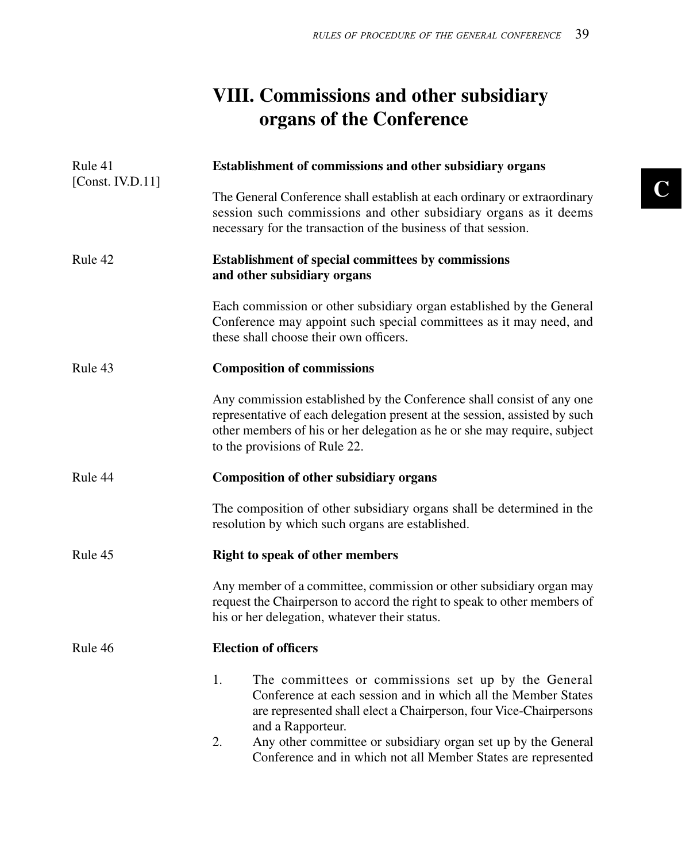# **VIII. Commissions and other subsidiary organs of the Conference**

| Rule 41<br>[Const. IV.D.11] | Establishment of commissions and other subsidiary organs                                                                                                                                                                                                                                    |  |  |
|-----------------------------|---------------------------------------------------------------------------------------------------------------------------------------------------------------------------------------------------------------------------------------------------------------------------------------------|--|--|
|                             | The General Conference shall establish at each ordinary or extraordinary<br>session such commissions and other subsidiary organs as it deems<br>necessary for the transaction of the business of that session.                                                                              |  |  |
| Rule 42                     | Establishment of special committees by commissions<br>and other subsidiary organs                                                                                                                                                                                                           |  |  |
|                             | Each commission or other subsidiary organ established by the General<br>Conference may appoint such special committees as it may need, and<br>these shall choose their own officers.                                                                                                        |  |  |
| Rule 43                     | <b>Composition of commissions</b>                                                                                                                                                                                                                                                           |  |  |
|                             | Any commission established by the Conference shall consist of any one<br>representative of each delegation present at the session, assisted by such<br>other members of his or her delegation as he or she may require, subject<br>to the provisions of Rule 22.                            |  |  |
| Rule 44                     | <b>Composition of other subsidiary organs</b>                                                                                                                                                                                                                                               |  |  |
|                             | The composition of other subsidiary organs shall be determined in the<br>resolution by which such organs are established.                                                                                                                                                                   |  |  |
| Rule 45                     | Right to speak of other members                                                                                                                                                                                                                                                             |  |  |
|                             | Any member of a committee, commission or other subsidiary organ may<br>request the Chairperson to accord the right to speak to other members of<br>his or her delegation, whatever their status.                                                                                            |  |  |
| Rule 46                     | <b>Election of officers</b>                                                                                                                                                                                                                                                                 |  |  |
|                             | 1.<br>The committees or commissions set up by the General<br>Conference at each session and in which all the Member States<br>are represented shall elect a Chairperson, four Vice-Chairpersons<br>and a Rapporteur.<br>2.<br>Any other committee or subsidiary organ set up by the General |  |  |
|                             | Conference and in which not all Member States are represented                                                                                                                                                                                                                               |  |  |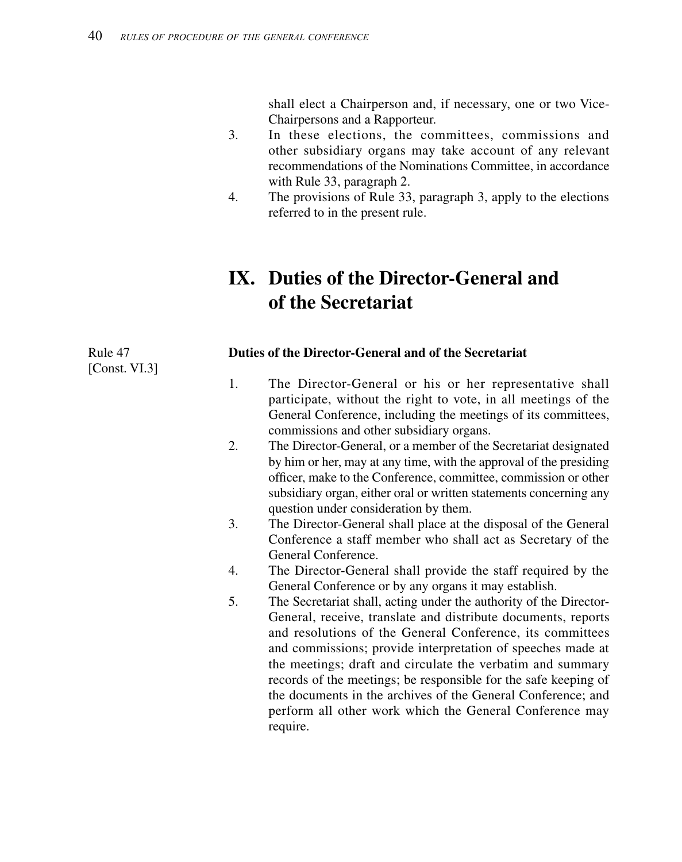shall elect a Chairperson and, if necessary, one or two Vice-Chairpersons and a Rapporteur.

- 3. In these elections, the committees, commissions and other subsidiary organs may take account of any relevant recommendations of the Nominations Committee, in accordance with Rule 33, paragraph 2.
- 4. The provisions of Rule 33, paragraph 3, apply to the elections referred to in the present rule.

### **IX. Duties of the Director-General and of the Secretariat**

#### Rule 47 **Duties of the Director-General and of the Secretariat**

- 1. The Director-General or his or her representative shall participate, without the right to vote, in all meetings of the General Conference, including the meetings of its committees, commissions and other subsidiary organs.
- 2. The Director-General, or a member of the Secretariat designated by him or her, may at any time, with the approval of the presiding officer, make to the Conference, committee, commission or other subsidiary organ, either oral or written statements concerning any question under consideration by them.
- 3. The Director-General shall place at the disposal of the General Conference a staff member who shall act as Secretary of the General Conference.
- 4. The Director-General shall provide the staff required by the General Conference or by any organs it may establish.
- 5. The Secretariat shall, acting under the authority of the Director-General, receive, translate and distribute documents, reports and resolutions of the General Conference, its committees and commissions; provide interpretation of speeches made at the meetings; draft and circulate the verbatim and summary records of the meetings; be responsible for the safe keeping of the documents in the archives of the General Conference; and perform all other work which the General Conference may require.

[Const. VI.3]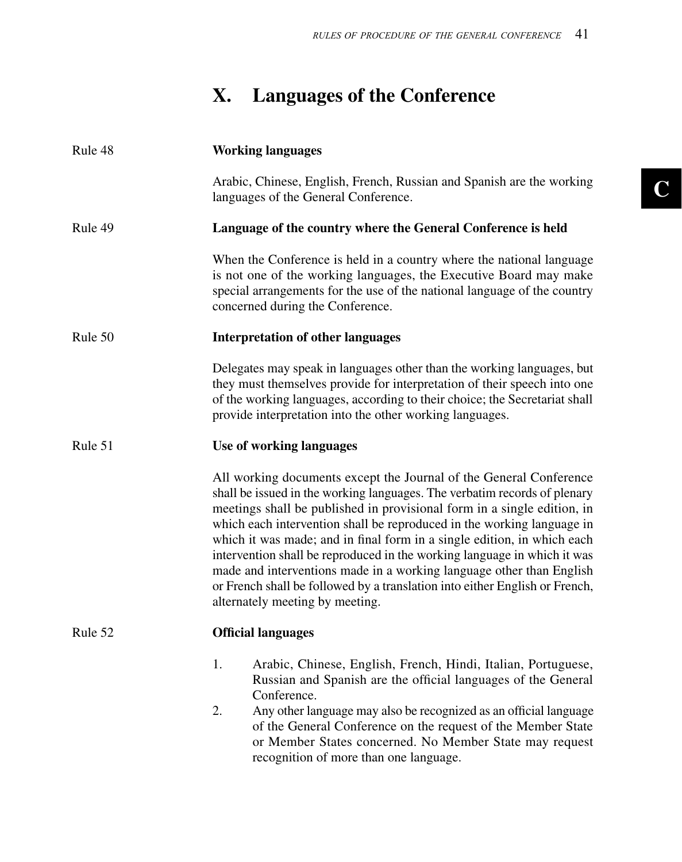# **X. Languages of the Conference**

| <b>Working languages</b>                                                                                                                                                                                                                                                                                                                                                                                                                                                                                                                                                                                                                              |  |
|-------------------------------------------------------------------------------------------------------------------------------------------------------------------------------------------------------------------------------------------------------------------------------------------------------------------------------------------------------------------------------------------------------------------------------------------------------------------------------------------------------------------------------------------------------------------------------------------------------------------------------------------------------|--|
| Arabic, Chinese, English, French, Russian and Spanish are the working<br>languages of the General Conference.                                                                                                                                                                                                                                                                                                                                                                                                                                                                                                                                         |  |
| Language of the country where the General Conference is held                                                                                                                                                                                                                                                                                                                                                                                                                                                                                                                                                                                          |  |
| When the Conference is held in a country where the national language<br>is not one of the working languages, the Executive Board may make<br>special arrangements for the use of the national language of the country<br>concerned during the Conference.                                                                                                                                                                                                                                                                                                                                                                                             |  |
| <b>Interpretation of other languages</b>                                                                                                                                                                                                                                                                                                                                                                                                                                                                                                                                                                                                              |  |
| Delegates may speak in languages other than the working languages, but<br>they must themselves provide for interpretation of their speech into one<br>of the working languages, according to their choice; the Secretariat shall<br>provide interpretation into the other working languages.                                                                                                                                                                                                                                                                                                                                                          |  |
| Use of working languages                                                                                                                                                                                                                                                                                                                                                                                                                                                                                                                                                                                                                              |  |
| All working documents except the Journal of the General Conference<br>shall be issued in the working languages. The verbatim records of plenary<br>meetings shall be published in provisional form in a single edition, in<br>which each intervention shall be reproduced in the working language in<br>which it was made; and in final form in a single edition, in which each<br>intervention shall be reproduced in the working language in which it was<br>made and interventions made in a working language other than English<br>or French shall be followed by a translation into either English or French,<br>alternately meeting by meeting. |  |
| <b>Official languages</b>                                                                                                                                                                                                                                                                                                                                                                                                                                                                                                                                                                                                                             |  |
| 1.<br>Arabic, Chinese, English, French, Hindi, Italian, Portuguese,<br>Russian and Spanish are the official languages of the General<br>Conference.<br>2.<br>Any other language may also be recognized as an official language<br>of the General Conference on the request of the Member State<br>or Member States concerned. No Member State may request<br>recognition of more than one language.                                                                                                                                                                                                                                                   |  |
|                                                                                                                                                                                                                                                                                                                                                                                                                                                                                                                                                                                                                                                       |  |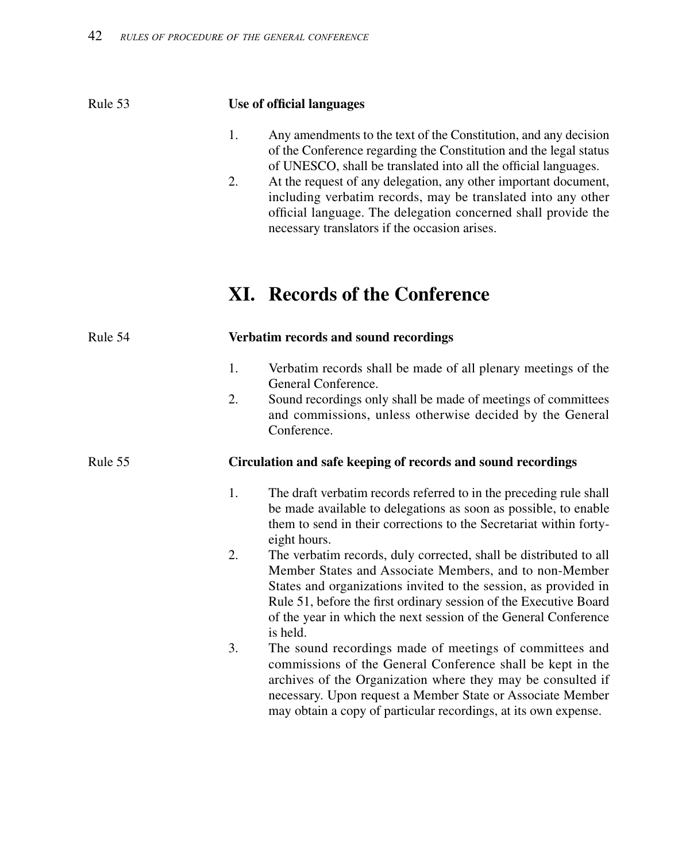### Rule 53 **Use of official languages**

- 1. Any amendments to the text of the Constitution, and any decision of the Conference regarding the Constitution and the legal status of UNESCO, shall be translated into all the official languages.
- 2. At the request of any delegation, any other important document, including verbatim records, may be translated into any other official language. The delegation concerned shall provide the necessary translators if the occasion arises.

## **XI. Records of the Conference**

| Rule 54 | Verbatim records and sound recordings                                                                                                                                                                                                                                                                                                                    |
|---------|----------------------------------------------------------------------------------------------------------------------------------------------------------------------------------------------------------------------------------------------------------------------------------------------------------------------------------------------------------|
|         | 1.<br>Verbatim records shall be made of all plenary meetings of the<br>General Conference.<br>Sound recordings only shall be made of meetings of committees<br>2.<br>and commissions, unless otherwise decided by the General<br>Conference.                                                                                                             |
| Rule 55 | Circulation and safe keeping of records and sound recordings                                                                                                                                                                                                                                                                                             |
|         | 1.<br>The draft verbatim records referred to in the preceding rule shall<br>be made available to delegations as soon as possible, to enable<br>them to send in their corrections to the Secretariat within forty-<br>eight hours.                                                                                                                        |
|         | 2.<br>The verbatim records, duly corrected, shall be distributed to all<br>Member States and Associate Members, and to non-Member<br>States and organizations invited to the session, as provided in<br>Rule 51, before the first ordinary session of the Executive Board<br>of the year in which the next session of the General Conference<br>is held. |
|         | The sound recordings made of meetings of committees and<br>3.<br>commissions of the General Conference shall be kept in the<br>archives of the Organization where they may be consulted if<br>necessary. Upon request a Member State or Associate Member<br>may obtain a copy of particular recordings, at its own expense.                              |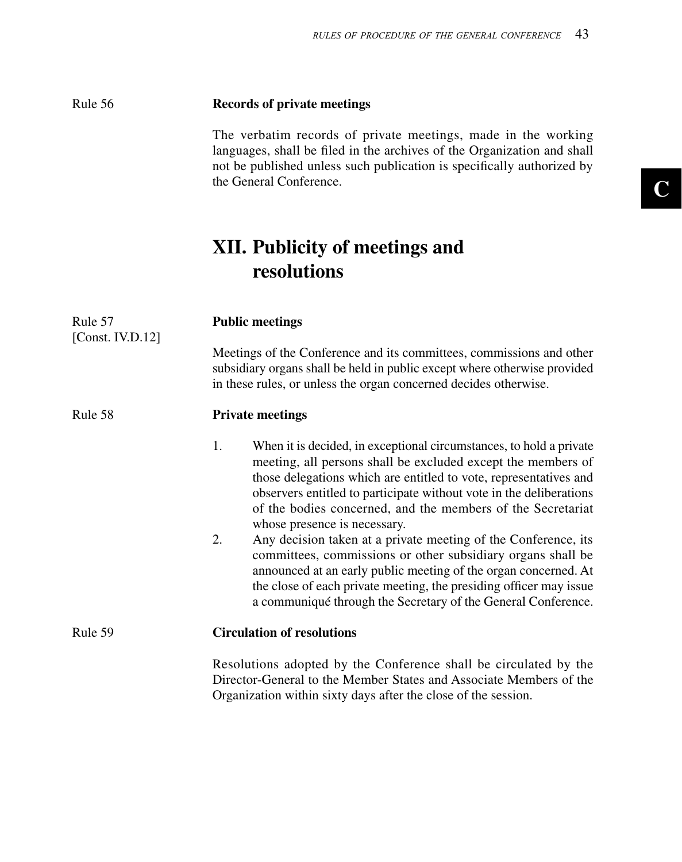### Rule 56 **Records of private meetings**

The verbatim records of private meetings, made in the working languages, shall be filed in the archives of the Organization and shall not be published unless such publication is specifically authorized by the General Conference.

## **XII. Publicity of meetings and resolutions**

| Rule 57<br>[Const. IV.D.12] | <b>Public meetings</b>                                                                                                                                                                                                                                                                                                                                                                                                                                                                                                                                                                                                                                                                                                                |  |  |
|-----------------------------|---------------------------------------------------------------------------------------------------------------------------------------------------------------------------------------------------------------------------------------------------------------------------------------------------------------------------------------------------------------------------------------------------------------------------------------------------------------------------------------------------------------------------------------------------------------------------------------------------------------------------------------------------------------------------------------------------------------------------------------|--|--|
|                             | Meetings of the Conference and its committees, commissions and other<br>subsidiary organs shall be held in public except where otherwise provided<br>in these rules, or unless the organ concerned decides otherwise.                                                                                                                                                                                                                                                                                                                                                                                                                                                                                                                 |  |  |
| Rule 58                     | <b>Private meetings</b>                                                                                                                                                                                                                                                                                                                                                                                                                                                                                                                                                                                                                                                                                                               |  |  |
|                             | 1.<br>When it is decided, in exceptional circumstances, to hold a private<br>meeting, all persons shall be excluded except the members of<br>those delegations which are entitled to vote, representatives and<br>observers entitled to participate without vote in the deliberations<br>of the bodies concerned, and the members of the Secretariat<br>whose presence is necessary.<br>2.<br>Any decision taken at a private meeting of the Conference, its<br>committees, commissions or other subsidiary organs shall be<br>announced at an early public meeting of the organ concerned. At<br>the close of each private meeting, the presiding officer may issue<br>a communiqué through the Secretary of the General Conference. |  |  |
| Rule 59                     | <b>Circulation of resolutions</b>                                                                                                                                                                                                                                                                                                                                                                                                                                                                                                                                                                                                                                                                                                     |  |  |
|                             | Resolutions adopted by the Conference shall be circulated by the<br>Director-General to the Member States and Associate Members of the<br>Organization within sixty days after the close of the session.                                                                                                                                                                                                                                                                                                                                                                                                                                                                                                                              |  |  |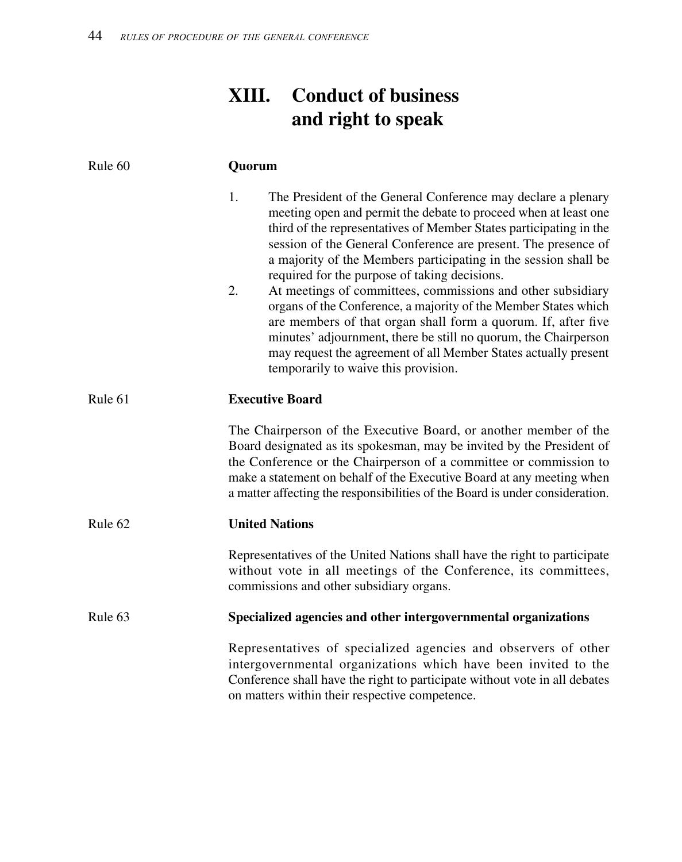# **XIII. Conduct of business and right to speak**

| Rule 60            | Quorum                                                                                                                                                                                                                                                                                                                                                                                                                                                                                                                                                                                                                                                                                                                                                                                                  |  |
|--------------------|---------------------------------------------------------------------------------------------------------------------------------------------------------------------------------------------------------------------------------------------------------------------------------------------------------------------------------------------------------------------------------------------------------------------------------------------------------------------------------------------------------------------------------------------------------------------------------------------------------------------------------------------------------------------------------------------------------------------------------------------------------------------------------------------------------|--|
|                    | 1.<br>The President of the General Conference may declare a plenary<br>meeting open and permit the debate to proceed when at least one<br>third of the representatives of Member States participating in the<br>session of the General Conference are present. The presence of<br>a majority of the Members participating in the session shall be<br>required for the purpose of taking decisions.<br>$\overline{2}$ .<br>At meetings of committees, commissions and other subsidiary<br>organs of the Conference, a majority of the Member States which<br>are members of that organ shall form a quorum. If, after five<br>minutes' adjournment, there be still no quorum, the Chairperson<br>may request the agreement of all Member States actually present<br>temporarily to waive this provision. |  |
| Rule 61            | <b>Executive Board</b>                                                                                                                                                                                                                                                                                                                                                                                                                                                                                                                                                                                                                                                                                                                                                                                  |  |
|                    | The Chairperson of the Executive Board, or another member of the<br>Board designated as its spokesman, may be invited by the President of<br>the Conference or the Chairperson of a committee or commission to<br>make a statement on behalf of the Executive Board at any meeting when<br>a matter affecting the responsibilities of the Board is under consideration.                                                                                                                                                                                                                                                                                                                                                                                                                                 |  |
| Rule 62            | <b>United Nations</b>                                                                                                                                                                                                                                                                                                                                                                                                                                                                                                                                                                                                                                                                                                                                                                                   |  |
|                    | Representatives of the United Nations shall have the right to participate<br>without vote in all meetings of the Conference, its committees,<br>commissions and other subsidiary organs.                                                                                                                                                                                                                                                                                                                                                                                                                                                                                                                                                                                                                |  |
| Rule <sub>63</sub> | Specialized agencies and other intergovernmental organizations                                                                                                                                                                                                                                                                                                                                                                                                                                                                                                                                                                                                                                                                                                                                          |  |
|                    | Representatives of specialized agencies and observers of other<br>intergovernmental organizations which have been invited to the<br>Conference shall have the right to participate without vote in all debates<br>on matters within their respective competence.                                                                                                                                                                                                                                                                                                                                                                                                                                                                                                                                        |  |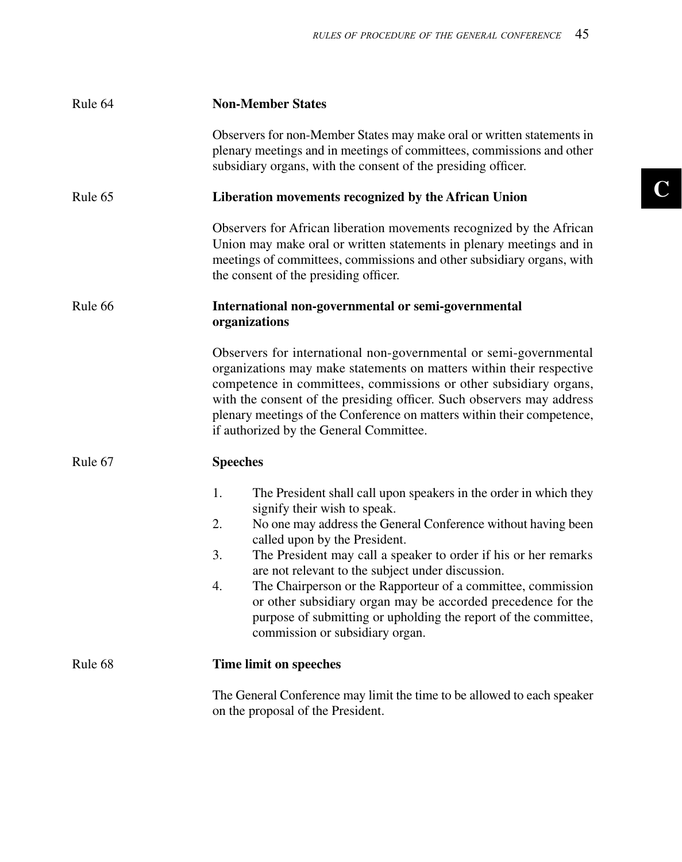| Rule 64 | <b>Non-Member States</b>                                                                                                                                                                                                                                                                                                                                                                                                                                                                                                                                                                  |  |
|---------|-------------------------------------------------------------------------------------------------------------------------------------------------------------------------------------------------------------------------------------------------------------------------------------------------------------------------------------------------------------------------------------------------------------------------------------------------------------------------------------------------------------------------------------------------------------------------------------------|--|
|         | Observers for non-Member States may make oral or written statements in<br>plenary meetings and in meetings of committees, commissions and other<br>subsidiary organs, with the consent of the presiding officer.                                                                                                                                                                                                                                                                                                                                                                          |  |
| Rule 65 | Liberation movements recognized by the African Union                                                                                                                                                                                                                                                                                                                                                                                                                                                                                                                                      |  |
|         | Observers for African liberation movements recognized by the African<br>Union may make oral or written statements in plenary meetings and in<br>meetings of committees, commissions and other subsidiary organs, with<br>the consent of the presiding officer.                                                                                                                                                                                                                                                                                                                            |  |
| Rule 66 | International non-governmental or semi-governmental<br>organizations                                                                                                                                                                                                                                                                                                                                                                                                                                                                                                                      |  |
|         | Observers for international non-governmental or semi-governmental<br>organizations may make statements on matters within their respective<br>competence in committees, commissions or other subsidiary organs,<br>with the consent of the presiding officer. Such observers may address<br>plenary meetings of the Conference on matters within their competence,<br>if authorized by the General Committee.                                                                                                                                                                              |  |
| Rule 67 | <b>Speeches</b>                                                                                                                                                                                                                                                                                                                                                                                                                                                                                                                                                                           |  |
|         | 1.<br>The President shall call upon speakers in the order in which they<br>signify their wish to speak.<br>2.<br>No one may address the General Conference without having been<br>called upon by the President.<br>3.<br>The President may call a speaker to order if his or her remarks<br>are not relevant to the subject under discussion.<br>4.<br>The Chairperson or the Rapporteur of a committee, commission<br>or other subsidiary organ may be accorded precedence for the<br>purpose of submitting or upholding the report of the committee,<br>commission or subsidiary organ. |  |
| Rule 68 | Time limit on speeches                                                                                                                                                                                                                                                                                                                                                                                                                                                                                                                                                                    |  |
|         | The General Conference may limit the time to be allowed to each speaker<br>on the proposal of the President.                                                                                                                                                                                                                                                                                                                                                                                                                                                                              |  |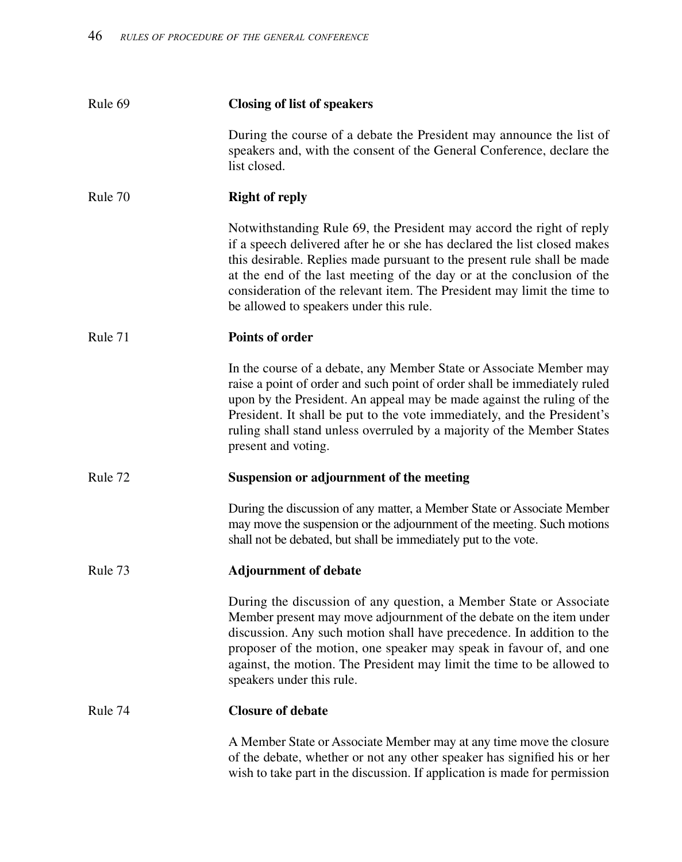| Rule 69 | <b>Closing of list of speakers</b>                                                                                                                                                                                                                                                                                                                                                                                         |
|---------|----------------------------------------------------------------------------------------------------------------------------------------------------------------------------------------------------------------------------------------------------------------------------------------------------------------------------------------------------------------------------------------------------------------------------|
|         | During the course of a debate the President may announce the list of<br>speakers and, with the consent of the General Conference, declare the<br>list closed.                                                                                                                                                                                                                                                              |
| Rule 70 | <b>Right of reply</b>                                                                                                                                                                                                                                                                                                                                                                                                      |
|         | Notwithstanding Rule 69, the President may accord the right of reply<br>if a speech delivered after he or she has declared the list closed makes<br>this desirable. Replies made pursuant to the present rule shall be made<br>at the end of the last meeting of the day or at the conclusion of the<br>consideration of the relevant item. The President may limit the time to<br>be allowed to speakers under this rule. |
| Rule 71 | <b>Points of order</b>                                                                                                                                                                                                                                                                                                                                                                                                     |
|         | In the course of a debate, any Member State or Associate Member may<br>raise a point of order and such point of order shall be immediately ruled<br>upon by the President. An appeal may be made against the ruling of the<br>President. It shall be put to the vote immediately, and the President's<br>ruling shall stand unless overruled by a majority of the Member States<br>present and voting.                     |
| Rule 72 | Suspension or adjournment of the meeting                                                                                                                                                                                                                                                                                                                                                                                   |
|         | During the discussion of any matter, a Member State or Associate Member<br>may move the suspension or the adjournment of the meeting. Such motions<br>shall not be debated, but shall be immediately put to the vote.                                                                                                                                                                                                      |
| Rule 73 | <b>Adjournment of debate</b>                                                                                                                                                                                                                                                                                                                                                                                               |
|         | During the discussion of any question, a Member State or Associate<br>Member present may move adjournment of the debate on the item under<br>discussion. Any such motion shall have precedence. In addition to the<br>proposer of the motion, one speaker may speak in favour of, and one<br>against, the motion. The President may limit the time to be allowed to<br>speakers under this rule.                           |
| Rule 74 | <b>Closure of debate</b>                                                                                                                                                                                                                                                                                                                                                                                                   |
|         | A Member State or Associate Member may at any time move the closure<br>of the debate, whether or not any other speaker has signified his or her<br>wish to take part in the discussion. If application is made for permission                                                                                                                                                                                              |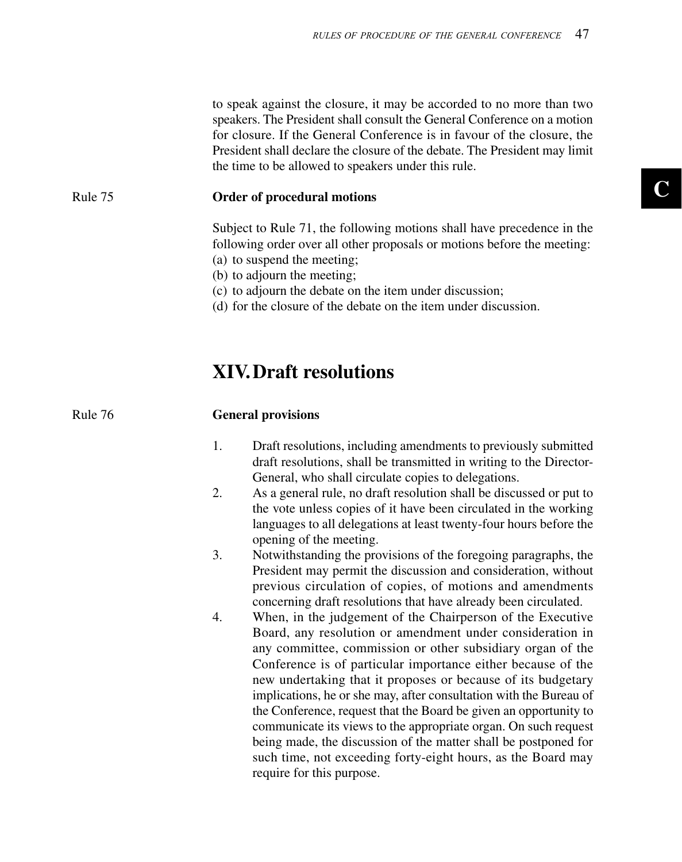to speak against the closure, it may be accorded to no more than two speakers. The President shall consult the General Conference on a motion for closure. If the General Conference is in favour of the closure, the President shall declare the closure of the debate. The President may limit the time to be allowed to speakers under this rule.

#### Rule 75 **Order of procedural motions**

Subject to Rule 71, the following motions shall have precedence in the following order over all other proposals or motions before the meeting:

- (a) to suspend the meeting;
- (b) to adjourn the meeting;
- (c) to adjourn the debate on the item under discussion;
- (d) for the closure of the debate on the item under discussion.

### **XIV.Draft resolutions**

#### Rule 76 **General provisions**

- 1. Draft resolutions, including amendments to previously submitted draft resolutions, shall be transmitted in writing to the Director-General, who shall circulate copies to delegations.
- 2. As a general rule, no draft resolution shall be discussed or put to the vote unless copies of it have been circulated in the working languages to all delegations at least twenty-four hours before the opening of the meeting.
- 3. Notwithstanding the provisions of the foregoing paragraphs, the President may permit the discussion and consideration, without previous circulation of copies, of motions and amendments concerning draft resolutions that have already been circulated.
- 4. When, in the judgement of the Chairperson of the Executive Board, any resolution or amendment under consideration in any committee, commission or other subsidiary organ of the Conference is of particular importance either because of the new undertaking that it proposes or because of its budgetary implications, he or she may, after consultation with the Bureau of the Conference, request that the Board be given an opportunity to communicate its views to the appropriate organ. On such request being made, the discussion of the matter shall be postponed for such time, not exceeding forty-eight hours, as the Board may require for this purpose.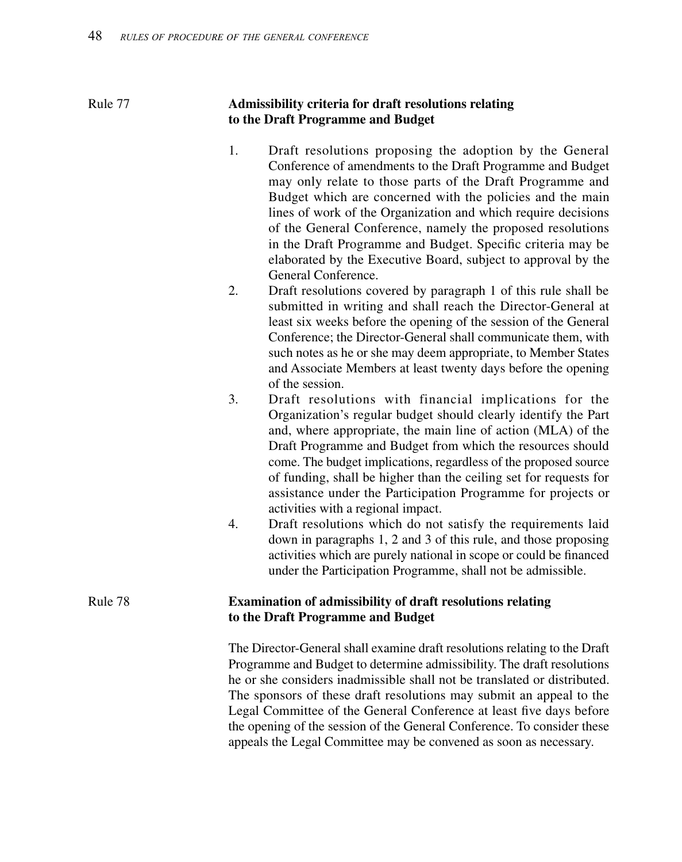### Rule 77 **Admissibility criteria for draft resolutions relating to the Draft Programme and Budget**

- 1. Draft resolutions proposing the adoption by the General Conference of amendments to the Draft Programme and Budget may only relate to those parts of the Draft Programme and Budget which are concerned with the policies and the main lines of work of the Organization and which require decisions of the General Conference, namely the proposed resolutions in the Draft Programme and Budget. Specific criteria may be elaborated by the Executive Board, subject to approval by the General Conference.
- 2. Draft resolutions covered by paragraph 1 of this rule shall be submitted in writing and shall reach the Director-General at least six weeks before the opening of the session of the General Conference; the Director-General shall communicate them, with such notes as he or she may deem appropriate, to Member States and Associate Members at least twenty days before the opening of the session.
- 3. Draft resolutions with financial implications for the Organization's regular budget should clearly identify the Part and, where appropriate, the main line of action (MLA) of the Draft Programme and Budget from which the resources should come. The budget implications, regardless of the proposed source of funding, shall be higher than the ceiling set for requests for assistance under the Participation Programme for projects or activities with a regional impact.
- 4. Draft resolutions which do not satisfy the requirements laid down in paragraphs 1, 2 and 3 of this rule, and those proposing activities which are purely national in scope or could be financed under the Participation Programme, shall not be admissible.

#### Rule 78 **Examination of admissibility of draft resolutions relating to the Draft Programme and Budget**

The Director-General shall examine draft resolutions relating to the Draft Programme and Budget to determine admissibility. The draft resolutions he or she considers inadmissible shall not be translated or distributed. The sponsors of these draft resolutions may submit an appeal to the Legal Committee of the General Conference at least five days before the opening of the session of the General Conference. To consider these appeals the Legal Committee may be convened as soon as necessary.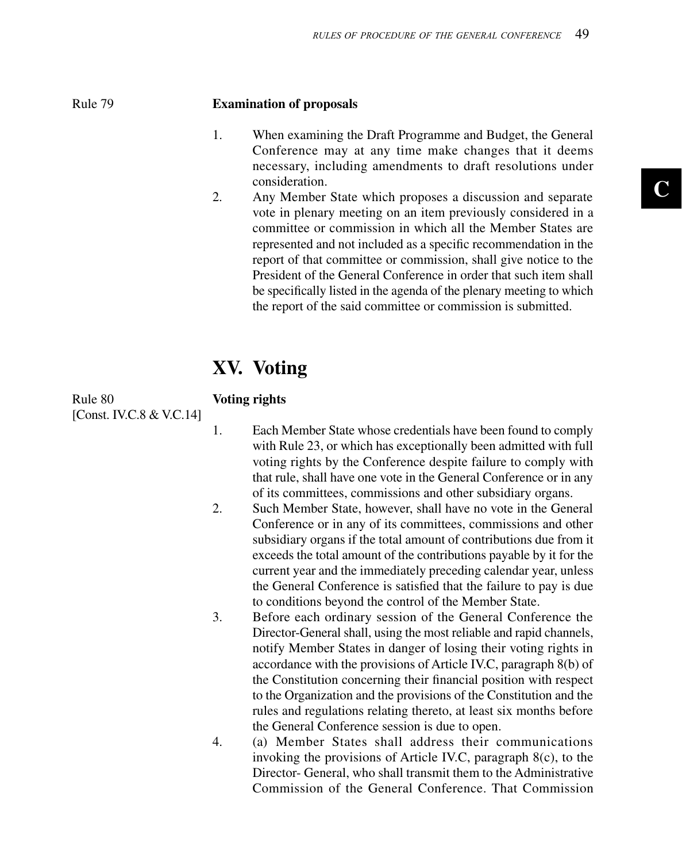#### Rule 79 **Examination of proposals**

- 1. When examining the Draft Programme and Budget, the General Conference may at any time make changes that it deems necessary, including amendments to draft resolutions under consideration.
- 2. Any Member State which proposes a discussion and separate vote in plenary meeting on an item previously considered in a committee or commission in which all the Member States are represented and not included as a specific recommendation in the report of that committee or commission, shall give notice to the President of the General Conference in order that such item shall be specifically listed in the agenda of the plenary meeting to which the report of the said committee or commission is submitted.

### **XV. Voting**

### Rule 80 **Voting rights**

[Const. IV.C.8 & V.C.14]

1. Each Member State whose credentials have been found to comply with Rule 23, or which has exceptionally been admitted with full voting rights by the Conference despite failure to comply with that rule, shall have one vote in the General Conference or in any of its committees, commissions and other subsidiary organs.

- 2. Such Member State, however, shall have no vote in the General Conference or in any of its committees, commissions and other subsidiary organs if the total amount of contributions due from it exceeds the total amount of the contributions payable by it for the current year and the immediately preceding calendar year, unless the General Conference is satisfied that the failure to pay is due to conditions beyond the control of the Member State.
- 3. Before each ordinary session of the General Conference the Director-General shall, using the most reliable and rapid channels, notify Member States in danger of losing their voting rights in accordance with the provisions of Article IV.C, paragraph 8(b) of the Constitution concerning their financial position with respect to the Organization and the provisions of the Constitution and the rules and regulations relating thereto, at least six months before the General Conference session is due to open.
- 4. (a) Member States shall address their communications invoking the provisions of Article IV.C, paragraph 8(c), to the Director- General, who shall transmit them to the Administrative Commission of the General Conference. That Commission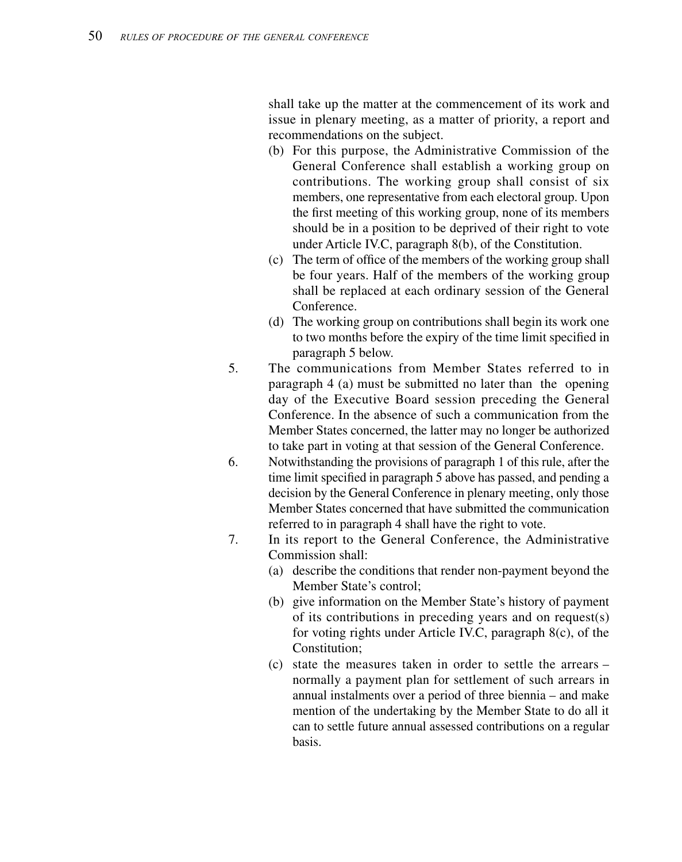shall take up the matter at the commencement of its work and issue in plenary meeting, as a matter of priority, a report and recommendations on the subject.

- (b) For this purpose, the Administrative Commission of the General Conference shall establish a working group on contributions. The working group shall consist of six members, one representative from each electoral group. Upon the first meeting of this working group, none of its members should be in a position to be deprived of their right to vote under Article IV.C, paragraph 8(b), of the Constitution.
- (c) The term of office of the members of the working group shall be four years. Half of the members of the working group shall be replaced at each ordinary session of the General Conference.
- (d) The working group on contributions shall begin its work one to two months before the expiry of the time limit specified in paragraph 5 below.
- 5. The communications from Member States referred to in paragraph 4 (a) must be submitted no later than the opening day of the Executive Board session preceding the General Conference. In the absence of such a communication from the Member States concerned, the latter may no longer be authorized to take part in voting at that session of the General Conference.
- 6. Notwithstanding the provisions of paragraph 1 of this rule, after the time limit specified in paragraph 5 above has passed, and pending a decision by the General Conference in plenary meeting, only those Member States concerned that have submitted the communication referred to in paragraph 4 shall have the right to vote.
- 7. In its report to the General Conference, the Administrative Commission shall:
	- (a) describe the conditions that render non-payment beyond the Member State's control;
	- (b) give information on the Member State's history of payment of its contributions in preceding years and on request(s) for voting rights under Article IV.C, paragraph 8(c), of the Constitution;
	- (c) state the measures taken in order to settle the arrears normally a payment plan for settlement of such arrears in annual instalments over a period of three biennia – and make mention of the undertaking by the Member State to do all it can to settle future annual assessed contributions on a regular basis.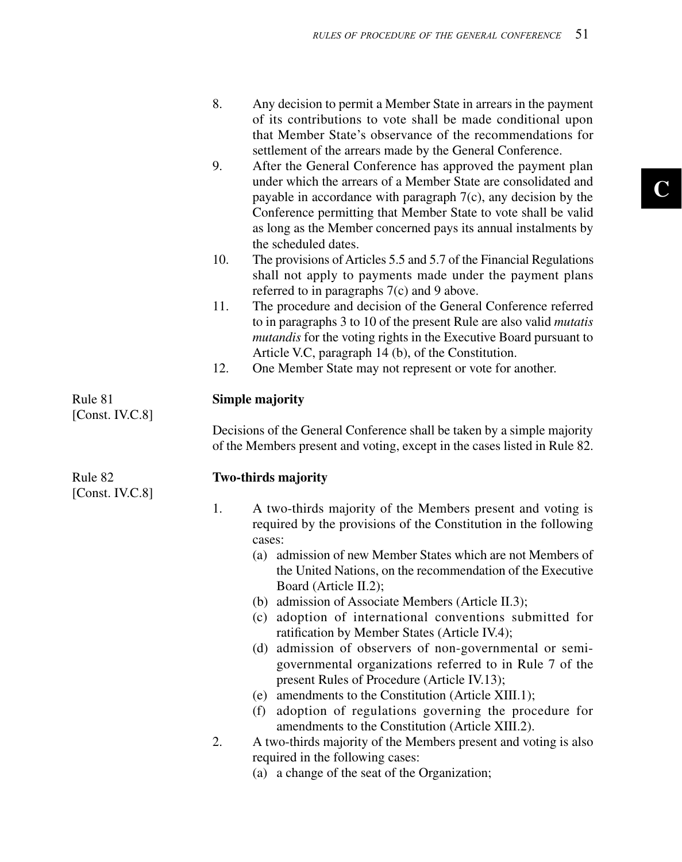|                            | 8.  | Any decision to permit a Member State in arrears in the payment<br>of its contributions to vote shall be made conditional upon<br>that Member State's observance of the recommendations for<br>settlement of the arrears made by the General Conference.                                                                                                      |
|----------------------------|-----|---------------------------------------------------------------------------------------------------------------------------------------------------------------------------------------------------------------------------------------------------------------------------------------------------------------------------------------------------------------|
|                            | 9.  | After the General Conference has approved the payment plan<br>under which the arrears of a Member State are consolidated and<br>payable in accordance with paragraph $7(c)$ , any decision by the<br>Conference permitting that Member State to vote shall be valid<br>as long as the Member concerned pays its annual instalments by<br>the scheduled dates. |
|                            | 10. | The provisions of Articles 5.5 and 5.7 of the Financial Regulations<br>shall not apply to payments made under the payment plans<br>referred to in paragraphs 7(c) and 9 above.                                                                                                                                                                                |
|                            | 11. | The procedure and decision of the General Conference referred<br>to in paragraphs 3 to 10 of the present Rule are also valid <i>mutatis</i><br>mutandis for the voting rights in the Executive Board pursuant to<br>Article V.C, paragraph 14 (b), of the Constitution.                                                                                       |
|                            | 12. | One Member State may not represent or vote for another.                                                                                                                                                                                                                                                                                                       |
| Rule 81<br>[Const. IV.C.8] |     | <b>Simple majority</b>                                                                                                                                                                                                                                                                                                                                        |
|                            |     | Decisions of the General Conference shall be taken by a simple majority<br>of the Members present and voting, except in the cases listed in Rule 82.                                                                                                                                                                                                          |
| Rule 82<br>[Const. IV.C.8] |     | Two-thirds majority                                                                                                                                                                                                                                                                                                                                           |
|                            | 1.  | A two-thirds majority of the Members present and voting is<br>required by the provisions of the Constitution in the following<br>cases:                                                                                                                                                                                                                       |
|                            |     | (a) admission of new Member States which are not Members of<br>the United Nations, on the recommendation of the Executive<br>Board (Article II.2);                                                                                                                                                                                                            |
|                            |     | (b) admission of Associate Members (Article II.3);                                                                                                                                                                                                                                                                                                            |
|                            |     | (c) adoption of international conventions submitted for<br>ratification by Member States (Article IV.4);                                                                                                                                                                                                                                                      |
|                            |     | (d) admission of observers of non-governmental or semi-<br>governmental organizations referred to in Rule 7 of the<br>present Rules of Procedure (Article IV.13);                                                                                                                                                                                             |
|                            |     | (e) amendments to the Constitution (Article XIII.1);                                                                                                                                                                                                                                                                                                          |
|                            |     | adoption of regulations governing the procedure for<br>(f)<br>amendments to the Constitution (Article XIII.2).                                                                                                                                                                                                                                                |
|                            | 2.  | A two-thirds majority of the Members present and voting is also<br>required in the following cases:                                                                                                                                                                                                                                                           |
|                            |     | (a) a change of the seat of the Organization;                                                                                                                                                                                                                                                                                                                 |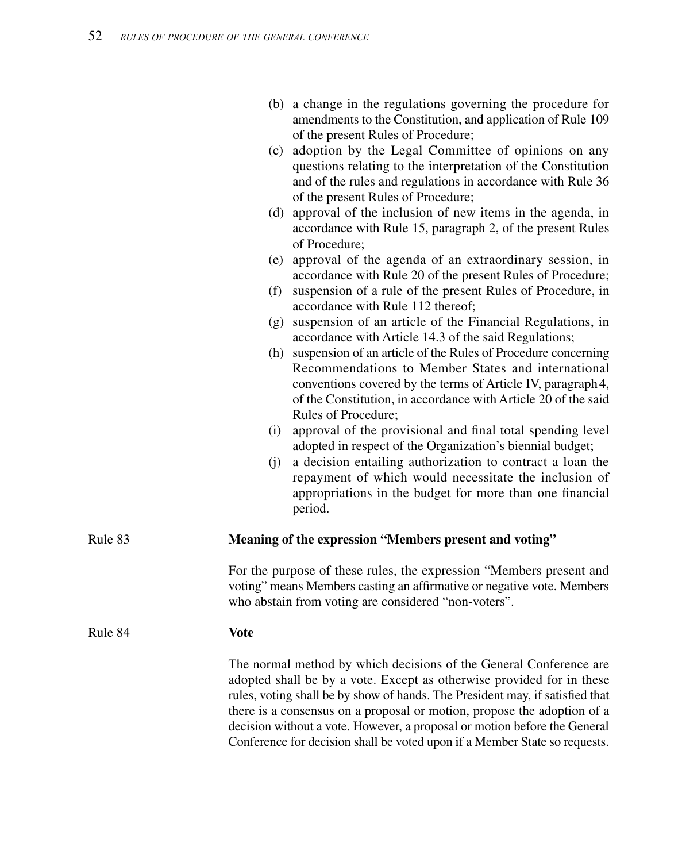|         |             | (b) a change in the regulations governing the procedure for<br>amendments to the Constitution, and application of Rule 109<br>of the present Rules of Procedure;                                                                                                                                                                                                                                                                                                   |
|---------|-------------|--------------------------------------------------------------------------------------------------------------------------------------------------------------------------------------------------------------------------------------------------------------------------------------------------------------------------------------------------------------------------------------------------------------------------------------------------------------------|
|         |             | (c) adoption by the Legal Committee of opinions on any<br>questions relating to the interpretation of the Constitution<br>and of the rules and regulations in accordance with Rule 36<br>of the present Rules of Procedure;                                                                                                                                                                                                                                        |
|         |             | (d) approval of the inclusion of new items in the agenda, in<br>accordance with Rule 15, paragraph 2, of the present Rules<br>of Procedure;                                                                                                                                                                                                                                                                                                                        |
|         |             | (e) approval of the agenda of an extraordinary session, in<br>accordance with Rule 20 of the present Rules of Procedure;<br>(f) suspension of a rule of the present Rules of Procedure, in                                                                                                                                                                                                                                                                         |
|         |             | accordance with Rule 112 thereof;<br>(g) suspension of an article of the Financial Regulations, in                                                                                                                                                                                                                                                                                                                                                                 |
|         |             | accordance with Article 14.3 of the said Regulations;<br>(h) suspension of an article of the Rules of Procedure concerning<br>Recommendations to Member States and international<br>conventions covered by the terms of Article IV, paragraph 4,<br>of the Constitution, in accordance with Article 20 of the said<br>Rules of Procedure;                                                                                                                          |
|         | (i)<br>(j)  | approval of the provisional and final total spending level<br>adopted in respect of the Organization's biennial budget;<br>a decision entailing authorization to contract a loan the<br>repayment of which would necessitate the inclusion of<br>appropriations in the budget for more than one financial<br>period.                                                                                                                                               |
| Rule 83 |             | Meaning of the expression "Members present and voting"                                                                                                                                                                                                                                                                                                                                                                                                             |
|         |             | For the purpose of these rules, the expression "Members present and<br>voting" means Members casting an affirmative or negative vote. Members<br>who abstain from voting are considered "non-voters".                                                                                                                                                                                                                                                              |
| Rule 84 | <b>Vote</b> |                                                                                                                                                                                                                                                                                                                                                                                                                                                                    |
|         |             | The normal method by which decisions of the General Conference are<br>adopted shall be by a vote. Except as otherwise provided for in these<br>rules, voting shall be by show of hands. The President may, if satisfied that<br>there is a consensus on a proposal or motion, propose the adoption of a<br>decision without a vote. However, a proposal or motion before the General<br>Conference for decision shall be voted upon if a Member State so requests. |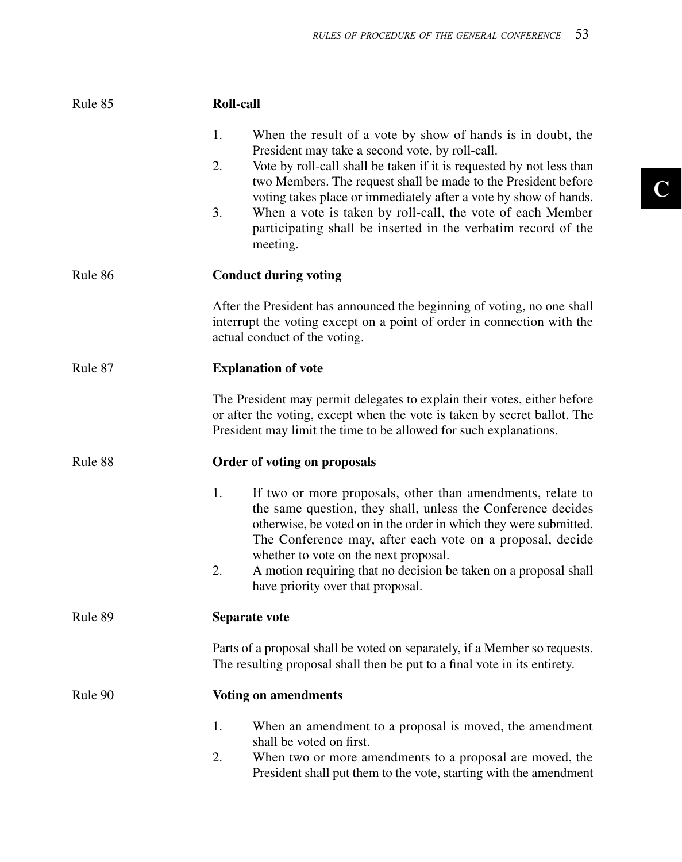| Rule 85 | <b>Roll-call</b>                                                                                                                                                                                                                                                                                                                                                                                                                                                                          |
|---------|-------------------------------------------------------------------------------------------------------------------------------------------------------------------------------------------------------------------------------------------------------------------------------------------------------------------------------------------------------------------------------------------------------------------------------------------------------------------------------------------|
|         | 1.<br>When the result of a vote by show of hands is in doubt, the<br>President may take a second vote, by roll-call.<br>2.<br>Vote by roll-call shall be taken if it is requested by not less than<br>two Members. The request shall be made to the President before<br>voting takes place or immediately after a vote by show of hands.<br>3.<br>When a vote is taken by roll-call, the vote of each Member<br>participating shall be inserted in the verbatim record of the<br>meeting. |
| Rule 86 | <b>Conduct during voting</b>                                                                                                                                                                                                                                                                                                                                                                                                                                                              |
|         | After the President has announced the beginning of voting, no one shall<br>interrupt the voting except on a point of order in connection with the<br>actual conduct of the voting.                                                                                                                                                                                                                                                                                                        |
| Rule 87 | <b>Explanation of vote</b>                                                                                                                                                                                                                                                                                                                                                                                                                                                                |
|         | The President may permit delegates to explain their votes, either before<br>or after the voting, except when the vote is taken by secret ballot. The<br>President may limit the time to be allowed for such explanations.                                                                                                                                                                                                                                                                 |
| Rule 88 | Order of voting on proposals                                                                                                                                                                                                                                                                                                                                                                                                                                                              |
|         | 1.<br>If two or more proposals, other than amendments, relate to<br>the same question, they shall, unless the Conference decides<br>otherwise, be voted on in the order in which they were submitted.<br>The Conference may, after each vote on a proposal, decide<br>whether to vote on the next proposal.<br>2.<br>A motion requiring that no decision be taken on a proposal shall<br>have priority over that proposal.                                                                |
| Rule 89 | Separate vote                                                                                                                                                                                                                                                                                                                                                                                                                                                                             |
|         | Parts of a proposal shall be voted on separately, if a Member so requests.<br>The resulting proposal shall then be put to a final vote in its entirety.                                                                                                                                                                                                                                                                                                                                   |
| Rule 90 | <b>Voting on amendments</b>                                                                                                                                                                                                                                                                                                                                                                                                                                                               |
|         | 1.<br>When an amendment to a proposal is moved, the amendment<br>shall be voted on first.<br>When two or more amendments to a proposal are moved, the<br>2.<br>President shall put them to the vote, starting with the amendment                                                                                                                                                                                                                                                          |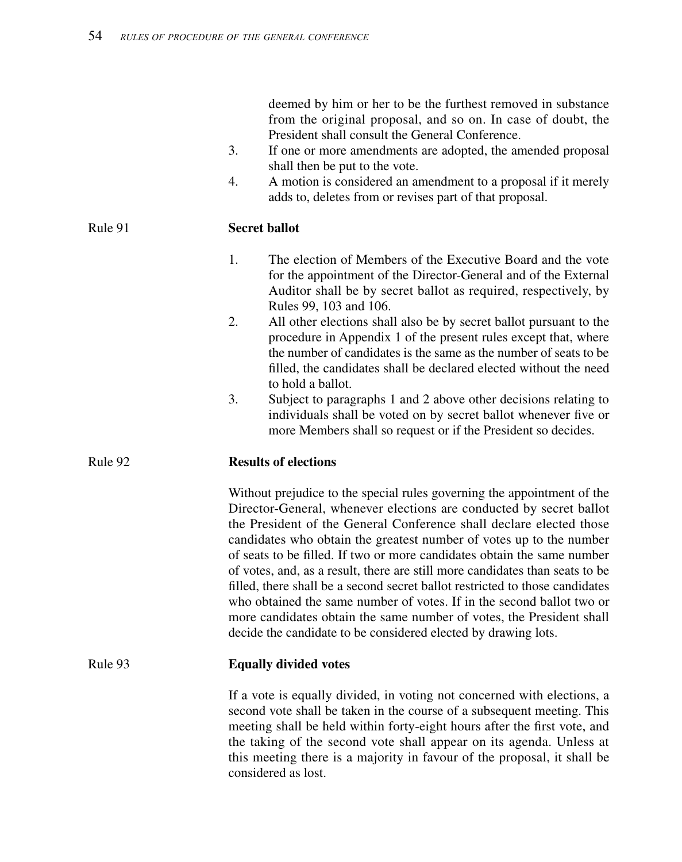|         | deemed by him or her to be the furthest removed in substance<br>from the original proposal, and so on. In case of doubt, the<br>President shall consult the General Conference.<br>3.<br>If one or more amendments are adopted, the amended proposal<br>shall then be put to the vote.<br>4.<br>A motion is considered an amendment to a proposal if it merely<br>adds to, deletes from or revises part of that proposal.                                                                                                                                                                                                                                                                                                                                    |
|---------|--------------------------------------------------------------------------------------------------------------------------------------------------------------------------------------------------------------------------------------------------------------------------------------------------------------------------------------------------------------------------------------------------------------------------------------------------------------------------------------------------------------------------------------------------------------------------------------------------------------------------------------------------------------------------------------------------------------------------------------------------------------|
| Rule 91 | <b>Secret ballot</b>                                                                                                                                                                                                                                                                                                                                                                                                                                                                                                                                                                                                                                                                                                                                         |
|         | 1.<br>The election of Members of the Executive Board and the vote<br>for the appointment of the Director-General and of the External<br>Auditor shall be by secret ballot as required, respectively, by<br>Rules 99, 103 and 106.<br>2.<br>All other elections shall also be by secret ballot pursuant to the<br>procedure in Appendix 1 of the present rules except that, where<br>the number of candidates is the same as the number of seats to be<br>filled, the candidates shall be declared elected without the need<br>to hold a ballot.<br>3.<br>Subject to paragraphs 1 and 2 above other decisions relating to<br>individuals shall be voted on by secret ballot whenever five or<br>more Members shall so request or if the President so decides. |
| Rule 92 | <b>Results of elections</b>                                                                                                                                                                                                                                                                                                                                                                                                                                                                                                                                                                                                                                                                                                                                  |
|         | Without prejudice to the special rules governing the appointment of the<br>Director-General, whenever elections are conducted by secret ballot<br>the President of the General Conference shall declare elected those<br>candidates who obtain the greatest number of votes up to the number<br>of seats to be filled. If two or more candidates obtain the same number<br>of votes, and, as a result, there are still more candidates than seats to be<br>filled, there shall be a second secret ballot restricted to those candidates<br>who obtained the same number of votes. If in the second ballot two or<br>more candidates obtain the same number of votes, the President shall<br>decide the candidate to be considered elected by drawing lots.   |
| Rule 93 | <b>Equally divided votes</b>                                                                                                                                                                                                                                                                                                                                                                                                                                                                                                                                                                                                                                                                                                                                 |
|         | If a vote is equally divided, in voting not concerned with elections, a<br>second vote shall be taken in the course of a subsequent meeting. This<br>meeting shall be held within forty-eight hours after the first vote, and<br>the taking of the second vote shall appear on its agenda. Unless at<br>this meeting there is a majority in favour of the proposal, it shall be<br>considered as lost.                                                                                                                                                                                                                                                                                                                                                       |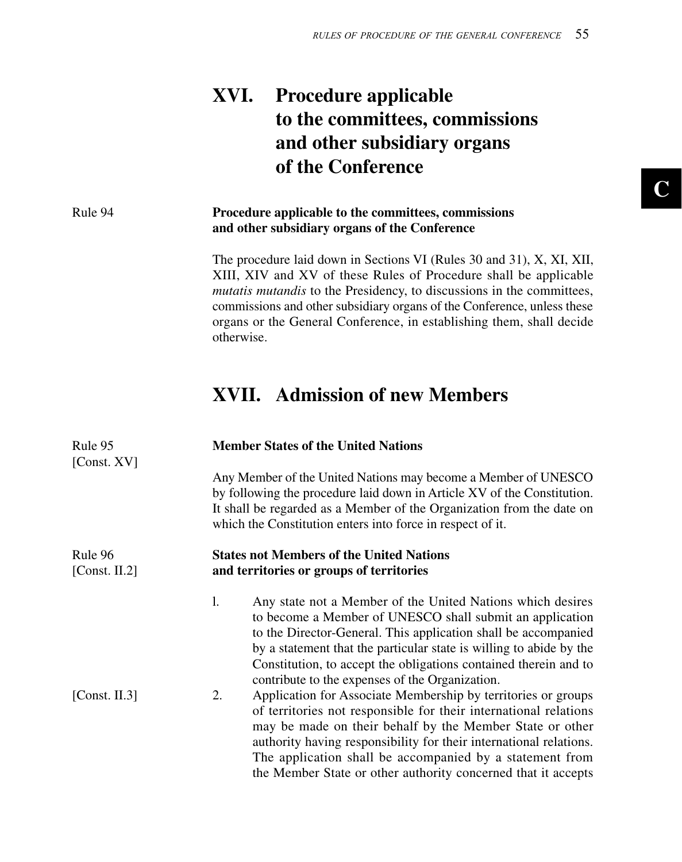## **XVI. Procedure applicable to the committees, commissions and other subsidiary organs of the Conference**

### Rule 94 **Procedure applicable to the committees, commissions and other subsidiary organs of the Conference**

The procedure laid down in Sections VI (Rules 30 and 31), X, XI, XII, XIII, XIV and XV of these Rules of Procedure shall be applicable *mutatis mutandis* to the Presidency, to discussions in the committees, commissions and other subsidiary organs of the Conference, unless these organs or the General Conference, in establishing them, shall decide otherwise.

### **XVII. Admission of new Members**

| Rule 95<br>[Const. XV]      | <b>Member States of the United Nations</b>                                                                                                                                                                                                                                                                                                                                                             |
|-----------------------------|--------------------------------------------------------------------------------------------------------------------------------------------------------------------------------------------------------------------------------------------------------------------------------------------------------------------------------------------------------------------------------------------------------|
|                             | Any Member of the United Nations may become a Member of UNESCO<br>by following the procedure laid down in Article XV of the Constitution.<br>It shall be regarded as a Member of the Organization from the date on<br>which the Constitution enters into force in respect of it.                                                                                                                       |
| Rule 96<br>[Const. $II.2$ ] | <b>States not Members of the United Nations</b><br>and territories or groups of territories                                                                                                                                                                                                                                                                                                            |
|                             | 1.<br>Any state not a Member of the United Nations which desires<br>to become a Member of UNESCO shall submit an application<br>to the Director-General. This application shall be accompanied<br>by a statement that the particular state is willing to abide by the<br>Constitution, to accept the obligations contained therein and to<br>contribute to the expenses of the Organization.           |
| [Const. II.3]               | Application for Associate Membership by territories or groups<br>2.<br>of territories not responsible for their international relations<br>may be made on their behalf by the Member State or other<br>authority having responsibility for their international relations.<br>The application shall be accompanied by a statement from<br>the Member State or other authority concerned that it accepts |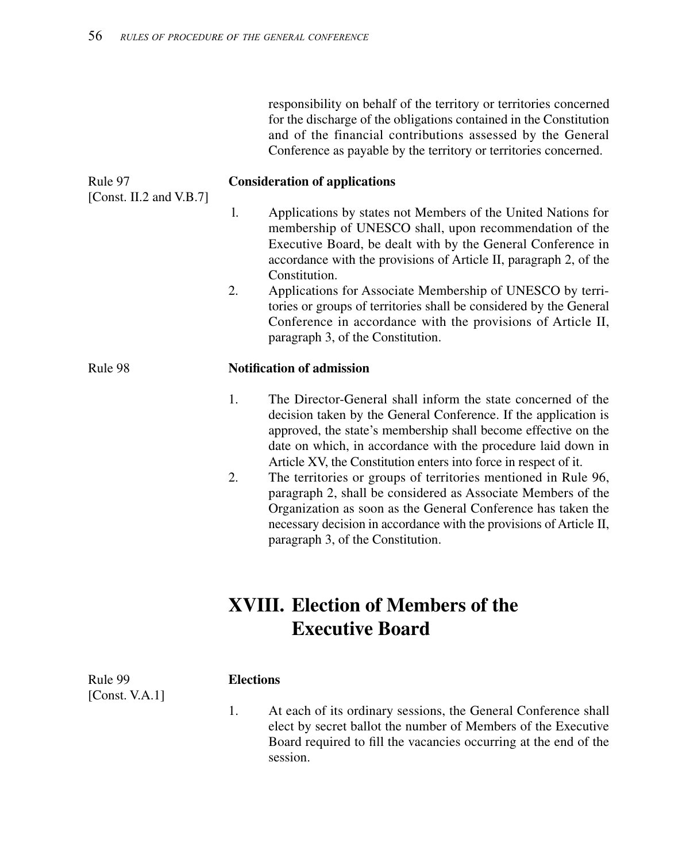responsibility on behalf of the territory or territories concerned for the discharge of the obligations contained in the Constitution and of the financial contributions assessed by the General Conference as payable by the territory or territories concerned.

| Rule 97<br>[Const. II.2 and V.B.7] | <b>Consideration of applications</b> |                                                                                                                                                                                                                                                                                                                                                                                                                                                                                                                                                                                                                                                     |  |
|------------------------------------|--------------------------------------|-----------------------------------------------------------------------------------------------------------------------------------------------------------------------------------------------------------------------------------------------------------------------------------------------------------------------------------------------------------------------------------------------------------------------------------------------------------------------------------------------------------------------------------------------------------------------------------------------------------------------------------------------------|--|
|                                    | 1.<br>2.                             | Applications by states not Members of the United Nations for<br>membership of UNESCO shall, upon recommendation of the<br>Executive Board, be dealt with by the General Conference in<br>accordance with the provisions of Article II, paragraph 2, of the<br>Constitution.<br>Applications for Associate Membership of UNESCO by terri-<br>tories or groups of territories shall be considered by the General<br>Conference in accordance with the provisions of Article II,<br>paragraph 3, of the Constitution.                                                                                                                                  |  |
| Rule 98                            |                                      | <b>Notification of admission</b>                                                                                                                                                                                                                                                                                                                                                                                                                                                                                                                                                                                                                    |  |
|                                    | 1.<br>2.                             | The Director-General shall inform the state concerned of the<br>decision taken by the General Conference. If the application is<br>approved, the state's membership shall become effective on the<br>date on which, in accordance with the procedure laid down in<br>Article XV, the Constitution enters into force in respect of it.<br>The territories or groups of territories mentioned in Rule 96,<br>paragraph 2, shall be considered as Associate Members of the<br>Organization as soon as the General Conference has taken the<br>necessary decision in accordance with the provisions of Article II,<br>paragraph 3, of the Constitution. |  |

## **XVIII. Election of Members of the Executive Board**

| Rule 99        |  |
|----------------|--|
| [Const. V.A.1] |  |

**Elections** 

1. At each of its ordinary sessions, the General Conference shall elect by secret ballot the number of Members of the Executive Board required to fill the vacancies occurring at the end of the session.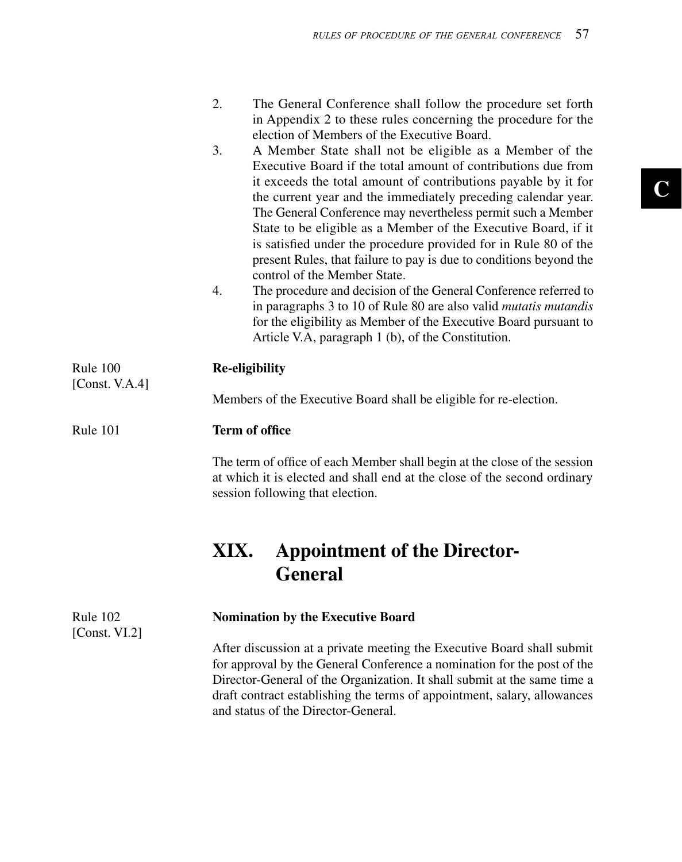|                            | 2.<br>The General Conference shall follow the procedure set forth<br>in Appendix 2 to these rules concerning the procedure for the                                                                                                                                                                                                                                                                                                                                                                                                                                                                                                                                                                                                                                                                                                                                                                         |
|----------------------------|------------------------------------------------------------------------------------------------------------------------------------------------------------------------------------------------------------------------------------------------------------------------------------------------------------------------------------------------------------------------------------------------------------------------------------------------------------------------------------------------------------------------------------------------------------------------------------------------------------------------------------------------------------------------------------------------------------------------------------------------------------------------------------------------------------------------------------------------------------------------------------------------------------|
|                            | election of Members of the Executive Board.<br>3.<br>A Member State shall not be eligible as a Member of the<br>Executive Board if the total amount of contributions due from<br>it exceeds the total amount of contributions payable by it for<br>the current year and the immediately preceding calendar year.<br>The General Conference may nevertheless permit such a Member<br>State to be eligible as a Member of the Executive Board, if it<br>is satisfied under the procedure provided for in Rule 80 of the<br>present Rules, that failure to pay is due to conditions beyond the<br>control of the Member State.<br>4.<br>The procedure and decision of the General Conference referred to<br>in paragraphs 3 to 10 of Rule 80 are also valid <i>mutatis mutandis</i><br>for the eligibility as Member of the Executive Board pursuant to<br>Article V.A, paragraph 1 (b), of the Constitution. |
| Rule 100<br>[Const. V.A.4] | Re-eligibility                                                                                                                                                                                                                                                                                                                                                                                                                                                                                                                                                                                                                                                                                                                                                                                                                                                                                             |
|                            | Members of the Executive Board shall be eligible for re-election.                                                                                                                                                                                                                                                                                                                                                                                                                                                                                                                                                                                                                                                                                                                                                                                                                                          |
| Rule 101                   | <b>Term of office</b>                                                                                                                                                                                                                                                                                                                                                                                                                                                                                                                                                                                                                                                                                                                                                                                                                                                                                      |
|                            | The term of office of each Member shall begin at the close of the session<br>at which it is elected and shall end at the close of the second ordinary<br>session following that election.                                                                                                                                                                                                                                                                                                                                                                                                                                                                                                                                                                                                                                                                                                                  |
|                            | XIX.<br><b>Appointment of the Director-</b><br><b>General</b>                                                                                                                                                                                                                                                                                                                                                                                                                                                                                                                                                                                                                                                                                                                                                                                                                                              |
| Rule 102                   | <b>Nomination by the Executive Board</b>                                                                                                                                                                                                                                                                                                                                                                                                                                                                                                                                                                                                                                                                                                                                                                                                                                                                   |
| [Const. VI.2]              | After discussion at a private meeting the Executive Board shall submit<br>for approval by the General Conference a nomination for the post of the<br>Director-General of the Organization. It shall submit at the same time a<br>draft contract establishing the terms of appointment, salary, allowances<br>and status of the Director-General.                                                                                                                                                                                                                                                                                                                                                                                                                                                                                                                                                           |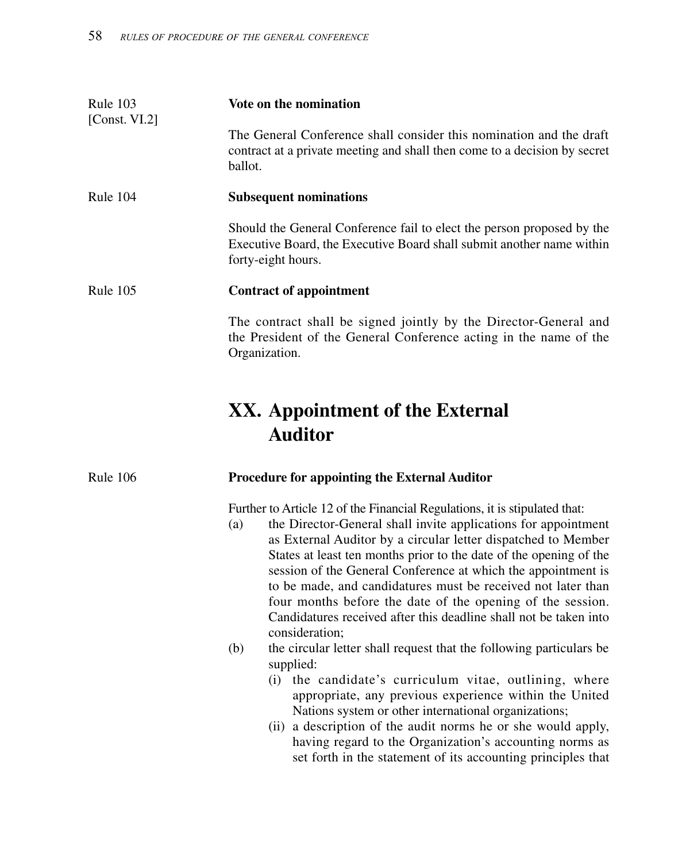| Rule 103<br>[Const. $VI.2$ ] | Vote on the nomination                                                                                                                                                |
|------------------------------|-----------------------------------------------------------------------------------------------------------------------------------------------------------------------|
|                              | The General Conference shall consider this nomination and the draft<br>contract at a private meeting and shall then come to a decision by secret<br>ballot.           |
| Rule 104                     | <b>Subsequent nominations</b>                                                                                                                                         |
|                              | Should the General Conference fail to elect the person proposed by the<br>Executive Board, the Executive Board shall submit another name within<br>forty-eight hours. |
| Rule $105$                   | <b>Contract of appointment</b>                                                                                                                                        |
|                              | The contract shall be signed jointly by the Director-General and<br>the President of the General Conference acting in the name of the<br>Organization.                |

## **XX. Appointment of the External Auditor**

#### Rule 106 **Procedure for appointing the External Auditor**

Further to Article 12 of the Financial Regulations, it is stipulated that:

- (a) the Director-General shall invite applications for appointment as External Auditor by a circular letter dispatched to Member States at least ten months prior to the date of the opening of the session of the General Conference at which the appointment is to be made, and candidatures must be received not later than four months before the date of the opening of the session. Candidatures received after this deadline shall not be taken into consideration;
- (b) the circular letter shall request that the following particulars be supplied:
	- (i) the candidate's curriculum vitae, outlining, where appropriate, any previous experience within the United Nations system or other international organizations;
	- (ii) a description of the audit norms he or she would apply, having regard to the Organization's accounting norms as set forth in the statement of its accounting principles that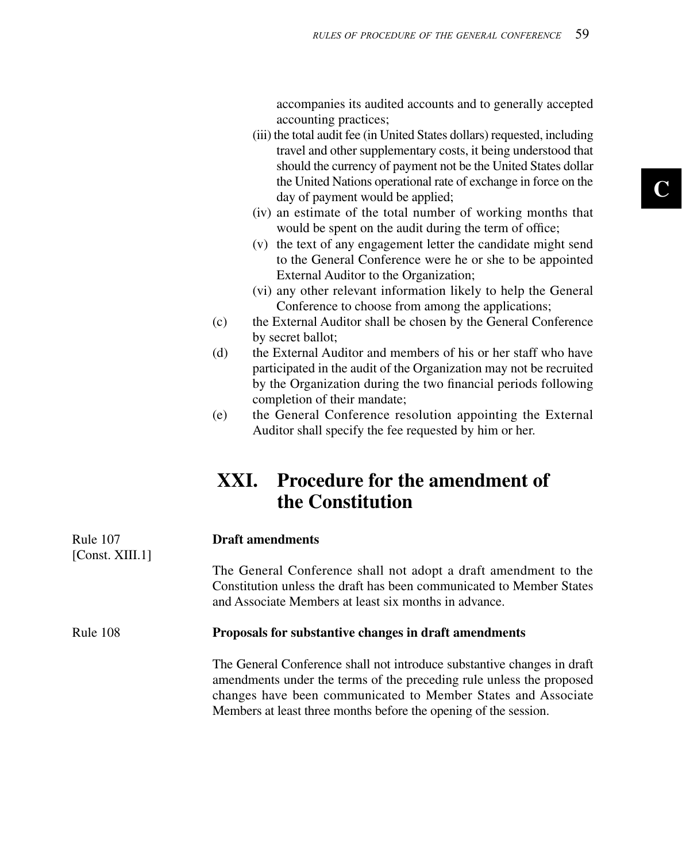accompanies its audited accounts and to generally accepted accounting practices;

- (iii) the total audit fee (in United States dollars) requested, including travel and other supplementary costs, it being understood that should the currency of payment not be the United States dollar the United Nations operational rate of exchange in force on the day of payment would be applied;
- (iv) an estimate of the total number of working months that would be spent on the audit during the term of office;
- (v) the text of any engagement letter the candidate might send to the General Conference were he or she to be appointed External Auditor to the Organization;
- (vi) any other relevant information likely to help the General Conference to choose from among the applications;
- (c) the External Auditor shall be chosen by the General Conference by secret ballot;
- (d) the External Auditor and members of his or her staff who have participated in the audit of the Organization may not be recruited by the Organization during the two financial periods following completion of their mandate;
- (e) the General Conference resolution appointing the External Auditor shall specify the fee requested by him or her.

### **XXI. Procedure for the amendment of the Constitution**

| Rule 107<br>[Const. XIII.1] | <b>Draft amendments</b>                                                                                                                                                                                                                                                              |
|-----------------------------|--------------------------------------------------------------------------------------------------------------------------------------------------------------------------------------------------------------------------------------------------------------------------------------|
|                             | The General Conference shall not adopt a draft amendment to the<br>Constitution unless the draft has been communicated to Member States<br>and Associate Members at least six months in advance.                                                                                     |
| Rule 108                    | Proposals for substantive changes in draft amendments                                                                                                                                                                                                                                |
|                             | The General Conference shall not introduce substantive changes in draft<br>amendments under the terms of the preceding rule unless the proposed<br>changes have been communicated to Member States and Associate<br>Members at least three months before the opening of the session. |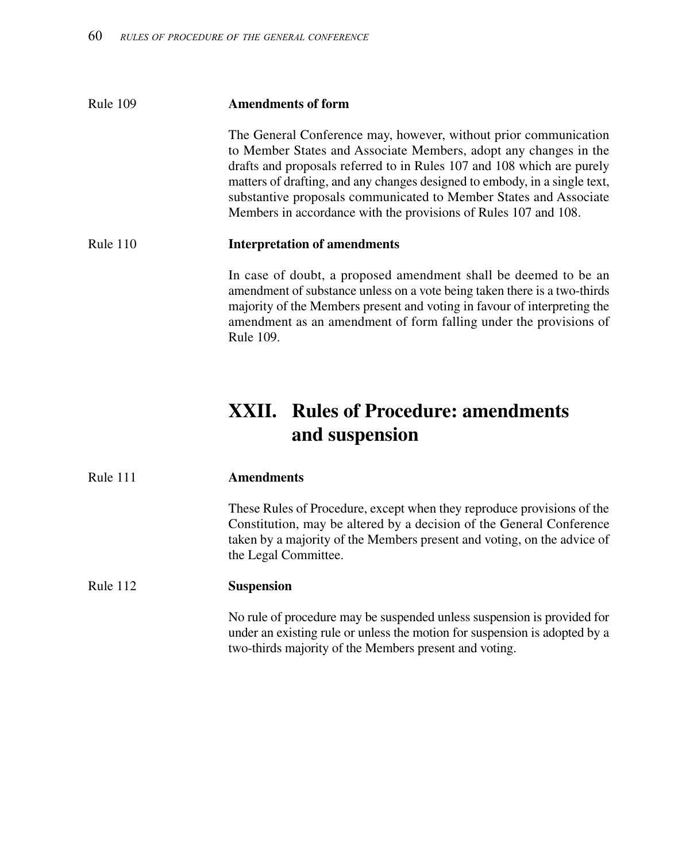| Rule 109   | <b>Amendments of form</b>                                                                                                                                                                                                                                                                                                                                                                                                            |
|------------|--------------------------------------------------------------------------------------------------------------------------------------------------------------------------------------------------------------------------------------------------------------------------------------------------------------------------------------------------------------------------------------------------------------------------------------|
|            | The General Conference may, however, without prior communication<br>to Member States and Associate Members, adopt any changes in the<br>drafts and proposals referred to in Rules 107 and 108 which are purely<br>matters of drafting, and any changes designed to embody, in a single text,<br>substantive proposals communicated to Member States and Associate<br>Members in accordance with the provisions of Rules 107 and 108. |
| Rule $110$ | <b>Interpretation of amendments</b>                                                                                                                                                                                                                                                                                                                                                                                                  |
|            | In case of doubt, a proposed amendment shall be deemed to be an<br>amendment of substance unless on a vote being taken there is a two-thirds<br>majority of the Members present and voting in favour of interpreting the<br>amendment as an amendment of form falling under the provisions of<br>Rule 109.                                                                                                                           |

## **XXII. Rules of Procedure: amendments and suspension**

## Rule 111 **Amendments**  These Rules of Procedure, except when they reproduce provisions of the Constitution, may be altered by a decision of the General Conference taken by a majority of the Members present and voting, on the advice of the Legal Committee. Rule 112 **Suspension**  No rule of procedure may be suspended unless suspension is provided for under an existing rule or unless the motion for suspension is adopted by a two-thirds majority of the Members present and voting.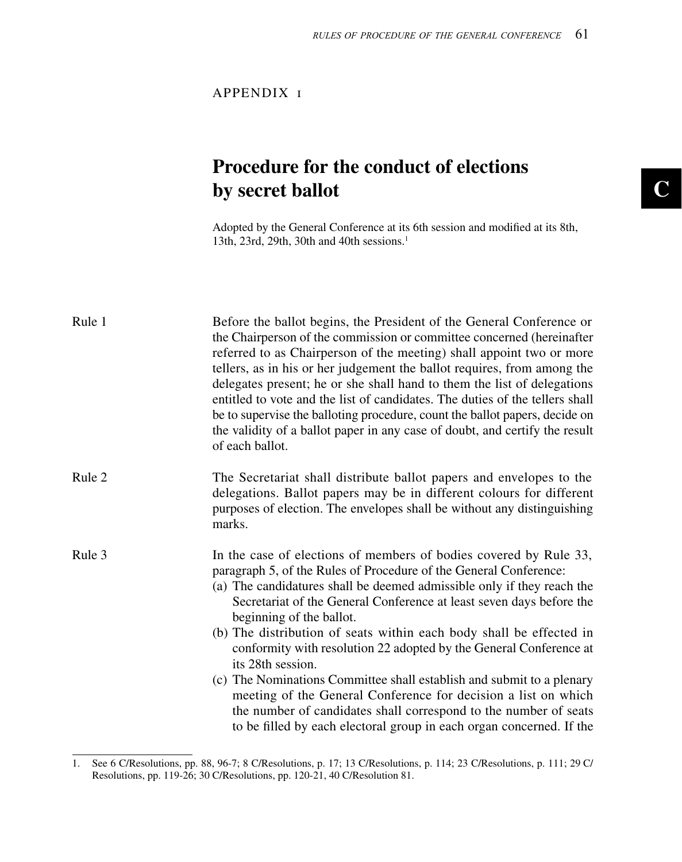### APPENDIX 1

## **Procedure for the conduct of elections by secret ballot**

Adopted by the General Conference at its 6th session and modified at its 8th, 13th, 23rd, 29th, 30th and 40th sessions.1

| Rule 1 | Before the ballot begins, the President of the General Conference or<br>the Chairperson of the commission or committee concerned (hereinafter<br>referred to as Chairperson of the meeting) shall appoint two or more<br>tellers, as in his or her judgement the ballot requires, from among the<br>delegates present; he or she shall hand to them the list of delegations<br>entitled to vote and the list of candidates. The duties of the tellers shall<br>be to supervise the balloting procedure, count the ballot papers, decide on<br>the validity of a ballot paper in any case of doubt, and certify the result<br>of each ballot.                                                                                                                                  |
|--------|-------------------------------------------------------------------------------------------------------------------------------------------------------------------------------------------------------------------------------------------------------------------------------------------------------------------------------------------------------------------------------------------------------------------------------------------------------------------------------------------------------------------------------------------------------------------------------------------------------------------------------------------------------------------------------------------------------------------------------------------------------------------------------|
| Rule 2 | The Secretariat shall distribute ballot papers and envelopes to the<br>delegations. Ballot papers may be in different colours for different<br>purposes of election. The envelopes shall be without any distinguishing<br>marks.                                                                                                                                                                                                                                                                                                                                                                                                                                                                                                                                              |
| Rule 3 | In the case of elections of members of bodies covered by Rule 33,<br>paragraph 5, of the Rules of Procedure of the General Conference:<br>(a) The candidatures shall be deemed admissible only if they reach the<br>Secretariat of the General Conference at least seven days before the<br>beginning of the ballot.<br>(b) The distribution of seats within each body shall be effected in<br>conformity with resolution 22 adopted by the General Conference at<br>its 28th session.<br>(c) The Nominations Committee shall establish and submit to a plenary<br>meeting of the General Conference for decision a list on which<br>the number of candidates shall correspond to the number of seats<br>to be filled by each electoral group in each organ concerned. If the |

<sup>1.</sup> See 6 C/Resolutions, pp. 88, 96-7; 8 C/Resolutions, p. 17; 13 C/Resolutions, p. 114; 23 C/Resolutions, p. 111; 29 C/ Resolutions, pp. 119-26; 30 C/Resolutions, pp. 120-21, 40 C/Resolution 81.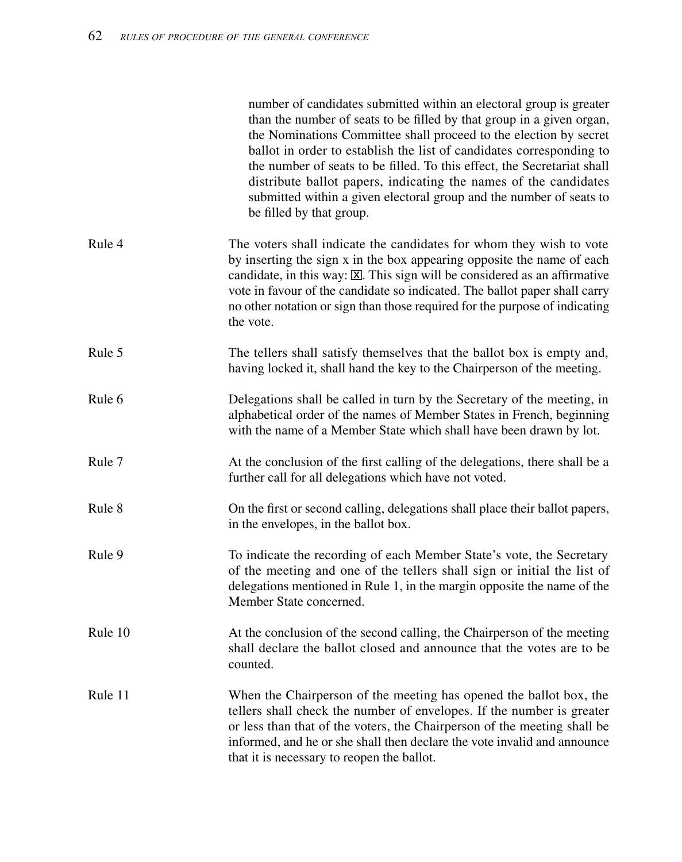|         | number of candidates submitted within an electoral group is greater<br>than the number of seats to be filled by that group in a given organ,<br>the Nominations Committee shall proceed to the election by secret<br>ballot in order to establish the list of candidates corresponding to<br>the number of seats to be filled. To this effect, the Secretariat shall<br>distribute ballot papers, indicating the names of the candidates<br>submitted within a given electoral group and the number of seats to<br>be filled by that group. |
|---------|---------------------------------------------------------------------------------------------------------------------------------------------------------------------------------------------------------------------------------------------------------------------------------------------------------------------------------------------------------------------------------------------------------------------------------------------------------------------------------------------------------------------------------------------|
| Rule 4  | The voters shall indicate the candidates for whom they wish to vote<br>by inserting the sign x in the box appearing opposite the name of each<br>candidate, in this way: $[X]$ . This sign will be considered as an affirmative<br>vote in favour of the candidate so indicated. The ballot paper shall carry<br>no other notation or sign than those required for the purpose of indicating<br>the vote.                                                                                                                                   |
| Rule 5  | The tellers shall satisfy themselves that the ballot box is empty and,<br>having locked it, shall hand the key to the Chairperson of the meeting.                                                                                                                                                                                                                                                                                                                                                                                           |
| Rule 6  | Delegations shall be called in turn by the Secretary of the meeting, in<br>alphabetical order of the names of Member States in French, beginning<br>with the name of a Member State which shall have been drawn by lot.                                                                                                                                                                                                                                                                                                                     |
| Rule 7  | At the conclusion of the first calling of the delegations, there shall be a<br>further call for all delegations which have not voted.                                                                                                                                                                                                                                                                                                                                                                                                       |
| Rule 8  | On the first or second calling, delegations shall place their ballot papers,<br>in the envelopes, in the ballot box.                                                                                                                                                                                                                                                                                                                                                                                                                        |
| Rule 9  | To indicate the recording of each Member State's vote, the Secretary<br>of the meeting and one of the tellers shall sign or initial the list of<br>delegations mentioned in Rule 1, in the margin opposite the name of the<br>Member State concerned.                                                                                                                                                                                                                                                                                       |
| Rule 10 | At the conclusion of the second calling, the Chairperson of the meeting<br>shall declare the ballot closed and announce that the votes are to be<br>counted.                                                                                                                                                                                                                                                                                                                                                                                |
| Rule 11 | When the Chairperson of the meeting has opened the ballot box, the<br>tellers shall check the number of envelopes. If the number is greater<br>or less than that of the voters, the Chairperson of the meeting shall be<br>informed, and he or she shall then declare the vote invalid and announce<br>that it is necessary to reopen the ballot.                                                                                                                                                                                           |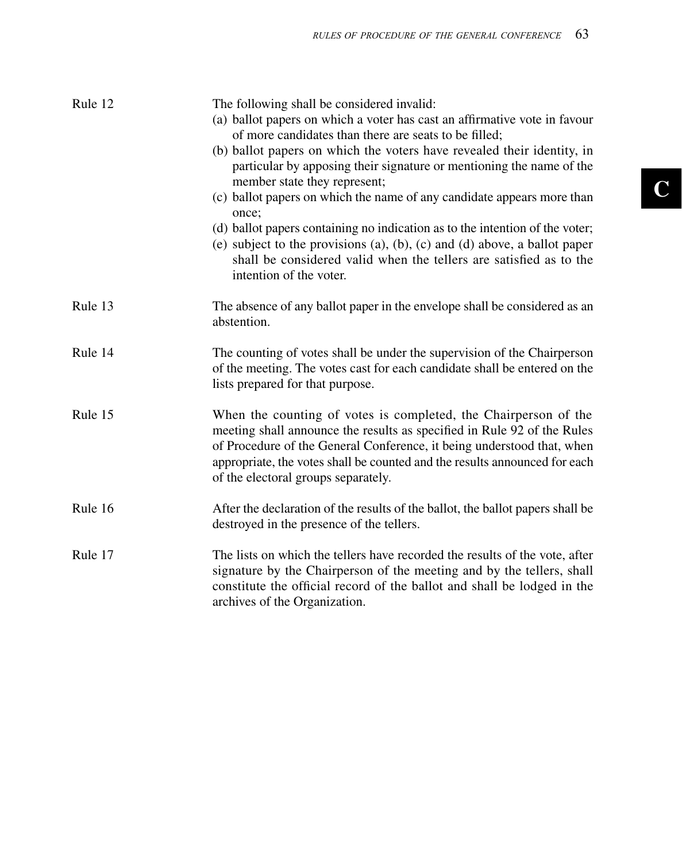| Rule 12 | The following shall be considered invalid:                                                                                                                                                                                                                                                                                                |
|---------|-------------------------------------------------------------------------------------------------------------------------------------------------------------------------------------------------------------------------------------------------------------------------------------------------------------------------------------------|
|         | (a) ballot papers on which a voter has cast an affirmative vote in favour<br>of more candidates than there are seats to be filled;                                                                                                                                                                                                        |
|         | (b) ballot papers on which the voters have revealed their identity, in<br>particular by apposing their signature or mentioning the name of the<br>member state they represent;                                                                                                                                                            |
|         | (c) ballot papers on which the name of any candidate appears more than<br>once;                                                                                                                                                                                                                                                           |
|         | (d) ballot papers containing no indication as to the intention of the voter;                                                                                                                                                                                                                                                              |
|         | (e) subject to the provisions $(a)$ , $(b)$ , $(c)$ and $(d)$ above, a ballot paper<br>shall be considered valid when the tellers are satisfied as to the<br>intention of the voter.                                                                                                                                                      |
| Rule 13 | The absence of any ballot paper in the envelope shall be considered as an<br>abstention.                                                                                                                                                                                                                                                  |
| Rule 14 | The counting of votes shall be under the supervision of the Chairperson<br>of the meeting. The votes cast for each candidate shall be entered on the<br>lists prepared for that purpose.                                                                                                                                                  |
| Rule 15 | When the counting of votes is completed, the Chairperson of the<br>meeting shall announce the results as specified in Rule 92 of the Rules<br>of Procedure of the General Conference, it being understood that, when<br>appropriate, the votes shall be counted and the results announced for each<br>of the electoral groups separately. |
| Rule 16 | After the declaration of the results of the ballot, the ballot papers shall be<br>destroyed in the presence of the tellers.                                                                                                                                                                                                               |
| Rule 17 | The lists on which the tellers have recorded the results of the vote, after<br>signature by the Chairperson of the meeting and by the tellers, shall<br>constitute the official record of the ballot and shall be lodged in the<br>archives of the Organization.                                                                          |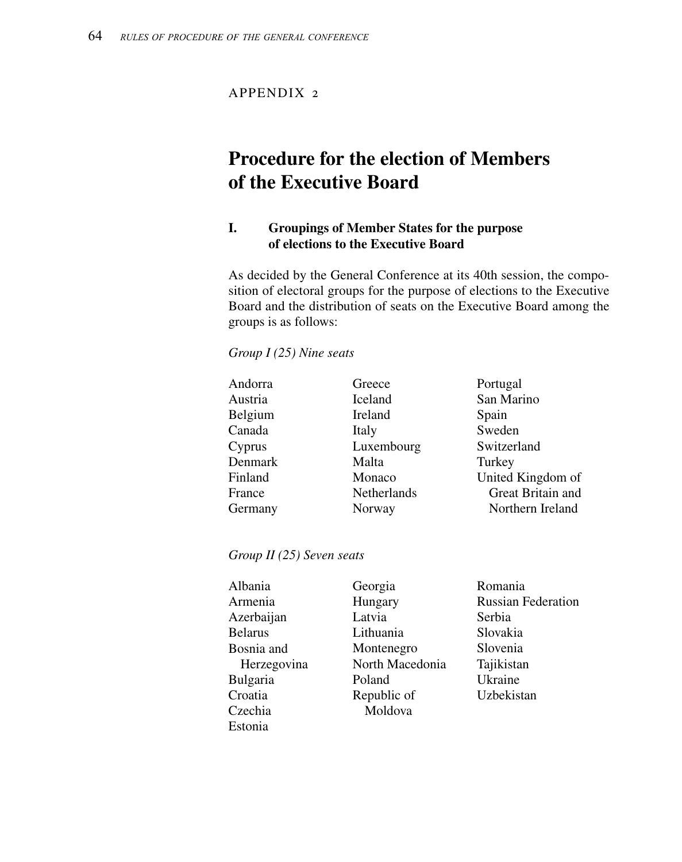### APPENDIX 2

## **Procedure for the election of Members of the Executive Board**

### **I. Groupings of Member States for the purpose of elections to the Executive Board**

As decided by the General Conference at its 40th session, the composition of electoral groups for the purpose of elections to the Executive Board and the distribution of seats on the Executive Board among the groups is as follows:

### *Group I (25) Nine seats*

| Andorra | Greece             | Portugal          |
|---------|--------------------|-------------------|
| Austria | Iceland            | San Marino        |
| Belgium | Ireland            | Spain             |
| Canada  | Italy              | Sweden            |
| Cyprus  | Luxembourg         | Switzerland       |
| Denmark | Malta              | Turkey            |
| Finland | Monaco             | United Kingdom of |
| France  | <b>Netherlands</b> | Great Britain and |
| Germany | Norway             | Northern Ireland  |
|         |                    |                   |

*Group II (25) Seven seats* 

| Albania        | Georgia         |
|----------------|-----------------|
| Armenia        | Hungary         |
| Azerbaijan     | Latvia          |
| <b>Belarus</b> | Lithuania       |
| Bosnia and     | Montenegro      |
| Herzegovina    | North Macedonia |
| Bulgaria       | Poland          |
| Croatia        | Republic of     |
| Czechia        | Moldova         |
| Estonia        |                 |

Romania Russian Federation Serbia Slovakia Slovenia Tajikistan Ukraine Uzbekistan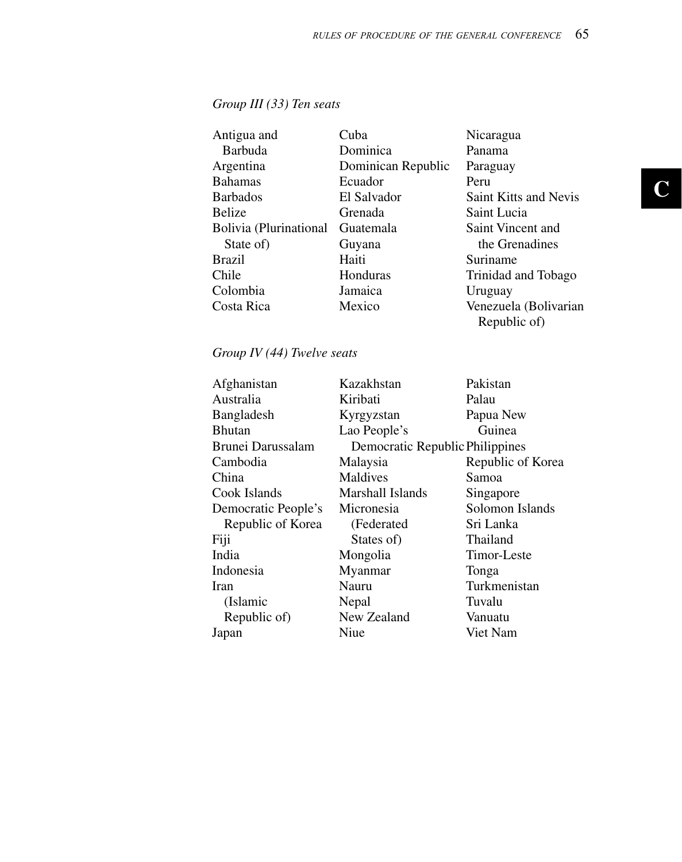### *Group III (33) Ten seats*

| Antigua and            | Cuba               | Nicaragua             |
|------------------------|--------------------|-----------------------|
| Barbuda                | Dominica           | Panama                |
| Argentina              | Dominican Republic | Paraguay              |
| Bahamas                | Ecuador            | Peru                  |
| Barbados               | El Salvador        | Saint Kitts and Nevis |
| Belize                 | Grenada            | Saint Lucia           |
| Bolivia (Plurinational | Guatemala          | Saint Vincent and     |
| State of)              | Guyana             | the Grenadines        |
| Brazil                 | Haiti              | Suriname              |
| Chile                  | Honduras           | Trinidad and Tobago   |
| Colombia               | Jamaica            | Uruguay               |
| Costa Rica             | Mexico             | Venezuela (Bolivarian |
|                        |                    | Republic of)          |
|                        |                    |                       |

### *Group IV (44) Twelve seats*

| Afghanistan         | Kazakhstan                      | Pakistan          |
|---------------------|---------------------------------|-------------------|
| Australia           | Kiribati                        | Palau             |
| Bangladesh          | Kyrgyzstan                      | Papua New         |
| <b>Bhutan</b>       | Lao People's                    | Guinea            |
| Brunei Darussalam   | Democratic Republic Philippines |                   |
| Cambodia            | Malaysia                        | Republic of Korea |
| China               | Maldives                        | Samoa             |
| Cook Islands        | Marshall Islands                | Singapore         |
| Democratic People's | Micronesia                      | Solomon Islands   |
| Republic of Korea   | (Federated                      | Sri Lanka         |
| Fiji                | States of)                      | Thailand          |
| India               | Mongolia                        | Timor-Leste       |
| Indonesia           | Myanmar                         | Tonga             |
| Iran                | Nauru                           | Turkmenistan      |
| (Islamic            | Nepal                           | Tuvalu            |
| Republic of)        | New Zealand                     | Vanuatu           |
| Japan               | Niue                            | Viet Nam          |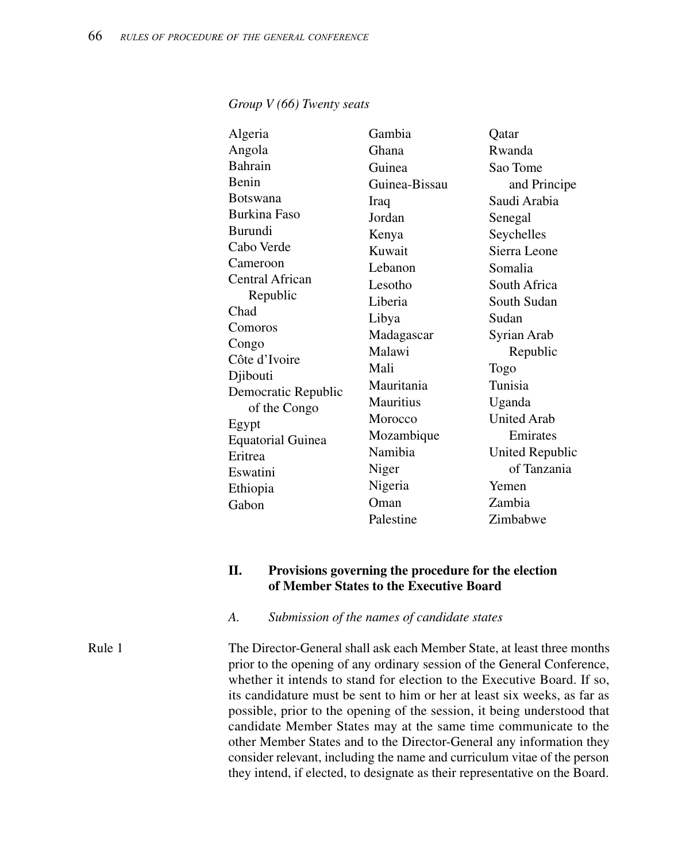#### *Group V (66) Twenty seats*

| Gambia        | Qatar                                                                                                                |
|---------------|----------------------------------------------------------------------------------------------------------------------|
| Ghana         | Rwanda                                                                                                               |
| Guinea        | Sao Tome                                                                                                             |
| Guinea-Bissau | and Principe                                                                                                         |
| Iraq          | Saudi Arabia                                                                                                         |
| Jordan        | Senegal                                                                                                              |
|               | Seychelles                                                                                                           |
| Kuwait        | Sierra Leone                                                                                                         |
| Lebanon       | Somalia                                                                                                              |
| Lesotho       | South Africa                                                                                                         |
| Liberia       | South Sudan                                                                                                          |
|               | Sudan                                                                                                                |
|               | Syrian Arab                                                                                                          |
|               | Republic                                                                                                             |
|               | Togo                                                                                                                 |
|               | Tunisia                                                                                                              |
|               |                                                                                                                      |
|               | Uganda<br><b>United Arab</b>                                                                                         |
|               |                                                                                                                      |
|               | Emirates                                                                                                             |
|               | United Republic                                                                                                      |
| Niger         | of Tanzania                                                                                                          |
| Nigeria       | Yemen                                                                                                                |
| Oman          | Zambia                                                                                                               |
| Palestine     | Zimbabwe                                                                                                             |
|               | Kenya<br>Libya<br>Madagascar<br>Malawi<br>Mali<br>Mauritania<br><b>Mauritius</b><br>Morocco<br>Mozambique<br>Namibia |

### **II. Provisions governing the procedure for the election of Member States to the Executive Board**

### *A. Submission of the names of candidate states*

Rule 1 The Director-General shall ask each Member State, at least three months prior to the opening of any ordinary session of the General Conference, whether it intends to stand for election to the Executive Board. If so, its candidature must be sent to him or her at least six weeks, as far as possible, prior to the opening of the session, it being understood that candidate Member States may at the same time communicate to the other Member States and to the Director-General any information they consider relevant, including the name and curriculum vitae of the person they intend, if elected, to designate as their representative on the Board.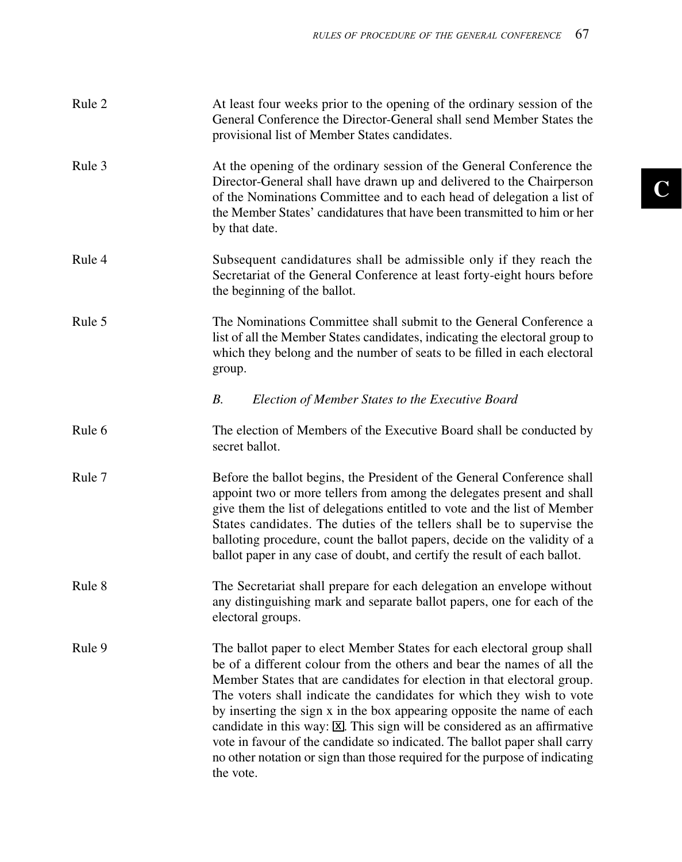| Rule 2 | At least four weeks prior to the opening of the ordinary session of the<br>General Conference the Director-General shall send Member States the<br>provisional list of Member States candidates.                                                                                                                                                                                                                                                                                                                                                                                                                                         |
|--------|------------------------------------------------------------------------------------------------------------------------------------------------------------------------------------------------------------------------------------------------------------------------------------------------------------------------------------------------------------------------------------------------------------------------------------------------------------------------------------------------------------------------------------------------------------------------------------------------------------------------------------------|
| Rule 3 | At the opening of the ordinary session of the General Conference the<br>Director-General shall have drawn up and delivered to the Chairperson<br>of the Nominations Committee and to each head of delegation a list of<br>the Member States' candidatures that have been transmitted to him or her<br>by that date.                                                                                                                                                                                                                                                                                                                      |
| Rule 4 | Subsequent candidatures shall be admissible only if they reach the<br>Secretariat of the General Conference at least forty-eight hours before<br>the beginning of the ballot.                                                                                                                                                                                                                                                                                                                                                                                                                                                            |
| Rule 5 | The Nominations Committee shall submit to the General Conference a<br>list of all the Member States candidates, indicating the electoral group to<br>which they belong and the number of seats to be filled in each electoral<br>group.                                                                                                                                                                                                                                                                                                                                                                                                  |
|        | В.<br>Election of Member States to the Executive Board                                                                                                                                                                                                                                                                                                                                                                                                                                                                                                                                                                                   |
| Rule 6 | The election of Members of the Executive Board shall be conducted by<br>secret ballot.                                                                                                                                                                                                                                                                                                                                                                                                                                                                                                                                                   |
| Rule 7 | Before the ballot begins, the President of the General Conference shall<br>appoint two or more tellers from among the delegates present and shall<br>give them the list of delegations entitled to vote and the list of Member<br>States candidates. The duties of the tellers shall be to supervise the<br>balloting procedure, count the ballot papers, decide on the validity of a<br>ballot paper in any case of doubt, and certify the result of each ballot.                                                                                                                                                                       |
| Rule 8 | The Secretariat shall prepare for each delegation an envelope without<br>any distinguishing mark and separate ballot papers, one for each of the<br>electoral groups.                                                                                                                                                                                                                                                                                                                                                                                                                                                                    |
| Rule 9 | The ballot paper to elect Member States for each electoral group shall<br>be of a different colour from the others and bear the names of all the<br>Member States that are candidates for election in that electoral group.<br>The voters shall indicate the candidates for which they wish to vote<br>by inserting the sign x in the box appearing opposite the name of each<br>candidate in this way: $[X]$ . This sign will be considered as an affirmative<br>vote in favour of the candidate so indicated. The ballot paper shall carry<br>no other notation or sign than those required for the purpose of indicating<br>the vote. |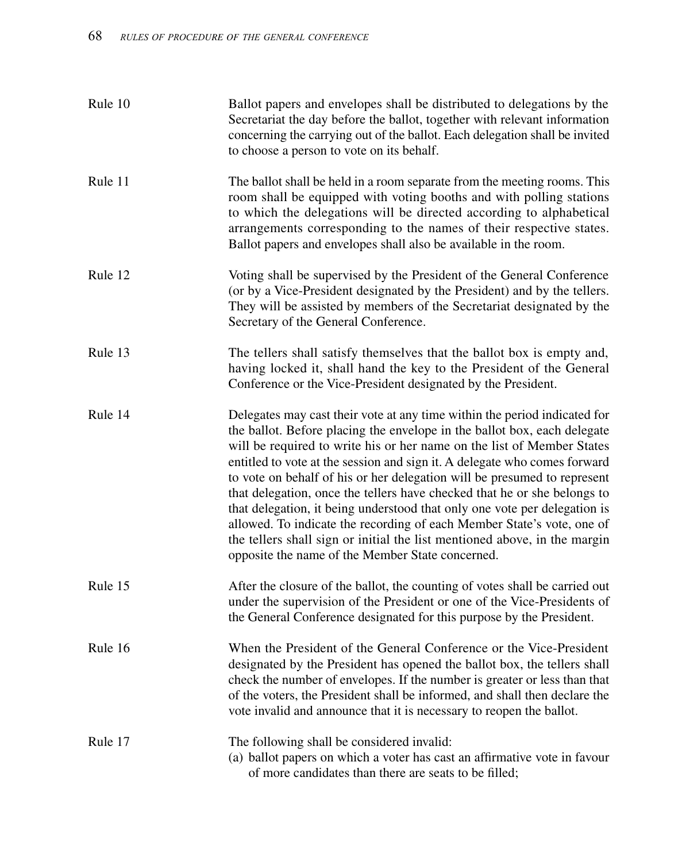| Rule 10 | Ballot papers and envelopes shall be distributed to delegations by the<br>Secretariat the day before the ballot, together with relevant information<br>concerning the carrying out of the ballot. Each delegation shall be invited<br>to choose a person to vote on its behalf.                                                                                                                                                                                                                                                                                                                                                                                                                                                                              |
|---------|--------------------------------------------------------------------------------------------------------------------------------------------------------------------------------------------------------------------------------------------------------------------------------------------------------------------------------------------------------------------------------------------------------------------------------------------------------------------------------------------------------------------------------------------------------------------------------------------------------------------------------------------------------------------------------------------------------------------------------------------------------------|
| Rule 11 | The ballot shall be held in a room separate from the meeting rooms. This<br>room shall be equipped with voting booths and with polling stations<br>to which the delegations will be directed according to alphabetical<br>arrangements corresponding to the names of their respective states.<br>Ballot papers and envelopes shall also be available in the room.                                                                                                                                                                                                                                                                                                                                                                                            |
| Rule 12 | Voting shall be supervised by the President of the General Conference<br>(or by a Vice-President designated by the President) and by the tellers.<br>They will be assisted by members of the Secretariat designated by the<br>Secretary of the General Conference.                                                                                                                                                                                                                                                                                                                                                                                                                                                                                           |
| Rule 13 | The tellers shall satisfy themselves that the ballot box is empty and,<br>having locked it, shall hand the key to the President of the General<br>Conference or the Vice-President designated by the President.                                                                                                                                                                                                                                                                                                                                                                                                                                                                                                                                              |
| Rule 14 | Delegates may cast their vote at any time within the period indicated for<br>the ballot. Before placing the envelope in the ballot box, each delegate<br>will be required to write his or her name on the list of Member States<br>entitled to vote at the session and sign it. A delegate who comes forward<br>to vote on behalf of his or her delegation will be presumed to represent<br>that delegation, once the tellers have checked that he or she belongs to<br>that delegation, it being understood that only one vote per delegation is<br>allowed. To indicate the recording of each Member State's vote, one of<br>the tellers shall sign or initial the list mentioned above, in the margin<br>opposite the name of the Member State concerned. |
| Rule 15 | After the closure of the ballot, the counting of votes shall be carried out<br>under the supervision of the President or one of the Vice-Presidents of<br>the General Conference designated for this purpose by the President.                                                                                                                                                                                                                                                                                                                                                                                                                                                                                                                               |
| Rule 16 | When the President of the General Conference or the Vice-President<br>designated by the President has opened the ballot box, the tellers shall<br>check the number of envelopes. If the number is greater or less than that<br>of the voters, the President shall be informed, and shall then declare the<br>vote invalid and announce that it is necessary to reopen the ballot.                                                                                                                                                                                                                                                                                                                                                                            |
| Rule 17 | The following shall be considered invalid:<br>(a) ballot papers on which a voter has cast an affirmative vote in favour<br>of more candidates than there are seats to be filled;                                                                                                                                                                                                                                                                                                                                                                                                                                                                                                                                                                             |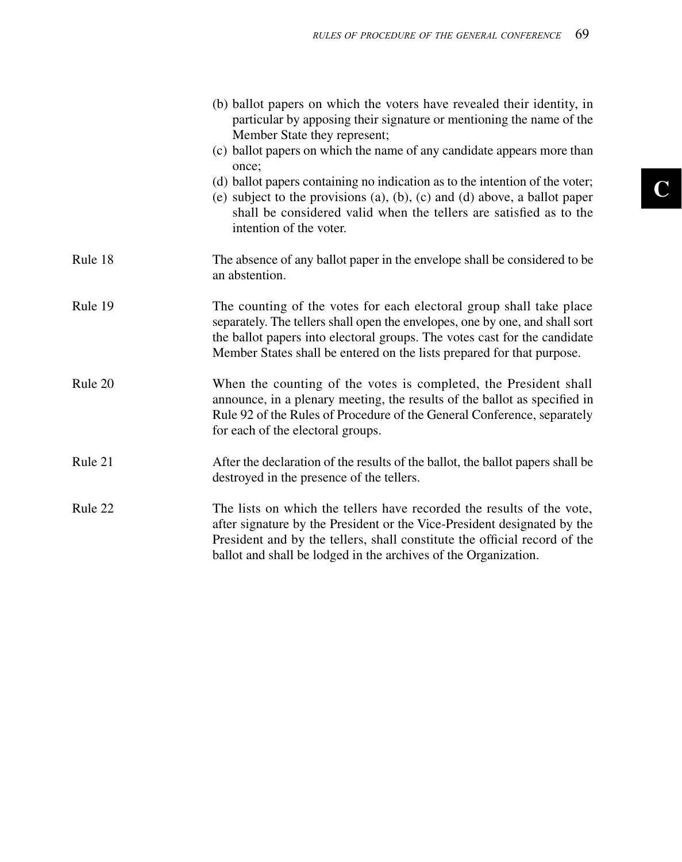|         | (b) ballot papers on which the voters have revealed their identity, in<br>particular by apposing their signature or mentioning the name of the<br>Member State they represent;<br>(c) ballot papers on which the name of any candidate appears more than<br>once;<br>(d) ballot papers containing no indication as to the intention of the voter;<br>(e) subject to the provisions (a), (b), (c) and (d) above, a ballot paper<br>shall be considered valid when the tellers are satisfied as to the |
|---------|------------------------------------------------------------------------------------------------------------------------------------------------------------------------------------------------------------------------------------------------------------------------------------------------------------------------------------------------------------------------------------------------------------------------------------------------------------------------------------------------------|
|         | intention of the voter.                                                                                                                                                                                                                                                                                                                                                                                                                                                                              |
| Rule 18 | The absence of any ballot paper in the envelope shall be considered to be<br>an abstention.                                                                                                                                                                                                                                                                                                                                                                                                          |
| Rule 19 | The counting of the votes for each electoral group shall take place<br>separately. The tellers shall open the envelopes, one by one, and shall sort<br>the ballot papers into electoral groups. The votes cast for the candidate<br>Member States shall be entered on the lists prepared for that purpose.                                                                                                                                                                                           |
| Rule 20 | When the counting of the votes is completed, the President shall<br>announce, in a plenary meeting, the results of the ballot as specified in<br>Rule 92 of the Rules of Procedure of the General Conference, separately<br>for each of the electoral groups.                                                                                                                                                                                                                                        |
| Rule 21 | After the declaration of the results of the ballot, the ballot papers shall be<br>destroyed in the presence of the tellers.                                                                                                                                                                                                                                                                                                                                                                          |
| Rule 22 | The lists on which the tellers have recorded the results of the vote,<br>after signature by the President or the Vice-President designated by the<br>President and by the tellers, shall constitute the official record of the<br>ballot and shall be lodged in the archives of the Organization.                                                                                                                                                                                                    |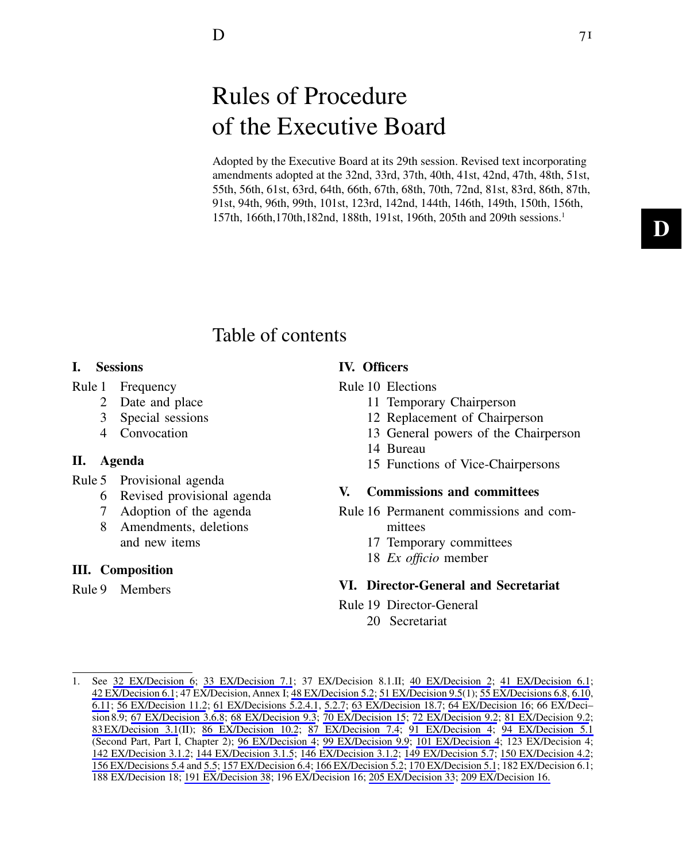# Rules of Procedure of the Executive Board

Adopted by the Executive Board at its 29th session. Revised text incorporating amendments adopted at the 32nd, 33rd, 37th, 40th, 41st, 42nd, 47th, 48th, 51st, 55th, 56th, 61st, 63rd, 64th, 66th, 67th, 68th, 70th, 72nd, 81st, 83rd, 86th, 87th, 91st, 94th, 96th, 99th, 101st, 123rd, 142nd, 144th, 146th, 149th, 150th, 156th, 157th, 166th,170th,182nd, 188th, 191st, 196th, 205th and 209th sessions.1

### Table of contents

#### **I. Sessions**

- Rule 1 Frequency
	- 2 Date and place
	- 3 Special sessions
	- 4 Convocation

#### **II. Agenda**

- Rule 5 Provisional agenda
	- 6 Revised provisional agenda
	- 7 Adoption of the agenda
	- 8 Amendments, deletions and new items

#### **III. Composition**

Rule 9 Members

### **IV. Officers**

- Rule 10 Elections
	- 11 Temporary Chairperson
	- 12 Replacement of Chairperson
	- 13 General powers of the Chairperson
	- 14 Bureau
	- 15 Functions of Vice-Chairpersons

### **V. Commissions and committees**

- Rule 16 Permanent commissions and committees
	- 17 Temporary committees
	- 18 *Ex officio* member

### **VI. Director-General and Secretariat**

- Rule 19 Director-General
	- 20 Secretariat

<sup>1.</sup> See [32 EX/Decision 6](https://unesdoc.unesco.org/ark:/48223/pf0000113810_eng.nameddest=6); [33 EX/Decision 7.1](https://unesdoc.unesco.org/ark:/48223/pf0000113809_eng.nameddest=7.1); 37 EX/Decision 8.1.II; [40 EX/Decision 2](https://unesdoc.unesco.org/ark:/48223/pf0000113802_eng.nameddest=2); [41 EX/Decision 6.1](https://unesdoc.unesco.org/ark:/48223/pf0000113801_eng.nameddest=6.1); [42 EX/Decision 6.1](https://unesdoc.unesco.org/ark:/48223/pf0000113800_eng.nameddest=6.1); 47 EX/Decision, Annex I; [48 EX/Decision 5.2](https://unesdoc.unesco.org/ark:/48223/pf0000113794_eng.nameddest=5.2); [51 EX/Decision 9.5](https://unesdoc.unesco.org/ark:/48223/pf0000113791_eng.nameddest=9.5)(1); [55 EX/Decisions 6.8](https://unesdoc.unesco.org/ark:/48223/pf0000113249_eng.nameddest=6.8), [6.10](https://unesdoc.unesco.org/ark:/48223/pf0000113249_eng.nameddest=6.10), [6.11](https://unesdoc.unesco.org/ark:/48223/pf0000113249_eng.nameddest=6.11); [56 EX/Decision 11.2](https://unesdoc.unesco.org/ark:/48223/pf0000113248_eng.nameddest=11.2); [61 EX/Decisions 5.2.4.1](https://unesdoc.unesco.org/ark:/48223/pf0000113224_eng.nameddest=5.2.4.1), [5.2.7](https://unesdoc.unesco.org/ark:/48223/pf0000113224_eng.nameddest=5.2.7); [63 EX/Decision 18.7](https://unesdoc.unesco.org/ark:/48223/pf0000113222_eng.nameddest=18.7); [64 EX/Decision 16](https://unesdoc.unesco.org/ark:/48223/pf0000113221_eng.nameddest=16); 66 EX/Deci– sion 8.9; [67 EX/Decision 3.6.8](https://unesdoc.unesco.org/ark:/48223/pf0000113217_eng.nameddest=3.6.8); [68 EX/Decision 9.3](https://unesdoc.unesco.org/ark:/48223/pf0000113215_eng.nameddest=9.3); [70 EX/Decision 15](https://unesdoc.unesco.org/ark:/48223/pf0000113213_eng.nameddest=15); [72 EX/Decision 9.2](https://unesdoc.unesco.org/ark:/48223/pf0000113211_eng.nameddest=9.2); [81 EX/Decision 9.2](https://unesdoc.unesco.org/ark:/48223/pf0000113202_eng.nameddest=9.2); [83EX/Decision 3.1](https://unesdoc.unesco.org/ark:/48223/pf0000113200_eng.nameddest=3.1)(II); [86 EX/Decision 10.2](https://unesdoc.unesco.org/ark:/48223/pf0000113197_eng.nameddest=10.2); [87 EX/Decision 7.4](https://unesdoc.unesco.org/ark:/48223/pf0000113196_eng.nameddest=7.4); [91 EX/Decision 4](https://unesdoc.unesco.org/ark:/48223/pf0000002146_eng.nameddest=4); [94 EX/Decision 5.1](https://unesdoc.unesco.org/ark:/48223/pf0000010651_eng.nameddest=5.1)  (Second Part, Part I, Chapter 2); [96 EX/Decision 4](https://unesdoc.unesco.org/ark:/48223/pf0000011901_eng.nameddest=4); [99 EX/Decision 9.9](https://unesdoc.unesco.org/ark:/48223/pf0000018602_eng.nameddest=9.9); [101 EX/Decision 4](https://unesdoc.unesco.org/ark:/48223/pf0000113193_eng.nameddest=4); 123 EX/Decision 4; [142 EX/Decision 3.1.2](https://unesdoc.unesco.org/ark:/48223/pf0000095807_eng.nameddest=3.1.2); [144 EX/Decision 3.1.5](https://unesdoc.unesco.org/ark:/48223/pf0000096885_eng.nameddest=3.1.5); [146 EX/Decision 3.1.2](https://unesdoc.unesco.org/ark:/48223/pf0000100560_eng.nameddest=3.1.2); [149 EX/Decision 5.7](https://unesdoc.unesco.org/ark:/48223/pf0000102925_eng.nameddest=5.7); [150 EX/Decision 4.2](https://unesdoc.unesco.org/ark:/48223/pf0000104447_eng.nameddest=4.2); [156 EX/Decisions 5.4](https://unesdoc.unesco.org/ark:/48223/pf0000116376_eng.nameddest=5.4) and [5.5](https://unesdoc.unesco.org/ark:/48223/pf0000116376_eng.nameddest=5.5); [157 EX/Decision 6.4](https://unesdoc.unesco.org/ark:/48223/pf0000118211_eng.nameddest=6.4); [166 EX/Decision 5.2](https://unesdoc.unesco.org/ark:/48223/pf0000130244_eng.nameddest=5.2); [170 EX/Decision 5.1](https://unesdoc.unesco.org/ark:/48223/pf0000137349_eng.nameddest=5.1); 182 EX/Decision 6.1; 188 EX/Decision 18; [191 EX/Decision 38](https://unesdoc.unesco.org/ark:/48223/pf0000220725_eng.nameddest=38); 196 EX/Decision 16; [205 EX/Decision 33](https://unesdoc.unesco.org/ark:/48223/pf0000265956_eng.nameddest=33); [209 EX/Decision 16.](https://unesdoc.unesco.org/ark:/48223/pf0000373889_eng.nameddest=16)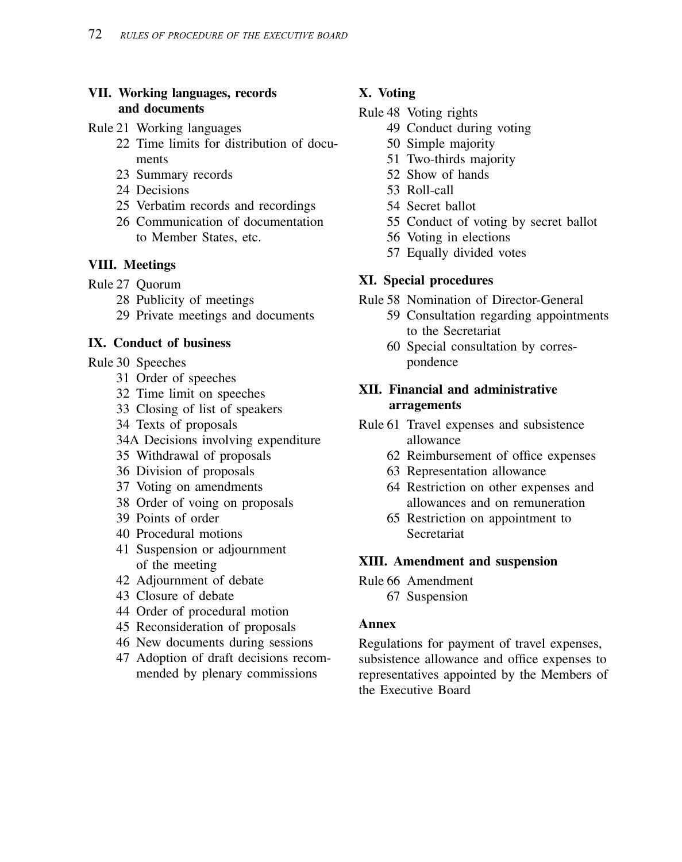### **VII. Working languages, records and documents**

Rule 21 Working languages

- 22 Time limits for distribution of documents
- 23 Summary records
- 24 Decisions
- 25 Verbatim records and recordings
- 26 Communication of documentation to Member States, etc.

### **VIII. Meetings**

- Rule 27 Quorum
	- 28 Publicity of meetings
	- 29 Private meetings and documents

### **IX. Conduct of business**

Rule 30 Speeches

- 31 Order of speeches
- 32 Time limit on speeches
- 33 Closing of list of speakers
- 34 Texts of proposals
- 34A Decisions involving expenditure
- 35 Withdrawal of proposals
- 36 Division of proposals
- 37 Voting on amendments
- 38 Order of voing on proposals
- 39 Points of order
- 40 Procedural motions
- 41 Suspension or adjournment of the meeting
- 42 Adjournment of debate
- 43 Closure of debate
- 44 Order of procedural motion
- 45 Reconsideration of proposals
- 46 New documents during sessions
- 47 Adoption of draft decisions recommended by plenary commissions

### **X. Voting**

- Rule 48 Voting rights
	- 49 Conduct during voting
	- 50 Simple majority
	- 51 Two-thirds majority
	- 52 Show of hands
	- 53 Roll-call
	- 54 Secret ballot
	- 55 Conduct of voting by secret ballot
	- 56 Voting in elections
	- 57 Equally divided votes

### **XI. Special procedures**

- Rule 58 Nomination of Director-General
	- 59 Consultation regarding appointments to the Secretariat
	- 60 Special consultation by correspondence

### **XII. Financial and administrative arragements**

- Rule 61 Travel expenses and subsistence allowance
	- 62 Reimbursement of office expenses
	- 63 Representation allowance
	- 64 Restriction on other expenses and allowances and on remuneration
	- 65 Restriction on appointment to Secretariat

#### **XIII. Amendment and suspension**

- Rule 66 Amendment
	- 67 Suspension

#### **Annex**

Regulations for payment of travel expenses, subsistence allowance and office expenses to representatives appointed by the Members of the Executive Board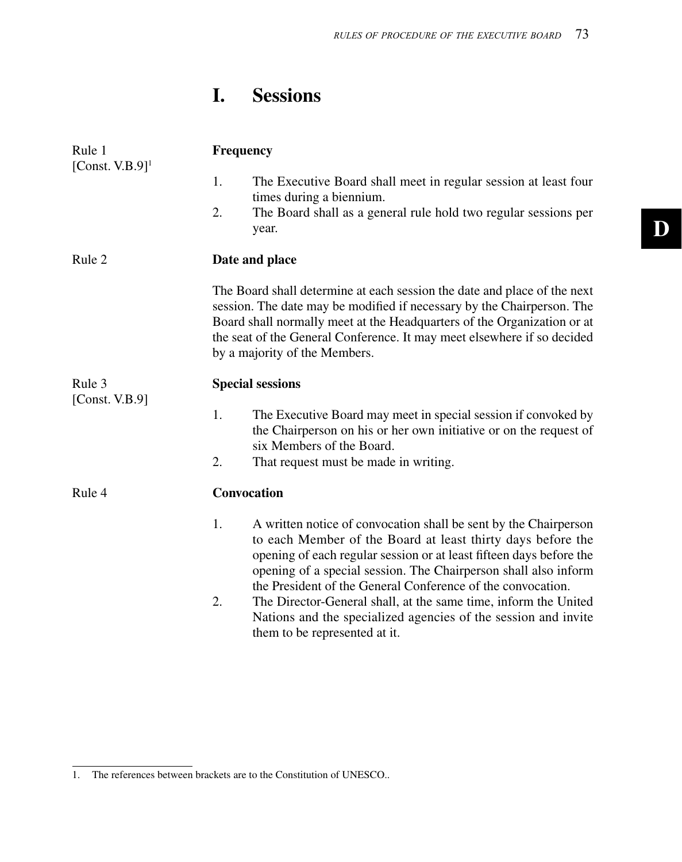## **I. Sessions**

| Rule 1<br>[Const. $V.B.9$ ] <sup>1</sup> | <b>Frequency</b>                                                                                                                                                                                                                                                                                                                               |  |  |
|------------------------------------------|------------------------------------------------------------------------------------------------------------------------------------------------------------------------------------------------------------------------------------------------------------------------------------------------------------------------------------------------|--|--|
|                                          | 1.<br>The Executive Board shall meet in regular session at least four<br>times during a biennium.<br>2.<br>The Board shall as a general rule hold two regular sessions per<br>year.                                                                                                                                                            |  |  |
| Rule 2                                   | Date and place                                                                                                                                                                                                                                                                                                                                 |  |  |
|                                          | The Board shall determine at each session the date and place of the next<br>session. The date may be modified if necessary by the Chairperson. The<br>Board shall normally meet at the Headquarters of the Organization or at<br>the seat of the General Conference. It may meet elsewhere if so decided<br>by a majority of the Members.      |  |  |
| Rule 3<br>[Const. $V.B.9$ ]              | <b>Special sessions</b>                                                                                                                                                                                                                                                                                                                        |  |  |
|                                          | 1.<br>The Executive Board may meet in special session if convoked by<br>the Chairperson on his or her own initiative or on the request of<br>six Members of the Board.                                                                                                                                                                         |  |  |
|                                          | 2.<br>That request must be made in writing.                                                                                                                                                                                                                                                                                                    |  |  |
| Rule 4                                   | Convocation                                                                                                                                                                                                                                                                                                                                    |  |  |
|                                          | 1.<br>A written notice of convocation shall be sent by the Chairperson<br>to each Member of the Board at least thirty days before the<br>opening of each regular session or at least fifteen days before the<br>opening of a special session. The Chairperson shall also inform<br>the President of the General Conference of the convocation. |  |  |
|                                          | 2.<br>The Director-General shall, at the same time, inform the United<br>Nations and the specialized agencies of the session and invite<br>them to be represented at it.                                                                                                                                                                       |  |  |

<sup>1.</sup> The references between brackets are to the Constitution of UNESCO..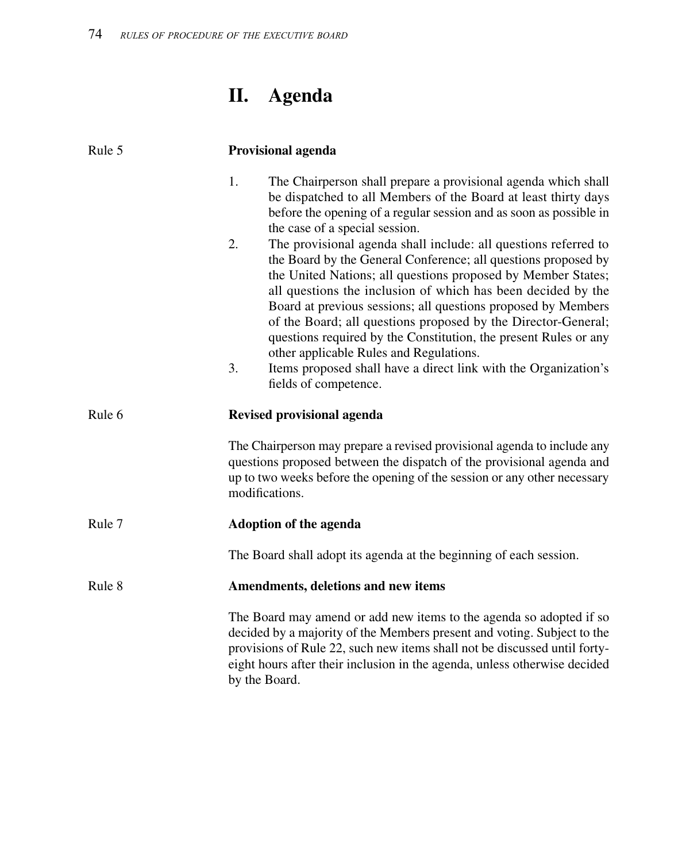# **II. Agenda**

| Rule 5 | Provisional agenda                                                                                                                                                                                                                                                                                                                                                                                                                                                                                                                                                                                                         |  |  |
|--------|----------------------------------------------------------------------------------------------------------------------------------------------------------------------------------------------------------------------------------------------------------------------------------------------------------------------------------------------------------------------------------------------------------------------------------------------------------------------------------------------------------------------------------------------------------------------------------------------------------------------------|--|--|
|        | 1.<br>The Chairperson shall prepare a provisional agenda which shall<br>be dispatched to all Members of the Board at least thirty days<br>before the opening of a regular session and as soon as possible in<br>the case of a special session.                                                                                                                                                                                                                                                                                                                                                                             |  |  |
|        | 2.<br>The provisional agenda shall include: all questions referred to<br>the Board by the General Conference; all questions proposed by<br>the United Nations; all questions proposed by Member States;<br>all questions the inclusion of which has been decided by the<br>Board at previous sessions; all questions proposed by Members<br>of the Board; all questions proposed by the Director-General;<br>questions required by the Constitution, the present Rules or any<br>other applicable Rules and Regulations.<br>Items proposed shall have a direct link with the Organization's<br>3.<br>fields of competence. |  |  |
| Rule 6 | <b>Revised provisional agenda</b>                                                                                                                                                                                                                                                                                                                                                                                                                                                                                                                                                                                          |  |  |
|        | The Chairperson may prepare a revised provisional agenda to include any<br>questions proposed between the dispatch of the provisional agenda and<br>up to two weeks before the opening of the session or any other necessary<br>modifications.                                                                                                                                                                                                                                                                                                                                                                             |  |  |
| Rule 7 | <b>Adoption of the agenda</b>                                                                                                                                                                                                                                                                                                                                                                                                                                                                                                                                                                                              |  |  |
|        | The Board shall adopt its agenda at the beginning of each session.                                                                                                                                                                                                                                                                                                                                                                                                                                                                                                                                                         |  |  |
| Rule 8 | Amendments, deletions and new items                                                                                                                                                                                                                                                                                                                                                                                                                                                                                                                                                                                        |  |  |
|        | The Board may amend or add new items to the agenda so adopted if so<br>decided by a majority of the Members present and voting. Subject to the<br>provisions of Rule 22, such new items shall not be discussed until forty-<br>eight hours after their inclusion in the agenda, unless otherwise decided<br>by the Board.                                                                                                                                                                                                                                                                                                  |  |  |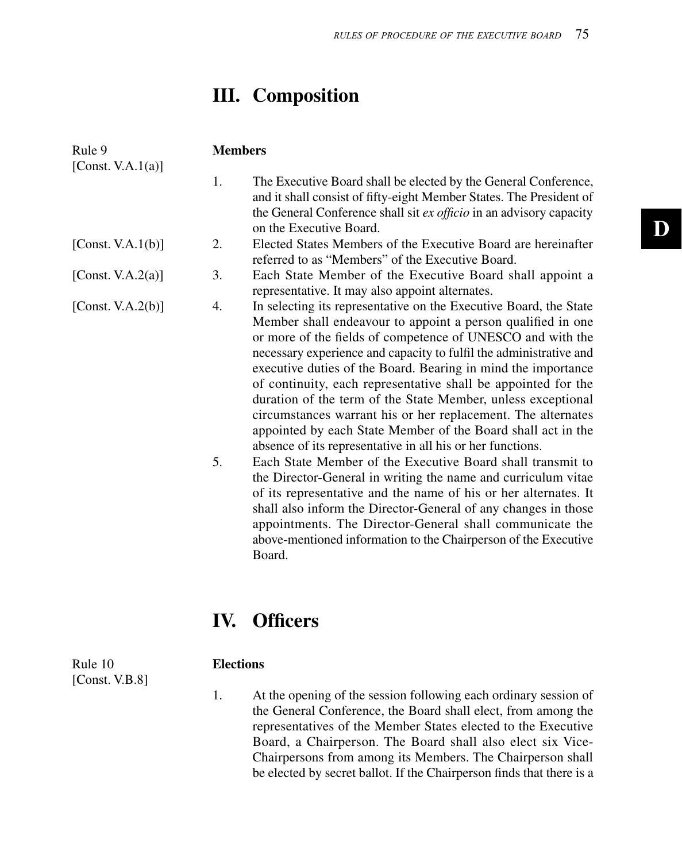## **III. Composition**

| Rule 9<br>[Const. V.A. $1(a)$ ] | <b>Members</b> |                                                                                                                                                                                                                                                                                                                                                                                                                                                                                                                                                                                                                                                                                                                                                                                                                                                                                                                                                                                                                                                                                   |  |
|---------------------------------|----------------|-----------------------------------------------------------------------------------------------------------------------------------------------------------------------------------------------------------------------------------------------------------------------------------------------------------------------------------------------------------------------------------------------------------------------------------------------------------------------------------------------------------------------------------------------------------------------------------------------------------------------------------------------------------------------------------------------------------------------------------------------------------------------------------------------------------------------------------------------------------------------------------------------------------------------------------------------------------------------------------------------------------------------------------------------------------------------------------|--|
|                                 | 1.             | The Executive Board shall be elected by the General Conference,<br>and it shall consist of fifty-eight Member States. The President of<br>the General Conference shall sit ex officio in an advisory capacity<br>on the Executive Board.                                                                                                                                                                                                                                                                                                                                                                                                                                                                                                                                                                                                                                                                                                                                                                                                                                          |  |
| [Const. V.A. $1(b)$ ]           | 2.             | Elected States Members of the Executive Board are hereinafter<br>referred to as "Members" of the Executive Board.                                                                                                                                                                                                                                                                                                                                                                                                                                                                                                                                                                                                                                                                                                                                                                                                                                                                                                                                                                 |  |
| [Const. V.A.2(a)]               | 3.             | Each State Member of the Executive Board shall appoint a<br>representative. It may also appoint alternates.                                                                                                                                                                                                                                                                                                                                                                                                                                                                                                                                                                                                                                                                                                                                                                                                                                                                                                                                                                       |  |
| [Const. V.A.2(b)]               | 4.<br>5.       | In selecting its representative on the Executive Board, the State<br>Member shall endeavour to appoint a person qualified in one<br>or more of the fields of competence of UNESCO and with the<br>necessary experience and capacity to fulfil the administrative and<br>executive duties of the Board. Bearing in mind the importance<br>of continuity, each representative shall be appointed for the<br>duration of the term of the State Member, unless exceptional<br>circumstances warrant his or her replacement. The alternates<br>appointed by each State Member of the Board shall act in the<br>absence of its representative in all his or her functions.<br>Each State Member of the Executive Board shall transmit to<br>the Director-General in writing the name and curriculum vitae<br>of its representative and the name of his or her alternates. It<br>shall also inform the Director-General of any changes in those<br>appointments. The Director-General shall communicate the<br>above-mentioned information to the Chairperson of the Executive<br>Board. |  |

## **IV. Officers**

Rule 10 **Elections**

[Const. V.B.8]

1. At the opening of the session following each ordinary session of the General Conference, the Board shall elect, from among the representatives of the Member States elected to the Executive Board, a Chairperson. The Board shall also elect six Vice-Chairpersons from among its Members. The Chairperson shall be elected by secret ballot. If the Chairperson finds that there is a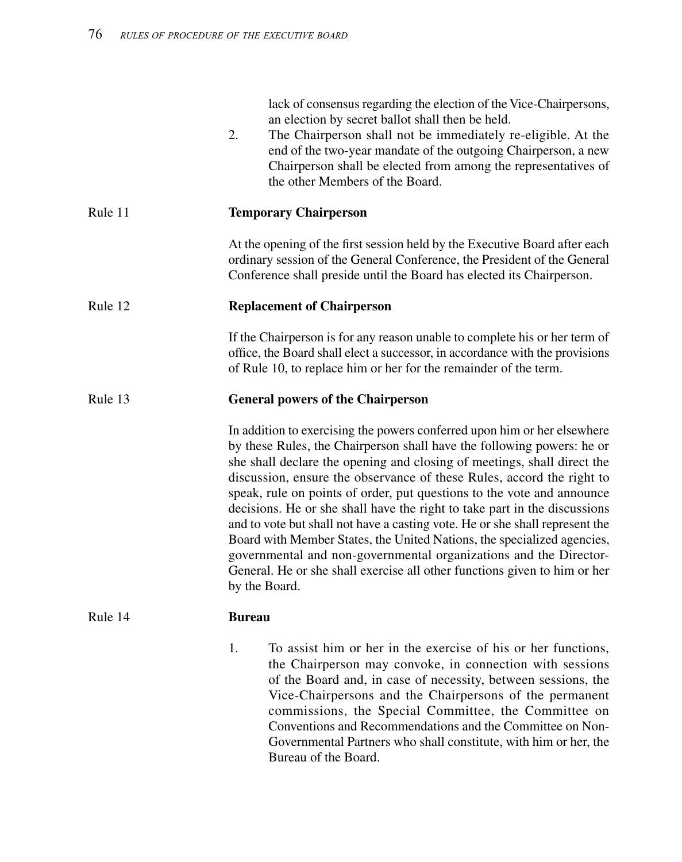lack of consensus regarding the election of the Vice-Chairpersons, an election by secret ballot shall then be held.

2. The Chairperson shall not be immediately re-eligible. At the end of the two-year mandate of the outgoing Chairperson, a new Chairperson shall be elected from among the representatives of the other Members of the Board.

#### Rule 11 **Temporary Chairperson**

At the opening of the first session held by the Executive Board after each ordinary session of the General Conference, the President of the General Conference shall preside until the Board has elected its Chairperson.

#### Rule 12 **Replacement of Chairperson**

If the Chairperson is for any reason unable to complete his or her term of office, the Board shall elect a successor, in accordance with the provisions of Rule 10, to replace him or her for the remainder of the term.

#### Rule 13 **General powers of the Chairperson**

In addition to exercising the powers conferred upon him or her elsewhere by these Rules, the Chairperson shall have the following powers: he or she shall declare the opening and closing of meetings, shall direct the discussion, ensure the observance of these Rules, accord the right to speak, rule on points of order, put questions to the vote and announce decisions. He or she shall have the right to take part in the discussions and to vote but shall not have a casting vote. He or she shall represent the Board with Member States, the United Nations, the specialized agencies, governmental and non-governmental organizations and the Director-General. He or she shall exercise all other functions given to him or her by the Board.

#### Rule 14 **Bureau**

- 
- 1. To assist him or her in the exercise of his or her functions, the Chairperson may convoke, in connection with sessions of the Board and, in case of necessity, between sessions, the Vice-Chairpersons and the Chairpersons of the permanent commissions, the Special Committee, the Committee on Conventions and Recommendations and the Committee on Non-Governmental Partners who shall constitute, with him or her, the Bureau of the Board.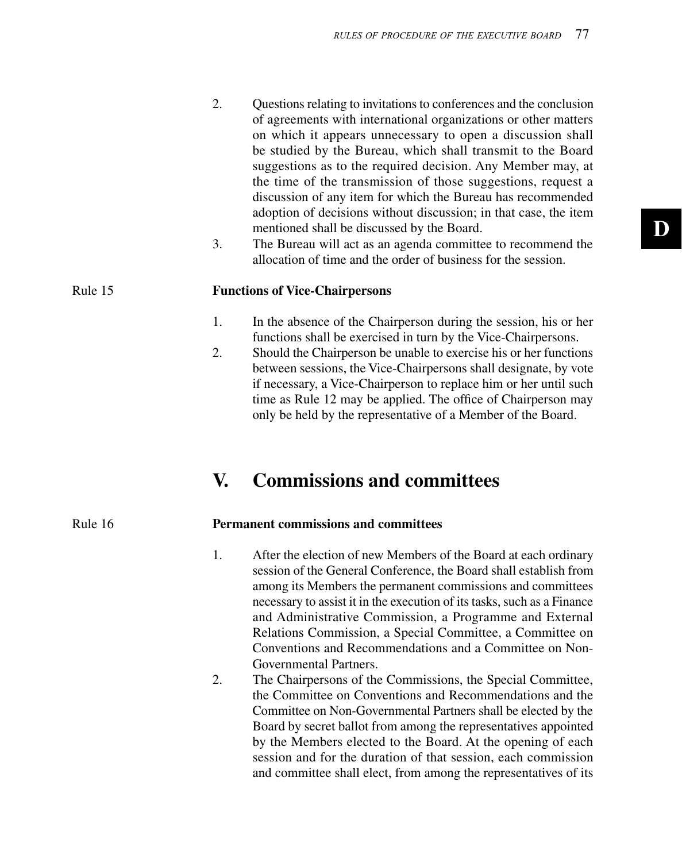| 2. | Questions relating to invitations to conferences and the conclusion |
|----|---------------------------------------------------------------------|
|    | of agreements with international organizations or other matters     |
|    | on which it appears unnecessary to open a discussion shall          |
|    | be studied by the Bureau, which shall transmit to the Board         |
|    | suggestions as to the required decision. Any Member may, at         |
|    | the time of the transmission of those suggestions, request a        |
|    | discussion of any item for which the Bureau has recommended         |
|    | adoption of decisions without discussion; in that case, the item    |
|    | mentioned shall be discussed by the Board.                          |
|    |                                                                     |

3. The Bureau will act as an agenda committee to recommend the allocation of time and the order of business for the session.

#### Rule 15 **Functions of Vice-Chairpersons**

- 1. In the absence of the Chairperson during the session, his or her functions shall be exercised in turn by the Vice-Chairpersons.
- 2. Should the Chairperson be unable to exercise his or her functions between sessions, the Vice-Chairpersons shall designate, by vote if necessary, a Vice-Chairperson to replace him or her until such time as Rule 12 may be applied. The office of Chairperson may only be held by the representative of a Member of the Board.

### **V. Commissions and committees**

#### Rule 16 **Permanent commissions and committees**

- 1. After the election of new Members of the Board at each ordinary session of the General Conference, the Board shall establish from among its Members the permanent commissions and committees necessary to assist it in the execution of its tasks, such as a Finance and Administrative Commission, a Programme and External Relations Commission, a Special Committee, a Committee on Conventions and Recommendations and a Committee on Non-Governmental Partners.
- 2. The Chairpersons of the Commissions, the Special Committee, the Committee on Conventions and Recommendations and the Committee on Non-Governmental Partners shall be elected by the Board by secret ballot from among the representatives appointed by the Members elected to the Board. At the opening of each session and for the duration of that session, each commission and committee shall elect, from among the representatives of its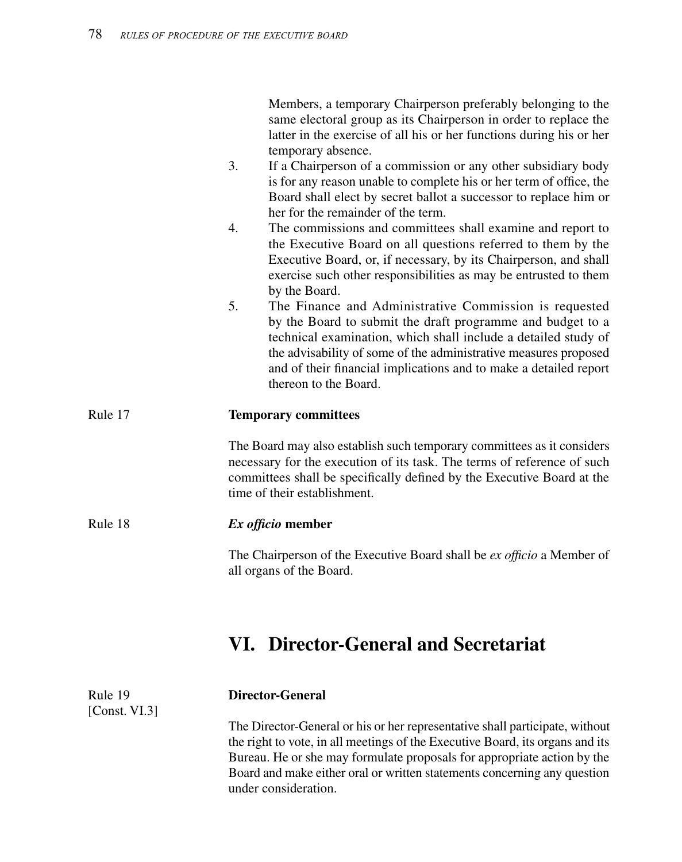|         | Members, a temporary Chairperson preferably belonging to the<br>same electoral group as its Chairperson in order to replace the<br>latter in the exercise of all his or her functions during his or her<br>temporary absence.<br>3.<br>If a Chairperson of a commission or any other subsidiary body<br>is for any reason unable to complete his or her term of office, the<br>Board shall elect by secret ballot a successor to replace him or<br>her for the remainder of the term.<br>4.<br>The commissions and committees shall examine and report to<br>the Executive Board on all questions referred to them by the<br>Executive Board, or, if necessary, by its Chairperson, and shall<br>exercise such other responsibilities as may be entrusted to them<br>by the Board.<br>5.<br>The Finance and Administrative Commission is requested<br>by the Board to submit the draft programme and budget to a<br>technical examination, which shall include a detailed study of<br>the advisability of some of the administrative measures proposed<br>and of their financial implications and to make a detailed report<br>thereon to the Board. |
|---------|------------------------------------------------------------------------------------------------------------------------------------------------------------------------------------------------------------------------------------------------------------------------------------------------------------------------------------------------------------------------------------------------------------------------------------------------------------------------------------------------------------------------------------------------------------------------------------------------------------------------------------------------------------------------------------------------------------------------------------------------------------------------------------------------------------------------------------------------------------------------------------------------------------------------------------------------------------------------------------------------------------------------------------------------------------------------------------------------------------------------------------------------------|
| Rule 17 | <b>Temporary committees</b>                                                                                                                                                                                                                                                                                                                                                                                                                                                                                                                                                                                                                                                                                                                                                                                                                                                                                                                                                                                                                                                                                                                          |
|         | The Board may also establish such temporary committees as it considers<br>necessary for the execution of its task. The terms of reference of such<br>committees shall be specifically defined by the Executive Board at the<br>time of their establishment.                                                                                                                                                                                                                                                                                                                                                                                                                                                                                                                                                                                                                                                                                                                                                                                                                                                                                          |
| Rule 18 | Ex officio member                                                                                                                                                                                                                                                                                                                                                                                                                                                                                                                                                                                                                                                                                                                                                                                                                                                                                                                                                                                                                                                                                                                                    |
|         | The Chairperson of the Executive Board shall be ex officio a Member of<br>all organs of the Board.                                                                                                                                                                                                                                                                                                                                                                                                                                                                                                                                                                                                                                                                                                                                                                                                                                                                                                                                                                                                                                                   |
|         |                                                                                                                                                                                                                                                                                                                                                                                                                                                                                                                                                                                                                                                                                                                                                                                                                                                                                                                                                                                                                                                                                                                                                      |

## **VI. Director-General and Secretariat**

| Rule 19<br>[ $Const. VI.3$ ] | Director-General                                                                                                                                              |
|------------------------------|---------------------------------------------------------------------------------------------------------------------------------------------------------------|
|                              | The Director-General or his or her representative shall participate, without<br>the right to vote, in all meetings of the Executive Board, its organs and its |
|                              | Bureau. He or she may formulate proposals for appropriate action by the                                                                                       |
|                              | Board and make either oral or written statements concerning any question<br>under consideration.                                                              |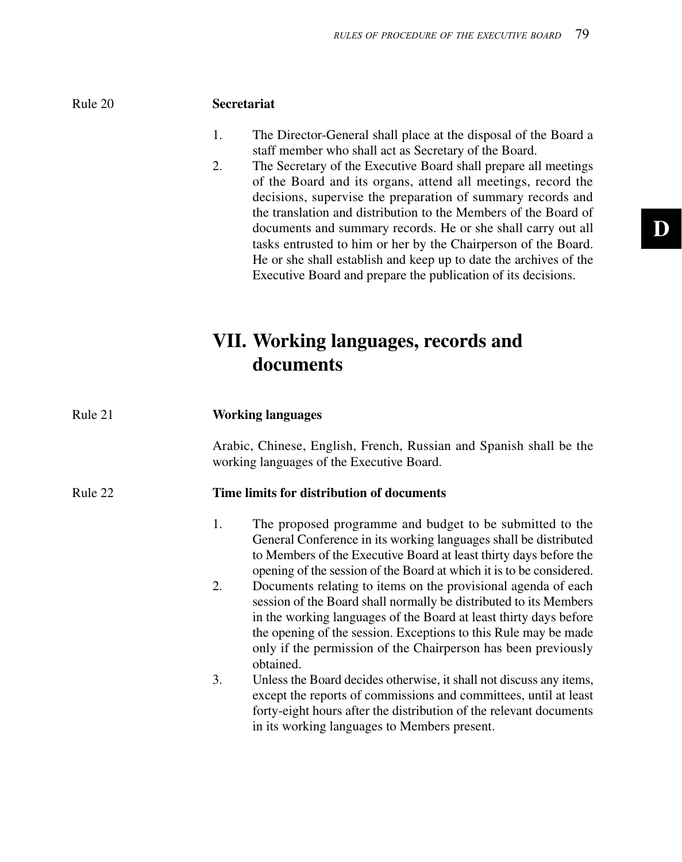#### Rule 20 **Secretariat**

| The Director-General shall place at the disposal of the Board a |
|-----------------------------------------------------------------|
| staff member who shall act as Secretary of the Board.           |

2. The Secretary of the Executive Board shall prepare all meetings of the Board and its organs, attend all meetings, record the decisions, supervise the preparation of summary records and the translation and distribution to the Members of the Board of documents and summary records. He or she shall carry out all tasks entrusted to him or her by the Chairperson of the Board. He or she shall establish and keep up to date the archives of the Executive Board and prepare the publication of its decisions.

## **VII. Working languages, records and documents**

| Rule 21 | Working languages                                                                                                                                                                                                                                                                                                                                              |  |
|---------|----------------------------------------------------------------------------------------------------------------------------------------------------------------------------------------------------------------------------------------------------------------------------------------------------------------------------------------------------------------|--|
|         | Arabic, Chinese, English, French, Russian and Spanish shall be the<br>working languages of the Executive Board.                                                                                                                                                                                                                                                |  |
| Rule 22 | Time limits for distribution of documents                                                                                                                                                                                                                                                                                                                      |  |
|         | 1.<br>The proposed programme and budget to be submitted to the<br>General Conference in its working languages shall be distributed<br>to Members of the Executive Board at least thirty days before the<br>opening of the session of the Board at which it is to be considered.                                                                                |  |
|         | 2.<br>Documents relating to items on the provisional agenda of each<br>session of the Board shall normally be distributed to its Members<br>in the working languages of the Board at least thirty days before<br>the opening of the session. Exceptions to this Rule may be made<br>only if the permission of the Chairperson has been previously<br>obtained. |  |
|         | 3.<br>Unless the Board decides otherwise, it shall not discuss any items,<br>except the reports of commissions and committees, until at least<br>forty-eight hours after the distribution of the relevant documents<br>in its working languages to Members present.                                                                                            |  |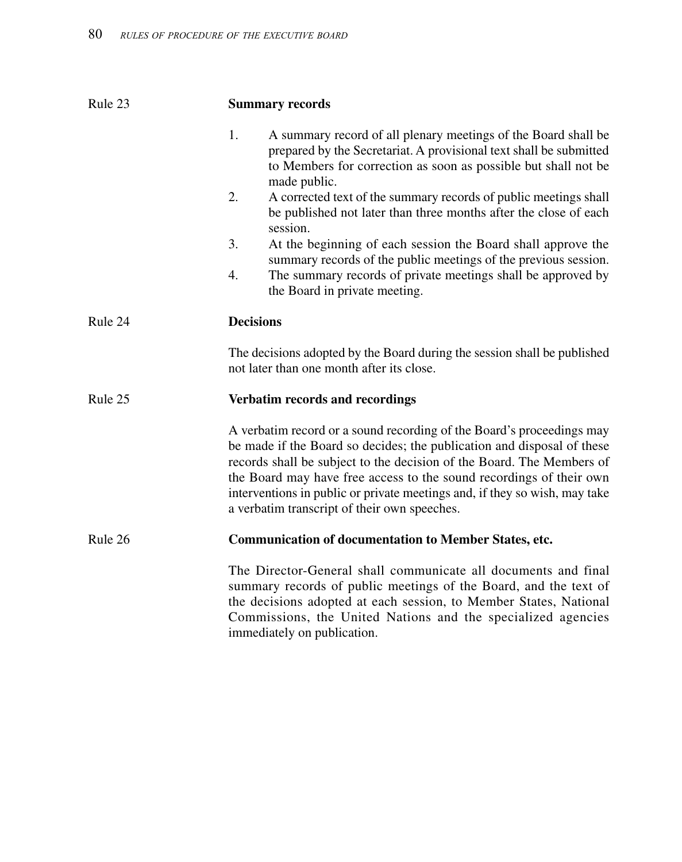| Rule 23 | <b>Summary records</b>                                                                                                                                                                                                                                                                                                                                                                                                        |
|---------|-------------------------------------------------------------------------------------------------------------------------------------------------------------------------------------------------------------------------------------------------------------------------------------------------------------------------------------------------------------------------------------------------------------------------------|
|         | 1.<br>A summary record of all plenary meetings of the Board shall be<br>prepared by the Secretariat. A provisional text shall be submitted<br>to Members for correction as soon as possible but shall not be<br>made public.                                                                                                                                                                                                  |
|         | 2.<br>A corrected text of the summary records of public meetings shall<br>be published not later than three months after the close of each<br>session.                                                                                                                                                                                                                                                                        |
|         | 3.<br>At the beginning of each session the Board shall approve the<br>summary records of the public meetings of the previous session.<br>The summary records of private meetings shall be approved by<br>4.<br>the Board in private meeting.                                                                                                                                                                                  |
| Rule 24 | <b>Decisions</b>                                                                                                                                                                                                                                                                                                                                                                                                              |
|         | The decisions adopted by the Board during the session shall be published<br>not later than one month after its close.                                                                                                                                                                                                                                                                                                         |
| Rule 25 | Verbatim records and recordings                                                                                                                                                                                                                                                                                                                                                                                               |
|         | A verbatim record or a sound recording of the Board's proceedings may<br>be made if the Board so decides; the publication and disposal of these<br>records shall be subject to the decision of the Board. The Members of<br>the Board may have free access to the sound recordings of their own<br>interventions in public or private meetings and, if they so wish, may take<br>a verbatim transcript of their own speeches. |
| Rule 26 | <b>Communication of documentation to Member States, etc.</b>                                                                                                                                                                                                                                                                                                                                                                  |
|         | The Director-General shall communicate all documents and final<br>summary records of public meetings of the Board, and the text of<br>the decisions adopted at each session, to Member States, National<br>Commissions, the United Nations and the specialized agencies<br>immediately on publication.                                                                                                                        |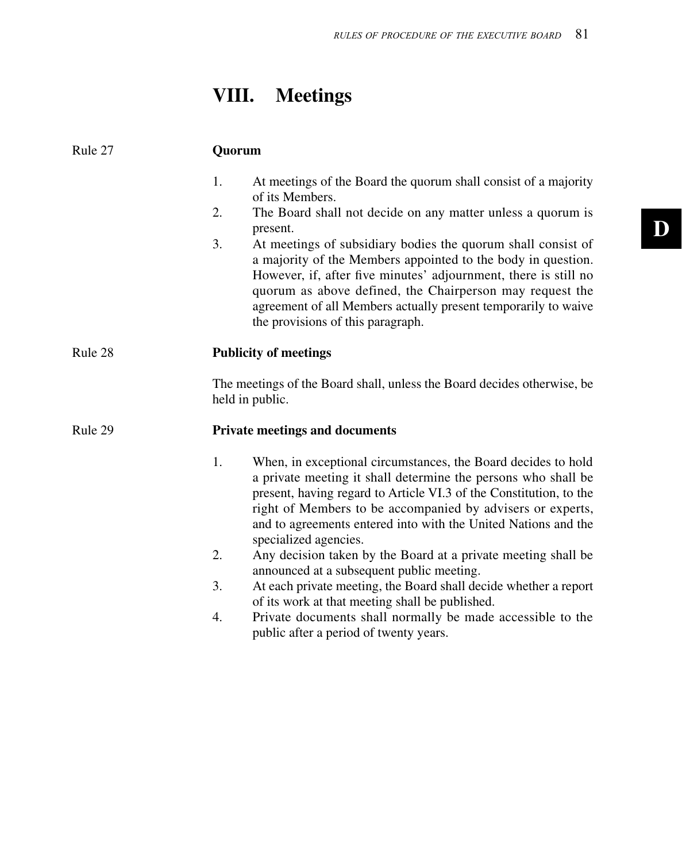# **VIII. Meetings**

| Rule 27 | Quorum                                                                                                                                                                                                                                                                                                                                                                   |  |  |
|---------|--------------------------------------------------------------------------------------------------------------------------------------------------------------------------------------------------------------------------------------------------------------------------------------------------------------------------------------------------------------------------|--|--|
|         | 1.<br>At meetings of the Board the quorum shall consist of a majority<br>of its Members.                                                                                                                                                                                                                                                                                 |  |  |
|         | 2.<br>The Board shall not decide on any matter unless a quorum is<br>present.                                                                                                                                                                                                                                                                                            |  |  |
|         | 3.<br>At meetings of subsidiary bodies the quorum shall consist of<br>a majority of the Members appointed to the body in question.<br>However, if, after five minutes' adjournment, there is still no<br>quorum as above defined, the Chairperson may request the<br>agreement of all Members actually present temporarily to waive<br>the provisions of this paragraph. |  |  |
| Rule 28 | <b>Publicity of meetings</b>                                                                                                                                                                                                                                                                                                                                             |  |  |
|         | The meetings of the Board shall, unless the Board decides otherwise, be<br>held in public.                                                                                                                                                                                                                                                                               |  |  |
| Rule 29 | <b>Private meetings and documents</b>                                                                                                                                                                                                                                                                                                                                    |  |  |
|         | 1.<br>When, in exceptional circumstances, the Board decides to hold<br>a private meeting it shall determine the persons who shall be<br>present, having regard to Article VI.3 of the Constitution, to the<br>right of Members to be accompanied by advisers or experts,<br>and to agreements entered into with the United Nations and the<br>specialized agencies.      |  |  |
|         | 2.<br>Any decision taken by the Board at a private meeting shall be<br>announced at a subsequent public meeting.                                                                                                                                                                                                                                                         |  |  |
|         | 3.<br>At each private meeting, the Board shall decide whether a report<br>of its work at that meeting shall be published.                                                                                                                                                                                                                                                |  |  |
|         | Private documents shall normally be made accessible to the<br>4.<br>public after a period of twenty years.                                                                                                                                                                                                                                                               |  |  |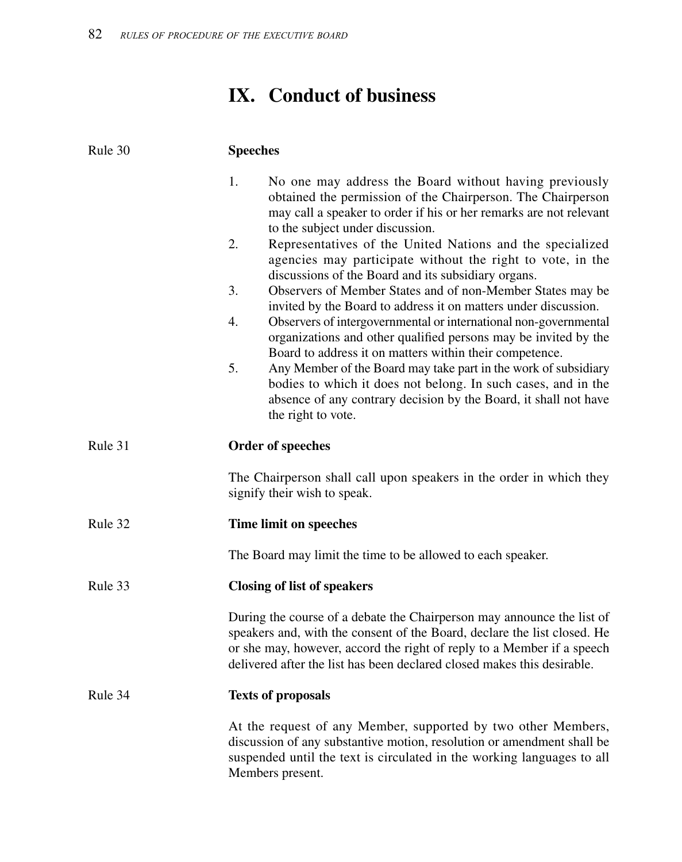## **IX. Conduct of business**

| Rule 30 | <b>Speeches</b>                                                                                                                                                                                                                                                                                                                                                                                                                                                                                                                                                                                                                                                                                                                                                                                                                                                                                                                                                                                                  |
|---------|------------------------------------------------------------------------------------------------------------------------------------------------------------------------------------------------------------------------------------------------------------------------------------------------------------------------------------------------------------------------------------------------------------------------------------------------------------------------------------------------------------------------------------------------------------------------------------------------------------------------------------------------------------------------------------------------------------------------------------------------------------------------------------------------------------------------------------------------------------------------------------------------------------------------------------------------------------------------------------------------------------------|
|         | 1.<br>No one may address the Board without having previously<br>obtained the permission of the Chairperson. The Chairperson<br>may call a speaker to order if his or her remarks are not relevant<br>to the subject under discussion.<br>2.<br>Representatives of the United Nations and the specialized<br>agencies may participate without the right to vote, in the<br>discussions of the Board and its subsidiary organs.<br>3.<br>Observers of Member States and of non-Member States may be<br>invited by the Board to address it on matters under discussion.<br>4.<br>Observers of intergovernmental or international non-governmental<br>organizations and other qualified persons may be invited by the<br>Board to address it on matters within their competence.<br>5.<br>Any Member of the Board may take part in the work of subsidiary<br>bodies to which it does not belong. In such cases, and in the<br>absence of any contrary decision by the Board, it shall not have<br>the right to vote. |
| Rule 31 | Order of speeches                                                                                                                                                                                                                                                                                                                                                                                                                                                                                                                                                                                                                                                                                                                                                                                                                                                                                                                                                                                                |
|         | The Chairperson shall call upon speakers in the order in which they<br>signify their wish to speak.                                                                                                                                                                                                                                                                                                                                                                                                                                                                                                                                                                                                                                                                                                                                                                                                                                                                                                              |
| Rule 32 | Time limit on speeches                                                                                                                                                                                                                                                                                                                                                                                                                                                                                                                                                                                                                                                                                                                                                                                                                                                                                                                                                                                           |
|         | The Board may limit the time to be allowed to each speaker.                                                                                                                                                                                                                                                                                                                                                                                                                                                                                                                                                                                                                                                                                                                                                                                                                                                                                                                                                      |
| Rule 33 | <b>Closing of list of speakers</b>                                                                                                                                                                                                                                                                                                                                                                                                                                                                                                                                                                                                                                                                                                                                                                                                                                                                                                                                                                               |
|         | During the course of a debate the Chairperson may announce the list of<br>speakers and, with the consent of the Board, declare the list closed. He<br>or she may, however, accord the right of reply to a Member if a speech<br>delivered after the list has been declared closed makes this desirable.                                                                                                                                                                                                                                                                                                                                                                                                                                                                                                                                                                                                                                                                                                          |
| Rule 34 | <b>Texts of proposals</b>                                                                                                                                                                                                                                                                                                                                                                                                                                                                                                                                                                                                                                                                                                                                                                                                                                                                                                                                                                                        |
|         | At the request of any Member, supported by two other Members,<br>discussion of any substantive motion, resolution or amendment shall be<br>suspended until the text is circulated in the working languages to all<br>Members present.                                                                                                                                                                                                                                                                                                                                                                                                                                                                                                                                                                                                                                                                                                                                                                            |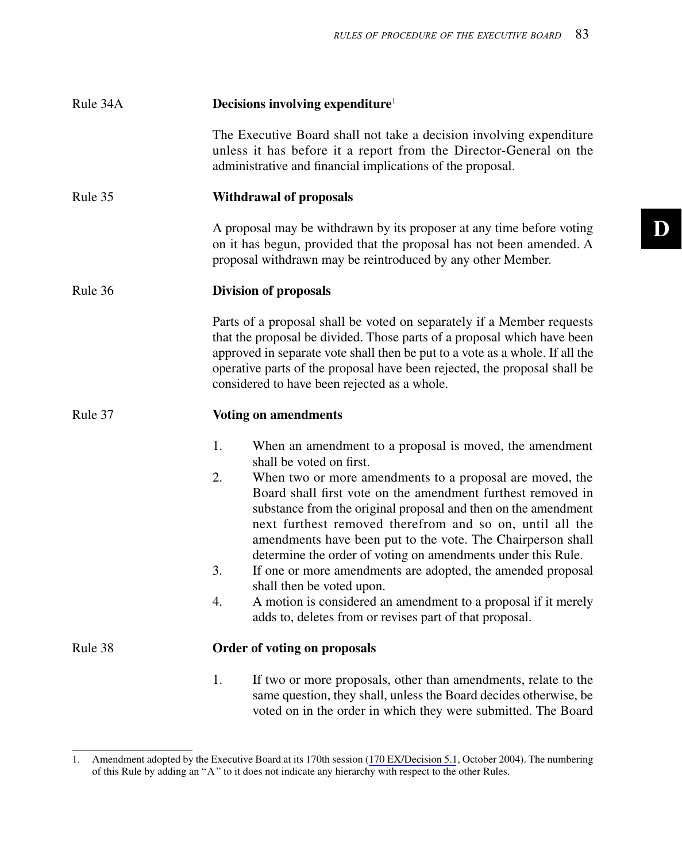| Rule 34A | Decisions involving expenditure <sup>1</sup>                                                                                                                                                                                                                                                                                                                                                                                                                                                                                                                                                                                                                                                                                 |
|----------|------------------------------------------------------------------------------------------------------------------------------------------------------------------------------------------------------------------------------------------------------------------------------------------------------------------------------------------------------------------------------------------------------------------------------------------------------------------------------------------------------------------------------------------------------------------------------------------------------------------------------------------------------------------------------------------------------------------------------|
|          | The Executive Board shall not take a decision involving expenditure<br>unless it has before it a report from the Director-General on the<br>administrative and financial implications of the proposal.                                                                                                                                                                                                                                                                                                                                                                                                                                                                                                                       |
| Rule 35  | <b>Withdrawal of proposals</b>                                                                                                                                                                                                                                                                                                                                                                                                                                                                                                                                                                                                                                                                                               |
|          | A proposal may be withdrawn by its proposer at any time before voting<br>on it has begun, provided that the proposal has not been amended. A<br>proposal withdrawn may be reintroduced by any other Member.                                                                                                                                                                                                                                                                                                                                                                                                                                                                                                                  |
| Rule 36  | <b>Division of proposals</b>                                                                                                                                                                                                                                                                                                                                                                                                                                                                                                                                                                                                                                                                                                 |
|          | Parts of a proposal shall be voted on separately if a Member requests<br>that the proposal be divided. Those parts of a proposal which have been<br>approved in separate vote shall then be put to a vote as a whole. If all the<br>operative parts of the proposal have been rejected, the proposal shall be<br>considered to have been rejected as a whole.                                                                                                                                                                                                                                                                                                                                                                |
| Rule 37  | <b>Voting on amendments</b>                                                                                                                                                                                                                                                                                                                                                                                                                                                                                                                                                                                                                                                                                                  |
|          | 1.<br>When an amendment to a proposal is moved, the amendment<br>shall be voted on first.<br>2.<br>When two or more amendments to a proposal are moved, the<br>Board shall first vote on the amendment furthest removed in<br>substance from the original proposal and then on the amendment<br>next furthest removed therefrom and so on, until all the<br>amendments have been put to the vote. The Chairperson shall<br>determine the order of voting on amendments under this Rule.<br>3.<br>If one or more amendments are adopted, the amended proposal<br>shall then be voted upon.<br>4.<br>A motion is considered an amendment to a proposal if it merely<br>adds to, deletes from or revises part of that proposal. |
| Rule 38  | Order of voting on proposals                                                                                                                                                                                                                                                                                                                                                                                                                                                                                                                                                                                                                                                                                                 |
|          | 1.<br>If two or more proposals, other than amendments, relate to the<br>same question, they shall, unless the Board decides otherwise, be<br>voted on in the order in which they were submitted. The Board                                                                                                                                                                                                                                                                                                                                                                                                                                                                                                                   |

<sup>1.</sup> Amendment adopted by the Executive Board at its 170th session ([170 EX/Decision 5.1](https://unesdoc.unesco.org/ark:/48223/pf0000137349_eng.nameddest=5.1), October 2004). The numbering of this Rule by adding an "A" to it does not indicate any hierarchy with respect to the other Rules.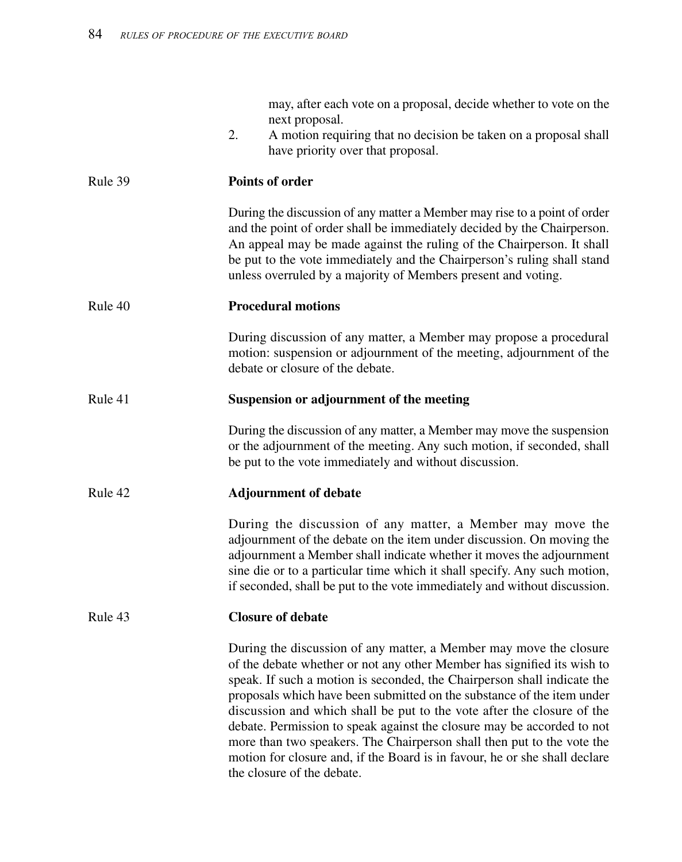may, after each vote on a proposal, decide whether to vote on the next proposal.

2. A motion requiring that no decision be taken on a proposal shall have priority over that proposal.

#### Rule 39 **Points of order**

During the discussion of any matter a Member may rise to a point of order and the point of order shall be immediately decided by the Chairperson. An appeal may be made against the ruling of the Chairperson. It shall be put to the vote immediately and the Chairperson's ruling shall stand unless overruled by a majority of Members present and voting.

#### Rule 40 **Procedural motions**

During discussion of any matter, a Member may propose a procedural motion: suspension or adjournment of the meeting, adjournment of the debate or closure of the debate.

#### Rule 41 **Suspension or adjournment of the meeting**

During the discussion of any matter, a Member may move the suspension or the adjournment of the meeting. Any such motion, if seconded, shall be put to the vote immediately and without discussion.

#### Rule 42 **Adjournment of debate**

During the discussion of any matter, a Member may move the adjournment of the debate on the item under discussion. On moving the adjournment a Member shall indicate whether it moves the adjournment sine die or to a particular time which it shall specify. Any such motion, if seconded, shall be put to the vote immediately and without discussion.

#### Rule 43 **Closure of debate**

During the discussion of any matter, a Member may move the closure of the debate whether or not any other Member has signified its wish to speak. If such a motion is seconded, the Chairperson shall indicate the proposals which have been submitted on the substance of the item under discussion and which shall be put to the vote after the closure of the debate. Permission to speak against the closure may be accorded to not more than two speakers. The Chairperson shall then put to the vote the motion for closure and, if the Board is in favour, he or she shall declare the closure of the debate.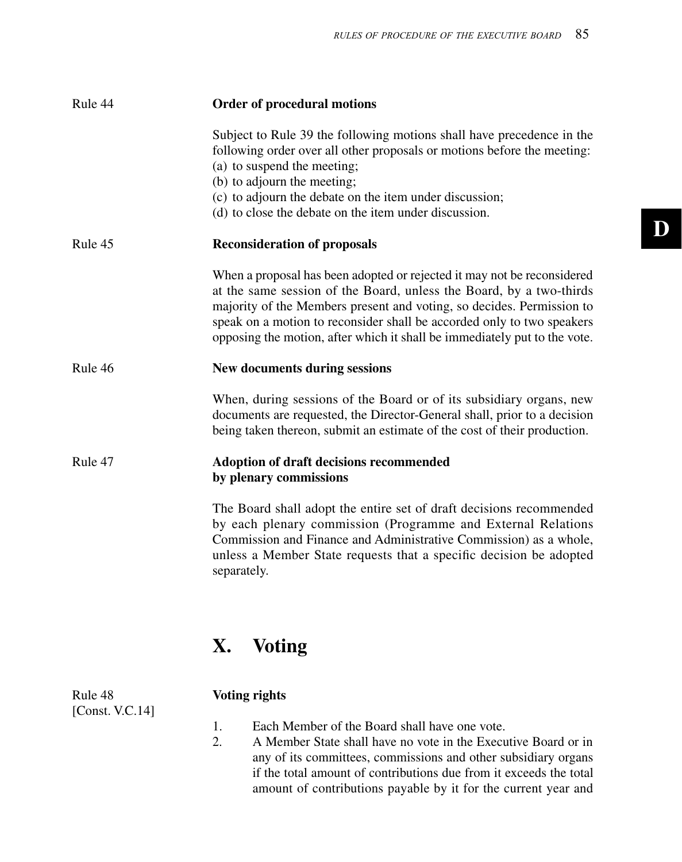| Rule 44 | Order of procedural motions                                                                                                                                                                                                                                                                                                                                                    |
|---------|--------------------------------------------------------------------------------------------------------------------------------------------------------------------------------------------------------------------------------------------------------------------------------------------------------------------------------------------------------------------------------|
|         | Subject to Rule 39 the following motions shall have precedence in the<br>following order over all other proposals or motions before the meeting:<br>(a) to suspend the meeting;<br>(b) to adjourn the meeting;<br>(c) to adjourn the debate on the item under discussion;<br>(d) to close the debate on the item under discussion.                                             |
| Rule 45 | <b>Reconsideration of proposals</b>                                                                                                                                                                                                                                                                                                                                            |
|         | When a proposal has been adopted or rejected it may not be reconsidered<br>at the same session of the Board, unless the Board, by a two-thirds<br>majority of the Members present and voting, so decides. Permission to<br>speak on a motion to reconsider shall be accorded only to two speakers<br>opposing the motion, after which it shall be immediately put to the vote. |
| Rule 46 | <b>New documents during sessions</b>                                                                                                                                                                                                                                                                                                                                           |
|         | When, during sessions of the Board or of its subsidiary organs, new<br>documents are requested, the Director-General shall, prior to a decision<br>being taken thereon, submit an estimate of the cost of their production.                                                                                                                                                    |
| Rule 47 | <b>Adoption of draft decisions recommended</b><br>by plenary commissions                                                                                                                                                                                                                                                                                                       |
|         | The Board shall adopt the entire set of draft decisions recommended<br>by each plenary commission (Programme and External Relations<br>Commission and Finance and Administrative Commission) as a whole,<br>unless a Member State requests that a specific decision be adopted<br>separately.                                                                                  |

## **X. Voting**

| Rule 48         |  |
|-----------------|--|
| [Const. V.C.14] |  |

#### **Voting rights**

- 1. Each Member of the Board shall have one vote.
- 2. A Member State shall have no vote in the Executive Board or in any of its committees, commissions and other subsidiary organs if the total amount of contributions due from it exceeds the total amount of contributions payable by it for the current year and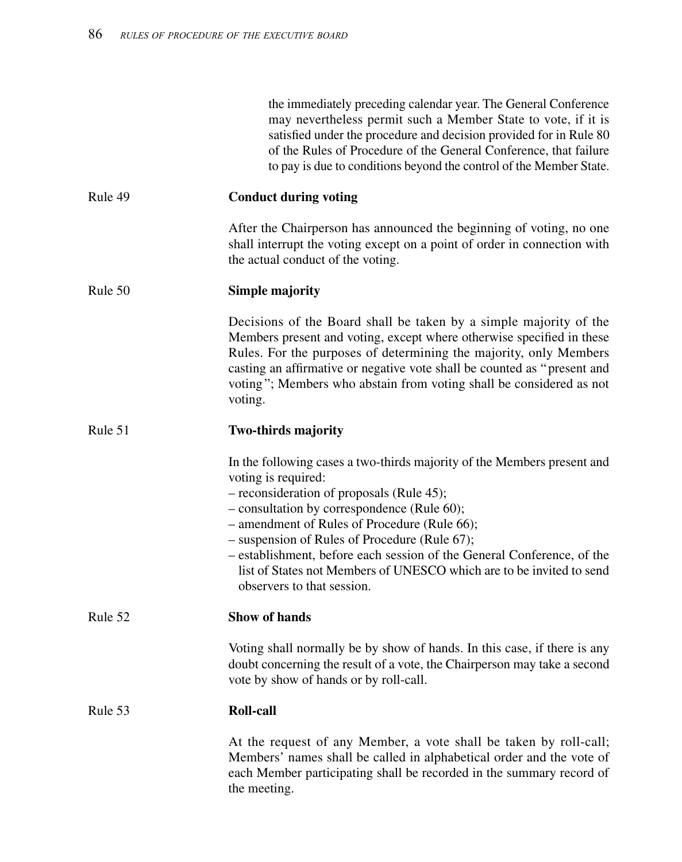|         | the immediately preceding calendar year. The General Conference<br>may nevertheless permit such a Member State to vote, if it is<br>satisfied under the procedure and decision provided for in Rule 80<br>of the Rules of Procedure of the General Conference, that failure<br>to pay is due to conditions beyond the control of the Member State.                                                                                                                          |
|---------|-----------------------------------------------------------------------------------------------------------------------------------------------------------------------------------------------------------------------------------------------------------------------------------------------------------------------------------------------------------------------------------------------------------------------------------------------------------------------------|
| Rule 49 | <b>Conduct during voting</b>                                                                                                                                                                                                                                                                                                                                                                                                                                                |
|         | After the Chairperson has announced the beginning of voting, no one<br>shall interrupt the voting except on a point of order in connection with<br>the actual conduct of the voting.                                                                                                                                                                                                                                                                                        |
| Rule 50 | <b>Simple majority</b>                                                                                                                                                                                                                                                                                                                                                                                                                                                      |
|         | Decisions of the Board shall be taken by a simple majority of the<br>Members present and voting, except where otherwise specified in these<br>Rules. For the purposes of determining the majority, only Members<br>casting an affirmative or negative vote shall be counted as "present and<br>voting"; Members who abstain from voting shall be considered as not<br>voting.                                                                                               |
| Rule 51 | Two-thirds majority                                                                                                                                                                                                                                                                                                                                                                                                                                                         |
|         | In the following cases a two-thirds majority of the Members present and<br>voting is required:<br>- reconsideration of proposals (Rule 45);<br>- consultation by correspondence (Rule 60);<br>- amendment of Rules of Procedure (Rule 66);<br>- suspension of Rules of Procedure (Rule 67);<br>- establishment, before each session of the General Conference, of the<br>list of States not Members of UNESCO which are to be invited to send<br>observers to that session. |
| Rule 52 | Show of hands                                                                                                                                                                                                                                                                                                                                                                                                                                                               |
|         | Voting shall normally be by show of hands. In this case, if there is any<br>doubt concerning the result of a vote, the Chairperson may take a second<br>vote by show of hands or by roll-call.                                                                                                                                                                                                                                                                              |
| Rule 53 | <b>Roll-call</b>                                                                                                                                                                                                                                                                                                                                                                                                                                                            |
|         | At the request of any Member, a vote shall be taken by roll-call;<br>Members' names shall be called in alphabetical order and the vote of<br>each Member participating shall be recorded in the summary record of<br>the meeting.                                                                                                                                                                                                                                           |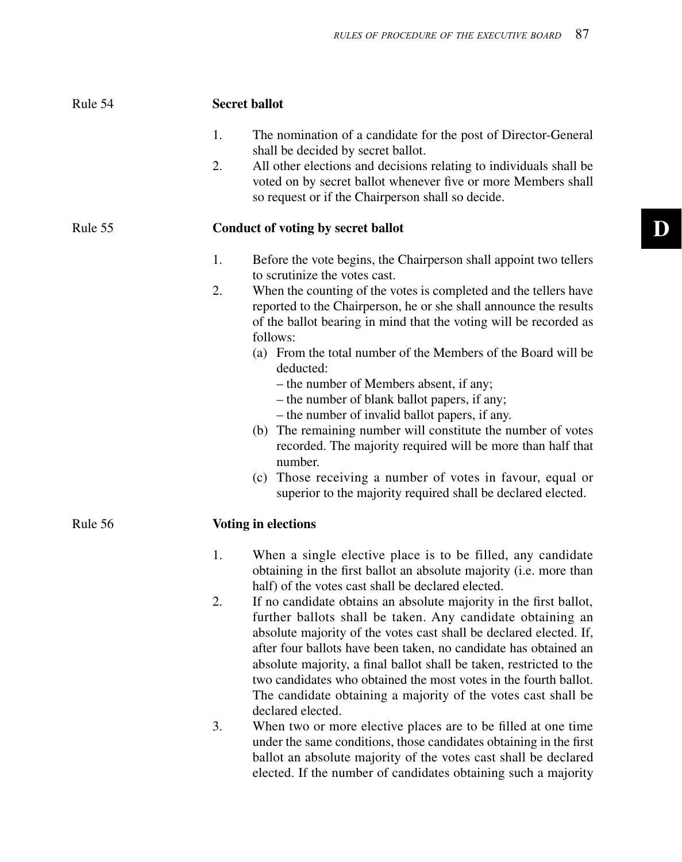| Rule 54 | <b>Secret ballot</b>                                                                                                                                                                                                                                                                                                                                                                                                                                                                                                                                                                                                                                                                                                                                                                                                                       |  |  |
|---------|--------------------------------------------------------------------------------------------------------------------------------------------------------------------------------------------------------------------------------------------------------------------------------------------------------------------------------------------------------------------------------------------------------------------------------------------------------------------------------------------------------------------------------------------------------------------------------------------------------------------------------------------------------------------------------------------------------------------------------------------------------------------------------------------------------------------------------------------|--|--|
|         | 1.<br>The nomination of a candidate for the post of Director-General<br>shall be decided by secret ballot.<br>2.<br>All other elections and decisions relating to individuals shall be<br>voted on by secret ballot whenever five or more Members shall<br>so request or if the Chairperson shall so decide.                                                                                                                                                                                                                                                                                                                                                                                                                                                                                                                               |  |  |
| Rule 55 | Conduct of voting by secret ballot                                                                                                                                                                                                                                                                                                                                                                                                                                                                                                                                                                                                                                                                                                                                                                                                         |  |  |
|         | 1.<br>Before the vote begins, the Chairperson shall appoint two tellers<br>to scrutinize the votes cast.<br>2.<br>When the counting of the votes is completed and the tellers have<br>reported to the Chairperson, he or she shall announce the results<br>of the ballot bearing in mind that the voting will be recorded as<br>follows:<br>(a) From the total number of the Members of the Board will be<br>deducted:<br>- the number of Members absent, if any;<br>- the number of blank ballot papers, if any;<br>- the number of invalid ballot papers, if any.<br>(b) The remaining number will constitute the number of votes<br>recorded. The majority required will be more than half that<br>number.<br>(c) Those receiving a number of votes in favour, equal or<br>superior to the majority required shall be declared elected. |  |  |
| Rule 56 | Voting in elections                                                                                                                                                                                                                                                                                                                                                                                                                                                                                                                                                                                                                                                                                                                                                                                                                        |  |  |
|         | 1.<br>When a single elective place is to be filled, any candidate<br>obtaining in the first ballot an absolute majority (i.e. more than<br>half) of the votes cast shall be declared elected.<br>2.<br>If no candidate obtains an absolute majority in the first ballot,<br>further ballots shall be taken. Any candidate obtaining an<br>absolute majority of the votes cast shall be declared elected. If,                                                                                                                                                                                                                                                                                                                                                                                                                               |  |  |
|         | after four ballots have been taken, no candidate has obtained an<br>absolute majority, a final ballot shall be taken, restricted to the<br>two candidates who obtained the most votes in the fourth ballot.<br>The candidate obtaining a majority of the votes cast shall be<br>declared elected.<br>3.<br>When two or more elective places are to be filled at one time<br>under the same conditions, those candidates obtaining in the first<br>ballot an absolute majority of the votes cast shall be declared<br>elected. If the number of candidates obtaining such a majority                                                                                                                                                                                                                                                        |  |  |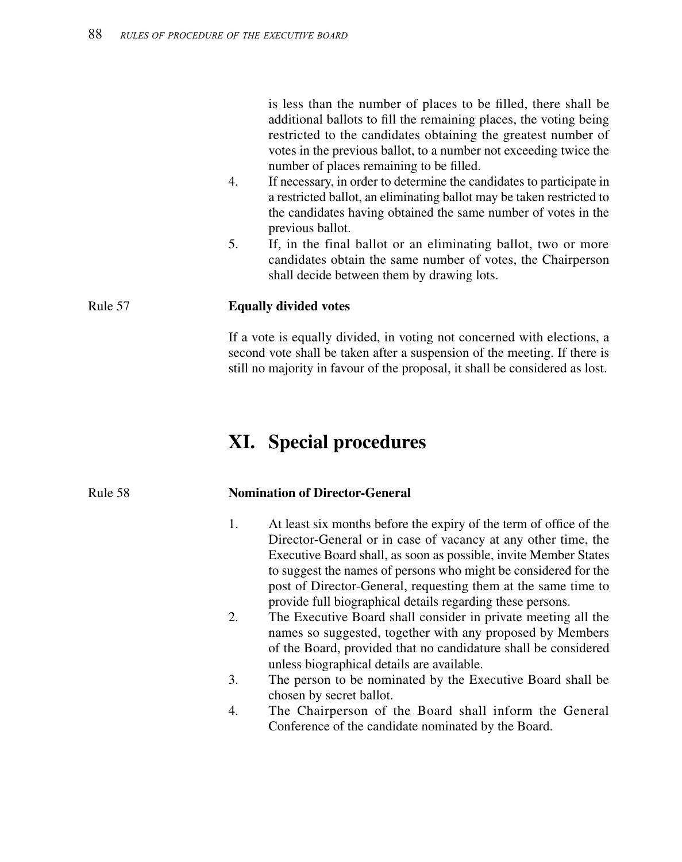is less than the number of places to be filled, there shall be additional ballots to fill the remaining places, the voting being restricted to the candidates obtaining the greatest number of votes in the previous ballot, to a number not exceeding twice the number of places remaining to be filled.

- 4. If necessary, in order to determine the candidates to participate in a restricted ballot, an eliminating ballot may be taken restricted to the candidates having obtained the same number of votes in the previous ballot.
- 5. If, in the final ballot or an eliminating ballot, two or more candidates obtain the same number of votes, the Chairperson shall decide between them by drawing lots.

#### Rule 57 **Equally divided votes**

If a vote is equally divided, in voting not concerned with elections, a second vote shall be taken after a suspension of the meeting. If there is still no majority in favour of the proposal, it shall be considered as lost.

## **XI. Special procedures**

#### Rule 58 **Nomination of Director-General**

- 1. At least six months before the expiry of the term of office of the Director-General or in case of vacancy at any other time, the Executive Board shall, as soon as possible, invite Member States to suggest the names of persons who might be considered for the post of Director-General, requesting them at the same time to provide full biographical details regarding these persons.
- 2. The Executive Board shall consider in private meeting all the names so suggested, together with any proposed by Members of the Board, provided that no candidature shall be considered unless biographical details are available.
- 3. The person to be nominated by the Executive Board shall be chosen by secret ballot.
- 4. The Chairperson of the Board shall inform the General Conference of the candidate nominated by the Board.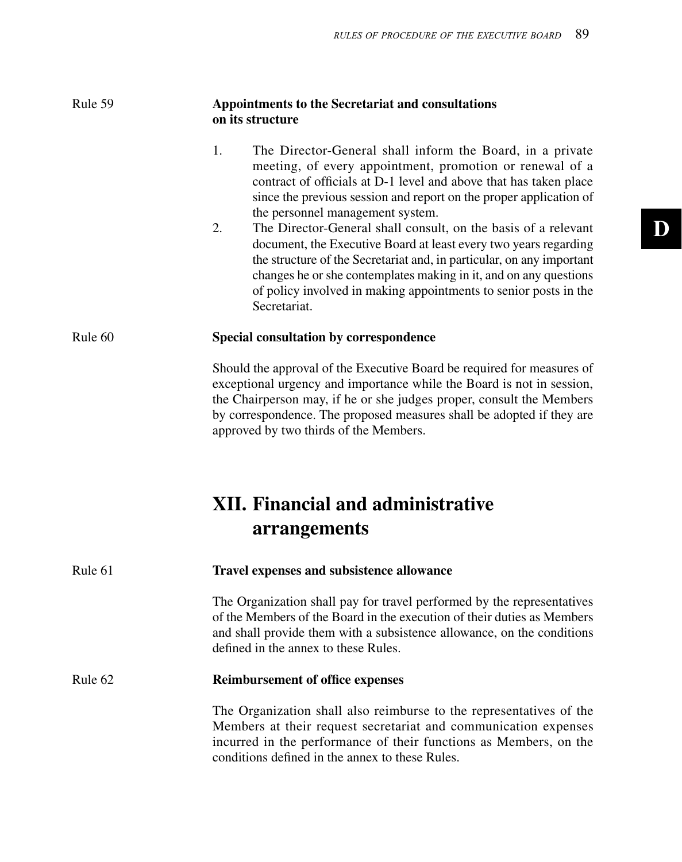#### Rule 59 **Appointments to the Secretariat and consultations on its structure**

| 1. | The Director-General shall inform the Board, in a private          |
|----|--------------------------------------------------------------------|
|    | meeting, of every appointment, promotion or renewal of a           |
|    | contract of officials at D-1 level and above that has taken place  |
|    | since the previous session and report on the proper application of |
|    | the personnel management system.                                   |

2. The Director-General shall consult, on the basis of a relevant document, the Executive Board at least every two years regarding the structure of the Secretariat and, in particular, on any important changes he or she contemplates making in it, and on any questions of policy involved in making appointments to senior posts in the Secretariat.

#### Rule 60 **Special consultation by correspondence**

Should the approval of the Executive Board be required for measures of exceptional urgency and importance while the Board is not in session, the Chairperson may, if he or she judges proper, consult the Members by correspondence. The proposed measures shall be adopted if they are approved by two thirds of the Members.

## **XII. Financial and administrative arrangements**

| Rule 61 | Travel expenses and subsistence allowance                                                                                                                                                                                                                           |  |  |
|---------|---------------------------------------------------------------------------------------------------------------------------------------------------------------------------------------------------------------------------------------------------------------------|--|--|
|         | The Organization shall pay for travel performed by the representatives<br>of the Members of the Board in the execution of their duties as Members<br>and shall provide them with a subsistence allowance, on the conditions<br>defined in the annex to these Rules. |  |  |
| Rule 62 | <b>Reimbursement of office expenses</b>                                                                                                                                                                                                                             |  |  |
|         | The Organization shall also reimburse to the representatives of the<br>Members at their request secretariat and communication expenses<br>incurred in the performance of their functions as Members, on the<br>conditions defined in the annex to these Rules.      |  |  |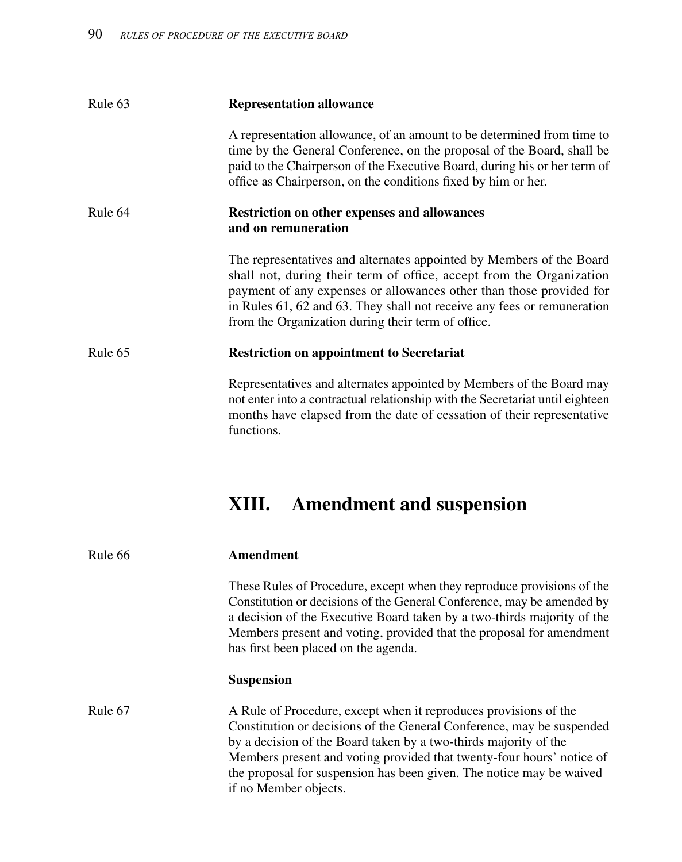| Rule 63 | <b>Representation allowance</b>                                                                                                                                                                                                                                                                                                                      |
|---------|------------------------------------------------------------------------------------------------------------------------------------------------------------------------------------------------------------------------------------------------------------------------------------------------------------------------------------------------------|
|         | A representation allowance, of an amount to be determined from time to<br>time by the General Conference, on the proposal of the Board, shall be<br>paid to the Chairperson of the Executive Board, during his or her term of<br>office as Chairperson, on the conditions fixed by him or her.                                                       |
| Rule 64 | <b>Restriction on other expenses and allowances</b><br>and on remuneration                                                                                                                                                                                                                                                                           |
|         | The representatives and alternates appointed by Members of the Board<br>shall not, during their term of office, accept from the Organization<br>payment of any expenses or allowances other than those provided for<br>in Rules 61, 62 and 63. They shall not receive any fees or remuneration<br>from the Organization during their term of office. |
| Rule 65 | <b>Restriction on appointment to Secretariat</b>                                                                                                                                                                                                                                                                                                     |
|         | Representatives and alternates appointed by Members of the Board may<br>not enter into a contractual relationship with the Secretariat until eighteen<br>months have elapsed from the date of cessation of their representative<br>functions.                                                                                                        |

# **XIII. Amendment and suspension**

| Rule 66 | Amendment                                                                                                                                                                                                                                                                                                                                                                               |  |  |  |
|---------|-----------------------------------------------------------------------------------------------------------------------------------------------------------------------------------------------------------------------------------------------------------------------------------------------------------------------------------------------------------------------------------------|--|--|--|
|         | These Rules of Procedure, except when they reproduce provisions of the<br>Constitution or decisions of the General Conference, may be amended by<br>a decision of the Executive Board taken by a two-thirds majority of the<br>Members present and voting, provided that the proposal for amendment<br>has first been placed on the agenda.                                             |  |  |  |
|         | <b>Suspension</b>                                                                                                                                                                                                                                                                                                                                                                       |  |  |  |
| Rule 67 | A Rule of Procedure, except when it reproduces provisions of the<br>Constitution or decisions of the General Conference, may be suspended<br>by a decision of the Board taken by a two-thirds majority of the<br>Members present and voting provided that twenty-four hours' notice of<br>the proposal for suspension has been given. The notice may be waived<br>if no Member objects. |  |  |  |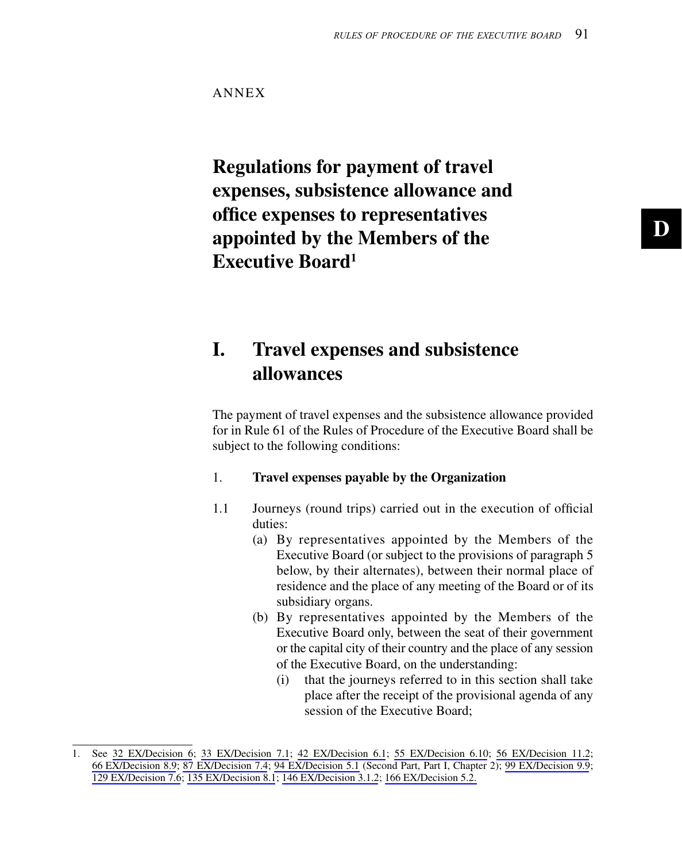#### ANNEX

**Regulations for payment of travel expenses, subsistence allowance and office expenses to representatives appointed by the Members of the Executive Board1**

## **I. Travel expenses and subsistence allowances**

The payment of travel expenses and the subsistence allowance provided for in Rule 61 of the Rules of Procedure of the Executive Board shall be subject to the following conditions:

#### 1. **Travel expenses payable by the Organization**

- 1.1 Journeys (round trips) carried out in the execution of official duties:
	- (a) By representatives appointed by the Members of the Executive Board (or subject to the provisions of paragraph 5 below, by their alternates), between their normal place of residence and the place of any meeting of the Board or of its subsidiary organs.
	- (b) By representatives appointed by the Members of the Executive Board only, between the seat of their government or the capital city of their country and the place of any session of the Executive Board, on the understanding:
		- (i) that the journeys referred to in this section shall take place after the receipt of the provisional agenda of any session of the Executive Board;

<sup>1.</sup> See [32 EX/Decision 6](https://unesdoc.unesco.org/ark:/48223/pf0000113810_eng.nameddest=6); [33 EX/Decision 7.1](https://unesdoc.unesco.org/ark:/48223/pf0000113809_eng.nameddest=7.1); [42 EX/Decision 6.1](https://unesdoc.unesco.org/ark:/48223/pf0000113800_eng.nameddest=6.1); [55 EX/Decision 6.10](https://unesdoc.unesco.org/ark:/48223/pf0000113249_eng.nameddest=6.10); [56 EX/Decision 11.2](https://unesdoc.unesco.org/ark:/48223/pf0000113248_eng.nameddest=11.2); 66 [EX/Decision 8.9](https://unesdoc.unesco.org/ark:/48223/pf0000113218_eng.nameddest=8.9); [87 EX/Decision 7.4](https://unesdoc.unesco.org/ark:/48223/pf0000113196_eng.nameddest=7.4); [94 EX/Decision 5.1](https://unesdoc.unesco.org/ark:/48223/pf0000010651_eng.nameddest=5.1) (Second Part, Part I, Chapter 2); [99 EX/Decision 9.9](https://unesdoc.unesco.org/ark:/48223/pf0000018602_eng.nameddest=9.9); [129 EX/Decision 7.6](https://unesdoc.unesco.org/ark:/48223/pf0000079539_eng.nameddest=7.6); [135 EX/Decision 8.1](https://unesdoc.unesco.org/ark:/48223/pf0000087692_eng.nameddest=8.1); [146 EX/Decision 3.1.2](https://unesdoc.unesco.org/ark:/48223/pf0000100560_eng.nameddest=3.1.2); [166 EX/Decision 5.2.](https://unesdoc.unesco.org/ark:/48223/pf0000130244_eng.nameddest=5.2)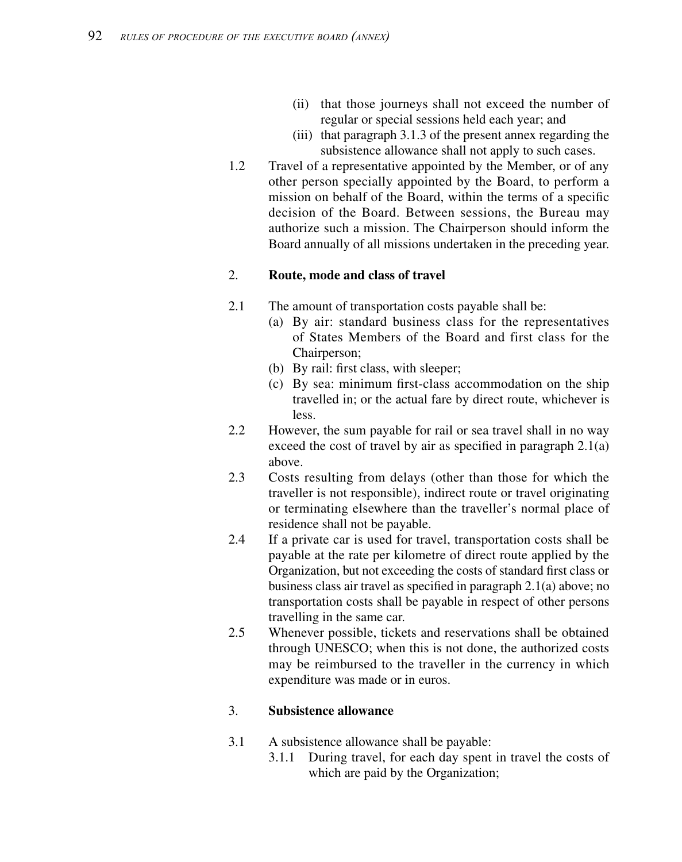- (ii) that those journeys shall not exceed the number of regular or special sessions held each year; and
- (iii) that paragraph 3.1.3 of the present annex regarding the subsistence allowance shall not apply to such cases.
- 1.2 Travel of a representative appointed by the Member, or of any other person specially appointed by the Board, to perform a mission on behalf of the Board, within the terms of a specific decision of the Board. Between sessions, the Bureau may authorize such a mission. The Chairperson should inform the Board annually of all missions undertaken in the preceding year.

#### 2. **Route, mode and class of travel**

- 2.1 The amount of transportation costs payable shall be:
	- (a) By air: standard business class for the representatives of States Members of the Board and first class for the Chairperson;
	- (b) By rail: first class, with sleeper;
	- (c) By sea: minimum first-class accommodation on the ship travelled in; or the actual fare by direct route, whichever is less.
- 2.2 However, the sum payable for rail or sea travel shall in no way exceed the cost of travel by air as specified in paragraph 2.1(a) above.
- 2.3 Costs resulting from delays (other than those for which the traveller is not responsible), indirect route or travel originating or terminating elsewhere than the traveller's normal place of residence shall not be payable.
- 2.4 If a private car is used for travel, transportation costs shall be payable at the rate per kilometre of direct route applied by the Organization, but not exceeding the costs of standard first class or business class air travel as specified in paragraph 2.1(a) above; no transportation costs shall be payable in respect of other persons travelling in the same car.
- 2.5 Whenever possible, tickets and reservations shall be obtained through UNESCO; when this is not done, the authorized costs may be reimbursed to the traveller in the currency in which expenditure was made or in euros.

#### 3. **Subsistence allowance**

- 3.1 A subsistence allowance shall be payable:
	- 3.1.1 During travel, for each day spent in travel the costs of which are paid by the Organization;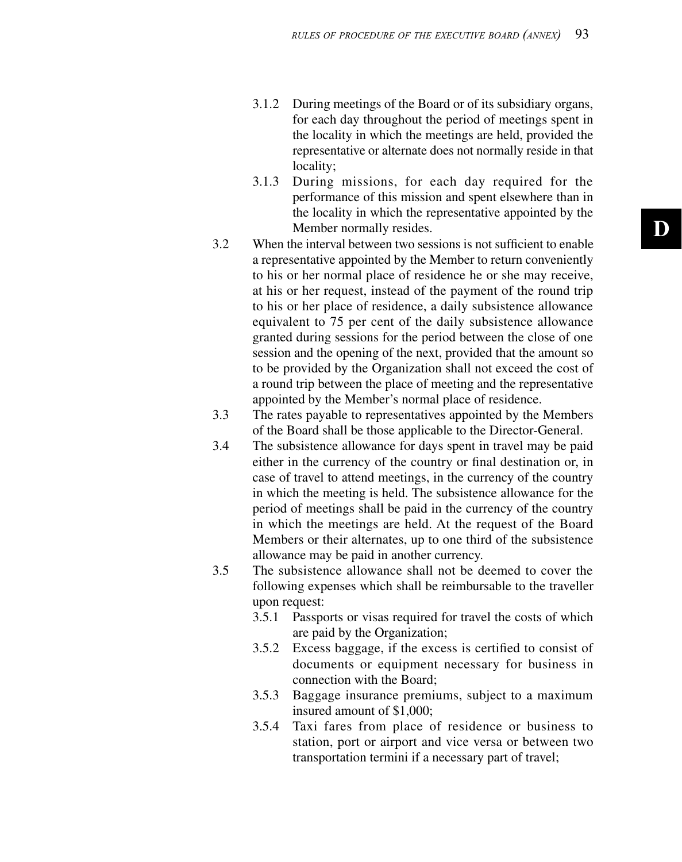- 3.1.2 During meetings of the Board or of its subsidiary organs, for each day throughout the period of meetings spent in the locality in which the meetings are held, provided the representative or alternate does not normally reside in that locality;
- 3.1.3 During missions, for each day required for the performance of this mission and spent elsewhere than in the locality in which the representative appointed by the Member normally resides.
- 3.2 When the interval between two sessions is not sufficient to enable a representative appointed by the Member to return conveniently to his or her normal place of residence he or she may receive, at his or her request, instead of the payment of the round trip to his or her place of residence, a daily subsistence allowance equivalent to 75 per cent of the daily subsistence allowance granted during sessions for the period between the close of one session and the opening of the next, provided that the amount so to be provided by the Organization shall not exceed the cost of a round trip between the place of meeting and the representative appointed by the Member's normal place of residence.
- 3.3 The rates payable to representatives appointed by the Members of the Board shall be those applicable to the Director-General.
- 3.4 The subsistence allowance for days spent in travel may be paid either in the currency of the country or final destination or, in case of travel to attend meetings, in the currency of the country in which the meeting is held. The subsistence allowance for the period of meetings shall be paid in the currency of the country in which the meetings are held. At the request of the Board Members or their alternates, up to one third of the subsistence allowance may be paid in another currency.
- 3.5 The subsistence allowance shall not be deemed to cover the following expenses which shall be reimbursable to the traveller upon request:
	- 3.5.1 Passports or visas required for travel the costs of which are paid by the Organization;
	- 3.5.2 Excess baggage, if the excess is certified to consist of documents or equipment necessary for business in connection with the Board;
	- 3.5.3 Baggage insurance premiums, subject to a maximum insured amount of \$1,000;
	- 3.5.4 Taxi fares from place of residence or business to station, port or airport and vice versa or between two transportation termini if a necessary part of travel;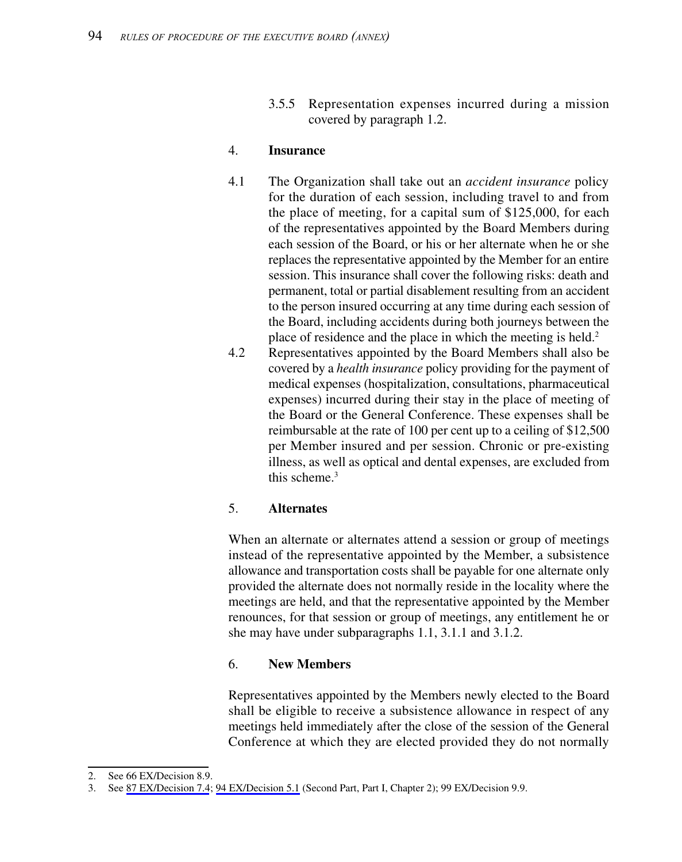3.5.5 Representation expenses incurred during a mission covered by paragraph 1.2.

#### 4. **Insurance**

- 4.1 The Organization shall take out an *accident insurance* policy for the duration of each session, including travel to and from the place of meeting, for a capital sum of \$125,000, for each of the representatives appointed by the Board Members during each session of the Board, or his or her alternate when he or she replaces the representative appointed by the Member for an entire session. This insurance shall cover the following risks: death and permanent, total or partial disablement resulting from an accident to the person insured occurring at any time during each session of the Board, including accidents during both journeys between the place of residence and the place in which the meeting is held.<sup>2</sup>
- 4.2 Representatives appointed by the Board Members shall also be covered by a *health insurance* policy providing for the payment of medical expenses (hospitalization, consultations, pharmaceutical expenses) incurred during their stay in the place of meeting of the Board or the General Conference. These expenses shall be reimbursable at the rate of 100 per cent up to a ceiling of \$12,500 per Member insured and per session. Chronic or pre-existing illness, as well as optical and dental expenses, are excluded from this scheme. $3$

#### 5. **Alternates**

When an alternate or alternates attend a session or group of meetings instead of the representative appointed by the Member, a subsistence allowance and transportation costs shall be payable for one alternate only provided the alternate does not normally reside in the locality where the meetings are held, and that the representative appointed by the Member renounces, for that session or group of meetings, any entitlement he or she may have under subparagraphs 1.1, 3.1.1 and 3.1.2.

#### 6. **New Members**

Representatives appointed by the Members newly elected to the Board shall be eligible to receive a subsistence allowance in respect of any meetings held immediately after the close of the session of the General Conference at which they are elected provided they do not normally

<sup>2.</sup> See 66 EX/Decision 8.9.

<sup>3.</sup> See [87 EX/Decision 7.4](https://unesdoc.unesco.org/ark:/48223/pf0000113196_eng.nameddest=7.4); [94 EX/Decision 5.1](https://unesdoc.unesco.org/ark:/48223/pf0000010651_eng.nameddest=5.1) (Second Part, Part I, Chapter 2); 99 EX/Decision 9.9.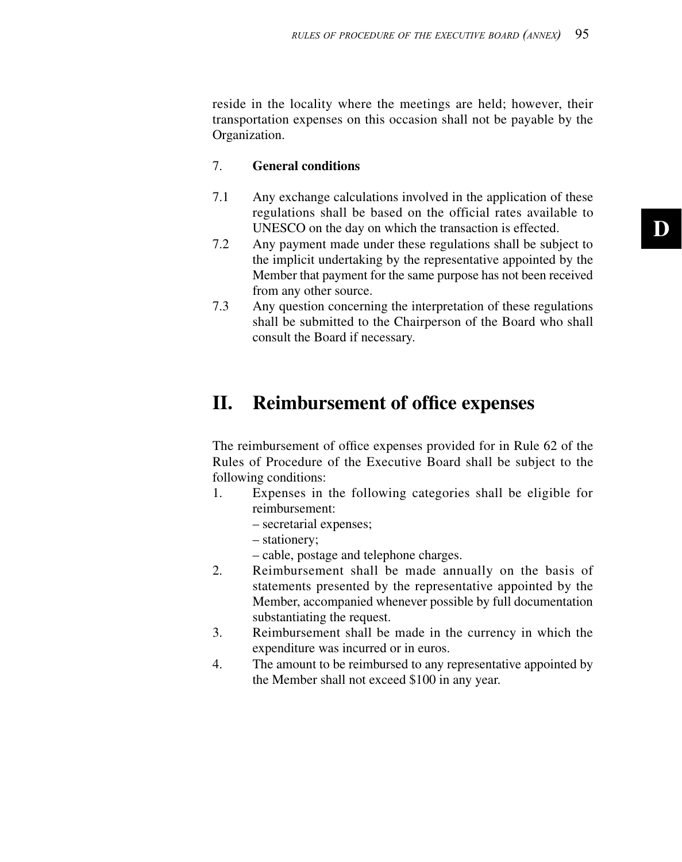reside in the locality where the meetings are held; however, their transportation expenses on this occasion shall not be payable by the Organization.

#### 7. **General conditions**

- 7.1 Any exchange calculations involved in the application of these regulations shall be based on the official rates available to UNESCO on the day on which the transaction is effected.
- 7.2 Any payment made under these regulations shall be subject to the implicit undertaking by the representative appointed by the Member that payment for the same purpose has not been received from any other source.
- 7.3 Any question concerning the interpretation of these regulations shall be submitted to the Chairperson of the Board who shall consult the Board if necessary.

## **II. Reimbursement of office expenses**

The reimbursement of office expenses provided for in Rule 62 of the Rules of Procedure of the Executive Board shall be subject to the following conditions:

- 1. Expenses in the following categories shall be eligible for reimbursement:
	- secretarial expenses;
	- stationery;
	- cable, postage and telephone charges.
- 2. Reimbursement shall be made annually on the basis of statements presented by the representative appointed by the Member, accompanied whenever possible by full documentation substantiating the request.
- 3. Reimbursement shall be made in the currency in which the expenditure was incurred or in euros.
- 4. The amount to be reimbursed to any representative appointed by the Member shall not exceed \$100 in any year.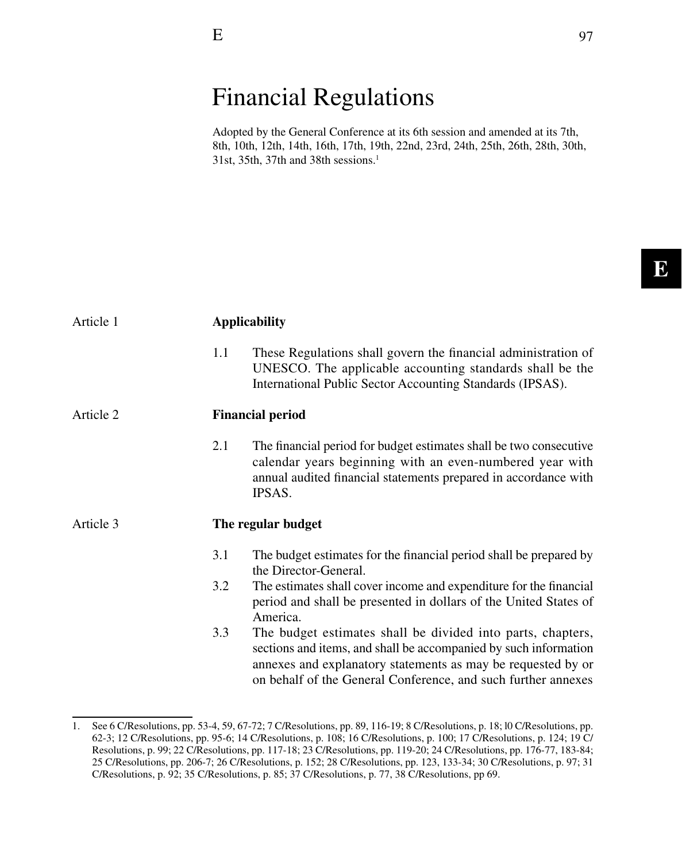# Financial Regulations

Adopted by the General Conference at its 6th session and amended at its 7th, 8th, 10th, 12th, 14th, 16th, 17th, 19th, 22nd, 23rd, 24th, 25th, 26th, 28th, 30th, 31st, 35th, 37th and 38th sessions.1

| Article 1 | <b>Applicability</b> |                                                                                                                                                                                                                                                                                                                                                                                                                                                                                                                       |  |
|-----------|----------------------|-----------------------------------------------------------------------------------------------------------------------------------------------------------------------------------------------------------------------------------------------------------------------------------------------------------------------------------------------------------------------------------------------------------------------------------------------------------------------------------------------------------------------|--|
|           | 1.1                  | These Regulations shall govern the financial administration of<br>UNESCO. The applicable accounting standards shall be the<br>International Public Sector Accounting Standards (IPSAS).                                                                                                                                                                                                                                                                                                                               |  |
| Article 2 |                      | <b>Financial period</b>                                                                                                                                                                                                                                                                                                                                                                                                                                                                                               |  |
|           | 2.1                  | The financial period for budget estimates shall be two consecutive<br>calendar years beginning with an even-numbered year with<br>annual audited financial statements prepared in accordance with<br>IPSAS.                                                                                                                                                                                                                                                                                                           |  |
| Article 3 |                      | The regular budget                                                                                                                                                                                                                                                                                                                                                                                                                                                                                                    |  |
|           | 3.1<br>3.2<br>3.3    | The budget estimates for the financial period shall be prepared by<br>the Director-General.<br>The estimates shall cover income and expenditure for the financial<br>period and shall be presented in dollars of the United States of<br>America.<br>The budget estimates shall be divided into parts, chapters,<br>sections and items, and shall be accompanied by such information<br>annexes and explanatory statements as may be requested by or<br>on behalf of the General Conference, and such further annexes |  |

<sup>1.</sup> See 6 C/Resolutions, pp. 53-4, 59, 67-72; 7 C/Resolutions, pp. 89, 116-19; 8 C/Resolutions, p. 18; l0 C/Resolutions, pp. 62-3; 12 C/Resolutions, pp. 95-6; 14 C/Resolutions, p. 108; 16 C/Resolutions, p. 100; 17 C/Resolutions, p. 124; 19 C/ Resolutions, p. 99; 22 C/Resolutions, pp. 117-18; 23 C/Resolutions, pp. 119-20; 24 C/Resolutions, pp. 176-77, 183-84; 25 C/Resolutions, pp. 206-7; 26 C/Resolutions, p. 152; 28 C/Resolutions, pp. 123, 133-34; 30 C/Resolutions, p. 97; 31 C/Resolutions, p. 92; 35 C/Resolutions, p. 85; 37 C/Resolutions, p. 77, 38 C/Resolutions, pp 69.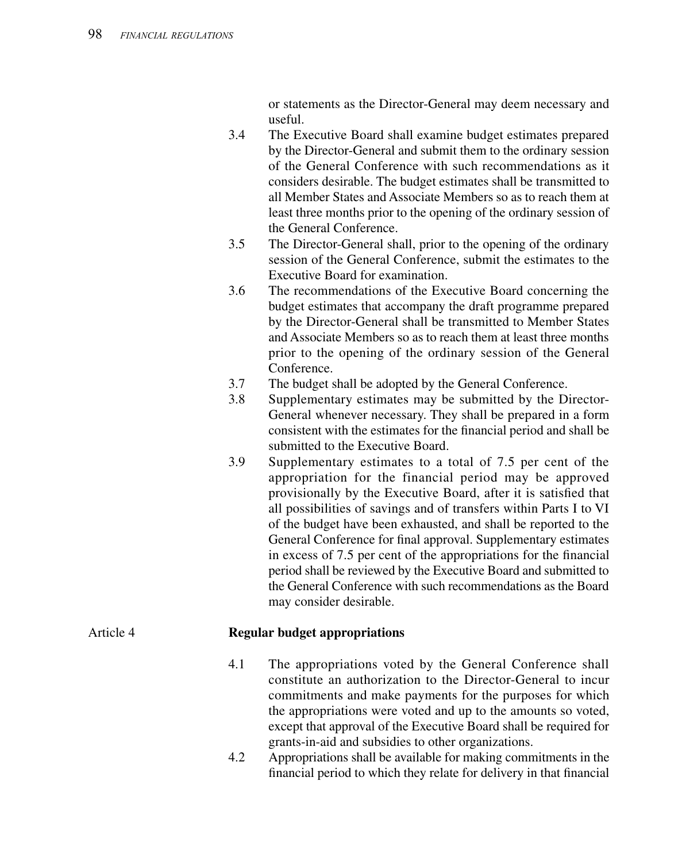or statements as the Director-General may deem necessary and useful.

- 3.4 The Executive Board shall examine budget estimates prepared by the Director-General and submit them to the ordinary session of the General Conference with such recommendations as it considers desirable. The budget estimates shall be transmitted to all Member States and Associate Members so as to reach them at least three months prior to the opening of the ordinary session of the General Conference.
- 3.5 The Director-General shall, prior to the opening of the ordinary session of the General Conference, submit the estimates to the Executive Board for examination.
- 3.6 The recommendations of the Executive Board concerning the budget estimates that accompany the draft programme prepared by the Director-General shall be transmitted to Member States and Associate Members so as to reach them at least three months prior to the opening of the ordinary session of the General Conference.
- 3.7 The budget shall be adopted by the General Conference.
- 3.8 Supplementary estimates may be submitted by the Director-General whenever necessary. They shall be prepared in a form consistent with the estimates for the financial period and shall be submitted to the Executive Board.
- 3.9 Supplementary estimates to a total of 7.5 per cent of the appropriation for the financial period may be approved provisionally by the Executive Board, after it is satisfied that all possibilities of savings and of transfers within Parts I to VI of the budget have been exhausted, and shall be reported to the General Conference for final approval. Supplementary estimates in excess of 7.5 per cent of the appropriations for the financial period shall be reviewed by the Executive Board and submitted to the General Conference with such recommendations as the Board may consider desirable.

#### Article 4 **Regular budget appropriations**

- 4.1 The appropriations voted by the General Conference shall constitute an authorization to the Director-General to incur commitments and make payments for the purposes for which the appropriations were voted and up to the amounts so voted, except that approval of the Executive Board shall be required for grants-in-aid and subsidies to other organizations.
- 4.2 Appropriations shall be available for making commitments in the financial period to which they relate for delivery in that financial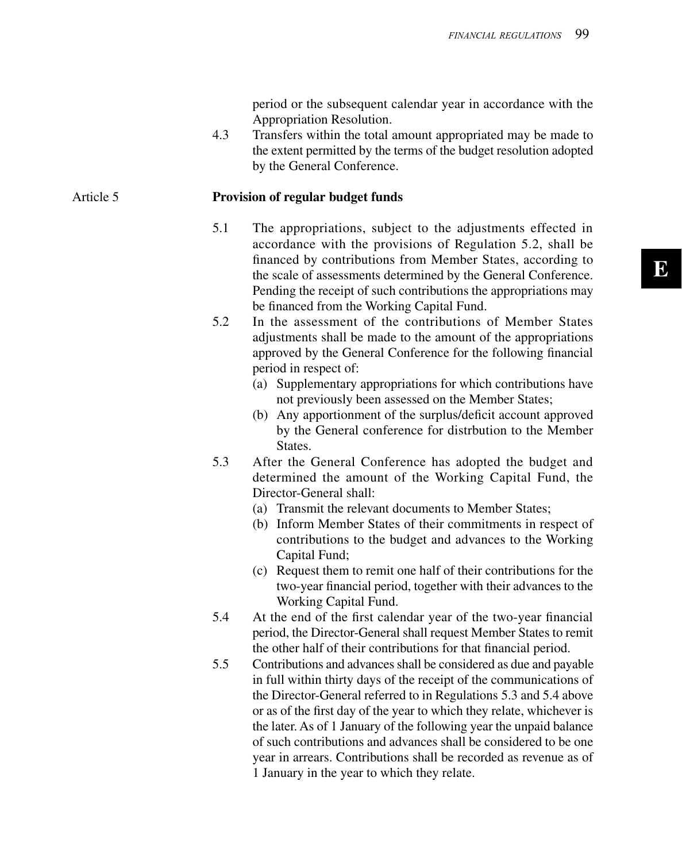period or the subsequent calendar year in accordance with the Appropriation Resolution.

4.3 Transfers within the total amount appropriated may be made to the extent permitted by the terms of the budget resolution adopted by the General Conference.

#### Article 5 **Provision of regular budget funds**

- 5.1 The appropriations, subject to the adjustments effected in accordance with the provisions of Regulation 5.2, shall be financed by contributions from Member States, according to the scale of assessments determined by the General Conference. Pending the receipt of such contributions the appropriations may be financed from the Working Capital Fund.
- 5.2 In the assessment of the contributions of Member States adjustments shall be made to the amount of the appropriations approved by the General Conference for the following financial period in respect of:
	- (a) Supplementary appropriations for which contributions have not previously been assessed on the Member States;
	- (b) Any apportionment of the surplus/deficit account approved by the General conference for distrbution to the Member States.
- 5.3 After the General Conference has adopted the budget and determined the amount of the Working Capital Fund, the Director-General shall:
	- (a) Transmit the relevant documents to Member States;
	- (b) Inform Member States of their commitments in respect of contributions to the budget and advances to the Working Capital Fund;
	- (c) Request them to remit one half of their contributions for the two-year financial period, together with their advances to the Working Capital Fund.
- 5.4 At the end of the first calendar year of the two-year financial period, the Director-General shall request Member States to remit the other half of their contributions for that financial period.
- 5.5 Contributions and advances shall be considered as due and payable in full within thirty days of the receipt of the communications of the Director-General referred to in Regulations 5.3 and 5.4 above or as of the first day of the year to which they relate, whichever is the later. As of 1 January of the following year the unpaid balance of such contributions and advances shall be considered to be one year in arrears. Contributions shall be recorded as revenue as of 1 January in the year to which they relate.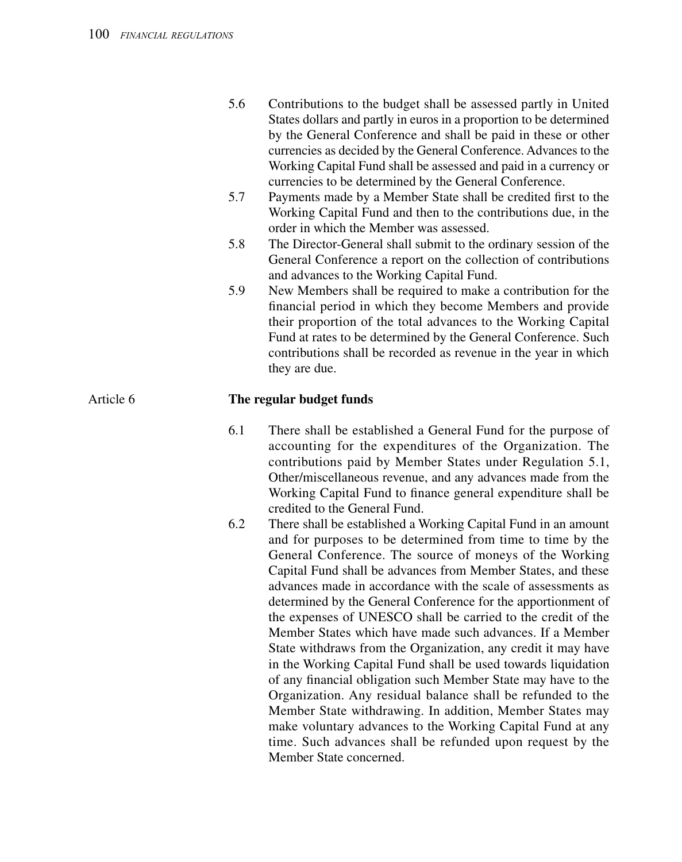|           | 5.6<br>Contributions to the budget shall be assessed partly in United<br>States dollars and partly in euros in a proportion to be determined<br>by the General Conference and shall be paid in these or other<br>currencies as decided by the General Conference. Advances to the<br>Working Capital Fund shall be assessed and paid in a currency or                                                                                                                                                                                                                                                                                                                                                                                                                                                                                                                                                                                                                                                                                                                                                                                                                                                                                                                                   |
|-----------|-----------------------------------------------------------------------------------------------------------------------------------------------------------------------------------------------------------------------------------------------------------------------------------------------------------------------------------------------------------------------------------------------------------------------------------------------------------------------------------------------------------------------------------------------------------------------------------------------------------------------------------------------------------------------------------------------------------------------------------------------------------------------------------------------------------------------------------------------------------------------------------------------------------------------------------------------------------------------------------------------------------------------------------------------------------------------------------------------------------------------------------------------------------------------------------------------------------------------------------------------------------------------------------------|
|           | currencies to be determined by the General Conference.<br>5.7<br>Payments made by a Member State shall be credited first to the<br>Working Capital Fund and then to the contributions due, in the<br>order in which the Member was assessed.                                                                                                                                                                                                                                                                                                                                                                                                                                                                                                                                                                                                                                                                                                                                                                                                                                                                                                                                                                                                                                            |
|           | 5.8<br>The Director-General shall submit to the ordinary session of the<br>General Conference a report on the collection of contributions<br>and advances to the Working Capital Fund.                                                                                                                                                                                                                                                                                                                                                                                                                                                                                                                                                                                                                                                                                                                                                                                                                                                                                                                                                                                                                                                                                                  |
|           | 5.9<br>New Members shall be required to make a contribution for the<br>financial period in which they become Members and provide<br>their proportion of the total advances to the Working Capital<br>Fund at rates to be determined by the General Conference. Such<br>contributions shall be recorded as revenue in the year in which<br>they are due.                                                                                                                                                                                                                                                                                                                                                                                                                                                                                                                                                                                                                                                                                                                                                                                                                                                                                                                                 |
| Article 6 | The regular budget funds                                                                                                                                                                                                                                                                                                                                                                                                                                                                                                                                                                                                                                                                                                                                                                                                                                                                                                                                                                                                                                                                                                                                                                                                                                                                |
|           | 6.1<br>There shall be established a General Fund for the purpose of<br>accounting for the expenditures of the Organization. The<br>contributions paid by Member States under Regulation 5.1,<br>Other/miscellaneous revenue, and any advances made from the<br>Working Capital Fund to finance general expenditure shall be<br>credited to the General Fund.<br>6.2<br>There shall be established a Working Capital Fund in an amount<br>and for purposes to be determined from time to time by the<br>General Conference. The source of moneys of the Working<br>Capital Fund shall be advances from Member States, and these<br>advances made in accordance with the scale of assessments as<br>determined by the General Conference for the apportionment of<br>the expenses of UNESCO shall be carried to the credit of the<br>Member States which have made such advances. If a Member<br>State withdraws from the Organization, any credit it may have<br>in the Working Capital Fund shall be used towards liquidation<br>of any financial obligation such Member State may have to the<br>Organization. Any residual balance shall be refunded to the<br>Member State withdrawing. In addition, Member States may<br>make voluntary advances to the Working Capital Fund at any |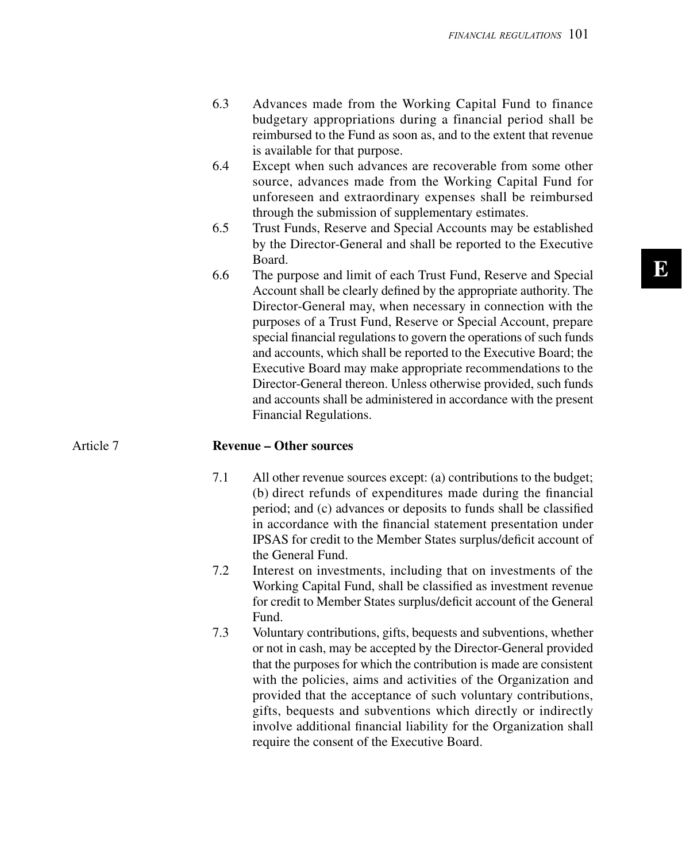- 6.3 Advances made from the Working Capital Fund to finance budgetary appropriations during a financial period shall be reimbursed to the Fund as soon as, and to the extent that revenue is available for that purpose.
- 6.4 Except when such advances are recoverable from some other source, advances made from the Working Capital Fund for unforeseen and extraordinary expenses shall be reimbursed through the submission of supplementary estimates.
- 6.5 Trust Funds, Reserve and Special Accounts may be established by the Director-General and shall be reported to the Executive Board.
- 6.6 The purpose and limit of each Trust Fund, Reserve and Special Account shall be clearly defined by the appropriate authority. The Director-General may, when necessary in connection with the purposes of a Trust Fund, Reserve or Special Account, prepare special financial regulations to govern the operations of such funds and accounts, which shall be reported to the Executive Board; the Executive Board may make appropriate recommendations to the Director-General thereon. Unless otherwise provided, such funds and accounts shall be administered in accordance with the present Financial Regulations.

#### Article 7 **Revenue – Other sources**

- 7.1 All other revenue sources except: (a) contributions to the budget; (b) direct refunds of expenditures made during the financial period; and (c) advances or deposits to funds shall be classified in accordance with the financial statement presentation under IPSAS for credit to the Member States surplus/deficit account of the General Fund.
- 7.2 Interest on investments, including that on investments of the Working Capital Fund, shall be classified as investment revenue for credit to Member States surplus/deficit account of the General Fund.
- 7.3 Voluntary contributions, gifts, bequests and subventions, whether or not in cash, may be accepted by the Director-General provided that the purposes for which the contribution is made are consistent with the policies, aims and activities of the Organization and provided that the acceptance of such voluntary contributions, gifts, bequests and subventions which directly or indirectly involve additional financial liability for the Organization shall require the consent of the Executive Board.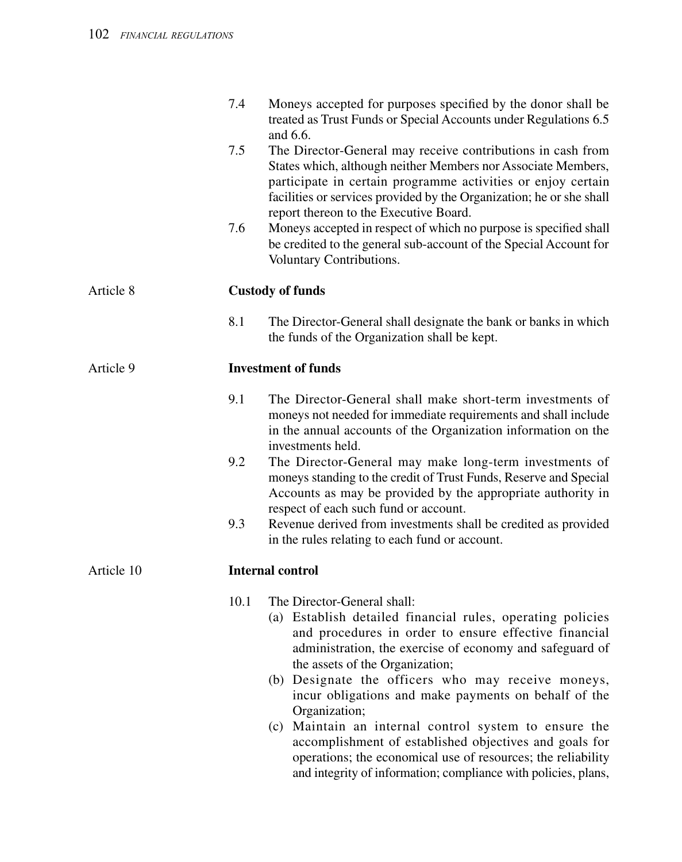|            | 7.4  | Moneys accepted for purposes specified by the donor shall be<br>treated as Trust Funds or Special Accounts under Regulations 6.5<br>and 6.6.                                                                                                                                                                                                                                                                                                                                                                                                                                                                                          |
|------------|------|---------------------------------------------------------------------------------------------------------------------------------------------------------------------------------------------------------------------------------------------------------------------------------------------------------------------------------------------------------------------------------------------------------------------------------------------------------------------------------------------------------------------------------------------------------------------------------------------------------------------------------------|
|            | 7.5  | The Director-General may receive contributions in cash from<br>States which, although neither Members nor Associate Members,<br>participate in certain programme activities or enjoy certain<br>facilities or services provided by the Organization; he or she shall<br>report thereon to the Executive Board.                                                                                                                                                                                                                                                                                                                        |
|            | 7.6  | Moneys accepted in respect of which no purpose is specified shall<br>be credited to the general sub-account of the Special Account for<br>Voluntary Contributions.                                                                                                                                                                                                                                                                                                                                                                                                                                                                    |
| Article 8  |      | <b>Custody of funds</b>                                                                                                                                                                                                                                                                                                                                                                                                                                                                                                                                                                                                               |
|            | 8.1  | The Director-General shall designate the bank or banks in which<br>the funds of the Organization shall be kept.                                                                                                                                                                                                                                                                                                                                                                                                                                                                                                                       |
| Article 9  |      | <b>Investment of funds</b>                                                                                                                                                                                                                                                                                                                                                                                                                                                                                                                                                                                                            |
|            | 9.1  | The Director-General shall make short-term investments of<br>moneys not needed for immediate requirements and shall include<br>in the annual accounts of the Organization information on the<br>investments held.                                                                                                                                                                                                                                                                                                                                                                                                                     |
|            | 9.2  | The Director-General may make long-term investments of<br>moneys standing to the credit of Trust Funds, Reserve and Special<br>Accounts as may be provided by the appropriate authority in<br>respect of each such fund or account.                                                                                                                                                                                                                                                                                                                                                                                                   |
|            | 9.3  | Revenue derived from investments shall be credited as provided<br>in the rules relating to each fund or account.                                                                                                                                                                                                                                                                                                                                                                                                                                                                                                                      |
| Article 10 |      | <b>Internal control</b>                                                                                                                                                                                                                                                                                                                                                                                                                                                                                                                                                                                                               |
|            | 10.1 | The Director-General shall:<br>(a) Establish detailed financial rules, operating policies<br>and procedures in order to ensure effective financial<br>administration, the exercise of economy and safeguard of<br>the assets of the Organization;<br>(b) Designate the officers who may receive moneys,<br>incur obligations and make payments on behalf of the<br>Organization;<br>(c) Maintain an internal control system to ensure the<br>accomplishment of established objectives and goals for<br>operations; the economical use of resources; the reliability<br>and integrity of information; compliance with policies, plans, |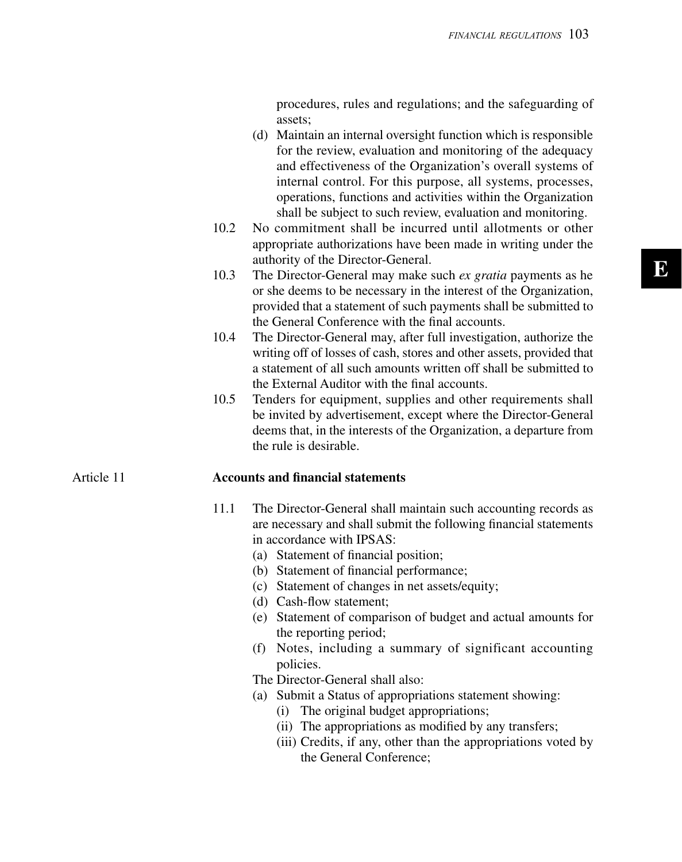procedures, rules and regulations; and the safeguarding of assets;

- (d) Maintain an internal oversight function which is responsible for the review, evaluation and monitoring of the adequacy and effectiveness of the Organization's overall systems of internal control. For this purpose, all systems, processes, operations, functions and activities within the Organization shall be subject to such review, evaluation and monitoring.
- 10.2 No commitment shall be incurred until allotments or other appropriate authorizations have been made in writing under the authority of the Director-General.
- 10.3 The Director-General may make such *ex gratia* payments as he or she deems to be necessary in the interest of the Organization, provided that a statement of such payments shall be submitted to the General Conference with the final accounts.
- 10.4 The Director-General may, after full investigation, authorize the writing off of losses of cash, stores and other assets, provided that a statement of all such amounts written off shall be submitted to the External Auditor with the final accounts.
- 10.5 Tenders for equipment, supplies and other requirements shall be invited by advertisement, except where the Director-General deems that, in the interests of the Organization, a departure from the rule is desirable.

#### Article 11 **Accounts and financial statements**

- 11.1 The Director-General shall maintain such accounting records as are necessary and shall submit the following financial statements in accordance with IPSAS:
	- (a) Statement of financial position;
	- (b) Statement of financial performance;
	- (c) Statement of changes in net assets/equity;
	- (d) Cash-flow statement;
	- (e) Statement of comparison of budget and actual amounts for the reporting period;
	- (f) Notes, including a summary of significant accounting policies.

The Director-General shall also:

- (a) Submit a Status of appropriations statement showing:
	- (i) The original budget appropriations;
	- (ii) The appropriations as modified by any transfers;
	- (iii) Credits, if any, other than the appropriations voted by the General Conference;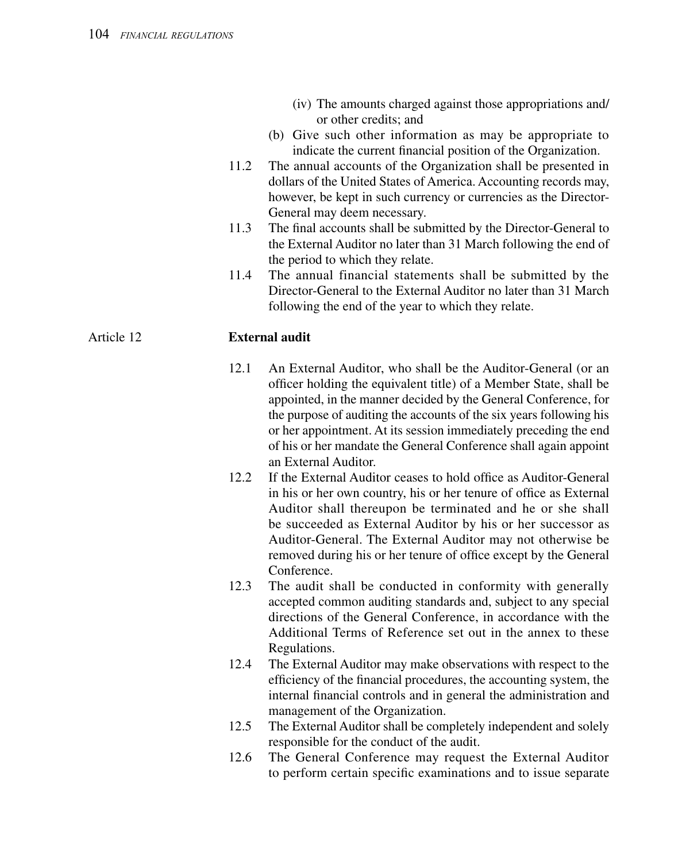- (iv) The amounts charged against those appropriations and/ or other credits; and
- (b) Give such other information as may be appropriate to indicate the current financial position of the Organization.
- 11.2 The annual accounts of the Organization shall be presented in dollars of the United States of America. Accounting records may, however, be kept in such currency or currencies as the Director-General may deem necessary.
- 11.3 The final accounts shall be submitted by the Director-General to the External Auditor no later than 31 March following the end of the period to which they relate.
- 11.4 The annual financial statements shall be submitted by the Director-General to the External Auditor no later than 31 March following the end of the year to which they relate.

#### Article 12 **External audit**

- 12.1 An External Auditor, who shall be the Auditor-General (or an officer holding the equivalent title) of a Member State, shall be appointed, in the manner decided by the General Conference, for the purpose of auditing the accounts of the six years following his or her appointment. At its session immediately preceding the end of his or her mandate the General Conference shall again appoint an External Auditor.
- 12.2 If the External Auditor ceases to hold office as Auditor-General in his or her own country, his or her tenure of office as External Auditor shall thereupon be terminated and he or she shall be succeeded as External Auditor by his or her successor as Auditor-General. The External Auditor may not otherwise be removed during his or her tenure of office except by the General Conference.
- 12.3 The audit shall be conducted in conformity with generally accepted common auditing standards and, subject to any special directions of the General Conference, in accordance with the Additional Terms of Reference set out in the annex to these Regulations.
- 12.4 The External Auditor may make observations with respect to the efficiency of the financial procedures, the accounting system, the internal financial controls and in general the administration and management of the Organization.
- 12.5 The External Auditor shall be completely independent and solely responsible for the conduct of the audit.
- 12.6 The General Conference may request the External Auditor to perform certain specific examinations and to issue separate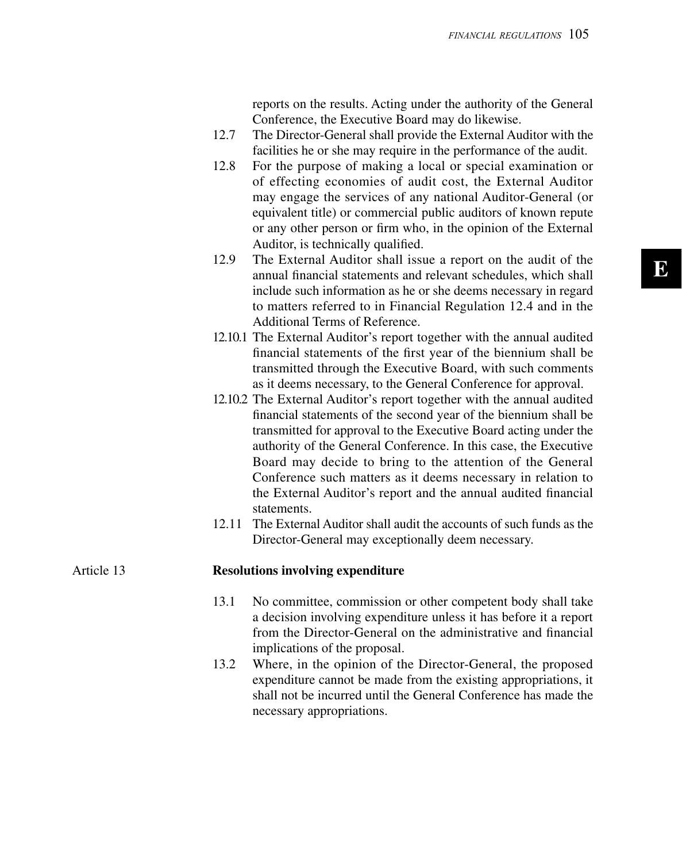reports on the results. Acting under the authority of the General Conference, the Executive Board may do likewise.

- 12.7 The Director-General shall provide the External Auditor with the facilities he or she may require in the performance of the audit.
- 12.8 For the purpose of making a local or special examination or of effecting economies of audit cost, the External Auditor may engage the services of any national Auditor-General (or equivalent title) or commercial public auditors of known repute or any other person or firm who, in the opinion of the External Auditor, is technically qualified.
- 12.9 The External Auditor shall issue a report on the audit of the annual financial statements and relevant schedules, which shall include such information as he or she deems necessary in regard to matters referred to in Financial Regulation 12.4 and in the Additional Terms of Reference.
- 12.10.1 The External Auditor's report together with the annual audited financial statements of the first year of the biennium shall be transmitted through the Executive Board, with such comments as it deems necessary, to the General Conference for approval.
- 12.10.2 The External Auditor's report together with the annual audited financial statements of the second year of the biennium shall be transmitted for approval to the Executive Board acting under the authority of the General Conference. In this case, the Executive Board may decide to bring to the attention of the General Conference such matters as it deems necessary in relation to the External Auditor's report and the annual audited financial statements.
- 12.11 The External Auditor shall audit the accounts of such funds as the Director-General may exceptionally deem necessary.

#### Article 13 **Resolutions involving expenditure**

- 13.1 No committee, commission or other competent body shall take a decision involving expenditure unless it has before it a report from the Director-General on the administrative and financial implications of the proposal.
- 13.2 Where, in the opinion of the Director-General, the proposed expenditure cannot be made from the existing appropriations, it shall not be incurred until the General Conference has made the necessary appropriations.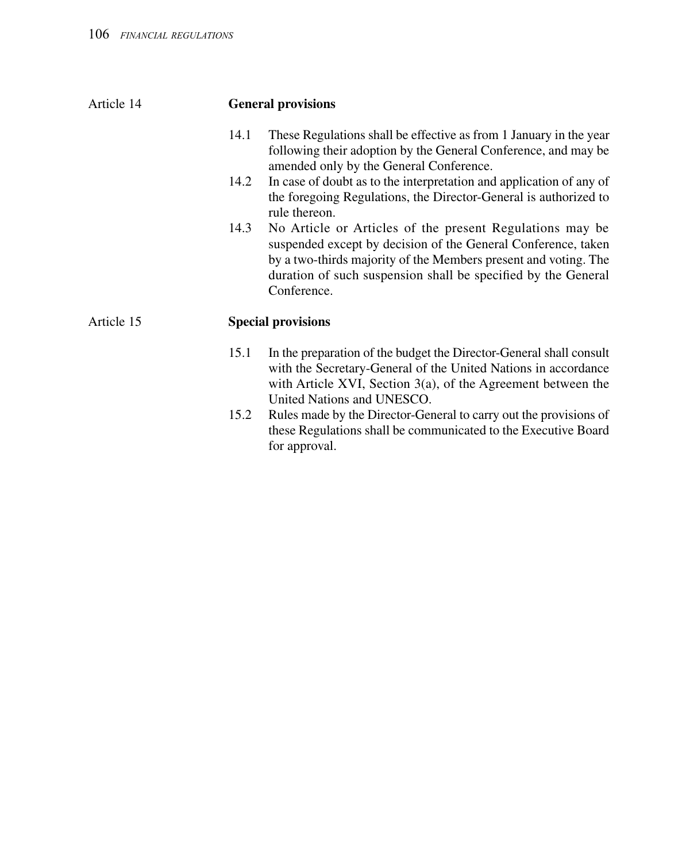| Article 14 | <b>General provisions</b> |                                                                                                                                                                                                                                                                              |  |
|------------|---------------------------|------------------------------------------------------------------------------------------------------------------------------------------------------------------------------------------------------------------------------------------------------------------------------|--|
|            | 14.1                      | These Regulations shall be effective as from 1 January in the year<br>following their adoption by the General Conference, and may be<br>amended only by the General Conference.                                                                                              |  |
|            | 14.2                      | In case of doubt as to the interpretation and application of any of<br>the foregoing Regulations, the Director-General is authorized to<br>rule thereon.                                                                                                                     |  |
|            | 14.3                      | No Article or Articles of the present Regulations may be<br>suspended except by decision of the General Conference, taken<br>by a two-thirds majority of the Members present and voting. The<br>duration of such suspension shall be specified by the General<br>Conference. |  |
| Article 15 | <b>Special provisions</b> |                                                                                                                                                                                                                                                                              |  |
|            | 15.1                      | In the preparation of the budget the Director-General shall consult<br>with the Secretary-General of the United Nations in accordance<br>with Article XVI, Section $3(a)$ , of the Agreement between the<br>United Nations and UNESCO.                                       |  |
|            | 15.2                      | Rules made by the Director-General to carry out the provisions of<br>these Regulations shall be communicated to the Executive Board<br>for approval.                                                                                                                         |  |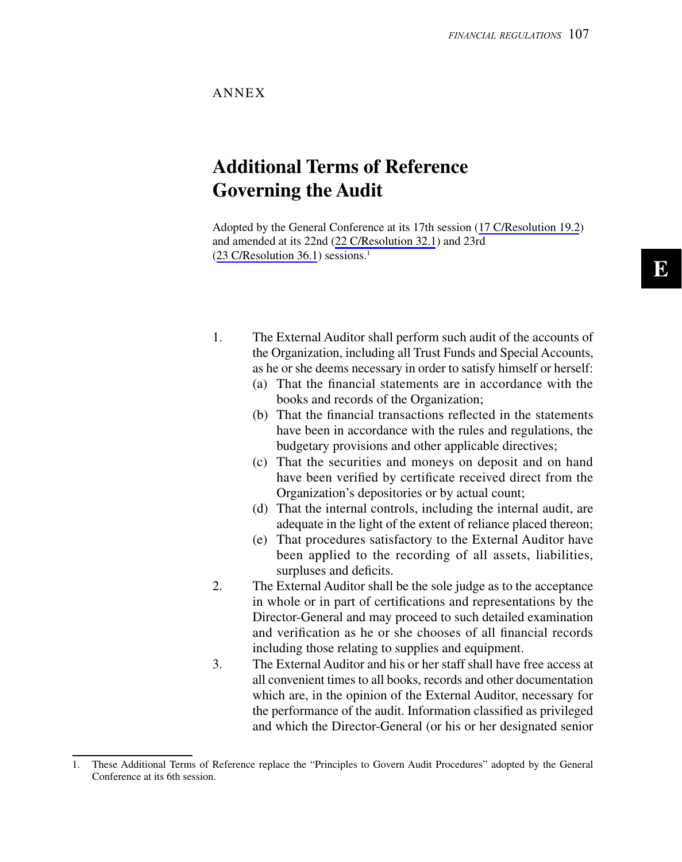#### ANNEX

## **Additional Terms of Reference Governing the Audit**

Adopted by the General Conference at its 17th session (17 [C/Resolution 19.2](https://unesdoc.unesco.org/ark:/48223/pf0000114044_eng.nameddest=19.2)) and amended at its 22nd (22 [C/Resolution 32.1](https://unesdoc.unesco.org/ark:/48223/pf0000057611_eng.nameddest=32.1)) and 23rd  $(23 \text{ C/Resolution } 36.1)$  sessions.<sup>1</sup>

- 1. The External Auditor shall perform such audit of the accounts of the Organization, including all Trust Funds and Special Accounts, as he or she deems necessary in order to satisfy himself or herself:
	- (a) That the financial statements are in accordance with the books and records of the Organization;
	- (b) That the financial transactions reflected in the statements have been in accordance with the rules and regulations, the budgetary provisions and other applicable directives;
	- (c) That the securities and moneys on deposit and on hand have been verified by certificate received direct from the Organization's depositories or by actual count;
	- (d) That the internal controls, including the internal audit, are adequate in the light of the extent of reliance placed thereon;
	- (e) That procedures satisfactory to the External Auditor have been applied to the recording of all assets, liabilities, surpluses and deficits.
- 2. The External Auditor shall be the sole judge as to the acceptance in whole or in part of certifications and representations by the Director-General and may proceed to such detailed examination and verification as he or she chooses of all financial records including those relating to supplies and equipment.
- 3. The External Auditor and his or her staff shall have free access at all convenient times to all books, records and other documentation which are, in the opinion of the External Auditor, necessary for the performance of the audit. Information classified as privileged and which the Director-General (or his or her designated senior

<sup>1.</sup> These Additional Terms of Reference replace the "Principles to Govern Audit Procedures" adopted by the General Conference at its 6th session.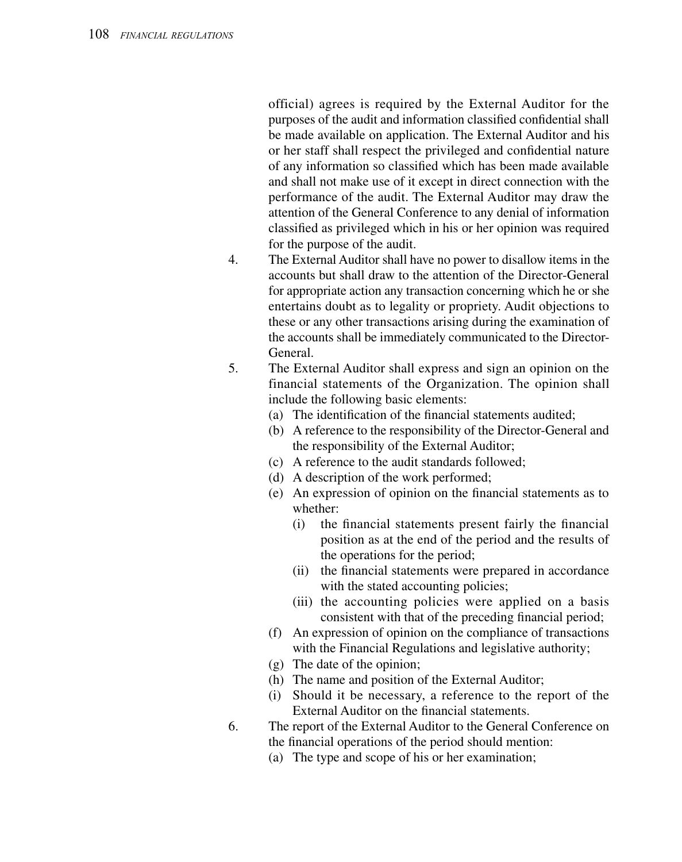official) agrees is required by the External Auditor for the purposes of the audit and information classified confidential shall be made available on application. The External Auditor and his or her staff shall respect the privileged and confidential nature of any information so classified which has been made available and shall not make use of it except in direct connection with the performance of the audit. The External Auditor may draw the attention of the General Conference to any denial of information classified as privileged which in his or her opinion was required for the purpose of the audit.

- 4. The External Auditor shall have no power to disallow items in the accounts but shall draw to the attention of the Director-General for appropriate action any transaction concerning which he or she entertains doubt as to legality or propriety. Audit objections to these or any other transactions arising during the examination of the accounts shall be immediately communicated to the Director-General.
- 5. The External Auditor shall express and sign an opinion on the financial statements of the Organization. The opinion shall include the following basic elements:
	- (a) The identification of the financial statements audited;
	- (b) A reference to the responsibility of the Director-General and the responsibility of the External Auditor;
	- (c) A reference to the audit standards followed;
	- (d) A description of the work performed;
	- (e) An expression of opinion on the financial statements as to whether:
		- (i) the financial statements present fairly the financial position as at the end of the period and the results of the operations for the period;
		- (ii) the financial statements were prepared in accordance with the stated accounting policies;
		- (iii) the accounting policies were applied on a basis consistent with that of the preceding financial period;
	- (f) An expression of opinion on the compliance of transactions with the Financial Regulations and legislative authority;
	- (g) The date of the opinion;
	- (h) The name and position of the External Auditor;
	- (i) Should it be necessary, a reference to the report of the External Auditor on the financial statements.
- 6. The report of the External Auditor to the General Conference on the financial operations of the period should mention:
	- (a) The type and scope of his or her examination;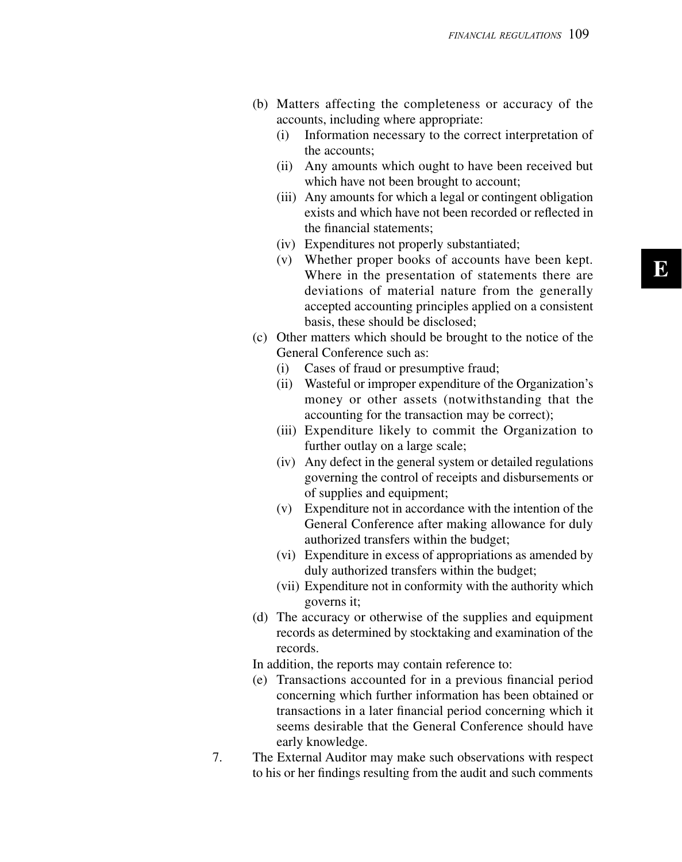- (b) Matters affecting the completeness or accuracy of the accounts, including where appropriate:
	- (i) Information necessary to the correct interpretation of the accounts;
	- (ii) Any amounts which ought to have been received but which have not been brought to account;
	- (iii) Any amounts for which a legal or contingent obligation exists and which have not been recorded or reflected in the financial statements;
	- (iv) Expenditures not properly substantiated;
	- (v) Whether proper books of accounts have been kept. Where in the presentation of statements there are deviations of material nature from the generally accepted accounting principles applied on a consistent basis, these should be disclosed;
- (c) Other matters which should be brought to the notice of the General Conference such as:
	- (i) Cases of fraud or presumptive fraud;
	- (ii) Wasteful or improper expenditure of the Organization's money or other assets (notwithstanding that the accounting for the transaction may be correct);
	- (iii) Expenditure likely to commit the Organization to further outlay on a large scale;
	- (iv) Any defect in the general system or detailed regulations governing the control of receipts and disbursements or of supplies and equipment;
	- (v) Expenditure not in accordance with the intention of the General Conference after making allowance for duly authorized transfers within the budget;
	- (vi) Expenditure in excess of appropriations as amended by duly authorized transfers within the budget;
	- (vii) Expenditure not in conformity with the authority which governs it;
- (d) The accuracy or otherwise of the supplies and equipment records as determined by stocktaking and examination of the records.
- In addition, the reports may contain reference to:
- (e) Transactions accounted for in a previous financial period concerning which further information has been obtained or transactions in a later financial period concerning which it seems desirable that the General Conference should have early knowledge.
- 7. The External Auditor may make such observations with respect to his or her findings resulting from the audit and such comments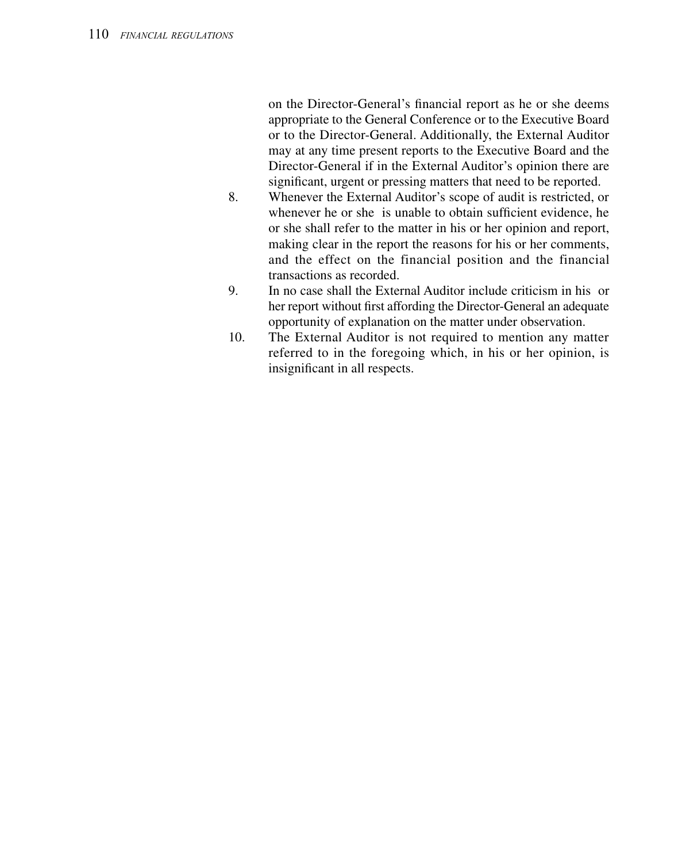on the Director-General's financial report as he or she deems appropriate to the General Conference or to the Executive Board or to the Director-General. Additionally, the External Auditor may at any time present reports to the Executive Board and the Director-General if in the External Auditor's opinion there are significant, urgent or pressing matters that need to be reported.

- 8. Whenever the External Auditor's scope of audit is restricted, or whenever he or she is unable to obtain sufficient evidence, he or she shall refer to the matter in his or her opinion and report, making clear in the report the reasons for his or her comments, and the effect on the financial position and the financial transactions as recorded.
- 9. In no case shall the External Auditor include criticism in his or her report without first affording the Director-General an adequate opportunity of explanation on the matter under observation.
- 10. The External Auditor is not required to mention any matter referred to in the foregoing which, in his or her opinion, is insignificant in all respects.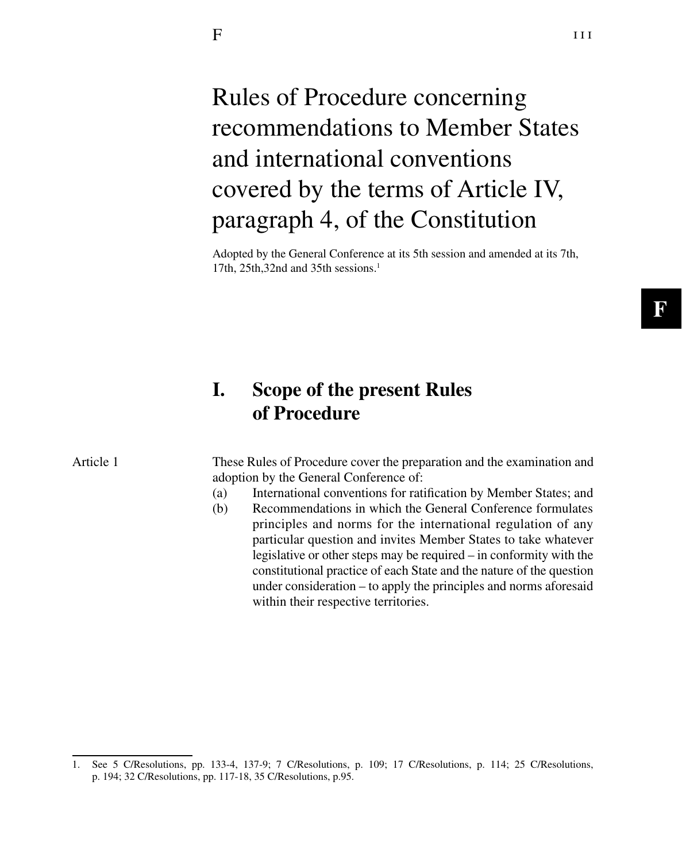# Rules of Procedure concerning recommendations to Member States and international conventions covered by the terms of Article IV, paragraph 4, of the Constitution

Adopted by the General Conference at its 5th session and amended at its 7th, 17th, 25th,32nd and 35th sessions.<sup>1</sup>

### **I. Scope of the present Rules of Procedure**

Article 1 These Rules of Procedure cover the preparation and the examination and adoption by the General Conference of:

- (a) International conventions for ratification by Member States; and
- (b) Recommendations in which the General Conference formulates principles and norms for the international regulation of any particular question and invites Member States to take whatever legislative or other steps may be required – in conformity with the constitutional practice of each State and the nature of the question under consideration – to apply the principles and norms aforesaid within their respective territories.

<sup>1.</sup> See 5 C/Resolutions, pp. 133-4, 137-9; 7 C/Resolutions, p. 109; 17 C/Resolutions, p. 114; 25 C/Resolutions, p. 194; 32 C/Resolutions, pp. 117-18, 35 C/Resolutions, p.95.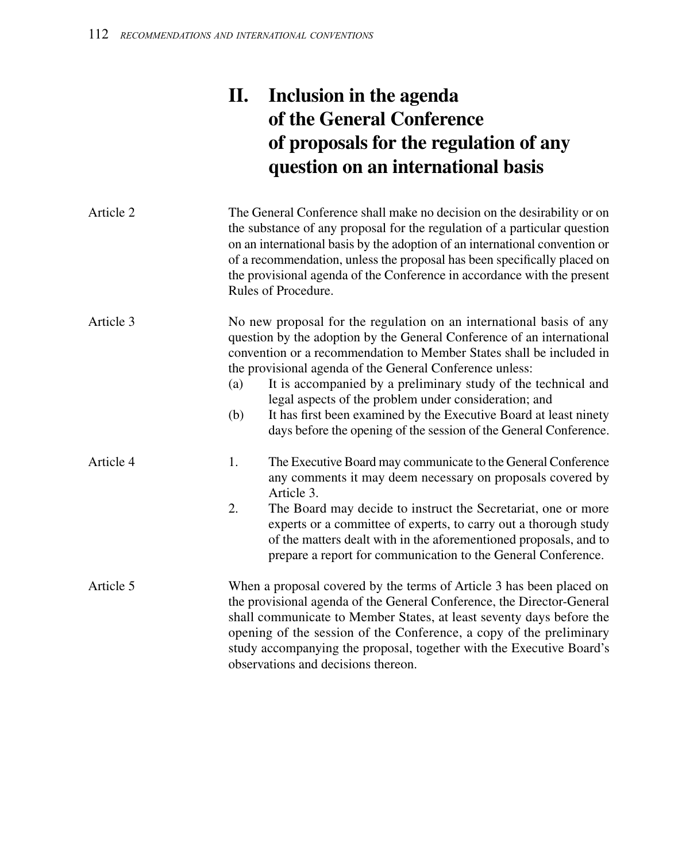## **II. Inclusion in the agenda of the General Conference of proposals for the regulation of any question on an international basis**

| Article 2 | The General Conference shall make no decision on the desirability or on<br>the substance of any proposal for the regulation of a particular question<br>on an international basis by the adoption of an international convention or<br>of a recommendation, unless the proposal has been specifically placed on<br>the provisional agenda of the Conference in accordance with the present<br>Rules of Procedure.                                                                                                                                                   |
|-----------|---------------------------------------------------------------------------------------------------------------------------------------------------------------------------------------------------------------------------------------------------------------------------------------------------------------------------------------------------------------------------------------------------------------------------------------------------------------------------------------------------------------------------------------------------------------------|
| Article 3 | No new proposal for the regulation on an international basis of any<br>question by the adoption by the General Conference of an international<br>convention or a recommendation to Member States shall be included in<br>the provisional agenda of the General Conference unless:<br>It is accompanied by a preliminary study of the technical and<br>(a)<br>legal aspects of the problem under consideration; and<br>It has first been examined by the Executive Board at least ninety<br>(b)<br>days before the opening of the session of the General Conference. |
| Article 4 | 1.<br>The Executive Board may communicate to the General Conference<br>any comments it may deem necessary on proposals covered by<br>Article 3.<br>2.<br>The Board may decide to instruct the Secretariat, one or more<br>experts or a committee of experts, to carry out a thorough study<br>of the matters dealt with in the aforementioned proposals, and to<br>prepare a report for communication to the General Conference.                                                                                                                                    |
| Article 5 | When a proposal covered by the terms of Article 3 has been placed on<br>the provisional agenda of the General Conference, the Director-General<br>shall communicate to Member States, at least seventy days before the<br>opening of the session of the Conference, a copy of the preliminary<br>study accompanying the proposal, together with the Executive Board's<br>observations and decisions thereon.                                                                                                                                                        |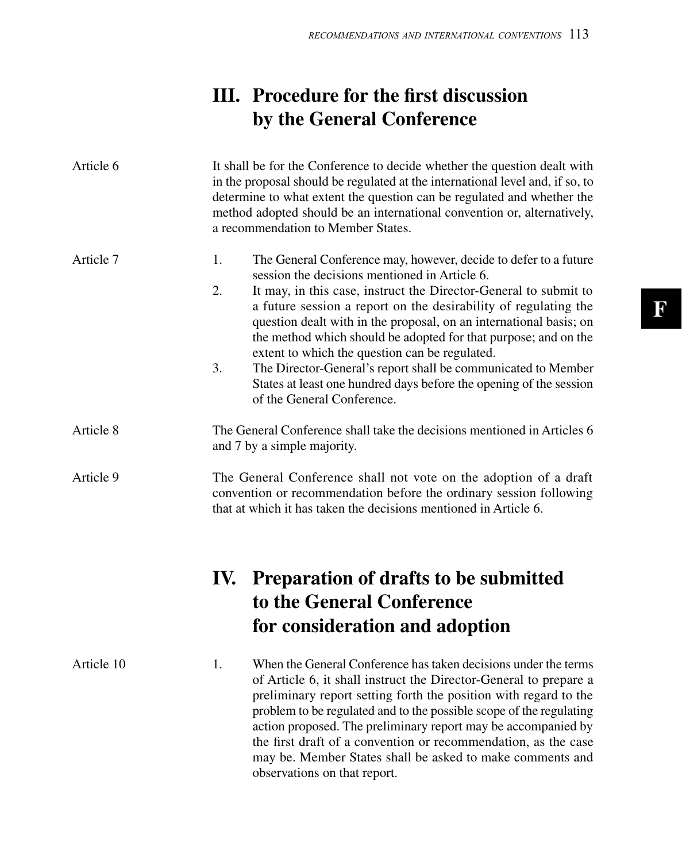## **III. Procedure for the first discussion by the General Conference**

| Article 6  | It shall be for the Conference to decide whether the question dealt with<br>in the proposal should be regulated at the international level and, if so, to<br>determine to what extent the question can be regulated and whether the<br>method adopted should be an international convention or, alternatively,<br>a recommendation to Member States.                                                                                                                                                                                                                                                                                       |
|------------|--------------------------------------------------------------------------------------------------------------------------------------------------------------------------------------------------------------------------------------------------------------------------------------------------------------------------------------------------------------------------------------------------------------------------------------------------------------------------------------------------------------------------------------------------------------------------------------------------------------------------------------------|
| Article 7  | 1.<br>The General Conference may, however, decide to defer to a future<br>session the decisions mentioned in Article 6.<br>2.<br>It may, in this case, instruct the Director-General to submit to<br>a future session a report on the desirability of regulating the<br>question dealt with in the proposal, on an international basis; on<br>the method which should be adopted for that purpose; and on the<br>extent to which the question can be regulated.<br>3.<br>The Director-General's report shall be communicated to Member<br>States at least one hundred days before the opening of the session<br>of the General Conference. |
| Article 8  | The General Conference shall take the decisions mentioned in Articles 6<br>and 7 by a simple majority.                                                                                                                                                                                                                                                                                                                                                                                                                                                                                                                                     |
| Article 9  | The General Conference shall not vote on the adoption of a draft<br>convention or recommendation before the ordinary session following<br>that at which it has taken the decisions mentioned in Article 6.                                                                                                                                                                                                                                                                                                                                                                                                                                 |
|            | IV. Preparation of drafts to be submitted<br>to the General Conference<br>for consideration and adoption                                                                                                                                                                                                                                                                                                                                                                                                                                                                                                                                   |
| Article 10 | When the General Conference has taken decisions under the terms<br>1.<br>of Article 6, it shall instruct the Director-General to prepare a                                                                                                                                                                                                                                                                                                                                                                                                                                                                                                 |

preliminary report setting forth the position with regard to the problem to be regulated and to the possible scope of the regulating action proposed. The preliminary report may be accompanied by the first draft of a convention or recommendation, as the case may be. Member States shall be asked to make comments and observations on that report.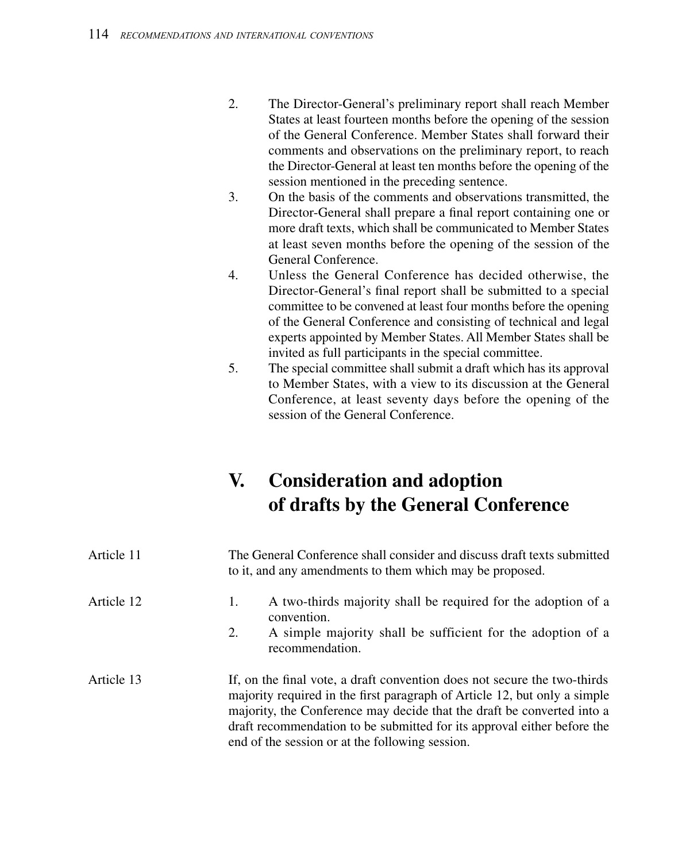- 2. The Director-General's preliminary report shall reach Member States at least fourteen months before the opening of the session of the General Conference. Member States shall forward their comments and observations on the preliminary report, to reach the Director-General at least ten months before the opening of the session mentioned in the preceding sentence.
- 3. On the basis of the comments and observations transmitted, the Director-General shall prepare a final report containing one or more draft texts, which shall be communicated to Member States at least seven months before the opening of the session of the General Conference.
- 4. Unless the General Conference has decided otherwise, the Director-General's final report shall be submitted to a special committee to be convened at least four months before the opening of the General Conference and consisting of technical and legal experts appointed by Member States. All Member States shall be invited as full participants in the special committee.
- 5. The special committee shall submit a draft which has its approval to Member States, with a view to its discussion at the General Conference, at least seventy days before the opening of the session of the General Conference.

## **V. Consideration and adoption of drafts by the General Conference**

| Article 11 | The General Conference shall consider and discuss draft texts submitted<br>to it, and any amendments to them which may be proposed.                                                                                                                                                                                                                           |
|------------|---------------------------------------------------------------------------------------------------------------------------------------------------------------------------------------------------------------------------------------------------------------------------------------------------------------------------------------------------------------|
| Article 12 | A two-thirds majority shall be required for the adoption of a<br>1.<br>convention.<br>A simple majority shall be sufficient for the adoption of a<br>2.<br>recommendation.                                                                                                                                                                                    |
| Article 13 | If, on the final vote, a draft convention does not secure the two-thirds<br>majority required in the first paragraph of Article 12, but only a simple<br>majority, the Conference may decide that the draft be converted into a<br>draft recommendation to be submitted for its approval either before the<br>end of the session or at the following session. |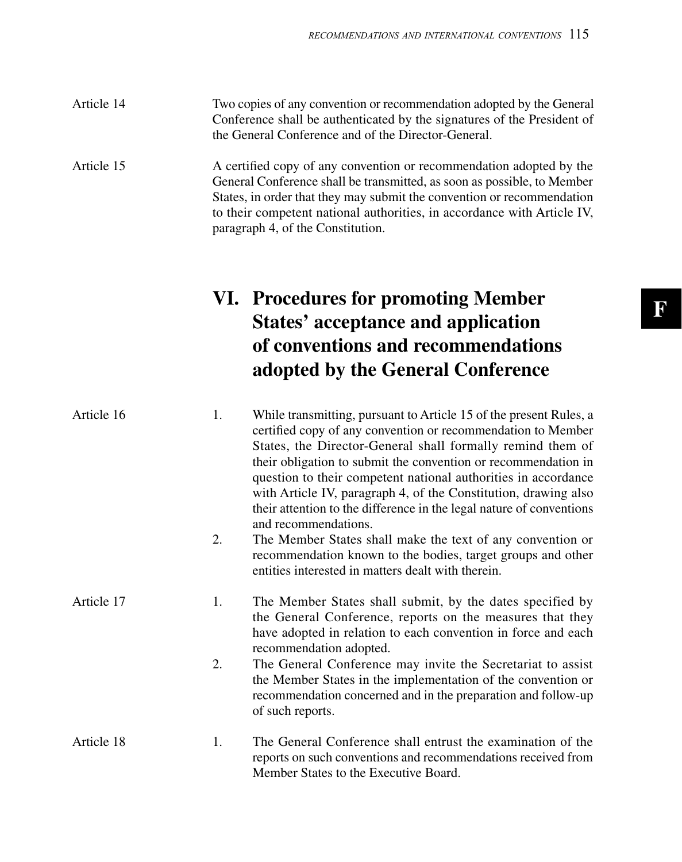| Article 14 | Two copies of any convention or recommendation adopted by the General<br>Conference shall be authenticated by the signatures of the President of  |
|------------|---------------------------------------------------------------------------------------------------------------------------------------------------|
| Article 15 | the General Conference and of the Director-General.<br>A certified copy of any convention or recommendation adopted by the                        |
|            | General Conference shall be transmitted, as soon as possible, to Member<br>States, in order that they may submit the convention or recommendation |

to their competent national authorities, in accordance with Article IV, paragraph 4, of the Constitution.

## **VI. Procedures for promoting Member States' acceptance and application of conventions and recommendations adopted by the General Conference**

| Article 16 | 1.<br>2. | While transmitting, pursuant to Article 15 of the present Rules, a<br>certified copy of any convention or recommendation to Member<br>States, the Director-General shall formally remind them of<br>their obligation to submit the convention or recommendation in<br>question to their competent national authorities in accordance<br>with Article IV, paragraph 4, of the Constitution, drawing also<br>their attention to the difference in the legal nature of conventions<br>and recommendations.<br>The Member States shall make the text of any convention or<br>recommendation known to the bodies, target groups and other |
|------------|----------|--------------------------------------------------------------------------------------------------------------------------------------------------------------------------------------------------------------------------------------------------------------------------------------------------------------------------------------------------------------------------------------------------------------------------------------------------------------------------------------------------------------------------------------------------------------------------------------------------------------------------------------|
|            |          | entities interested in matters dealt with therein.                                                                                                                                                                                                                                                                                                                                                                                                                                                                                                                                                                                   |
| Article 17 | 1.       | The Member States shall submit, by the dates specified by<br>the General Conference, reports on the measures that they<br>have adopted in relation to each convention in force and each<br>recommendation adopted.                                                                                                                                                                                                                                                                                                                                                                                                                   |
|            | 2.       | The General Conference may invite the Secretariat to assist<br>the Member States in the implementation of the convention or<br>recommendation concerned and in the preparation and follow-up<br>of such reports.                                                                                                                                                                                                                                                                                                                                                                                                                     |
| Article 18 | 1.       | The General Conference shall entrust the examination of the<br>reports on such conventions and recommendations received from<br>Member States to the Executive Board.                                                                                                                                                                                                                                                                                                                                                                                                                                                                |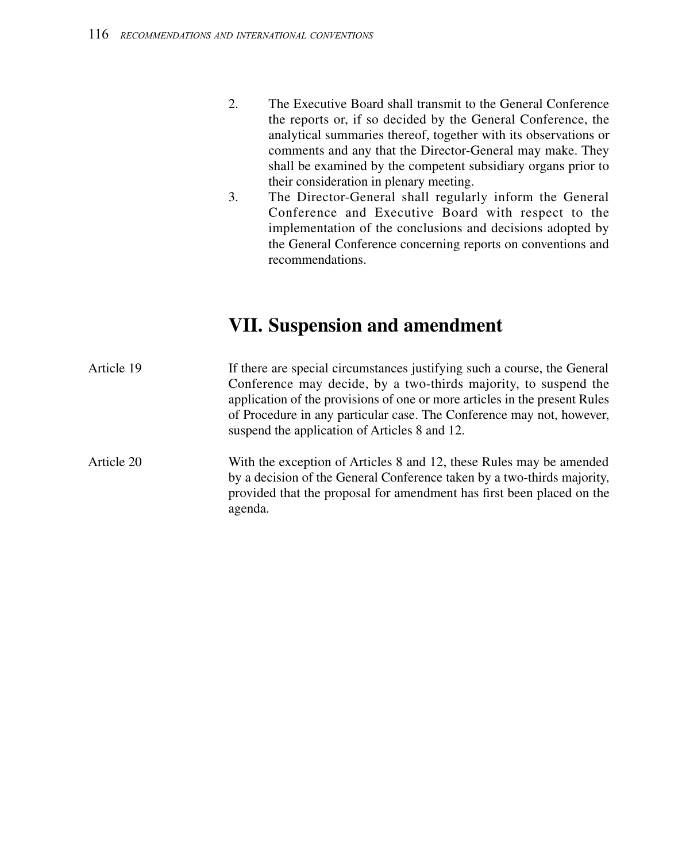- 2. The Executive Board shall transmit to the General Conference the reports or, if so decided by the General Conference, the analytical summaries thereof, together with its observations or comments and any that the Director-General may make. They shall be examined by the competent subsidiary organs prior to their consideration in plenary meeting.
- 3. The Director-General shall regularly inform the General Conference and Executive Board with respect to the implementation of the conclusions and decisions adopted by the General Conference concerning reports on conventions and recommendations.

## **VII. Suspension and amendment**

| Article 19 | If there are special circumstances justifying such a course, the General<br>Conference may decide, by a two-thirds majority, to suspend the<br>application of the provisions of one or more articles in the present Rules<br>of Procedure in any particular case. The Conference may not, however,<br>suspend the application of Articles 8 and 12. |
|------------|-----------------------------------------------------------------------------------------------------------------------------------------------------------------------------------------------------------------------------------------------------------------------------------------------------------------------------------------------------|
| Article 20 | With the exception of Articles 8 and 12, these Rules may be amended<br>by a decision of the General Conference taken by a two-thirds majority,<br>provided that the proposal for amendment has first been placed on the<br>agenda.                                                                                                                  |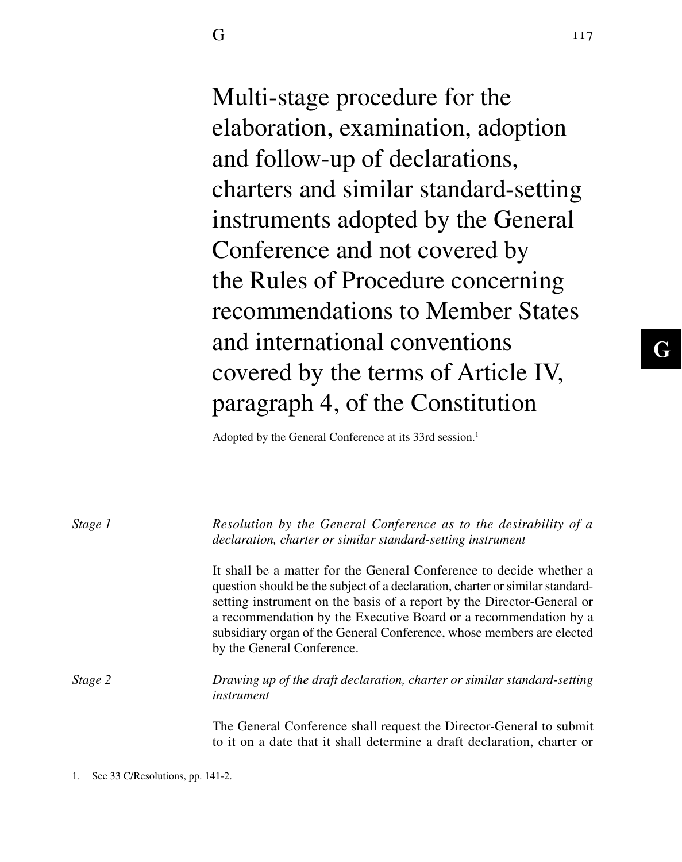Multi-stage procedure for the elaboration, examination, adoption and follow-up of declarations, charters and similar standard-setting instruments adopted by the General Conference and not covered by the Rules of Procedure concerning recommendations to Member States and international conventions covered by the terms of Article IV, paragraph 4, of the Constitution

Adopted by the General Conference at its 33rd session.<sup>1</sup>

| Stage 1 | Resolution by the General Conference as to the desirability of a<br>declaration, charter or similar standard-setting instrument                                                                                                                                                                                                                                                                           |
|---------|-----------------------------------------------------------------------------------------------------------------------------------------------------------------------------------------------------------------------------------------------------------------------------------------------------------------------------------------------------------------------------------------------------------|
|         | It shall be a matter for the General Conference to decide whether a<br>question should be the subject of a declaration, charter or similar standard-<br>setting instrument on the basis of a report by the Director-General or<br>a recommendation by the Executive Board or a recommendation by a<br>subsidiary organ of the General Conference, whose members are elected<br>by the General Conference. |
| Stage 2 | Drawing up of the draft declaration, charter or similar standard-setting<br>instrument                                                                                                                                                                                                                                                                                                                    |
|         | The General Conference shall request the Director-General to submit<br>to it on a date that it shall determine a draft declaration, charter or                                                                                                                                                                                                                                                            |

<sup>1.</sup> See 33 C/Resolutions, pp. 141-2.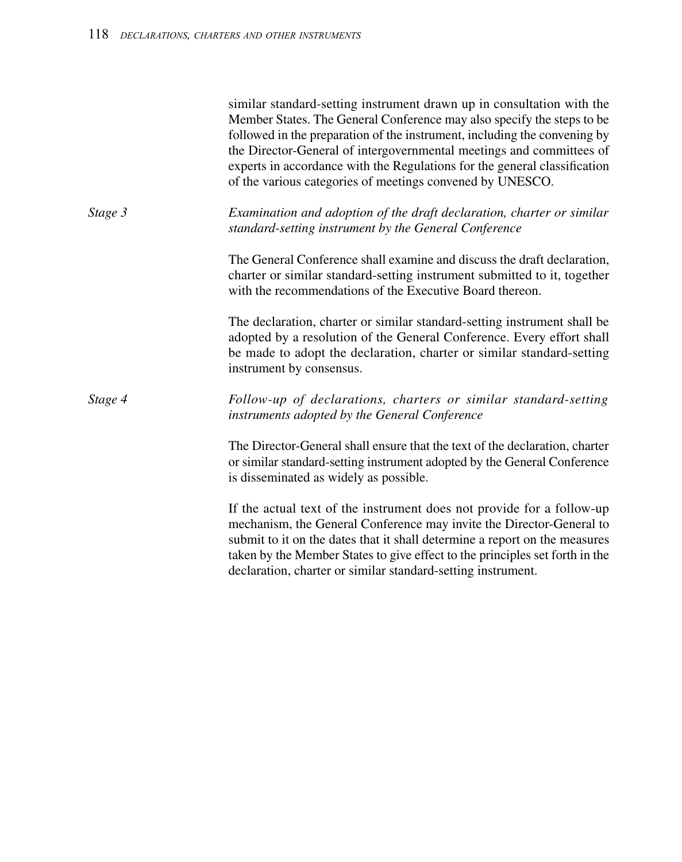|         | similar standard-setting instrument drawn up in consultation with the<br>Member States. The General Conference may also specify the steps to be.<br>followed in the preparation of the instrument, including the convening by<br>the Director-General of intergovernmental meetings and committees of<br>experts in accordance with the Regulations for the general classification<br>of the various categories of meetings convened by UNESCO. |
|---------|-------------------------------------------------------------------------------------------------------------------------------------------------------------------------------------------------------------------------------------------------------------------------------------------------------------------------------------------------------------------------------------------------------------------------------------------------|
| Stage 3 | Examination and adoption of the draft declaration, charter or similar<br>standard-setting instrument by the General Conference                                                                                                                                                                                                                                                                                                                  |
|         | The General Conference shall examine and discuss the draft declaration,<br>charter or similar standard-setting instrument submitted to it, together<br>with the recommendations of the Executive Board thereon.                                                                                                                                                                                                                                 |
|         | The declaration, charter or similar standard-setting instrument shall be<br>adopted by a resolution of the General Conference. Every effort shall<br>be made to adopt the declaration, charter or similar standard-setting<br>instrument by consensus.                                                                                                                                                                                          |
| Stage 4 | Follow-up of declarations, charters or similar standard-setting<br>instruments adopted by the General Conference                                                                                                                                                                                                                                                                                                                                |
|         | The Director-General shall ensure that the text of the declaration, charter<br>or similar standard-setting instrument adopted by the General Conference<br>is disseminated as widely as possible.                                                                                                                                                                                                                                               |
|         | If the actual text of the instrument does not provide for a follow-up<br>mechanism, the General Conference may invite the Director-General to<br>submit to it on the dates that it shall determine a report on the measures<br>taken by the Member States to give effect to the principles set forth in the<br>declaration, charter or similar standard-setting instrument.                                                                     |
|         |                                                                                                                                                                                                                                                                                                                                                                                                                                                 |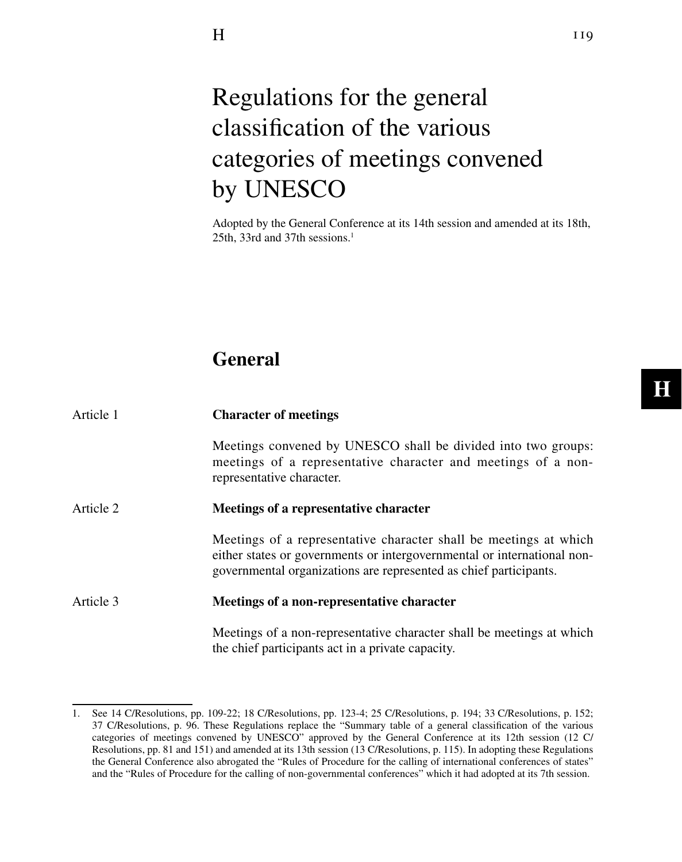# Regulations for the general classification of the various categories of meetings convened by UNESCO

Adopted by the General Conference at its 14th session and amended at its 18th, 25th, 33rd and 37th sessions.<sup>1</sup>

### **General**

| Article 1 | <b>Character of meetings</b>                                                                                                                                                                                      |
|-----------|-------------------------------------------------------------------------------------------------------------------------------------------------------------------------------------------------------------------|
|           | Meetings convened by UNESCO shall be divided into two groups:<br>meetings of a representative character and meetings of a non-<br>representative character.                                                       |
| Article 2 | Meetings of a representative character                                                                                                                                                                            |
|           | Meetings of a representative character shall be meetings at which<br>either states or governments or intergovernmental or international non-<br>governmental organizations are represented as chief participants. |
| Article 3 | Meetings of a non-representative character                                                                                                                                                                        |
|           | Meetings of a non-representative character shall be meetings at which<br>the chief participants act in a private capacity.                                                                                        |

<sup>1.</sup> See 14 C/Resolutions, pp. 109-22; 18 C/Resolutions, pp. 123-4; 25 C/Resolutions, p. 194; 33 C/Resolutions, p. 152; 37 C/Resolutions, p. 96. These Regulations replace the "Summary table of a general classification of the various categories of meetings convened by UNESCO" approved by the General Conference at its 12th session (12 C/ Resolutions, pp. 81 and 151) and amended at its 13th session (13 C/Resolutions, p. 115). In adopting these Regulations the General Conference also abrogated the "Rules of Procedure for the calling of international conferences of states" and the "Rules of Procedure for the calling of non-governmental conferences" which it had adopted at its 7th session.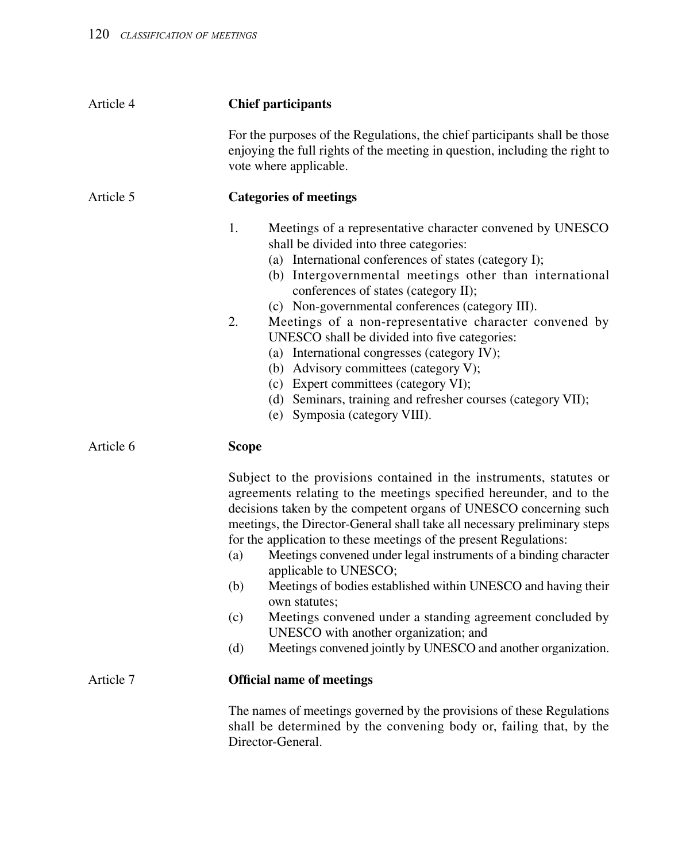| Article 4 | <b>Chief participants</b>                                                                                                                                                                                                                                                                                                                                                                                                                                                                                                                                                                                                                                                                                                                           |
|-----------|-----------------------------------------------------------------------------------------------------------------------------------------------------------------------------------------------------------------------------------------------------------------------------------------------------------------------------------------------------------------------------------------------------------------------------------------------------------------------------------------------------------------------------------------------------------------------------------------------------------------------------------------------------------------------------------------------------------------------------------------------------|
|           | For the purposes of the Regulations, the chief participants shall be those<br>enjoying the full rights of the meeting in question, including the right to<br>vote where applicable.                                                                                                                                                                                                                                                                                                                                                                                                                                                                                                                                                                 |
| Article 5 | <b>Categories of meetings</b>                                                                                                                                                                                                                                                                                                                                                                                                                                                                                                                                                                                                                                                                                                                       |
|           | 1.<br>Meetings of a representative character convened by UNESCO<br>shall be divided into three categories:<br>(a) International conferences of states (category I);<br>(b) Intergovernmental meetings other than international<br>conferences of states (category II);<br>(c) Non-governmental conferences (category III).<br>2.<br>Meetings of a non-representative character convened by<br>UNESCO shall be divided into five categories:<br>(a) International congresses (category IV);<br>(b) Advisory committees (category V);<br>(c) Expert committees (category VI);<br>(d) Seminars, training and refresher courses (category VII);<br>(e) Symposia (category VIII).                                                                        |
| Article 6 | <b>Scope</b>                                                                                                                                                                                                                                                                                                                                                                                                                                                                                                                                                                                                                                                                                                                                        |
|           | Subject to the provisions contained in the instruments, statutes or<br>agreements relating to the meetings specified hereunder, and to the<br>decisions taken by the competent organs of UNESCO concerning such<br>meetings, the Director-General shall take all necessary preliminary steps<br>for the application to these meetings of the present Regulations:<br>Meetings convened under legal instruments of a binding character<br>(a)<br>applicable to UNESCO;<br>Meetings of bodies established within UNESCO and having their<br>(b)<br>own statutes:<br>Meetings convened under a standing agreement concluded by<br>(c)<br>UNESCO with another organization; and<br>(d)<br>Meetings convened jointly by UNESCO and another organization. |
| Article 7 | <b>Official name of meetings</b>                                                                                                                                                                                                                                                                                                                                                                                                                                                                                                                                                                                                                                                                                                                    |
|           | The names of meetings governed by the provisions of these Regulations<br>shall be determined by the convening body or, failing that, by the<br>Director-General.                                                                                                                                                                                                                                                                                                                                                                                                                                                                                                                                                                                    |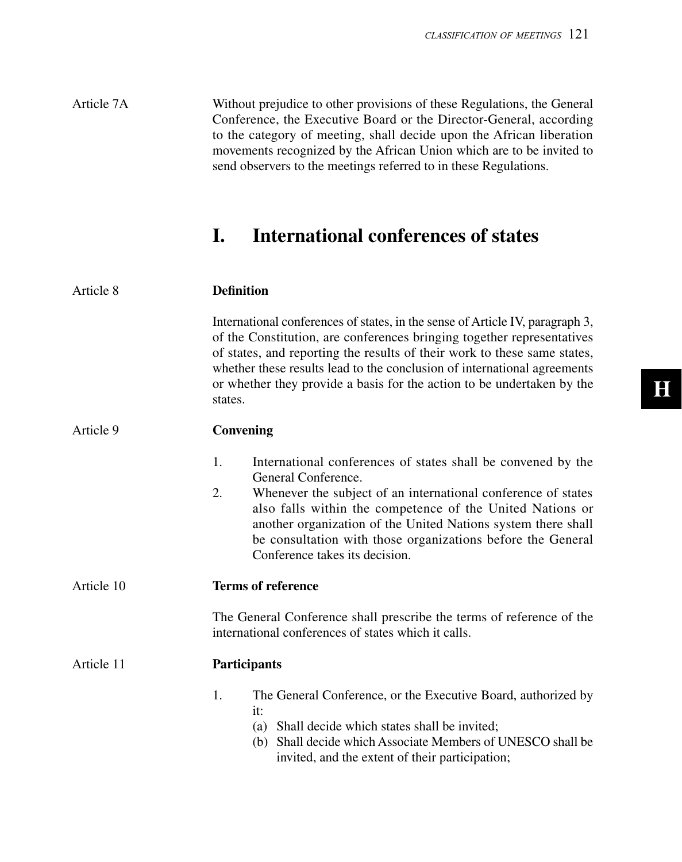| Article 7A | Without prejudice to other provisions of these Regulations, the General |
|------------|-------------------------------------------------------------------------|
|            | Conference, the Executive Board or the Director-General, according      |
|            | to the category of meeting, shall decide upon the African liberation    |
|            | movements recognized by the African Union which are to be invited to    |
|            | send observers to the meetings referred to in these Regulations.        |

## **I. International conferences of states**

| Article 8  | <b>Definition</b>                                                                                                                                                                                                                                                                                                                                                                                    |
|------------|------------------------------------------------------------------------------------------------------------------------------------------------------------------------------------------------------------------------------------------------------------------------------------------------------------------------------------------------------------------------------------------------------|
|            | International conferences of states, in the sense of Article IV, paragraph 3,<br>of the Constitution, are conferences bringing together representatives<br>of states, and reporting the results of their work to these same states,<br>whether these results lead to the conclusion of international agreements<br>or whether they provide a basis for the action to be undertaken by the<br>states. |
| Article 9  | Convening                                                                                                                                                                                                                                                                                                                                                                                            |
|            | 1.<br>International conferences of states shall be convened by the<br>General Conference.<br>2.<br>Whenever the subject of an international conference of states<br>also falls within the competence of the United Nations or<br>another organization of the United Nations system there shall<br>be consultation with those organizations before the General<br>Conference takes its decision.      |
| Article 10 | <b>Terms of reference</b>                                                                                                                                                                                                                                                                                                                                                                            |
|            | The General Conference shall prescribe the terms of reference of the<br>international conferences of states which it calls.                                                                                                                                                                                                                                                                          |
| Article 11 | <b>Participants</b>                                                                                                                                                                                                                                                                                                                                                                                  |
|            | 1.<br>The General Conference, or the Executive Board, authorized by<br>it:<br>(a) Shall decide which states shall be invited;<br>Shall decide which Associate Members of UNESCO shall be<br>(b)<br>invited, and the extent of their participation;                                                                                                                                                   |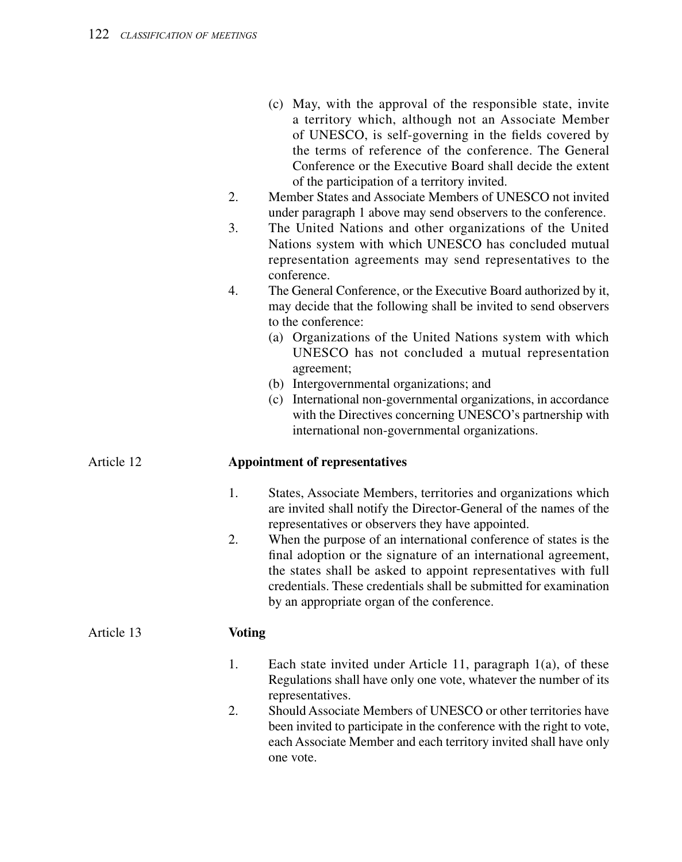|            | (c) May, with the approval of the responsible state, invite<br>a territory which, although not an Associate Member<br>of UNESCO, is self-governing in the fields covered by<br>the terms of reference of the conference. The General<br>Conference or the Executive Board shall decide the extent<br>of the participation of a territory invited.<br>2.<br>Member States and Associate Members of UNESCO not invited<br>under paragraph 1 above may send observers to the conference.<br>3.<br>The United Nations and other organizations of the United<br>Nations system with which UNESCO has concluded mutual<br>representation agreements may send representatives to the<br>conference.<br>4.<br>The General Conference, or the Executive Board authorized by it,<br>may decide that the following shall be invited to send observers<br>to the conference:<br>(a) Organizations of the United Nations system with which<br>UNESCO has not concluded a mutual representation<br>agreement;<br>(b) Intergovernmental organizations; and<br>(c) International non-governmental organizations, in accordance<br>with the Directives concerning UNESCO's partnership with<br>international non-governmental organizations. |  |  |
|------------|-----------------------------------------------------------------------------------------------------------------------------------------------------------------------------------------------------------------------------------------------------------------------------------------------------------------------------------------------------------------------------------------------------------------------------------------------------------------------------------------------------------------------------------------------------------------------------------------------------------------------------------------------------------------------------------------------------------------------------------------------------------------------------------------------------------------------------------------------------------------------------------------------------------------------------------------------------------------------------------------------------------------------------------------------------------------------------------------------------------------------------------------------------------------------------------------------------------------------------|--|--|
| Article 12 | <b>Appointment of representatives</b>                                                                                                                                                                                                                                                                                                                                                                                                                                                                                                                                                                                                                                                                                                                                                                                                                                                                                                                                                                                                                                                                                                                                                                                       |  |  |
|            | 1.<br>States, Associate Members, territories and organizations which<br>are invited shall notify the Director-General of the names of the<br>representatives or observers they have appointed.<br>2.<br>When the purpose of an international conference of states is the<br>final adoption or the signature of an international agreement,<br>the states shall be asked to appoint representatives with full<br>credentials. These credentials shall be submitted for examination<br>by an appropriate organ of the conference.                                                                                                                                                                                                                                                                                                                                                                                                                                                                                                                                                                                                                                                                                             |  |  |
| Article 13 | <b>Voting</b>                                                                                                                                                                                                                                                                                                                                                                                                                                                                                                                                                                                                                                                                                                                                                                                                                                                                                                                                                                                                                                                                                                                                                                                                               |  |  |
|            | 1.<br>Each state invited under Article 11, paragraph $1(a)$ , of these<br>Regulations shall have only one vote, whatever the number of its<br>representatives.<br>2.<br>Should Associate Members of UNESCO or other territories have<br>been invited to participate in the conference with the right to vote,<br>each Associate Member and each territory invited shall have only<br>one vote.                                                                                                                                                                                                                                                                                                                                                                                                                                                                                                                                                                                                                                                                                                                                                                                                                              |  |  |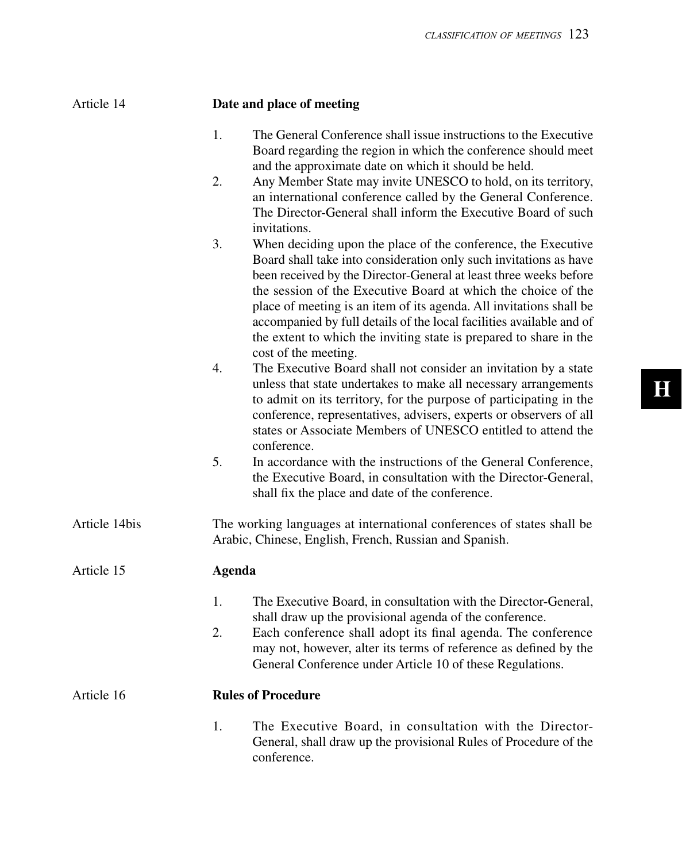| Article 14    | Date and place of meeting                                                                                                                                                                                                                                                                                                                                                                                                                                                                                                                   |  |  |
|---------------|---------------------------------------------------------------------------------------------------------------------------------------------------------------------------------------------------------------------------------------------------------------------------------------------------------------------------------------------------------------------------------------------------------------------------------------------------------------------------------------------------------------------------------------------|--|--|
|               | The General Conference shall issue instructions to the Executive<br>1.<br>Board regarding the region in which the conference should meet<br>and the approximate date on which it should be held.<br>2.<br>Any Member State may invite UNESCO to hold, on its territory,<br>an international conference called by the General Conference.<br>The Director-General shall inform the Executive Board of such                                                                                                                                   |  |  |
|               | invitations.<br>3.<br>When deciding upon the place of the conference, the Executive<br>Board shall take into consideration only such invitations as have<br>been received by the Director-General at least three weeks before<br>the session of the Executive Board at which the choice of the<br>place of meeting is an item of its agenda. All invitations shall be<br>accompanied by full details of the local facilities available and of<br>the extent to which the inviting state is prepared to share in the<br>cost of the meeting. |  |  |
|               | 4.<br>The Executive Board shall not consider an invitation by a state<br>unless that state undertakes to make all necessary arrangements<br>to admit on its territory, for the purpose of participating in the<br>conference, representatives, advisers, experts or observers of all<br>states or Associate Members of UNESCO entitled to attend the<br>conference.<br>5.<br>In accordance with the instructions of the General Conference,<br>the Executive Board, in consultation with the Director-General,                              |  |  |
|               | shall fix the place and date of the conference.                                                                                                                                                                                                                                                                                                                                                                                                                                                                                             |  |  |
| Article 14bis | The working languages at international conferences of states shall be<br>Arabic, Chinese, English, French, Russian and Spanish.                                                                                                                                                                                                                                                                                                                                                                                                             |  |  |
| Article 15    | Agenda                                                                                                                                                                                                                                                                                                                                                                                                                                                                                                                                      |  |  |
|               | 1.<br>The Executive Board, in consultation with the Director-General,<br>shall draw up the provisional agenda of the conference.<br>2.<br>Each conference shall adopt its final agenda. The conference<br>may not, however, alter its terms of reference as defined by the<br>General Conference under Article 10 of these Regulations.                                                                                                                                                                                                     |  |  |
| Article 16    | <b>Rules of Procedure</b>                                                                                                                                                                                                                                                                                                                                                                                                                                                                                                                   |  |  |
|               | 1.<br>The Executive Board, in consultation with the Director-<br>General, shall draw up the provisional Rules of Procedure of the<br>conference.                                                                                                                                                                                                                                                                                                                                                                                            |  |  |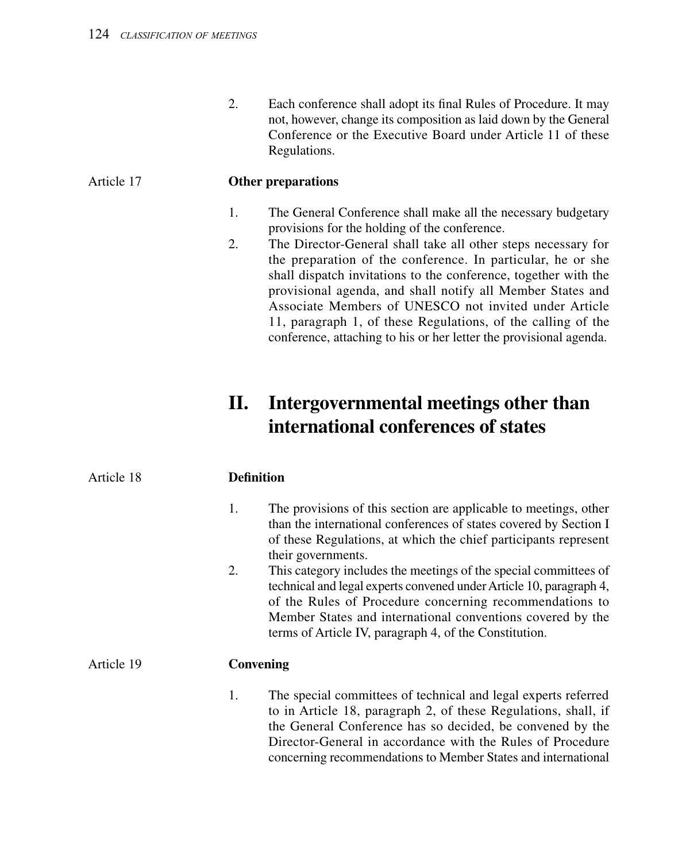2. Each conference shall adopt its final Rules of Procedure. It may not, however, change its composition as laid down by the General Conference or the Executive Board under Article 11 of these Regulations.

### Article 17 **Other preparations**

- 1. The General Conference shall make all the necessary budgetary provisions for the holding of the conference.
- 2. The Director-General shall take all other steps necessary for the preparation of the conference. In particular, he or she shall dispatch invitations to the conference, together with the provisional agenda, and shall notify all Member States and Associate Members of UNESCO not invited under Article 11, paragraph 1, of these Regulations, of the calling of the conference, attaching to his or her letter the provisional agenda.

## **II. Intergovernmental meetings other than international conferences of states**

| Article 18 | <b>Definition</b> |                                                                                                                                                                                                                                                                                                                              |  |
|------------|-------------------|------------------------------------------------------------------------------------------------------------------------------------------------------------------------------------------------------------------------------------------------------------------------------------------------------------------------------|--|
|            | 1.                | The provisions of this section are applicable to meetings, other<br>than the international conferences of states covered by Section I<br>of these Regulations, at which the chief participants represent<br>their governments.                                                                                               |  |
|            | 2.                | This category includes the meetings of the special committees of<br>technical and legal experts convened under Article 10, paragraph 4,<br>of the Rules of Procedure concerning recommendations to<br>Member States and international conventions covered by the<br>terms of Article IV, paragraph 4, of the Constitution.   |  |
| Article 19 | Convening         |                                                                                                                                                                                                                                                                                                                              |  |
|            | 1.                | The special committees of technical and legal experts referred<br>to in Article 18, paragraph 2, of these Regulations, shall, if<br>the General Conference has so decided, be convened by the<br>Director-General in accordance with the Rules of Procedure<br>concerning recommendations to Member States and international |  |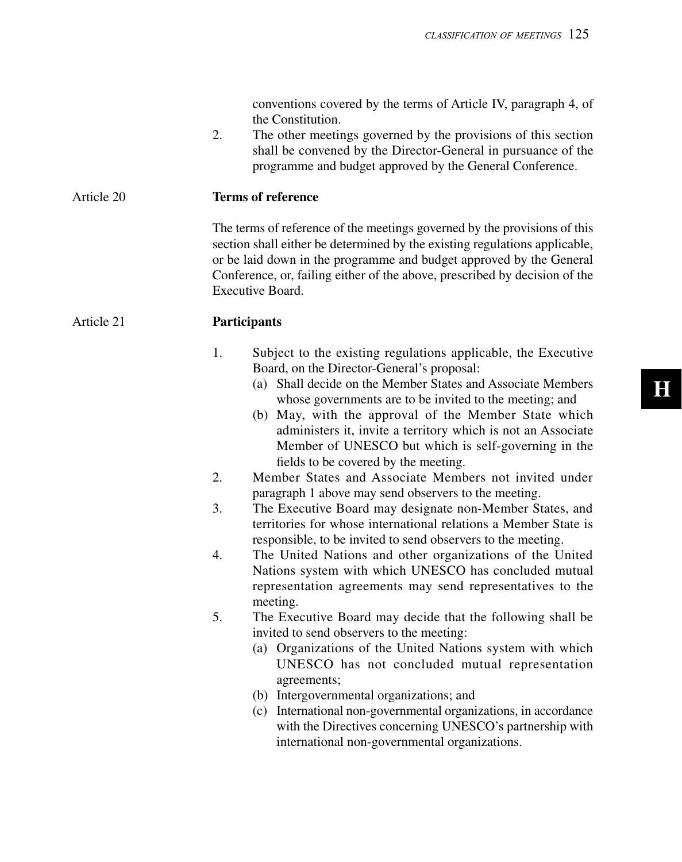|            | 2.                         | conventions covered by the terms of Article IV, paragraph 4, of<br>the Constitution.<br>The other meetings governed by the provisions of this section<br>shall be convened by the Director-General in pursuance of the<br>programme and budget approved by the General Conference.                                                                                                                                                                                                                                                                                                                                                                                                                                                                                                                                                                                                                                                                                                                                                                                                                                                                 |
|------------|----------------------------|----------------------------------------------------------------------------------------------------------------------------------------------------------------------------------------------------------------------------------------------------------------------------------------------------------------------------------------------------------------------------------------------------------------------------------------------------------------------------------------------------------------------------------------------------------------------------------------------------------------------------------------------------------------------------------------------------------------------------------------------------------------------------------------------------------------------------------------------------------------------------------------------------------------------------------------------------------------------------------------------------------------------------------------------------------------------------------------------------------------------------------------------------|
| Article 20 |                            | <b>Terms of reference</b>                                                                                                                                                                                                                                                                                                                                                                                                                                                                                                                                                                                                                                                                                                                                                                                                                                                                                                                                                                                                                                                                                                                          |
|            |                            | The terms of reference of the meetings governed by the provisions of this<br>section shall either be determined by the existing regulations applicable,<br>or be laid down in the programme and budget approved by the General<br>Conference, or, failing either of the above, prescribed by decision of the<br>Executive Board.                                                                                                                                                                                                                                                                                                                                                                                                                                                                                                                                                                                                                                                                                                                                                                                                                   |
| Article 21 |                            | Participants                                                                                                                                                                                                                                                                                                                                                                                                                                                                                                                                                                                                                                                                                                                                                                                                                                                                                                                                                                                                                                                                                                                                       |
|            | 1.<br>2.<br>3.<br>4.<br>5. | Subject to the existing regulations applicable, the Executive<br>Board, on the Director-General's proposal:<br>(a) Shall decide on the Member States and Associate Members<br>whose governments are to be invited to the meeting; and<br>(b) May, with the approval of the Member State which<br>administers it, invite a territory which is not an Associate<br>Member of UNESCO but which is self-governing in the<br>fields to be covered by the meeting.<br>Member States and Associate Members not invited under<br>paragraph 1 above may send observers to the meeting.<br>The Executive Board may designate non-Member States, and<br>territories for whose international relations a Member State is<br>responsible, to be invited to send observers to the meeting.<br>The United Nations and other organizations of the United<br>Nations system with which UNESCO has concluded mutual<br>representation agreements may send representatives to the<br>meeting.<br>The Executive Board may decide that the following shall be<br>invited to send observers to the meeting:<br>(a) Organizations of the United Nations system with which |
|            |                            | UNESCO has not concluded mutual representation<br>agreements;<br>(b) Intergovernmental organizations; and<br>(c) International non-governmental organizations, in accordance<br>with the Directives concerning UNESCO's partnership with<br>international non-governmental organizations.                                                                                                                                                                                                                                                                                                                                                                                                                                                                                                                                                                                                                                                                                                                                                                                                                                                          |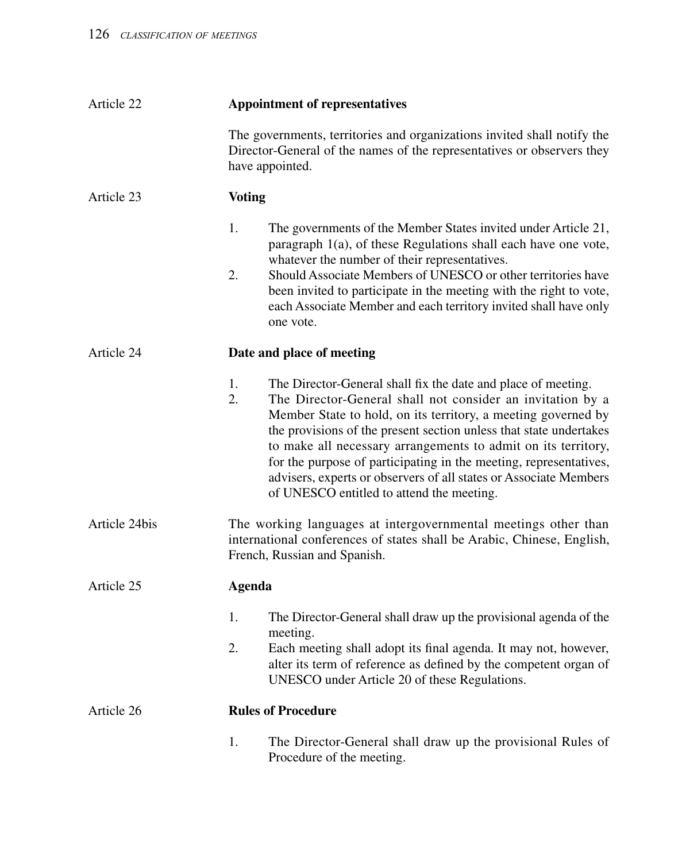| Article 22    | <b>Appointment of representatives</b>                                                                                                                                                                                                                                                                                                                                                                                                                                                                                                  |  |
|---------------|----------------------------------------------------------------------------------------------------------------------------------------------------------------------------------------------------------------------------------------------------------------------------------------------------------------------------------------------------------------------------------------------------------------------------------------------------------------------------------------------------------------------------------------|--|
|               | The governments, territories and organizations invited shall notify the<br>Director-General of the names of the representatives or observers they<br>have appointed.                                                                                                                                                                                                                                                                                                                                                                   |  |
| Article 23    | <b>Voting</b>                                                                                                                                                                                                                                                                                                                                                                                                                                                                                                                          |  |
|               | 1.<br>The governments of the Member States invited under Article 21,<br>paragraph 1(a), of these Regulations shall each have one vote,                                                                                                                                                                                                                                                                                                                                                                                                 |  |
|               | whatever the number of their representatives.<br>2.<br>Should Associate Members of UNESCO or other territories have<br>been invited to participate in the meeting with the right to vote,<br>each Associate Member and each territory invited shall have only<br>one vote.                                                                                                                                                                                                                                                             |  |
| Article 24    | Date and place of meeting                                                                                                                                                                                                                                                                                                                                                                                                                                                                                                              |  |
|               | 1.<br>The Director-General shall fix the date and place of meeting.<br>2.<br>The Director-General shall not consider an invitation by a<br>Member State to hold, on its territory, a meeting governed by<br>the provisions of the present section unless that state undertakes<br>to make all necessary arrangements to admit on its territory,<br>for the purpose of participating in the meeting, representatives,<br>advisers, experts or observers of all states or Associate Members<br>of UNESCO entitled to attend the meeting. |  |
| Article 24bis | The working languages at intergovernmental meetings other than<br>international conferences of states shall be Arabic, Chinese, English,<br>French, Russian and Spanish.                                                                                                                                                                                                                                                                                                                                                               |  |
| Article 25    | <b>Agenda</b>                                                                                                                                                                                                                                                                                                                                                                                                                                                                                                                          |  |
|               | 1.<br>The Director-General shall draw up the provisional agenda of the<br>meeting.<br>2.<br>Each meeting shall adopt its final agenda. It may not, however,<br>alter its term of reference as defined by the competent organ of<br>UNESCO under Article 20 of these Regulations.                                                                                                                                                                                                                                                       |  |
| Article 26    | <b>Rules of Procedure</b>                                                                                                                                                                                                                                                                                                                                                                                                                                                                                                              |  |
|               | 1.<br>The Director-General shall draw up the provisional Rules of<br>Procedure of the meeting.                                                                                                                                                                                                                                                                                                                                                                                                                                         |  |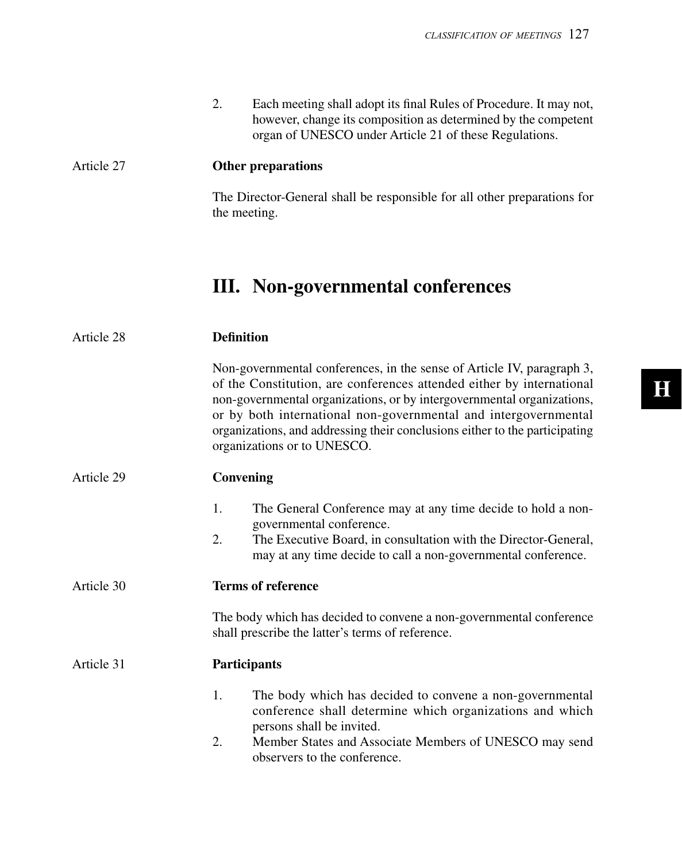| 2. | Each meeting shall adopt its final Rules of Procedure. It may not, |
|----|--------------------------------------------------------------------|
|    | however, change its composition as determined by the competent     |
|    | organ of UNESCO under Article 21 of these Regulations.             |

### Article 27 **Other preparations**

The Director-General shall be responsible for all other preparations for the meeting.

## **III. Non-governmental conferences**

| Article 28 | <b>Definition</b>                                                                                                                                                                                                                                                                                                                                                                                          |  |
|------------|------------------------------------------------------------------------------------------------------------------------------------------------------------------------------------------------------------------------------------------------------------------------------------------------------------------------------------------------------------------------------------------------------------|--|
|            | Non-governmental conferences, in the sense of Article IV, paragraph 3,<br>of the Constitution, are conferences attended either by international<br>non-governmental organizations, or by intergovernmental organizations,<br>or by both international non-governmental and intergovernmental<br>organizations, and addressing their conclusions either to the participating<br>organizations or to UNESCO. |  |
| Article 29 | Convening                                                                                                                                                                                                                                                                                                                                                                                                  |  |
|            | 1.<br>The General Conference may at any time decide to hold a non-<br>governmental conference.<br>2.5<br>The Executive Board, in consultation with the Director-General,<br>may at any time decide to call a non-governmental conference.                                                                                                                                                                  |  |
| Article 30 | <b>Terms of reference</b>                                                                                                                                                                                                                                                                                                                                                                                  |  |
|            | The body which has decided to convene a non-governmental conference<br>shall prescribe the latter's terms of reference.                                                                                                                                                                                                                                                                                    |  |
| Article 31 | Participants                                                                                                                                                                                                                                                                                                                                                                                               |  |
|            | 1.<br>The body which has decided to convene a non-governmental<br>conference shall determine which organizations and which<br>persons shall be invited.                                                                                                                                                                                                                                                    |  |
|            | 2.<br>Member States and Associate Members of UNESCO may send<br>observers to the conference.                                                                                                                                                                                                                                                                                                               |  |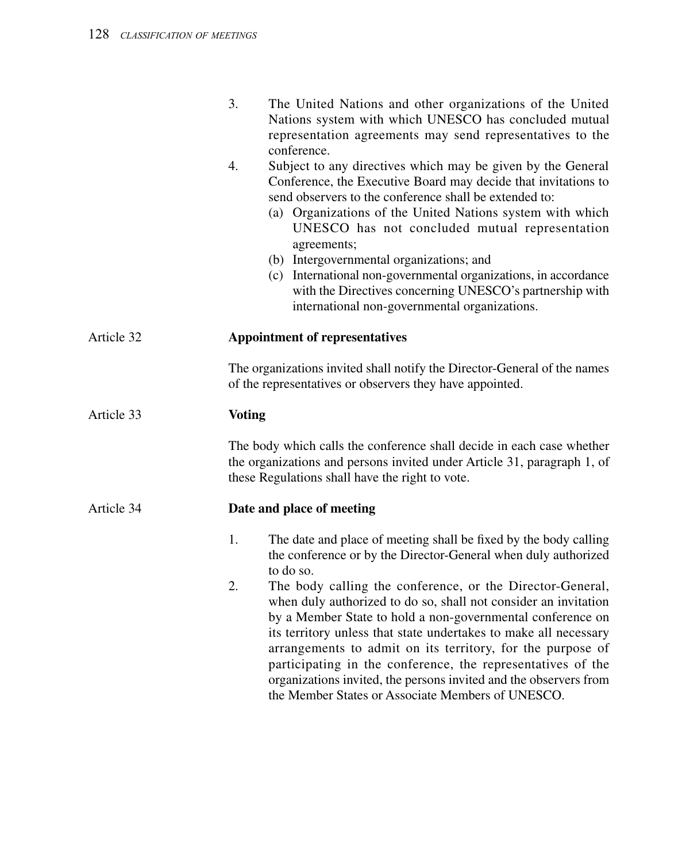|            | 3.<br>The United Nations and other organizations of the United<br>Nations system with which UNESCO has concluded mutual<br>representation agreements may send representatives to the<br>conference.                                                                                                                                                                                                                                                                                                                                                     |  |  |
|------------|---------------------------------------------------------------------------------------------------------------------------------------------------------------------------------------------------------------------------------------------------------------------------------------------------------------------------------------------------------------------------------------------------------------------------------------------------------------------------------------------------------------------------------------------------------|--|--|
|            | 4.<br>Subject to any directives which may be given by the General<br>Conference, the Executive Board may decide that invitations to<br>send observers to the conference shall be extended to:<br>(a) Organizations of the United Nations system with which<br>UNESCO has not concluded mutual representation<br>agreements;<br>(b) Intergovernmental organizations; and<br>(c) International non-governmental organizations, in accordance<br>with the Directives concerning UNESCO's partnership with<br>international non-governmental organizations. |  |  |
| Article 32 | <b>Appointment of representatives</b>                                                                                                                                                                                                                                                                                                                                                                                                                                                                                                                   |  |  |
|            | The organizations invited shall notify the Director-General of the names<br>of the representatives or observers they have appointed.                                                                                                                                                                                                                                                                                                                                                                                                                    |  |  |
| Article 33 | <b>Voting</b>                                                                                                                                                                                                                                                                                                                                                                                                                                                                                                                                           |  |  |
|            | The body which calls the conference shall decide in each case whether<br>the organizations and persons invited under Article 31, paragraph 1, of<br>these Regulations shall have the right to vote.                                                                                                                                                                                                                                                                                                                                                     |  |  |
| Article 34 | Date and place of meeting                                                                                                                                                                                                                                                                                                                                                                                                                                                                                                                               |  |  |
|            | 1.<br>The date and place of meeting shall be fixed by the body calling<br>the conference or by the Director-General when duly authorized<br>to do so.                                                                                                                                                                                                                                                                                                                                                                                                   |  |  |
|            | 2.<br>The body calling the conference, or the Director-General,<br>when duly authorized to do so, shall not consider an invitation<br>by a Member State to hold a non-governmental conference on<br>its territory unless that state undertakes to make all necessary<br>arrangements to admit on its territory, for the purpose of<br>participating in the conference, the representatives of the<br>organizations invited, the persons invited and the observers from<br>the Member States or Associate Members of UNESCO.                             |  |  |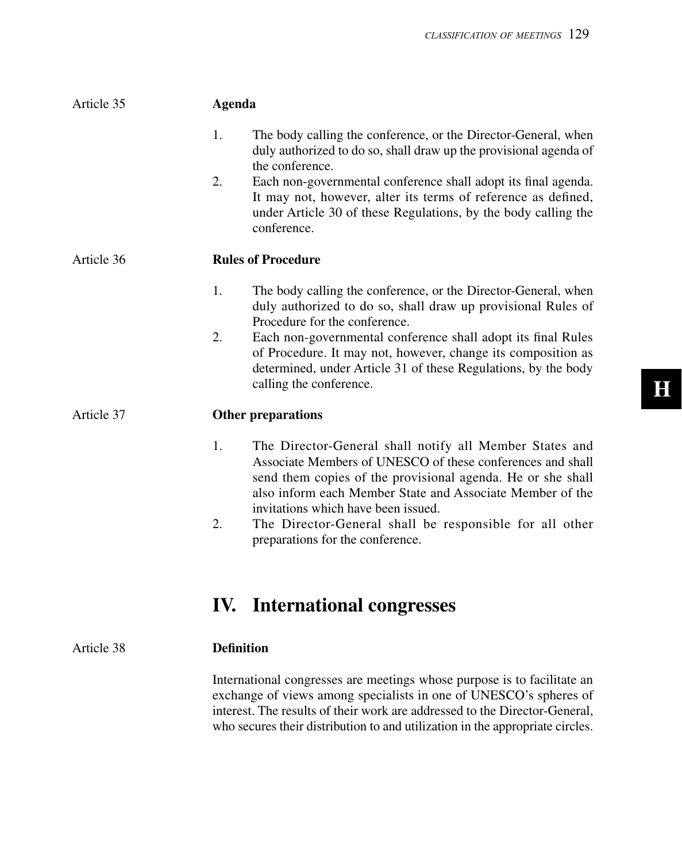| Article 35 | <b>Agenda</b>     |                                                                                                                                                                                                                                                                                                                                                                            |
|------------|-------------------|----------------------------------------------------------------------------------------------------------------------------------------------------------------------------------------------------------------------------------------------------------------------------------------------------------------------------------------------------------------------------|
|            | 1.<br>2.          | The body calling the conference, or the Director-General, when<br>duly authorized to do so, shall draw up the provisional agenda of<br>the conference.<br>Each non-governmental conference shall adopt its final agenda.<br>It may not, however, alter its terms of reference as defined,<br>under Article 30 of these Regulations, by the body calling the<br>conference. |
| Article 36 |                   | <b>Rules of Procedure</b>                                                                                                                                                                                                                                                                                                                                                  |
|            | 1.                | The body calling the conference, or the Director-General, when<br>duly authorized to do so, shall draw up provisional Rules of<br>Procedure for the conference.                                                                                                                                                                                                            |
|            | 2.                | Each non-governmental conference shall adopt its final Rules<br>of Procedure. It may not, however, change its composition as<br>determined, under Article 31 of these Regulations, by the body<br>calling the conference.                                                                                                                                                  |
| Article 37 |                   | <b>Other preparations</b>                                                                                                                                                                                                                                                                                                                                                  |
|            | 1.                | The Director-General shall notify all Member States and<br>Associate Members of UNESCO of these conferences and shall<br>send them copies of the provisional agenda. He or she shall<br>also inform each Member State and Associate Member of the<br>invitations which have been issued.                                                                                   |
|            | 2.                | The Director-General shall be responsible for all other<br>preparations for the conference.                                                                                                                                                                                                                                                                                |
|            |                   | <b>IV.</b> International congresses                                                                                                                                                                                                                                                                                                                                        |
| Article 38 | <b>Definition</b> |                                                                                                                                                                                                                                                                                                                                                                            |

International congresses are meetings whose purpose is to facilitate an exchange of views among specialists in one of UNESCO's spheres of interest. The results of their work are addressed to the Director-General, who secures their distribution to and utilization in the appropriate circles.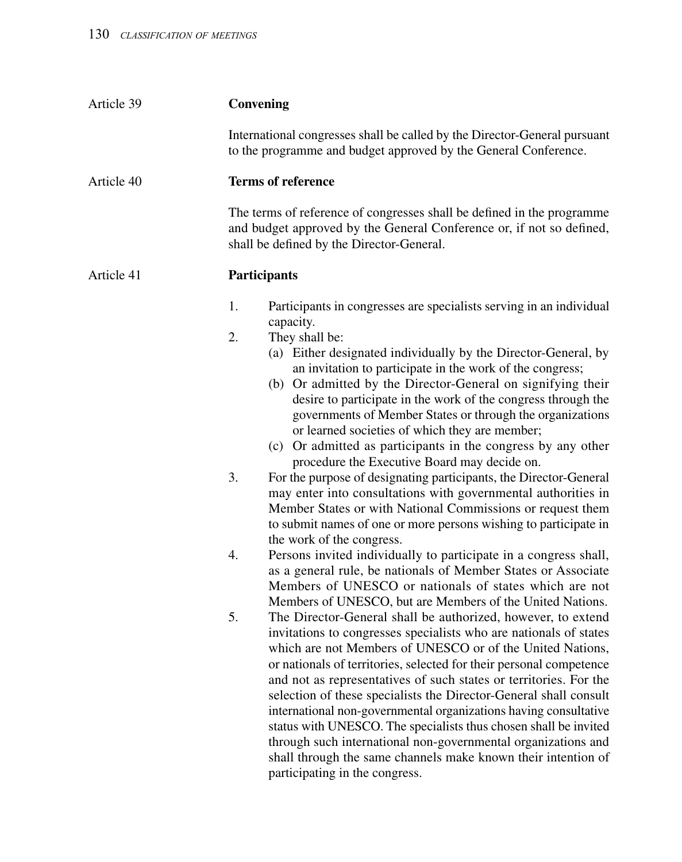| Article 39 | Convening                                                                                                                                                                                                                                                                                                                                                                                                                                                                                                                                                                                                                                                                                                                                                                                      |  |  |
|------------|------------------------------------------------------------------------------------------------------------------------------------------------------------------------------------------------------------------------------------------------------------------------------------------------------------------------------------------------------------------------------------------------------------------------------------------------------------------------------------------------------------------------------------------------------------------------------------------------------------------------------------------------------------------------------------------------------------------------------------------------------------------------------------------------|--|--|
|            | International congresses shall be called by the Director-General pursuant<br>to the programme and budget approved by the General Conference.                                                                                                                                                                                                                                                                                                                                                                                                                                                                                                                                                                                                                                                   |  |  |
| Article 40 | <b>Terms of reference</b>                                                                                                                                                                                                                                                                                                                                                                                                                                                                                                                                                                                                                                                                                                                                                                      |  |  |
|            | The terms of reference of congresses shall be defined in the programme<br>and budget approved by the General Conference or, if not so defined,<br>shall be defined by the Director-General.                                                                                                                                                                                                                                                                                                                                                                                                                                                                                                                                                                                                    |  |  |
| Article 41 | Participants                                                                                                                                                                                                                                                                                                                                                                                                                                                                                                                                                                                                                                                                                                                                                                                   |  |  |
|            | 1.<br>Participants in congresses are specialists serving in an individual<br>capacity.                                                                                                                                                                                                                                                                                                                                                                                                                                                                                                                                                                                                                                                                                                         |  |  |
|            | 2.<br>They shall be:<br>(a) Either designated individually by the Director-General, by<br>an invitation to participate in the work of the congress;<br>(b) Or admitted by the Director-General on signifying their<br>desire to participate in the work of the congress through the<br>governments of Member States or through the organizations<br>or learned societies of which they are member;<br>(c) Or admitted as participants in the congress by any other<br>procedure the Executive Board may decide on.                                                                                                                                                                                                                                                                             |  |  |
|            | 3.<br>For the purpose of designating participants, the Director-General<br>may enter into consultations with governmental authorities in<br>Member States or with National Commissions or request them<br>to submit names of one or more persons wishing to participate in<br>the work of the congress.                                                                                                                                                                                                                                                                                                                                                                                                                                                                                        |  |  |
|            | 4.<br>Persons invited individually to participate in a congress shall,<br>as a general rule, be nationals of Member States or Associate<br>Members of UNESCO or nationals of states which are not                                                                                                                                                                                                                                                                                                                                                                                                                                                                                                                                                                                              |  |  |
|            | Members of UNESCO, but are Members of the United Nations.<br>5.<br>The Director-General shall be authorized, however, to extend<br>invitations to congresses specialists who are nationals of states<br>which are not Members of UNESCO or of the United Nations,<br>or nationals of territories, selected for their personal competence<br>and not as representatives of such states or territories. For the<br>selection of these specialists the Director-General shall consult<br>international non-governmental organizations having consultative<br>status with UNESCO. The specialists thus chosen shall be invited<br>through such international non-governmental organizations and<br>shall through the same channels make known their intention of<br>participating in the congress. |  |  |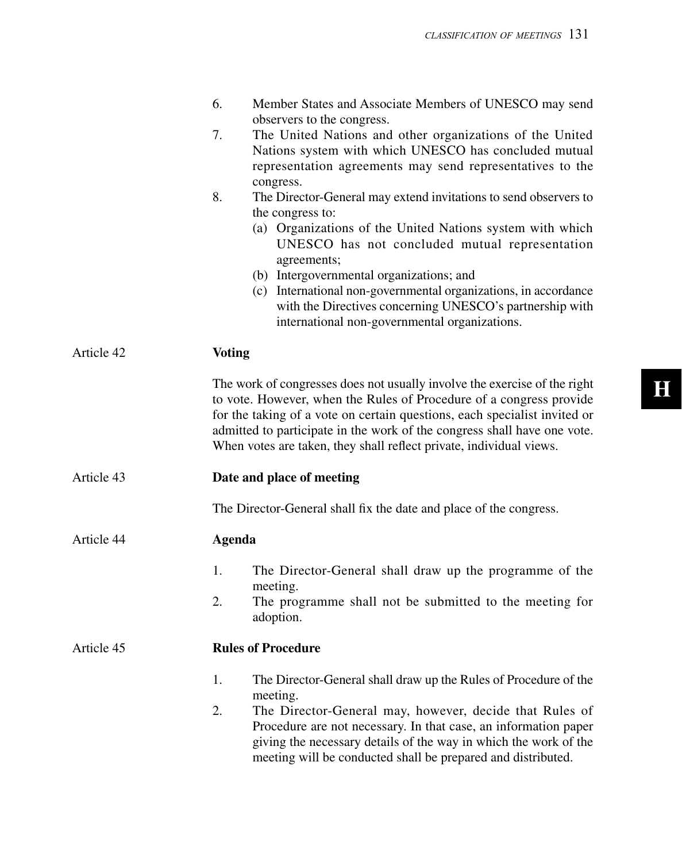|            | 6.<br>Member States and Associate Members of UNESCO may send<br>observers to the congress.<br>7.<br>The United Nations and other organizations of the United<br>Nations system with which UNESCO has concluded mutual<br>representation agreements may send representatives to the<br>congress.<br>8.<br>The Director-General may extend invitations to send observers to<br>the congress to:<br>(a) Organizations of the United Nations system with which<br>UNESCO has not concluded mutual representation<br>agreements;<br>(b) Intergovernmental organizations; and<br>(c) International non-governmental organizations, in accordance<br>with the Directives concerning UNESCO's partnership with<br>international non-governmental organizations. |  |  |
|------------|---------------------------------------------------------------------------------------------------------------------------------------------------------------------------------------------------------------------------------------------------------------------------------------------------------------------------------------------------------------------------------------------------------------------------------------------------------------------------------------------------------------------------------------------------------------------------------------------------------------------------------------------------------------------------------------------------------------------------------------------------------|--|--|
| Article 42 | <b>Voting</b>                                                                                                                                                                                                                                                                                                                                                                                                                                                                                                                                                                                                                                                                                                                                           |  |  |
|            | The work of congresses does not usually involve the exercise of the right<br>to vote. However, when the Rules of Procedure of a congress provide<br>for the taking of a vote on certain questions, each specialist invited or<br>admitted to participate in the work of the congress shall have one vote.<br>When votes are taken, they shall reflect private, individual views.                                                                                                                                                                                                                                                                                                                                                                        |  |  |
| Article 43 | Date and place of meeting                                                                                                                                                                                                                                                                                                                                                                                                                                                                                                                                                                                                                                                                                                                               |  |  |
|            | The Director-General shall fix the date and place of the congress.                                                                                                                                                                                                                                                                                                                                                                                                                                                                                                                                                                                                                                                                                      |  |  |
| Article 44 | <b>Agenda</b>                                                                                                                                                                                                                                                                                                                                                                                                                                                                                                                                                                                                                                                                                                                                           |  |  |
|            | 1.<br>The Director-General shall draw up the programme of the<br>meeting.<br>2.<br>The programme shall not be submitted to the meeting for<br>adoption.                                                                                                                                                                                                                                                                                                                                                                                                                                                                                                                                                                                                 |  |  |
| Article 45 | <b>Rules of Procedure</b>                                                                                                                                                                                                                                                                                                                                                                                                                                                                                                                                                                                                                                                                                                                               |  |  |
|            | 1.<br>The Director-General shall draw up the Rules of Procedure of the<br>meeting.<br>2.<br>The Director-General may, however, decide that Rules of<br>Procedure are not necessary. In that case, an information paper<br>giving the necessary details of the way in which the work of the<br>meeting will be conducted shall be prepared and distributed.                                                                                                                                                                                                                                                                                                                                                                                              |  |  |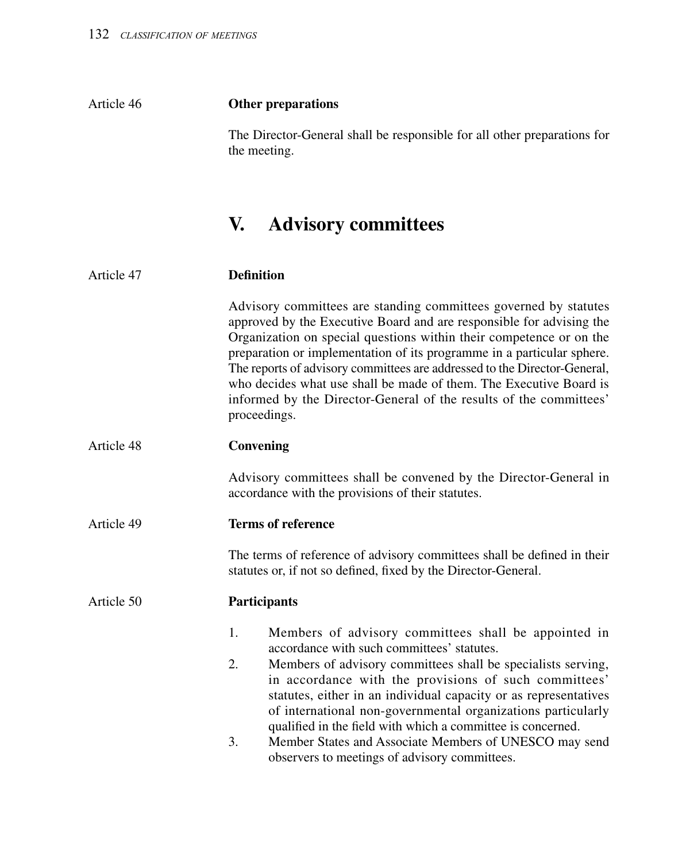#### Article 46 **Other preparations**

The Director-General shall be responsible for all other preparations for the meeting.

### **V. Advisory committees**

### Article 47 **Definition**

Advisory committees are standing committees governed by statutes approved by the Executive Board and are responsible for advising the Organization on special questions within their competence or on the preparation or implementation of its programme in a particular sphere. The reports of advisory committees are addressed to the Director-General, who decides what use shall be made of them. The Executive Board is informed by the Director-General of the results of the committees' proceedings.

Article 48 **Convening** 

Advisory committees shall be convened by the Director-General in accordance with the provisions of their statutes.

Article 49 **Terms of reference** 

The terms of reference of advisory committees shall be defined in their statutes or, if not so defined, fixed by the Director-General.

#### Article 50 **Participants**

- 1. Members of advisory committees shall be appointed in accordance with such committees' statutes.
- 2. Members of advisory committees shall be specialists serving, in accordance with the provisions of such committees' statutes, either in an individual capacity or as representatives of international non-governmental organizations particularly qualified in the field with which a committee is concerned.
- 3. Member States and Associate Members of UNESCO may send observers to meetings of advisory committees.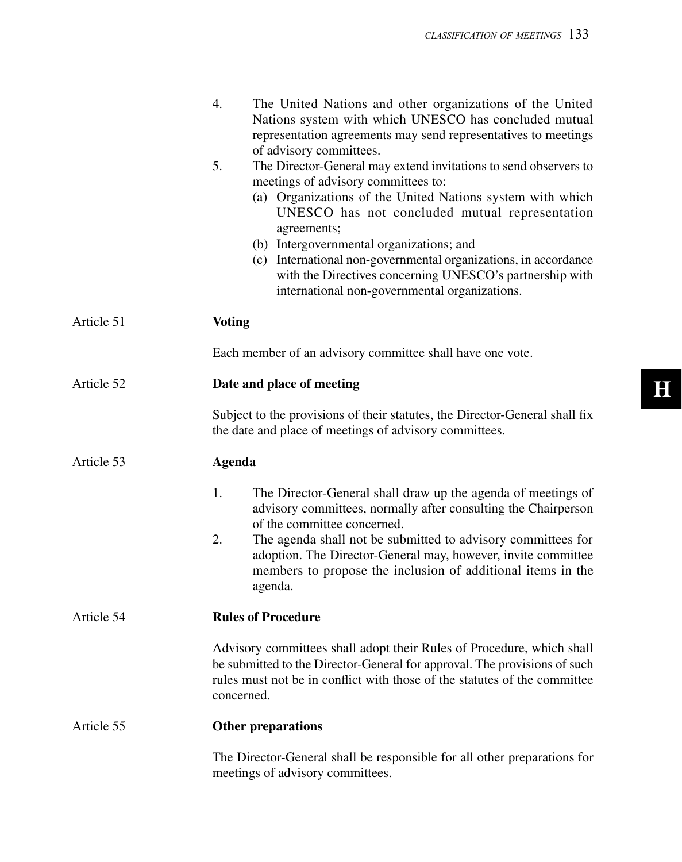|            | 4.<br>The United Nations and other organizations of the United<br>Nations system with which UNESCO has concluded mutual<br>representation agreements may send representatives to meetings<br>of advisory committees.                                                                                                                                                                                                                                                    |  |  |
|------------|-------------------------------------------------------------------------------------------------------------------------------------------------------------------------------------------------------------------------------------------------------------------------------------------------------------------------------------------------------------------------------------------------------------------------------------------------------------------------|--|--|
|            | 5.<br>The Director-General may extend invitations to send observers to<br>meetings of advisory committees to:<br>(a) Organizations of the United Nations system with which<br>UNESCO has not concluded mutual representation<br>agreements;<br>(b) Intergovernmental organizations; and<br>(c) International non-governmental organizations, in accordance<br>with the Directives concerning UNESCO's partnership with<br>international non-governmental organizations. |  |  |
| Article 51 | <b>Voting</b>                                                                                                                                                                                                                                                                                                                                                                                                                                                           |  |  |
|            | Each member of an advisory committee shall have one vote.                                                                                                                                                                                                                                                                                                                                                                                                               |  |  |
| Article 52 | Date and place of meeting                                                                                                                                                                                                                                                                                                                                                                                                                                               |  |  |
|            | Subject to the provisions of their statutes, the Director-General shall fix<br>the date and place of meetings of advisory committees.                                                                                                                                                                                                                                                                                                                                   |  |  |
| Article 53 | <b>Agenda</b>                                                                                                                                                                                                                                                                                                                                                                                                                                                           |  |  |
|            | 1.<br>The Director-General shall draw up the agenda of meetings of<br>advisory committees, normally after consulting the Chairperson<br>of the committee concerned.<br>2.<br>The agenda shall not be submitted to advisory committees for<br>adoption. The Director-General may, however, invite committee<br>members to propose the inclusion of additional items in the<br>agenda.                                                                                    |  |  |
| Article 54 | <b>Rules of Procedure</b>                                                                                                                                                                                                                                                                                                                                                                                                                                               |  |  |
|            | Advisory committees shall adopt their Rules of Procedure, which shall<br>be submitted to the Director-General for approval. The provisions of such<br>rules must not be in conflict with those of the statutes of the committee<br>concerned.                                                                                                                                                                                                                           |  |  |
| Article 55 | Other preparations                                                                                                                                                                                                                                                                                                                                                                                                                                                      |  |  |
|            | The Director-General shall be responsible for all other preparations for<br>meetings of advisory committees.                                                                                                                                                                                                                                                                                                                                                            |  |  |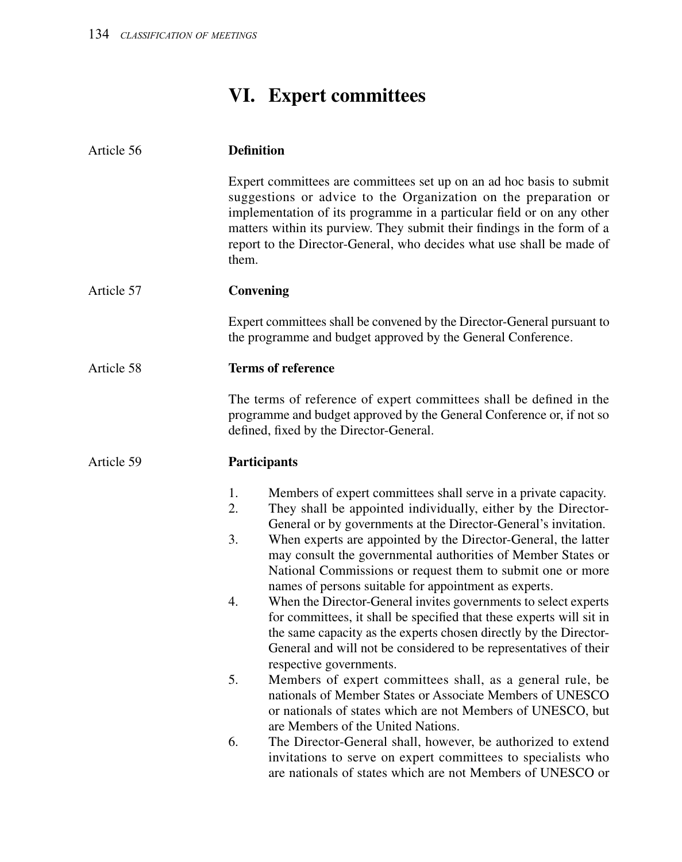## **VI. Expert committees**

| Article 56 | <b>Definition</b>                                                                                                                                                                                                                                                                                                                                                                                                                                                                                                                                                                                                                                                                                                                                                                                                                                                                                                                                                                                                                                                                                               |  |  |
|------------|-----------------------------------------------------------------------------------------------------------------------------------------------------------------------------------------------------------------------------------------------------------------------------------------------------------------------------------------------------------------------------------------------------------------------------------------------------------------------------------------------------------------------------------------------------------------------------------------------------------------------------------------------------------------------------------------------------------------------------------------------------------------------------------------------------------------------------------------------------------------------------------------------------------------------------------------------------------------------------------------------------------------------------------------------------------------------------------------------------------------|--|--|
|            | Expert committees are committees set up on an ad hoc basis to submit<br>suggestions or advice to the Organization on the preparation or<br>implementation of its programme in a particular field or on any other<br>matters within its purview. They submit their findings in the form of a<br>report to the Director-General, who decides what use shall be made of<br>them.                                                                                                                                                                                                                                                                                                                                                                                                                                                                                                                                                                                                                                                                                                                                   |  |  |
| Article 57 | Convening                                                                                                                                                                                                                                                                                                                                                                                                                                                                                                                                                                                                                                                                                                                                                                                                                                                                                                                                                                                                                                                                                                       |  |  |
|            | Expert committees shall be convened by the Director-General pursuant to<br>the programme and budget approved by the General Conference.                                                                                                                                                                                                                                                                                                                                                                                                                                                                                                                                                                                                                                                                                                                                                                                                                                                                                                                                                                         |  |  |
| Article 58 | <b>Terms of reference</b>                                                                                                                                                                                                                                                                                                                                                                                                                                                                                                                                                                                                                                                                                                                                                                                                                                                                                                                                                                                                                                                                                       |  |  |
|            | The terms of reference of expert committees shall be defined in the<br>programme and budget approved by the General Conference or, if not so<br>defined, fixed by the Director-General.                                                                                                                                                                                                                                                                                                                                                                                                                                                                                                                                                                                                                                                                                                                                                                                                                                                                                                                         |  |  |
| Article 59 | Participants                                                                                                                                                                                                                                                                                                                                                                                                                                                                                                                                                                                                                                                                                                                                                                                                                                                                                                                                                                                                                                                                                                    |  |  |
|            | 1.<br>Members of expert committees shall serve in a private capacity.<br>2.<br>They shall be appointed individually, either by the Director-<br>General or by governments at the Director-General's invitation.<br>3.<br>When experts are appointed by the Director-General, the latter<br>may consult the governmental authorities of Member States or<br>National Commissions or request them to submit one or more<br>names of persons suitable for appointment as experts.<br>4.<br>When the Director-General invites governments to select experts<br>for committees, it shall be specified that these experts will sit in<br>the same capacity as the experts chosen directly by the Director-<br>General and will not be considered to be representatives of their<br>respective governments.<br>5.<br>Members of expert committees shall, as a general rule, be<br>nationals of Member States or Associate Members of UNESCO<br>or nationals of states which are not Members of UNESCO, but<br>are Members of the United Nations.<br>6.<br>The Director-General shall, however, be authorized to extend |  |  |
|            | invitations to serve on expert committees to specialists who<br>are nationals of states which are not Members of UNESCO or                                                                                                                                                                                                                                                                                                                                                                                                                                                                                                                                                                                                                                                                                                                                                                                                                                                                                                                                                                                      |  |  |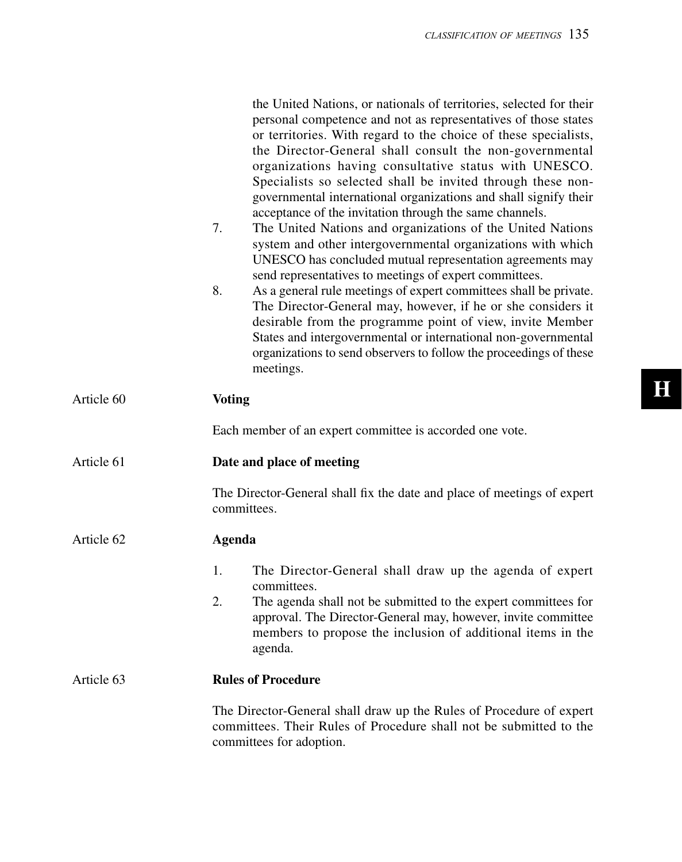|            | the United Nations, or nationals of territories, selected for their<br>personal competence and not as representatives of those states<br>or territories. With regard to the choice of these specialists,<br>the Director-General shall consult the non-governmental<br>organizations having consultative status with UNESCO.<br>Specialists so selected shall be invited through these non-<br>governmental international organizations and shall signify their<br>acceptance of the invitation through the same channels.<br>7.<br>The United Nations and organizations of the United Nations<br>system and other intergovernmental organizations with which<br>UNESCO has concluded mutual representation agreements may<br>send representatives to meetings of expert committees.<br>8.<br>As a general rule meetings of expert committees shall be private.<br>The Director-General may, however, if he or she considers it<br>desirable from the programme point of view, invite Member<br>States and intergovernmental or international non-governmental<br>organizations to send observers to follow the proceedings of these<br>meetings. |  |
|------------|---------------------------------------------------------------------------------------------------------------------------------------------------------------------------------------------------------------------------------------------------------------------------------------------------------------------------------------------------------------------------------------------------------------------------------------------------------------------------------------------------------------------------------------------------------------------------------------------------------------------------------------------------------------------------------------------------------------------------------------------------------------------------------------------------------------------------------------------------------------------------------------------------------------------------------------------------------------------------------------------------------------------------------------------------------------------------------------------------------------------------------------------------|--|
| Article 60 | <b>Voting</b>                                                                                                                                                                                                                                                                                                                                                                                                                                                                                                                                                                                                                                                                                                                                                                                                                                                                                                                                                                                                                                                                                                                                     |  |
|            | Each member of an expert committee is accorded one vote.                                                                                                                                                                                                                                                                                                                                                                                                                                                                                                                                                                                                                                                                                                                                                                                                                                                                                                                                                                                                                                                                                          |  |
| Article 61 | Date and place of meeting                                                                                                                                                                                                                                                                                                                                                                                                                                                                                                                                                                                                                                                                                                                                                                                                                                                                                                                                                                                                                                                                                                                         |  |
|            | The Director-General shall fix the date and place of meetings of expert<br>committees.                                                                                                                                                                                                                                                                                                                                                                                                                                                                                                                                                                                                                                                                                                                                                                                                                                                                                                                                                                                                                                                            |  |
| Article 62 | Agenda                                                                                                                                                                                                                                                                                                                                                                                                                                                                                                                                                                                                                                                                                                                                                                                                                                                                                                                                                                                                                                                                                                                                            |  |
|            | 1.<br>The Director-General shall draw up the agenda of expert<br>committees.                                                                                                                                                                                                                                                                                                                                                                                                                                                                                                                                                                                                                                                                                                                                                                                                                                                                                                                                                                                                                                                                      |  |
|            | 2.<br>The agenda shall not be submitted to the expert committees for<br>approval. The Director-General may, however, invite committee<br>members to propose the inclusion of additional items in the<br>agenda.                                                                                                                                                                                                                                                                                                                                                                                                                                                                                                                                                                                                                                                                                                                                                                                                                                                                                                                                   |  |
| Article 63 | <b>Rules of Procedure</b>                                                                                                                                                                                                                                                                                                                                                                                                                                                                                                                                                                                                                                                                                                                                                                                                                                                                                                                                                                                                                                                                                                                         |  |
|            | The Director-General shall draw up the Rules of Procedure of expert<br>committees. Their Rules of Procedure shall not be submitted to the<br>committees for adoption.                                                                                                                                                                                                                                                                                                                                                                                                                                                                                                                                                                                                                                                                                                                                                                                                                                                                                                                                                                             |  |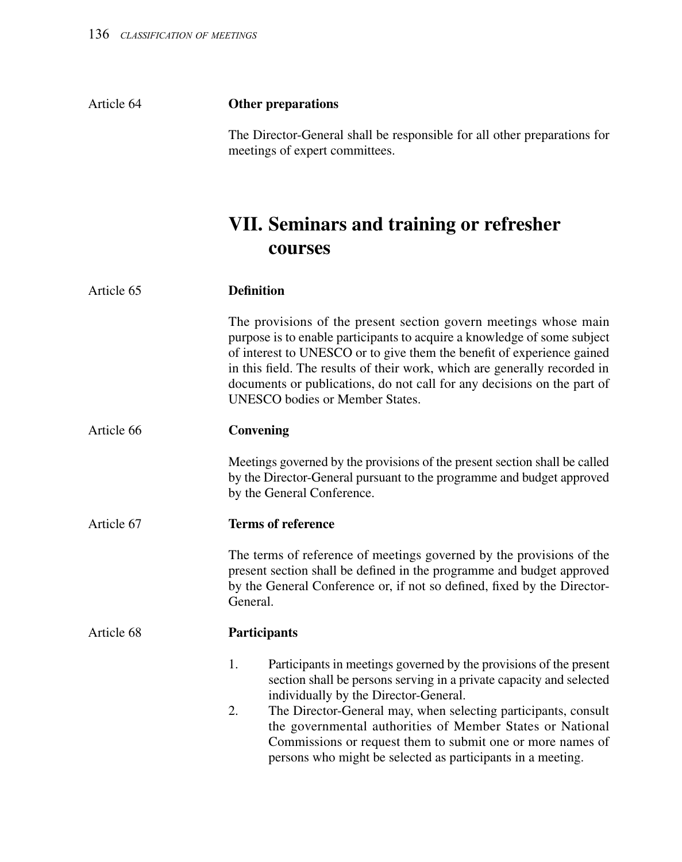### Article 64 **Other preparations**

The Director-General shall be responsible for all other preparations for meetings of expert committees.

## **VII. Seminars and training or refresher courses**

| Article 65 | <b>Definition</b>                                                                                                                                                                                                                                                                                                                                                                                                        |  |
|------------|--------------------------------------------------------------------------------------------------------------------------------------------------------------------------------------------------------------------------------------------------------------------------------------------------------------------------------------------------------------------------------------------------------------------------|--|
|            | The provisions of the present section govern meetings whose main<br>purpose is to enable participants to acquire a knowledge of some subject<br>of interest to UNESCO or to give them the benefit of experience gained<br>in this field. The results of their work, which are generally recorded in<br>documents or publications, do not call for any decisions on the part of<br><b>UNESCO</b> bodies or Member States. |  |
| Article 66 | Convening                                                                                                                                                                                                                                                                                                                                                                                                                |  |
|            | Meetings governed by the provisions of the present section shall be called<br>by the Director-General pursuant to the programme and budget approved<br>by the General Conference.                                                                                                                                                                                                                                        |  |
| Article 67 | <b>Terms of reference</b>                                                                                                                                                                                                                                                                                                                                                                                                |  |
|            | The terms of reference of meetings governed by the provisions of the<br>present section shall be defined in the programme and budget approved<br>by the General Conference or, if not so defined, fixed by the Director-<br>General.                                                                                                                                                                                     |  |
| Article 68 | <b>Participants</b>                                                                                                                                                                                                                                                                                                                                                                                                      |  |
|            | 1.<br>Participants in meetings governed by the provisions of the present<br>section shall be persons serving in a private capacity and selected<br>individually by the Director-General.                                                                                                                                                                                                                                 |  |
|            | 2.<br>The Director-General may, when selecting participants, consult<br>the governmental authorities of Member States or National<br>Commissions or request them to submit one or more names of<br>persons who might be selected as participants in a meeting.                                                                                                                                                           |  |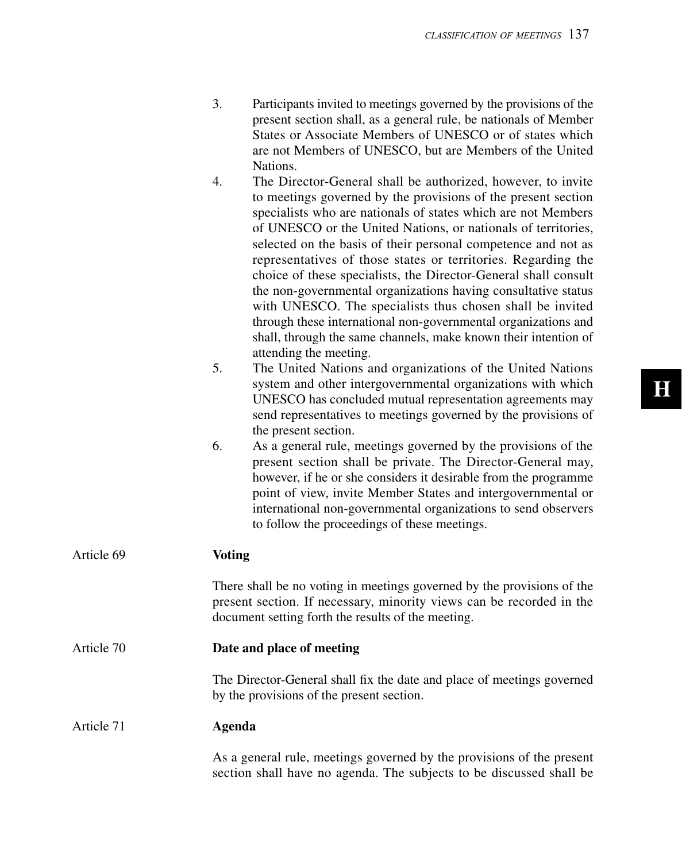- 3. Participants invited to meetings governed by the provisions of the present section shall, as a general rule, be nationals of Member States or Associate Members of UNESCO or of states which are not Members of UNESCO, but are Members of the United Nations.
- 4. The Director-General shall be authorized, however, to invite to meetings governed by the provisions of the present section specialists who are nationals of states which are not Members of UNESCO or the United Nations, or nationals of territories, selected on the basis of their personal competence and not as representatives of those states or territories. Regarding the choice of these specialists, the Director-General shall consult the non-governmental organizations having consultative status with UNESCO. The specialists thus chosen shall be invited through these international non-governmental organizations and shall, through the same channels, make known their intention of attending the meeting.
- 5. The United Nations and organizations of the United Nations system and other intergovernmental organizations with which UNESCO has concluded mutual representation agreements may send representatives to meetings governed by the provisions of the present section.
- 6. As a general rule, meetings governed by the provisions of the present section shall be private. The Director-General may, however, if he or she considers it desirable from the programme point of view, invite Member States and intergovernmental or international non-governmental organizations to send observers to follow the proceedings of these meetings.

| Article 69 | Voting                                                                                                                                                                                               |
|------------|------------------------------------------------------------------------------------------------------------------------------------------------------------------------------------------------------|
|            | There shall be no voting in meetings governed by the provisions of the<br>present section. If necessary, minority views can be recorded in the<br>document setting forth the results of the meeting. |
| Article 70 | Date and place of meeting                                                                                                                                                                            |
|            | The Director-General shall fix the date and place of meetings governed<br>by the provisions of the present section.                                                                                  |
| Article 71 | Agenda                                                                                                                                                                                               |
|            | As a general rule, meetings governed by the provisions of the present<br>section shall have no agenda. The subjects to be discussed shall be                                                         |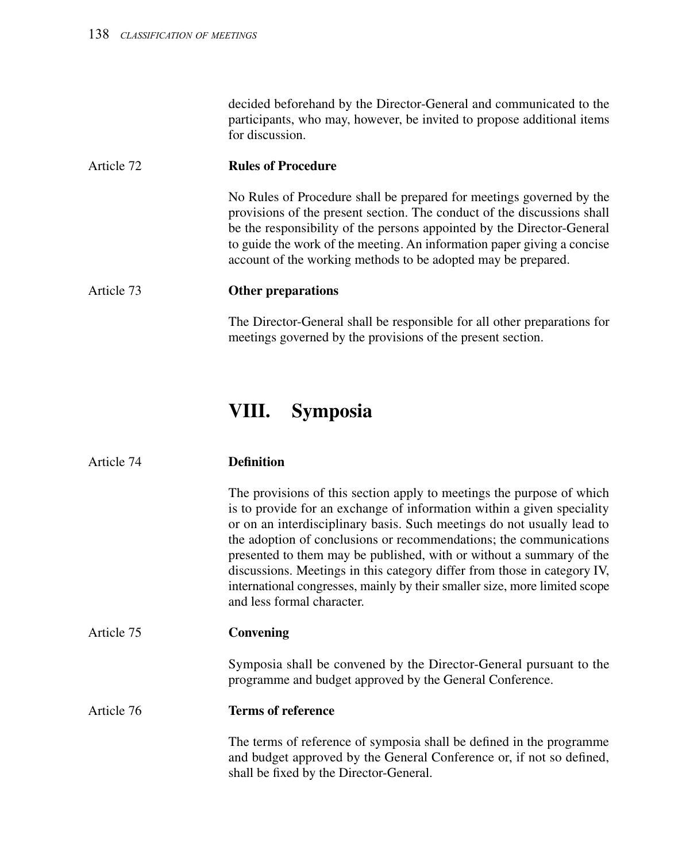decided beforehand by the Director-General and communicated to the participants, who may, however, be invited to propose additional items for discussion.

### Article 72 **Rules of Procedure**

No Rules of Procedure shall be prepared for meetings governed by the provisions of the present section. The conduct of the discussions shall be the responsibility of the persons appointed by the Director-General to guide the work of the meeting. An information paper giving a concise account of the working methods to be adopted may be prepared.

### Article 73 **Other preparations**

The Director-General shall be responsible for all other preparations for meetings governed by the provisions of the present section.

### **VIII. Symposia**

| Article 74 | <b>Definition</b>                                                                                                                                                                                                                                                                                                                                                                                                                                                                                                                                               |  |
|------------|-----------------------------------------------------------------------------------------------------------------------------------------------------------------------------------------------------------------------------------------------------------------------------------------------------------------------------------------------------------------------------------------------------------------------------------------------------------------------------------------------------------------------------------------------------------------|--|
|            | The provisions of this section apply to meetings the purpose of which<br>is to provide for an exchange of information within a given speciality<br>or on an interdisciplinary basis. Such meetings do not usually lead to<br>the adoption of conclusions or recommendations; the communications<br>presented to them may be published, with or without a summary of the<br>discussions. Meetings in this category differ from those in category IV,<br>international congresses, mainly by their smaller size, more limited scope<br>and less formal character. |  |
| Article 75 | Convening                                                                                                                                                                                                                                                                                                                                                                                                                                                                                                                                                       |  |
|            | Symposia shall be convened by the Director-General pursuant to the<br>programme and budget approved by the General Conference.                                                                                                                                                                                                                                                                                                                                                                                                                                  |  |
| Article 76 | <b>Terms of reference</b>                                                                                                                                                                                                                                                                                                                                                                                                                                                                                                                                       |  |
|            | The terms of reference of symposia shall be defined in the programme<br>and budget approved by the General Conference or, if not so defined,<br>shall be fixed by the Director-General.                                                                                                                                                                                                                                                                                                                                                                         |  |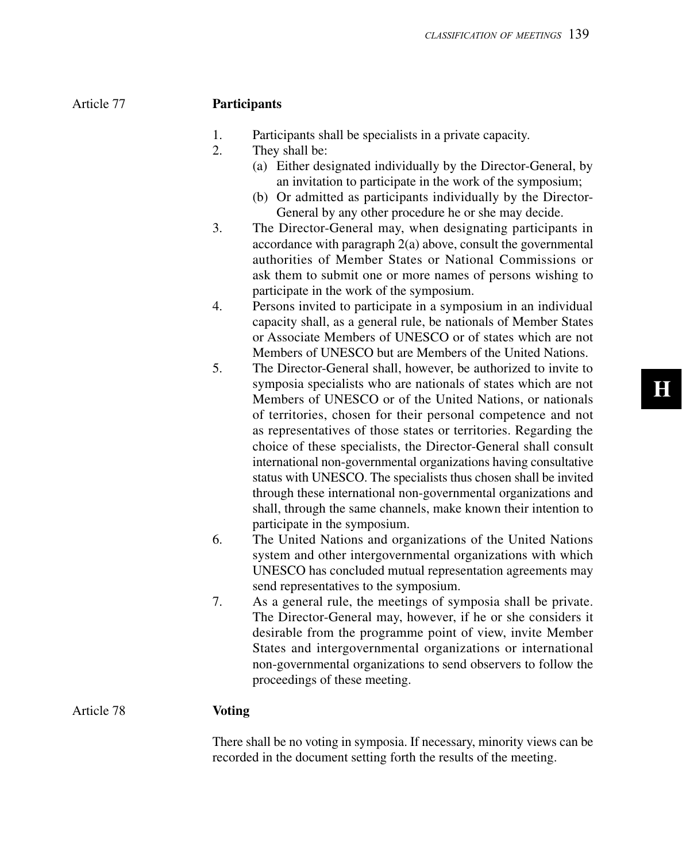Article 77 **Participants** 1. Participants shall be specialists in a private capacity. 2. They shall be: (a) Either designated individually by the Director-General, by an invitation to participate in the work of the symposium; (b) Or admitted as participants individually by the Director-General by any other procedure he or she may decide. 3. The Director-General may, when designating participants in accordance with paragraph 2(a) above, consult the governmental authorities of Member States or National Commissions or ask them to submit one or more names of persons wishing to participate in the work of the symposium. 4. Persons invited to participate in a symposium in an individual capacity shall, as a general rule, be nationals of Member States or Associate Members of UNESCO or of states which are not Members of UNESCO but are Members of the United Nations. 5. The Director-General shall, however, be authorized to invite to symposia specialists who are nationals of states which are not Members of UNESCO or of the United Nations, or nationals of territories, chosen for their personal competence and not as representatives of those states or territories. Regarding the choice of these specialists, the Director-General shall consult international non-governmental organizations having consultative status with UNESCO. The specialists thus chosen shall be invited through these international non-governmental organizations and shall, through the same channels, make known their intention to participate in the symposium. 6. The United Nations and organizations of the United Nations system and other intergovernmental organizations with which UNESCO has concluded mutual representation agreements may send representatives to the symposium. 7. As a general rule, the meetings of symposia shall be private. The Director-General may, however, if he or she considers it desirable from the programme point of view, invite Member States and intergovernmental organizations or international non-governmental organizations to send observers to follow the proceedings of these meeting. Article 78 **Voting**

There shall be no voting in symposia. If necessary, minority views can be recorded in the document setting forth the results of the meeting.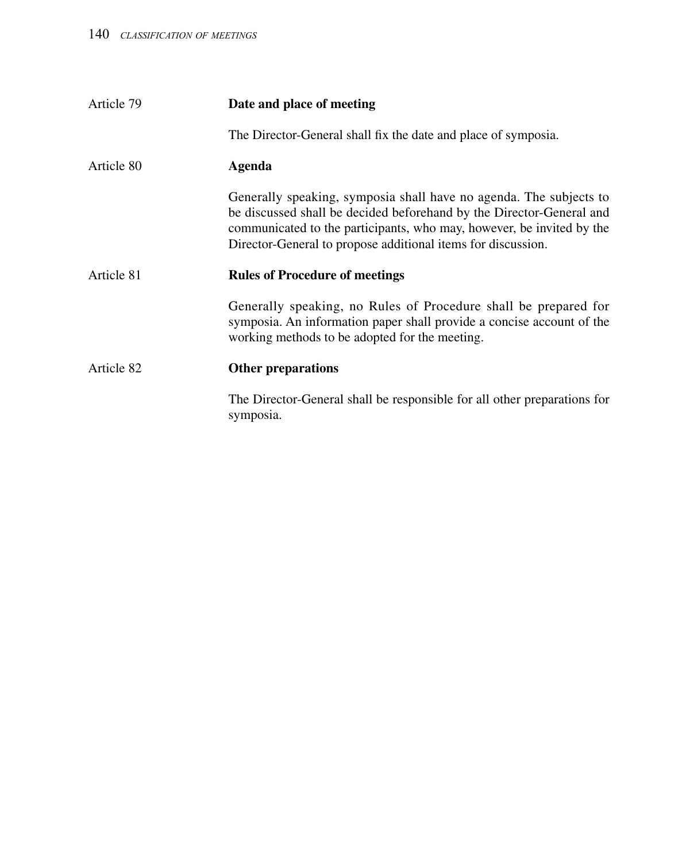| Article 79 | Date and place of meeting                                                                                                                                                                                                                                                           |  |
|------------|-------------------------------------------------------------------------------------------------------------------------------------------------------------------------------------------------------------------------------------------------------------------------------------|--|
|            | The Director-General shall fix the date and place of symposia.                                                                                                                                                                                                                      |  |
| Article 80 | Agenda                                                                                                                                                                                                                                                                              |  |
|            | Generally speaking, symposia shall have no agenda. The subjects to<br>be discussed shall be decided beforehand by the Director-General and<br>communicated to the participants, who may, however, be invited by the<br>Director-General to propose additional items for discussion. |  |
| Article 81 | <b>Rules of Procedure of meetings</b>                                                                                                                                                                                                                                               |  |
|            | Generally speaking, no Rules of Procedure shall be prepared for<br>symposia. An information paper shall provide a concise account of the<br>working methods to be adopted for the meeting.                                                                                          |  |
| Article 82 | Other preparations                                                                                                                                                                                                                                                                  |  |
|            | The Director-General shall be responsible for all other preparations for<br>symposia.                                                                                                                                                                                               |  |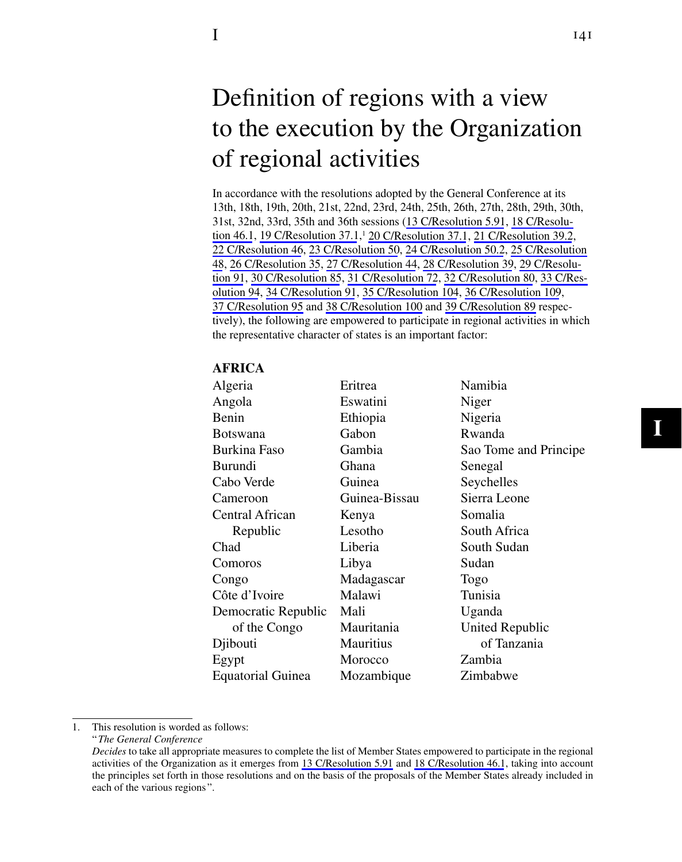# Definition of regions with a view to the execution by the Organization of regional activities

In accordance with the resolutions adopted by the General Conference at its 13th, 18th, 19th, 20th, 21st, 22nd, 23rd, 24th, 25th, 26th, 27th, 28th, 29th, 30th, 31st, 32nd, 33rd, 35th and 36th sessions [\(13 C/Resolution 5.91](https://unesdoc.unesco.org/ark:/48223/pf0000114581_eng.nameddest=5.91), [18 C/Resolu](https://unesdoc.unesco.org/ark:/48223/pf0000114040_eng.nameddest=46.1)[tion 46.1](https://unesdoc.unesco.org/ark:/48223/pf0000114040_eng.nameddest=46.1), 19 [C/Resolution](https://unesdoc.unesco.org/ark:/48223/pf0000114038_eng.nameddest=37.1) 37.1,1 [20 C/Resolution 37.1](https://unesdoc.unesco.org/ark:/48223/pf0000114032_eng.nameddest=37.1), [21 C/Resolution 39.2](https://unesdoc.unesco.org/ark:/48223/pf0000114029_eng.nameddest=39.2), [22 C/Resolution 46](https://unesdoc.unesco.org/ark:/48223/pf0000057611_eng.nameddest=46), [23 C/Resolution 50](https://unesdoc.unesco.org/ark:/48223/pf0000068427_eng.nameddest=50), [24 C/Resolution 50.2](https://unesdoc.unesco.org/ark:/48223/pf0000076995_eng.nameddest=50.2), [25 C/Resolution](https://unesdoc.unesco.org/ark:/48223/pf0000084696_eng.nameddest=48) [48](https://unesdoc.unesco.org/ark:/48223/pf0000084696_eng.nameddest=48), [26 C/Resolution 35](https://unesdoc.unesco.org/ark:/48223/pf0000090448_eng.nameddest=35), [27 C/Resolution 44](https://unesdoc.unesco.org/ark:/48223/pf0000095621_eng.nameddest=44), [28 C/Resolution 39](https://unesdoc.unesco.org/ark:/48223/pf0000101803_eng.nameddest=39), [29 C/Resolu](https://unesdoc.unesco.org/ark:/48223/pf0000110220_eng.nameddest=91)[tion](https://unesdoc.unesco.org/ark:/48223/pf0000110220_eng.nameddest=91) 91, 30 [C/Resolution 85](https://unesdoc.unesco.org/ark:/48223/pf0000118514_eng.nameddest=85), [31 C/Resolution 72](https://unesdoc.unesco.org/ark:/48223/pf0000124687_eng.nameddest=72), 32 [C/Resolution 80](https://unesdoc.unesco.org/ark:/48223/pf0000133171_eng.nameddest=80), 33 [C/Res](https://unesdoc.unesco.org/ark:/48223/pf0000142825_eng.nameddest=94)[olution](https://unesdoc.unesco.org/ark:/48223/pf0000142825_eng.nameddest=94) 94, 34 [C/Resolution 91](https://unesdoc.unesco.org/ark:/48223/pf0000156046_eng.nameddest=91), 35 [C/Resolution 104](https://unesdoc.unesco.org/ark:/48223/pf0000186470_eng.nameddest=104), [36 C/Resolution 109](https://unesdoc.unesco.org/ark:/48223/pf0000215084_eng.nameddest=109), [37 C/Resolution 95](https://unesdoc.unesco.org/ark:/48223/pf0000226162_eng.nameddest=95) and [38 C/Resolution 100](https://unesdoc.unesco.org/ark:/48223/pf0000243325_eng.nameddest=100) and [39 C/Resolution 89](https://unesdoc.unesco.org/ark:/48223/pf0000260889_eng.nameddest=89) respectively), the following are empowered to participate in regional activities in which the representative character of states is an important factor:

#### **AFRICA**

| Algeria                  | Eritrea       | Namibia                |
|--------------------------|---------------|------------------------|
| Angola                   | Eswatini      | Niger                  |
| Benin                    | Ethiopia      | Nigeria                |
| <b>Botswana</b>          | Gabon         | Rwanda                 |
| Burkina Faso             | Gambia        | Sao Tome and Principe  |
| Burundi                  | Ghana         | Senegal                |
| Cabo Verde               | Guinea        | Seychelles             |
| Cameroon                 | Guinea-Bissau | Sierra Leone           |
| Central African          | Kenya         | Somalia                |
| Republic                 | Lesotho       | South Africa           |
| Chad                     | Liberia       | South Sudan            |
| Comoros                  | Libya         | Sudan                  |
| Congo                    | Madagascar    | Togo                   |
| Côte d'Ivoire            | Malawi        | Tunisia                |
| Democratic Republic      | Mali          | Uganda                 |
| of the Congo             | Mauritania    | <b>United Republic</b> |
| Djibouti                 | Mauritius     | of Tanzania            |
| Egypt                    | Morocco       | Zambia                 |
| <b>Equatorial Guinea</b> | Mozambique    | Zimbabwe               |
|                          |               |                        |

<sup>1.</sup> This resolution is worded as follows:

<sup>&</sup>quot;*The General Conference*

*Decides* to take all appropriate measures to complete the list of Member States empowered to participate in the regional activities of the Organization as it emerges from [13 C/Resolution 5.91](https://unesdoc.unesco.org/ark:/48223/pf0000114581_eng.nameddest=5.91) and [18 C/Resolution 46.1](https://unesdoc.unesco.org/ark:/48223/pf0000114040_eng.nameddest=46.1), taking into account the principles set forth in those resolutions and on the basis of the proposals of the Member States already included in each of the various regions ".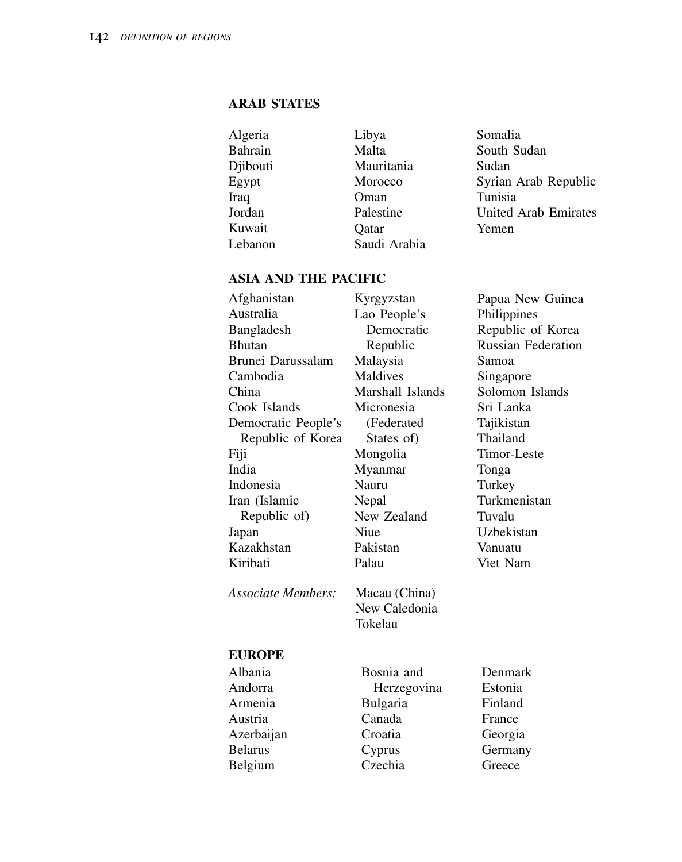### **ARAB STATES**

| Algeria  | Libya        | Somalia              |
|----------|--------------|----------------------|
| Bahrain  | Malta        | South Sudan          |
| Djibouti | Mauritania   | Sudan                |
| Egypt    | Morocco      | Syrian Arab Republic |
| Iraq     | Oman         | Tunisia              |
| Jordan   | Palestine    | United Arab Emirates |
| Kuwait   | Oatar        | Yemen                |
| Lebanon  | Saudi Arabia |                      |

### **ASIA AND THE PACIFIC**

| Afghanistan         | Kyrgyzstan       | Papua New Guinea          |
|---------------------|------------------|---------------------------|
| Australia           | Lao People's     | Philippines               |
| Bangladesh          | Democratic       | Republic of Korea         |
| <b>Bhutan</b>       | Republic         | <b>Russian Federation</b> |
| Brunei Darussalam   | Malaysia         | Samoa                     |
| Cambodia            | Maldives         | Singapore                 |
| China               | Marshall Islands | Solomon Islands           |
| Cook Islands        | Micronesia       | Sri Lanka                 |
| Democratic People's | (Federated       | Tajikistan                |
| Republic of Korea   | States of)       | Thailand                  |
| Fiji                | Mongolia         | Timor-Leste               |
| India               | Myanmar          | Tonga                     |
| Indonesia           | Nauru            | Turkey                    |
| Iran (Islamic       | Nepal            | Turkmenistan              |
| Republic of)        | New Zealand      | Tuvalu                    |
| Japan               | Niue             | Uzbekistan                |
| Kazakhstan          | Pakistan         | Vanuatu                   |
| Kiribati            | Palau            | Viet Nam                  |
| Associate Members:  | Macau (China)    |                           |
|                     | New Caledonia    |                           |
|                     | Tokelau          |                           |
| <b>EUROPE</b>       |                  |                           |
| Albania             | Bosnia and       | Denmark                   |
| Andorra             | Herzegovina      | Estonia                   |
| Armenia             | Bulgaria         | Finland                   |
| Austria             | Canada           | France                    |
| Azerbaijan          | Croatia          | Georgia                   |
| <b>Belarus</b>      | Cyprus           | Germany                   |
| Belgium             | Czechia          | Greece                    |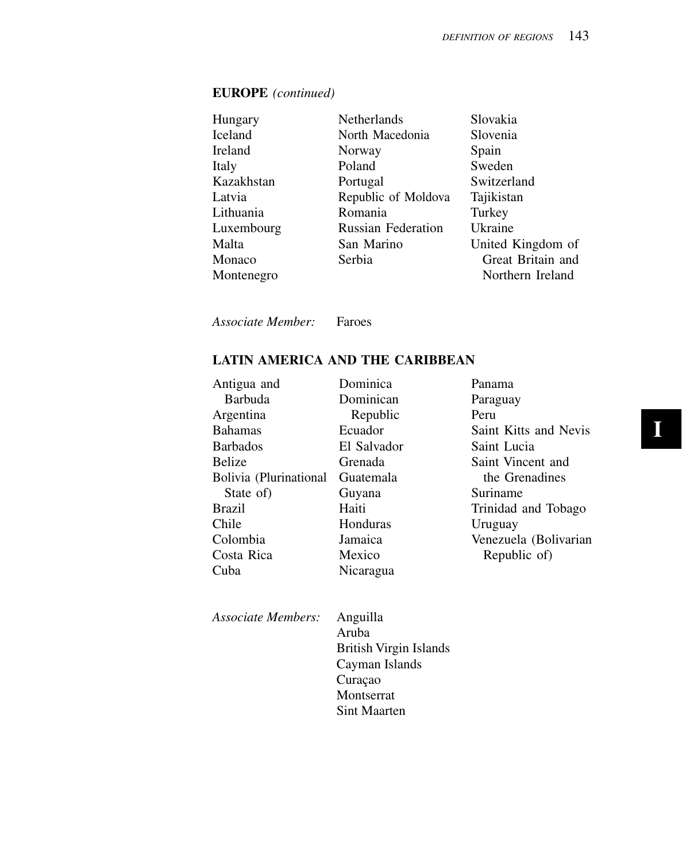### **EUROPE** *(continued)*

| Hungary    | <b>Netherlands</b>        | Slovakia          |
|------------|---------------------------|-------------------|
| Iceland    | North Macedonia           | Slovenia          |
| Ireland    | Norway                    | Spain             |
| Italy      | Poland                    | Sweden            |
| Kazakhstan | Portugal                  | Switzerland       |
| Latvia     | Republic of Moldova       | Tajikistan        |
| Lithuania  | Romania                   | Turkey            |
| Luxembourg | <b>Russian Federation</b> | Ukraine           |
| Malta      | San Marino                | United Kingdom of |
| Monaco     | Serbia                    | Great Britain and |
| Montenegro |                           | Northern Ireland  |

*Associate Member:* Faroes

### **LATIN AMERICA AND THE CARIBBEAN**

| Antigua and            | Dominica    | Panama                |
|------------------------|-------------|-----------------------|
| Barbuda                | Dominican   | Paraguay              |
| Argentina              | Republic    | Peru                  |
| <b>Bahamas</b>         | Ecuador     | Saint Kitts and Nevis |
| <b>Barbados</b>        | El Salvador | Saint Lucia           |
| <b>Belize</b>          | Grenada     | Saint Vincent and     |
| Bolivia (Plurinational | Guatemala   | the Grenadines        |
| State of)              | Guyana      | Suriname              |
| <b>Brazil</b>          | Haiti       | Trinidad and Tobago   |
| Chile                  | Honduras    | Uruguay               |
| Colombia               | Jamaica     | Venezuela (Bolivarian |
| Costa Rica             | Mexico      | Republic of)          |
| Cuba                   | Nicaragua   |                       |
|                        |             |                       |

| Associate Members: | Anguilla                      |
|--------------------|-------------------------------|
|                    | Aruba                         |
|                    | <b>British Virgin Islands</b> |
|                    | Cayman Islands                |
|                    | Curaçao                       |
|                    | Montserrat                    |
|                    | <b>Sint Maarten</b>           |
|                    |                               |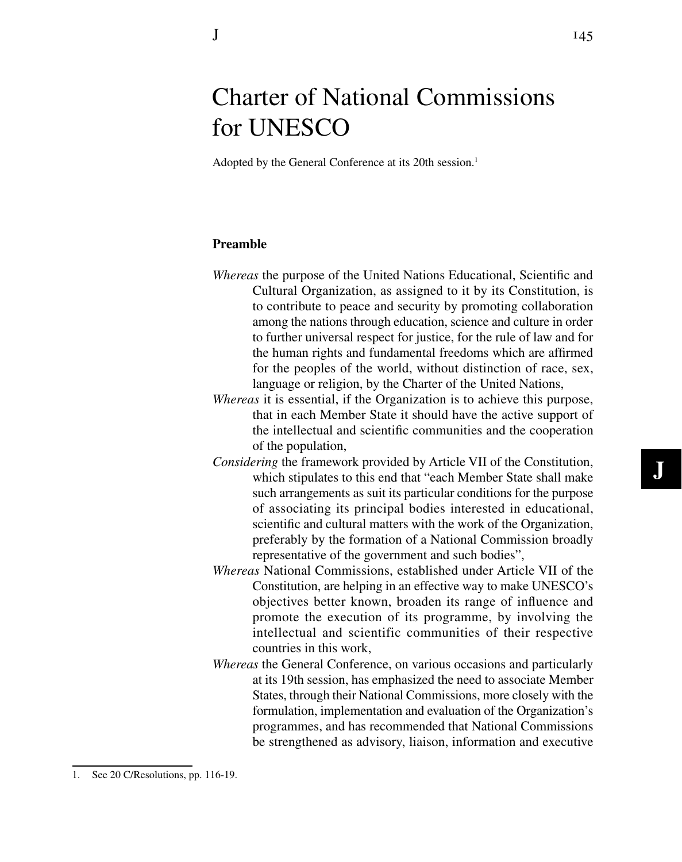## Charter of National Commissions for UNESCO

Adopted by the General Conference at its 20th session.<sup>1</sup>

#### **Preamble**

- *Whereas* the purpose of the United Nations Educational, Scientific and Cultural Organization, as assigned to it by its Constitution, is to contribute to peace and security by promoting collaboration among the nations through education, science and culture in order to further universal respect for justice, for the rule of law and for the human rights and fundamental freedoms which are affirmed for the peoples of the world, without distinction of race, sex, language or religion, by the Charter of the United Nations,
- *Whereas* it is essential, if the Organization is to achieve this purpose, that in each Member State it should have the active support of the intellectual and scientific communities and the cooperation of the population,
- *Considering* the framework provided by Article VII of the Constitution, which stipulates to this end that "each Member State shall make such arrangements as suit its particular conditions for the purpose of associating its principal bodies interested in educational, scientific and cultural matters with the work of the Organization, preferably by the formation of a National Commission broadly representative of the government and such bodies",
- *Whereas* National Commissions, established under Article VII of the Constitution, are helping in an effective way to make UNESCO's objectives better known, broaden its range of influence and promote the execution of its programme, by involving the intellectual and scientific communities of their respective countries in this work,
- *Whereas* the General Conference, on various occasions and particularly at its 19th session, has emphasized the need to associate Member States, through their National Commissions, more closely with the formulation, implementation and evaluation of the Organization's programmes, and has recommended that National Commissions be strengthened as advisory, liaison, information and executive

<sup>1.</sup> See 20 C/Resolutions, pp. 116-19.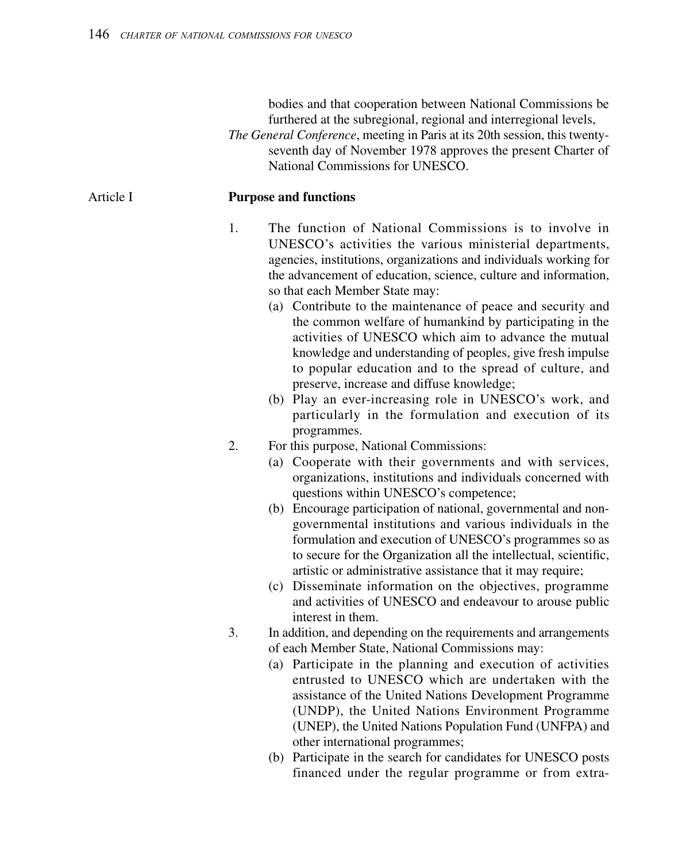bodies and that cooperation between National Commissions be furthered at the subregional, regional and interregional levels,

*The General Conference*, meeting in Paris at its 20th session, this twentyseventh day of November 1978 approves the present Charter of National Commissions for UNESCO.

#### Article I **Purpose and functions**

- 1. The function of National Commissions is to involve in UNESCO's activities the various ministerial departments, agencies, institutions, organizations and individuals working for the advancement of education, science, culture and information, so that each Member State may:
	- (a) Contribute to the maintenance of peace and security and the common welfare of humankind by participating in the activities of UNESCO which aim to advance the mutual knowledge and understanding of peoples, give fresh impulse to popular education and to the spread of culture, and preserve, increase and diffuse knowledge;
	- (b) Play an ever-increasing role in UNESCO's work, and particularly in the formulation and execution of its programmes.
- 2. For this purpose, National Commissions:
	- (a) Cooperate with their governments and with services, organizations, institutions and individuals concerned with questions within UNESCO's competence;
	- (b) Encourage participation of national, governmental and nongovernmental institutions and various individuals in the formulation and execution of UNESCO's programmes so as to secure for the Organization all the intellectual, scientific, artistic or administrative assistance that it may require;
	- (c) Disseminate information on the objectives, programme and activities of UNESCO and endeavour to arouse public interest in them.
- 3. In addition, and depending on the requirements and arrangements of each Member State, National Commissions may:
	- (a) Participate in the planning and execution of activities entrusted to UNESCO which are undertaken with the assistance of the United Nations Development Programme (UNDP), the United Nations Environment Programme (UNEP), the United Nations Population Fund (UNFPA) and other international programmes;
	- (b) Participate in the search for candidates for UNESCO posts financed under the regular programme or from extra-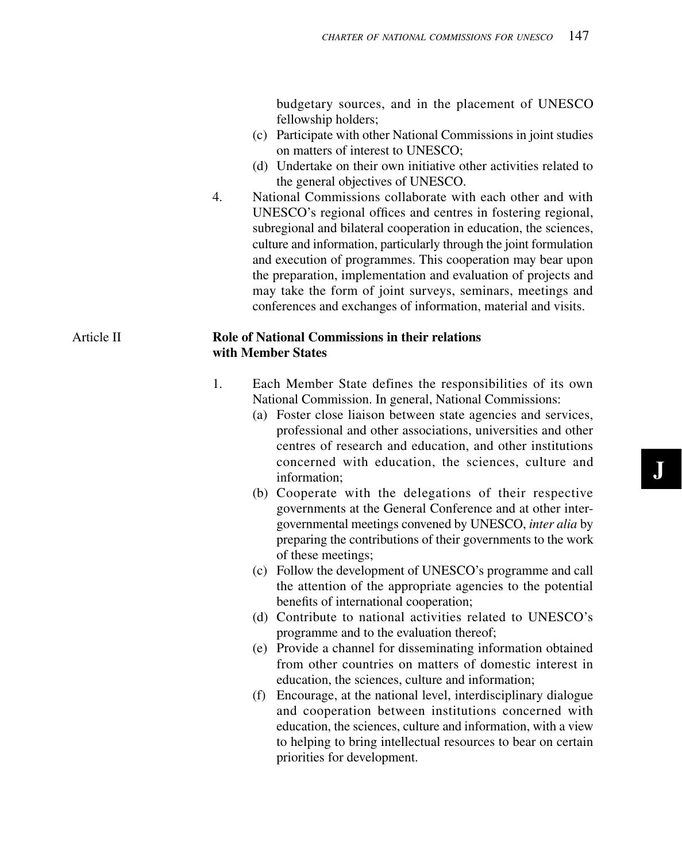budgetary sources, and in the placement of UNESCO fellowship holders;

- (c) Participate with other National Commissions in joint studies on matters of interest to UNESCO;
- (d) Undertake on their own initiative other activities related to the general objectives of UNESCO.
- 4. National Commissions collaborate with each other and with UNESCO's regional offices and centres in fostering regional, subregional and bilateral cooperation in education, the sciences, culture and information, particularly through the joint formulation and execution of programmes. This cooperation may bear upon the preparation, implementation and evaluation of projects and may take the form of joint surveys, seminars, meetings and conferences and exchanges of information, material and visits.

### Article II **Role of National Commissions in their relations with Member States**

- 1. Each Member State defines the responsibilities of its own National Commission. In general, National Commissions:
	- (a) Foster close liaison between state agencies and services, professional and other associations, universities and other centres of research and education, and other institutions concerned with education, the sciences, culture and information;
	- (b) Cooperate with the delegations of their respective governments at the General Conference and at other intergovernmental meetings convened by UNESCO, *inter alia* by preparing the contributions of their governments to the work of these meetings;
	- (c) Follow the development of UNESCO's programme and call the attention of the appropriate agencies to the potential benefits of international cooperation;
	- (d) Contribute to national activities related to UNESCO's programme and to the evaluation thereof;
	- (e) Provide a channel for disseminating information obtained from other countries on matters of domestic interest in education, the sciences, culture and information;
	- (f) Encourage, at the national level, interdisciplinary dialogue and cooperation between institutions concerned with education, the sciences, culture and information, with a view to helping to bring intellectual resources to bear on certain priorities for development.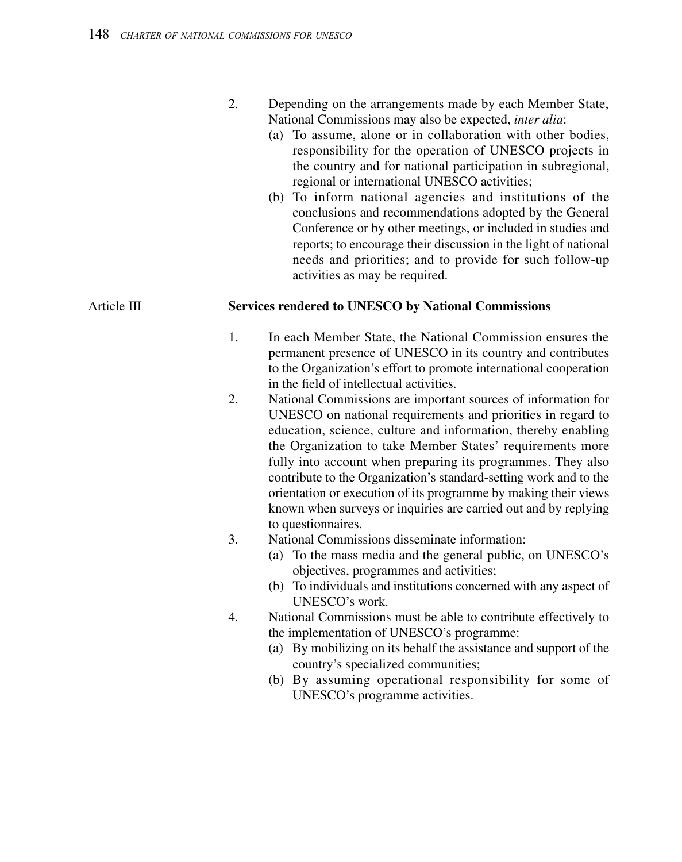|             | 2.               | Depending on the arrangements made by each Member State,<br>National Commissions may also be expected, inter alia:<br>(a) To assume, alone or in collaboration with other bodies,<br>responsibility for the operation of UNESCO projects in<br>the country and for national participation in subregional,<br>regional or international UNESCO activities;<br>(b) To inform national agencies and institutions of the<br>conclusions and recommendations adopted by the General<br>Conference or by other meetings, or included in studies and<br>reports; to encourage their discussion in the light of national<br>needs and priorities; and to provide for such follow-up<br>activities as may be required. |
|-------------|------------------|---------------------------------------------------------------------------------------------------------------------------------------------------------------------------------------------------------------------------------------------------------------------------------------------------------------------------------------------------------------------------------------------------------------------------------------------------------------------------------------------------------------------------------------------------------------------------------------------------------------------------------------------------------------------------------------------------------------|
| Article III |                  | <b>Services rendered to UNESCO by National Commissions</b>                                                                                                                                                                                                                                                                                                                                                                                                                                                                                                                                                                                                                                                    |
|             | 1.               | In each Member State, the National Commission ensures the<br>permanent presence of UNESCO in its country and contributes<br>to the Organization's effort to promote international cooperation<br>in the field of intellectual activities.                                                                                                                                                                                                                                                                                                                                                                                                                                                                     |
|             | 2.               | National Commissions are important sources of information for<br>UNESCO on national requirements and priorities in regard to<br>education, science, culture and information, thereby enabling<br>the Organization to take Member States' requirements more<br>fully into account when preparing its programmes. They also<br>contribute to the Organization's standard-setting work and to the<br>orientation or execution of its programme by making their views<br>known when surveys or inquiries are carried out and by replying<br>to questionnaires.                                                                                                                                                    |
|             | 3.               | National Commissions disseminate information:<br>(a) To the mass media and the general public, on UNESCO's<br>objectives, programmes and activities;<br>(b) To individuals and institutions concerned with any aspect of<br>UNESCO's work.                                                                                                                                                                                                                                                                                                                                                                                                                                                                    |
|             | $\overline{4}$ . | National Commissions must be able to contribute effectively to<br>the implementation of UNESCO's programme:<br>(a) By mobilizing on its behalf the assistance and support of the<br>country's specialized communities;<br>(b) By assuming operational responsibility for some of<br>UNESCO's programme activities.                                                                                                                                                                                                                                                                                                                                                                                            |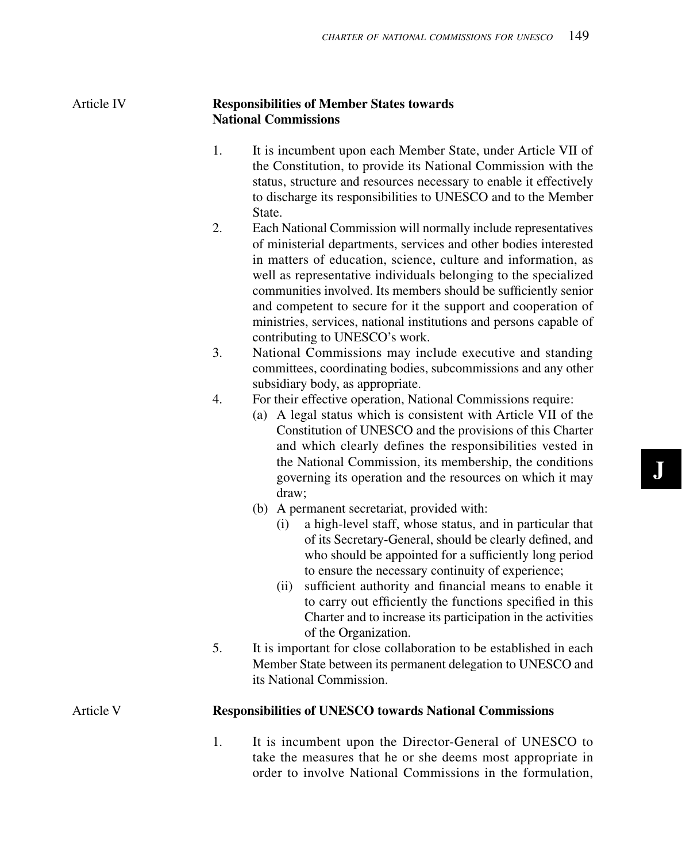#### Article IV **Responsibilities of Member States towards National Commissions**

- 1. It is incumbent upon each Member State, under Article VII of the Constitution, to provide its National Commission with the status, structure and resources necessary to enable it effectively to discharge its responsibilities to UNESCO and to the Member State.
- 2. Each National Commission will normally include representatives of ministerial departments, services and other bodies interested in matters of education, science, culture and information, as well as representative individuals belonging to the specialized communities involved. Its members should be sufficiently senior and competent to secure for it the support and cooperation of ministries, services, national institutions and persons capable of contributing to UNESCO's work.
- 3. National Commissions may include executive and standing committees, coordinating bodies, subcommissions and any other subsidiary body, as appropriate.
- 4. For their effective operation, National Commissions require:
	- (a) A legal status which is consistent with Article VII of the Constitution of UNESCO and the provisions of this Charter and which clearly defines the responsibilities vested in the National Commission, its membership, the conditions governing its operation and the resources on which it may draw;
	- (b) A permanent secretariat, provided with:
		- (i) a high-level staff, whose status, and in particular that of its Secretary-General, should be clearly defined, and who should be appointed for a sufficiently long period to ensure the necessary continuity of experience;
		- (ii) sufficient authority and financial means to enable it to carry out efficiently the functions specified in this Charter and to increase its participation in the activities of the Organization.
- 5. It is important for close collaboration to be established in each Member State between its permanent delegation to UNESCO and its National Commission.

#### Article V **Responsibilities of UNESCO towards National Commissions**

1. It is incumbent upon the Director-General of UNESCO to take the measures that he or she deems most appropriate in order to involve National Commissions in the formulation,

**J**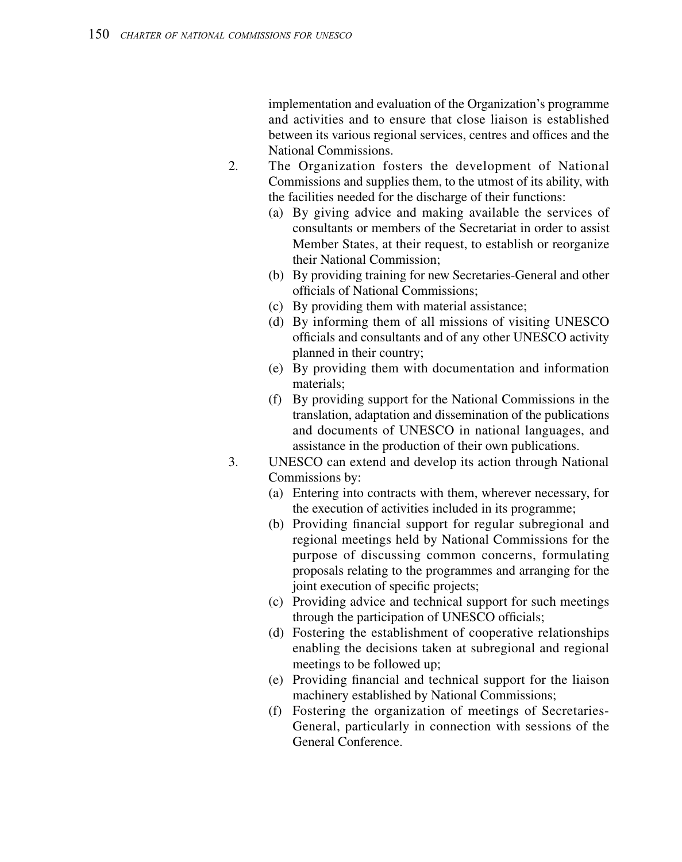implementation and evaluation of the Organization's programme and activities and to ensure that close liaison is established between its various regional services, centres and offices and the National Commissions.

- 2. The Organization fosters the development of National Commissions and supplies them, to the utmost of its ability, with the facilities needed for the discharge of their functions:
	- (a) By giving advice and making available the services of consultants or members of the Secretariat in order to assist Member States, at their request, to establish or reorganize their National Commission;
	- (b) By providing training for new Secretaries-General and other officials of National Commissions;
	- (c) By providing them with material assistance;
	- (d) By informing them of all missions of visiting UNESCO officials and consultants and of any other UNESCO activity planned in their country;
	- (e) By providing them with documentation and information materials;
	- (f) By providing support for the National Commissions in the translation, adaptation and dissemination of the publications and documents of UNESCO in national languages, and assistance in the production of their own publications.
- 3. UNESCO can extend and develop its action through National Commissions by:
	- (a) Entering into contracts with them, wherever necessary, for the execution of activities included in its programme;
	- (b) Providing financial support for regular subregional and regional meetings held by National Commissions for the purpose of discussing common concerns, formulating proposals relating to the programmes and arranging for the joint execution of specific projects;
	- (c) Providing advice and technical support for such meetings through the participation of UNESCO officials;
	- (d) Fostering the establishment of cooperative relationships enabling the decisions taken at subregional and regional meetings to be followed up;
	- (e) Providing financial and technical support for the liaison machinery established by National Commissions;
	- (f) Fostering the organization of meetings of Secretaries-General, particularly in connection with sessions of the General Conference.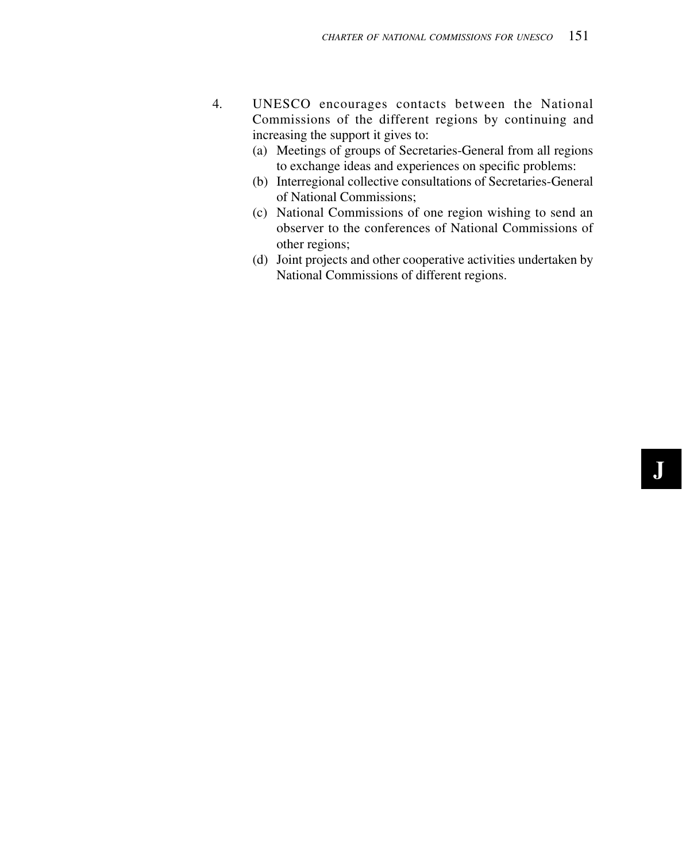- 4. UNESCO encourages contacts between the National Commissions of the different regions by continuing and increasing the support it gives to:
	- (a) Meetings of groups of Secretaries-General from all regions to exchange ideas and experiences on specific problems:
	- (b) Interregional collective consultations of Secretaries-General of National Commissions;
	- (c) National Commissions of one region wishing to send an observer to the conferences of National Commissions of other regions;
	- (d) Joint projects and other cooperative activities undertaken by National Commissions of different regions.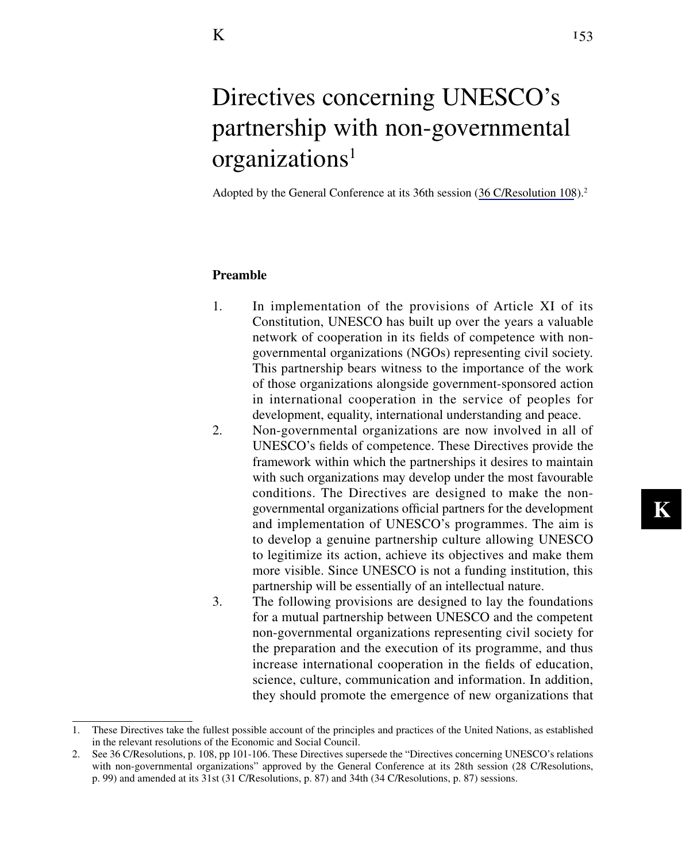# Directives concerning UNESCO's partnership with non-governmental organizations<sup>1</sup>

Adopted by the General Conference at its 36th session [\(36 C/Resolution 108](https://unesdoc.unesco.org/ark:/48223/pf0000215084_eng.nameddest=108)).2

#### **Preamble**

- 1. In implementation of the provisions of Article XI of its Constitution, UNESCO has built up over the years a valuable network of cooperation in its fields of competence with nongovernmental organizations (NGOs) representing civil society. This partnership bears witness to the importance of the work of those organizations alongside government-sponsored action in international cooperation in the service of peoples for development, equality, international understanding and peace.
- 2. Non-governmental organizations are now involved in all of UNESCO's fields of competence. These Directives provide the framework within which the partnerships it desires to maintain with such organizations may develop under the most favourable conditions. The Directives are designed to make the nongovernmental organizations official partners for the development and implementation of UNESCO's programmes. The aim is to develop a genuine partnership culture allowing UNESCO to legitimize its action, achieve its objectives and make them more visible. Since UNESCO is not a funding institution, this partnership will be essentially of an intellectual nature.
- 3. The following provisions are designed to lay the foundations for a mutual partnership between UNESCO and the competent non-governmental organizations representing civil society for the preparation and the execution of its programme, and thus increase international cooperation in the fields of education, science, culture, communication and information. In addition, they should promote the emergence of new organizations that

<sup>1.</sup> These Directives take the fullest possible account of the principles and practices of the United Nations, as established in the relevant resolutions of the Economic and Social Council.

<sup>2.</sup> See 36 C/Resolutions, p. 108, pp 101-106. These Directives supersede the "Directives concerning UNESCO's relations with non-governmental organizations" approved by the General Conference at its 28th session (28 C/Resolutions, p. 99) and amended at its 31st (31 C/Resolutions, p. 87) and 34th (34 C/Resolutions, p. 87) sessions.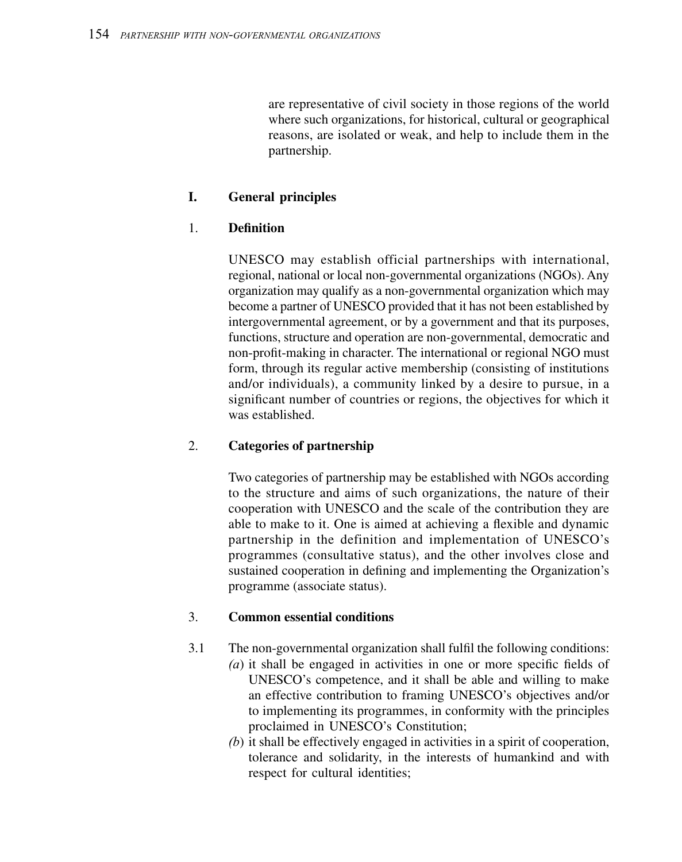are representative of civil society in those regions of the world where such organizations, for historical, cultural or geographical reasons, are isolated or weak, and help to include them in the partnership.

# **I. General principles**

# 1. **Definition**

UNESCO may establish official partnerships with international, regional, national or local non-governmental organizations (NGOs). Any organization may qualify as a non-governmental organization which may become a partner of UNESCO provided that it has not been established by intergovernmental agreement, or by a government and that its purposes, functions, structure and operation are non-governmental, democratic and non-profit-making in character. The international or regional NGO must form, through its regular active membership (consisting of institutions and/or individuals), a community linked by a desire to pursue, in a significant number of countries or regions, the objectives for which it was established.

# 2. **Categories of partnership**

Two categories of partnership may be established with NGOs according to the structure and aims of such organizations, the nature of their cooperation with UNESCO and the scale of the contribution they are able to make to it. One is aimed at achieving a flexible and dynamic partnership in the definition and implementation of UNESCO's programmes (consultative status), and the other involves close and sustained cooperation in defining and implementing the Organization's programme (associate status).

# 3. **Common essential conditions**

- 3.1 The non-governmental organization shall fulfil the following conditions:
	- *(a*) it shall be engaged in activities in one or more specific fields of UNESCO's competence, and it shall be able and willing to make an effective contribution to framing UNESCO's objectives and/or to implementing its programmes, in conformity with the principles proclaimed in UNESCO's Constitution;
	- *(b*) it shall be effectively engaged in activities in a spirit of cooperation, tolerance and solidarity, in the interests of humankind and with respect for cultural identities;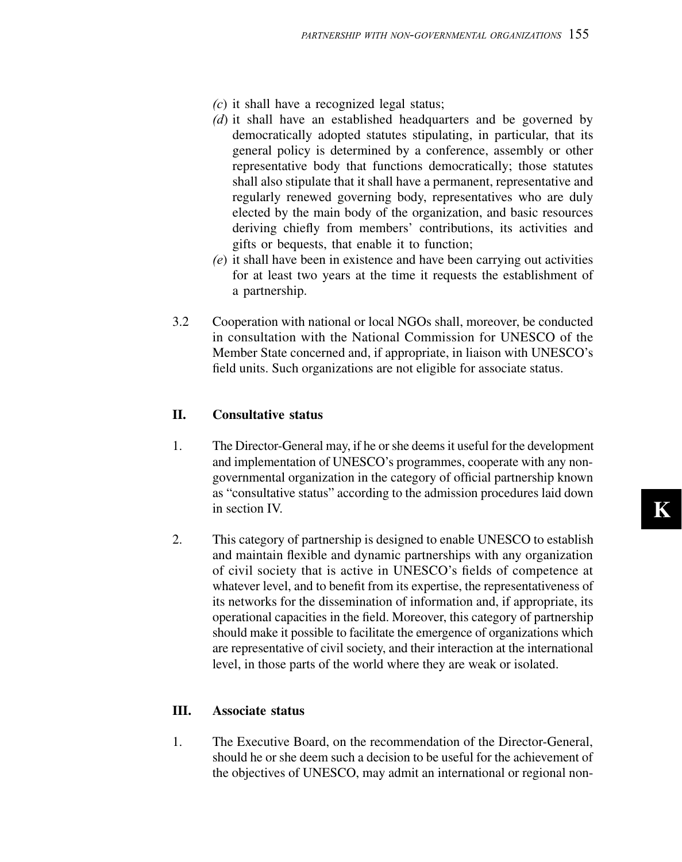- *(c*) it shall have a recognized legal status;
- *(d*) it shall have an established headquarters and be governed by democratically adopted statutes stipulating, in particular, that its general policy is determined by a conference, assembly or other representative body that functions democratically; those statutes shall also stipulate that it shall have a permanent, representative and regularly renewed governing body, representatives who are duly elected by the main body of the organization, and basic resources deriving chiefly from members' contributions, its activities and gifts or bequests, that enable it to function;
- *(e*) it shall have been in existence and have been carrying out activities for at least two years at the time it requests the establishment of a partnership.
- 3.2 Cooperation with national or local NGOs shall, moreover, be conducted in consultation with the National Commission for UNESCO of the Member State concerned and, if appropriate, in liaison with UNESCO's field units. Such organizations are not eligible for associate status.

# **II. Consultative status**

- 1. The Director-General may, if he or she deems it useful for the development and implementation of UNESCO's programmes, cooperate with any nongovernmental organization in the category of official partnership known as "consultative status" according to the admission procedures laid down in section IV.
- 2. This category of partnership is designed to enable UNESCO to establish and maintain flexible and dynamic partnerships with any organization of civil society that is active in UNESCO's fields of competence at whatever level, and to benefit from its expertise, the representativeness of its networks for the dissemination of information and, if appropriate, its operational capacities in the field. Moreover, this category of partnership should make it possible to facilitate the emergence of organizations which are representative of civil society, and their interaction at the international level, in those parts of the world where they are weak or isolated.

# **III. Associate status**

1. The Executive Board, on the recommendation of the Director-General, should he or she deem such a decision to be useful for the achievement of the objectives of UNESCO, may admit an international or regional non-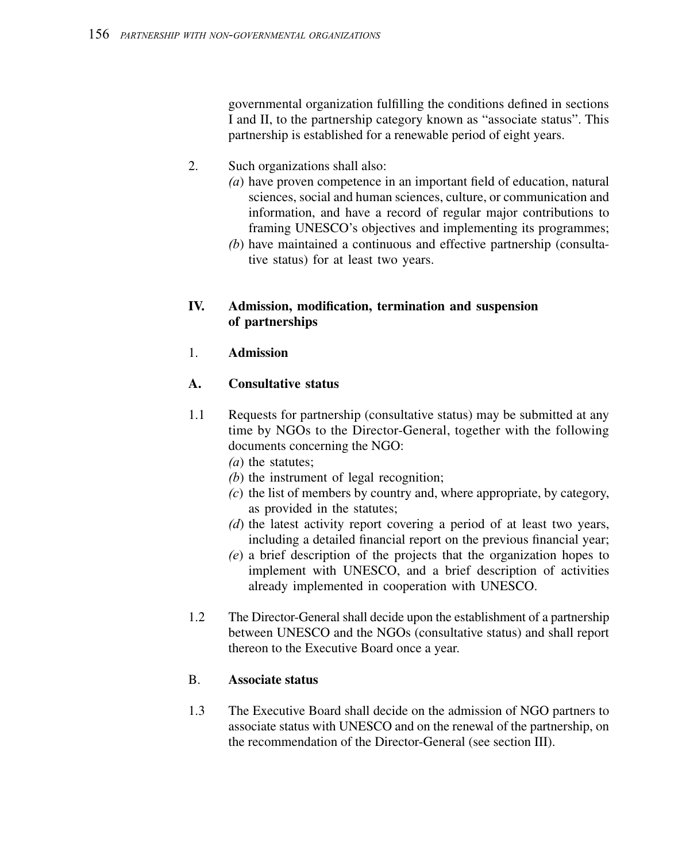governmental organization fulfilling the conditions defined in sections I and II, to the partnership category known as "associate status". This partnership is established for a renewable period of eight years.

- 2. Such organizations shall also:
	- *(a*) have proven competence in an important field of education, natural sciences, social and human sciences, culture, or communication and information, and have a record of regular major contributions to framing UNESCO's objectives and implementing its programmes;
	- *(b*) have maintained a continuous and effective partnership (consultative status) for at least two years.

# **IV. Admission, modification, termination and suspension of partnerships**

1. **Admission**

# **A. Consultative status**

- 1.1 Requests for partnership (consultative status) may be submitted at any time by NGOs to the Director-General, together with the following documents concerning the NGO:
	- *(a*) the statutes;
	- *(b)* the instrument of legal recognition;
	- *(c*) the list of members by country and, where appropriate, by category, as provided in the statutes;
	- *(d*) the latest activity report covering a period of at least two years, including a detailed financial report on the previous financial year;
	- *(e*) a brief description of the projects that the organization hopes to implement with UNESCO, and a brief description of activities already implemented in cooperation with UNESCO.
- 1.2 The Director-General shall decide upon the establishment of a partnership between UNESCO and the NGOs (consultative status) and shall report thereon to the Executive Board once a year.

# B. **Associate status**

1.3 The Executive Board shall decide on the admission of NGO partners to associate status with UNESCO and on the renewal of the partnership, on the recommendation of the Director-General (see section III).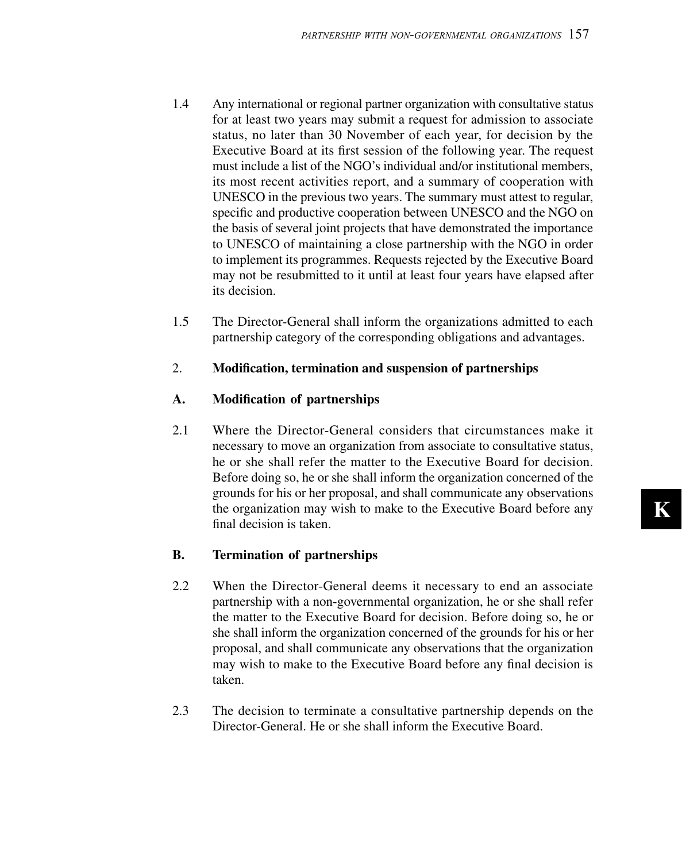- 1.4 Any international or regional partner organization with consultative status for at least two years may submit a request for admission to associate status, no later than 30 November of each year, for decision by the Executive Board at its first session of the following year. The request must include a list of the NGO's individual and/or institutional members, its most recent activities report, and a summary of cooperation with UNESCO in the previous two years. The summary must attest to regular, specific and productive cooperation between UNESCO and the NGO on the basis of several joint projects that have demonstrated the importance to UNESCO of maintaining a close partnership with the NGO in order to implement its programmes. Requests rejected by the Executive Board may not be resubmitted to it until at least four years have elapsed after its decision.
- 1.5 The Director-General shall inform the organizations admitted to each partnership category of the corresponding obligations and advantages.

# 2. **Modification, termination and suspension of partnerships**

# **A. Modification of partnerships**

2.1 Where the Director-General considers that circumstances make it necessary to move an organization from associate to consultative status, he or she shall refer the matter to the Executive Board for decision. Before doing so, he or she shall inform the organization concerned of the grounds for his or her proposal, and shall communicate any observations the organization may wish to make to the Executive Board before any final decision is taken.

# **B. Termination of partnerships**

- 2.2 When the Director-General deems it necessary to end an associate partnership with a non-governmental organization, he or she shall refer the matter to the Executive Board for decision. Before doing so, he or she shall inform the organization concerned of the grounds for his or her proposal, and shall communicate any observations that the organization may wish to make to the Executive Board before any final decision is taken.
- 2.3 The decision to terminate a consultative partnership depends on the Director-General. He or she shall inform the Executive Board.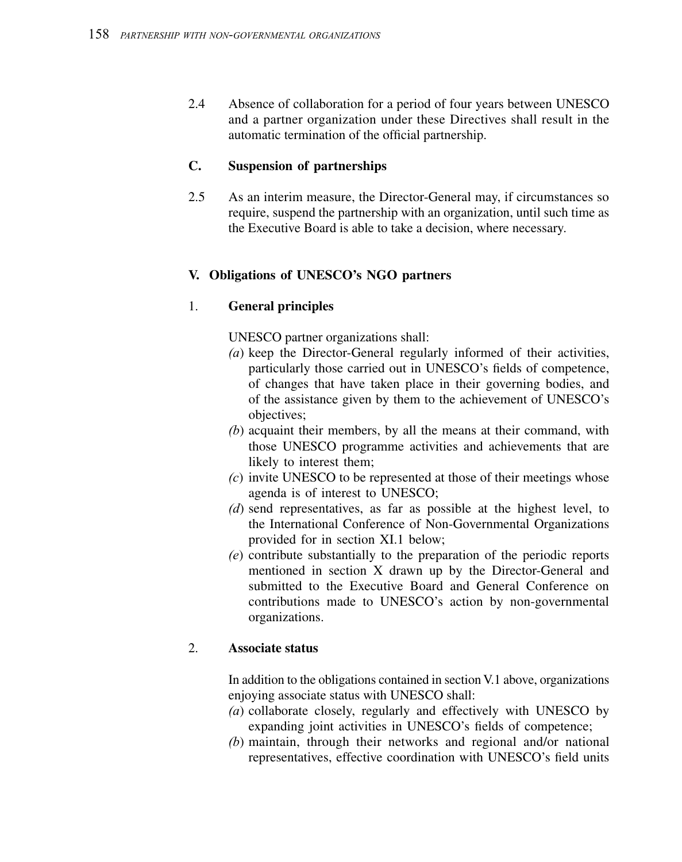2.4 Absence of collaboration for a period of four years between UNESCO and a partner organization under these Directives shall result in the automatic termination of the official partnership.

# **C. Suspension of partnerships**

2.5 As an interim measure, the Director-General may, if circumstances so require, suspend the partnership with an organization, until such time as the Executive Board is able to take a decision, where necessary.

# **V. Obligations of UNESCO's NGO partners**

# 1. **General principles**

UNESCO partner organizations shall:

- *(a*) keep the Director-General regularly informed of their activities, particularly those carried out in UNESCO's fields of competence, of changes that have taken place in their governing bodies, and of the assistance given by them to the achievement of UNESCO's objectives;
- *(b*) acquaint their members, by all the means at their command, with those UNESCO programme activities and achievements that are likely to interest them;
- *(c*) invite UNESCO to be represented at those of their meetings whose agenda is of interest to UNESCO;
- *(d*) send representatives, as far as possible at the highest level, to the International Conference of Non-Governmental Organizations provided for in section XI.1 below;
- *(e*) contribute substantially to the preparation of the periodic reports mentioned in section X drawn up by the Director-General and submitted to the Executive Board and General Conference on contributions made to UNESCO's action by non-governmental organizations.

# 2. **Associate status**

In addition to the obligations contained in section V.1 above, organizations enjoying associate status with UNESCO shall:

- *(a*) collaborate closely, regularly and effectively with UNESCO by expanding joint activities in UNESCO's fields of competence;
- *(b*) maintain, through their networks and regional and/or national representatives, effective coordination with UNESCO's field units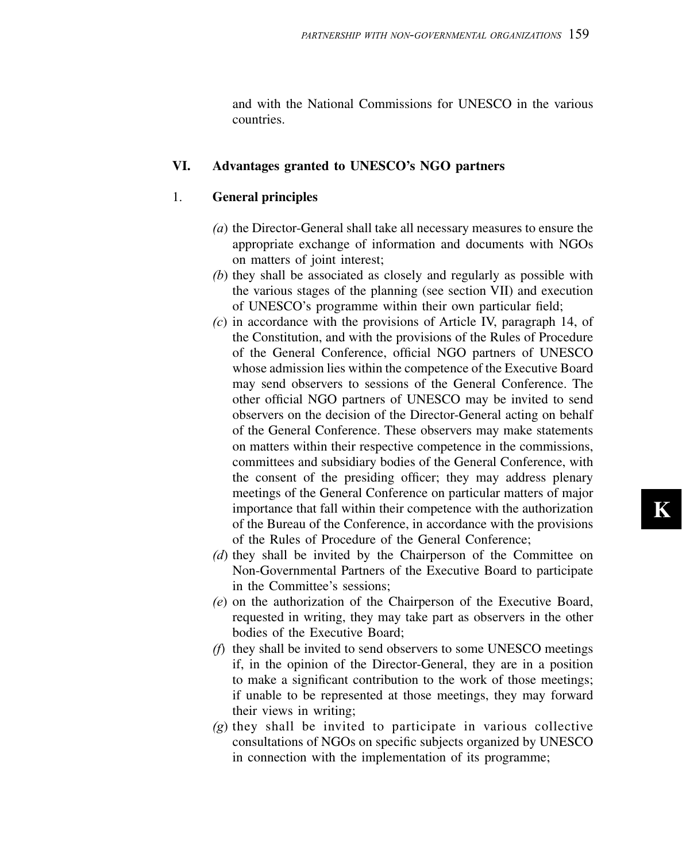and with the National Commissions for UNESCO in the various countries.

#### **VI. Advantages granted to UNESCO's NGO partners**

#### 1. **General principles**

- *(a*) the Director-General shall take all necessary measures to ensure the appropriate exchange of information and documents with NGOs on matters of joint interest;
- *(b*) they shall be associated as closely and regularly as possible with the various stages of the planning (see section VII) and execution of UNESCO's programme within their own particular field;
- *(c*) in accordance with the provisions of Article IV, paragraph 14, of the Constitution, and with the provisions of the Rules of Procedure of the General Conference, official NGO partners of UNESCO whose admission lies within the competence of the Executive Board may send observers to sessions of the General Conference. The other official NGO partners of UNESCO may be invited to send observers on the decision of the Director-General acting on behalf of the General Conference. These observers may make statements on matters within their respective competence in the commissions, committees and subsidiary bodies of the General Conference, with the consent of the presiding officer; they may address plenary meetings of the General Conference on particular matters of major importance that fall within their competence with the authorization of the Bureau of the Conference, in accordance with the provisions of the Rules of Procedure of the General Conference;
- *(d*) they shall be invited by the Chairperson of the Committee on Non-Governmental Partners of the Executive Board to participate in the Committee's sessions;
- *(e*) on the authorization of the Chairperson of the Executive Board, requested in writing, they may take part as observers in the other bodies of the Executive Board;
- *(f*) they shall be invited to send observers to some UNESCO meetings if, in the opinion of the Director-General, they are in a position to make a significant contribution to the work of those meetings; if unable to be represented at those meetings, they may forward their views in writing;
- *(g*) they shall be invited to participate in various collective consultations of NGOs on specific subjects organized by UNESCO in connection with the implementation of its programme;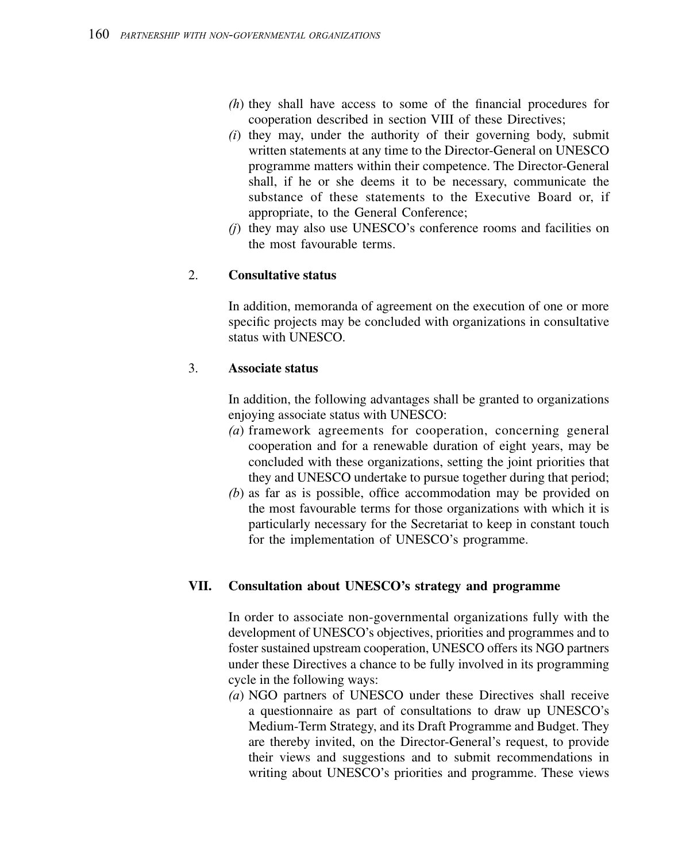- *(h*) they shall have access to some of the financial procedures for cooperation described in section VIII of these Directives;
- *(i*) they may, under the authority of their governing body, submit written statements at any time to the Director-General on UNESCO programme matters within their competence. The Director-General shall, if he or she deems it to be necessary, communicate the substance of these statements to the Executive Board or, if appropriate, to the General Conference;
- *(j*) they may also use UNESCO's conference rooms and facilities on the most favourable terms.

# 2. **Consultative status**

In addition, memoranda of agreement on the execution of one or more specific projects may be concluded with organizations in consultative status with UNESCO.

# 3. **Associate status**

In addition, the following advantages shall be granted to organizations enjoying associate status with UNESCO:

- *(a*) framework agreements for cooperation, concerning general cooperation and for a renewable duration of eight years, may be concluded with these organizations, setting the joint priorities that they and UNESCO undertake to pursue together during that period;
- *(b*) as far as is possible, office accommodation may be provided on the most favourable terms for those organizations with which it is particularly necessary for the Secretariat to keep in constant touch for the implementation of UNESCO's programme.

# **VII. Consultation about UNESCO's strategy and programme**

In order to associate non-governmental organizations fully with the development of UNESCO's objectives, priorities and programmes and to foster sustained upstream cooperation, UNESCO offers its NGO partners under these Directives a chance to be fully involved in its programming cycle in the following ways:

*(a*) NGO partners of UNESCO under these Directives shall receive a questionnaire as part of consultations to draw up UNESCO's Medium-Term Strategy, and its Draft Programme and Budget. They are thereby invited, on the Director-General's request, to provide their views and suggestions and to submit recommendations in writing about UNESCO's priorities and programme. These views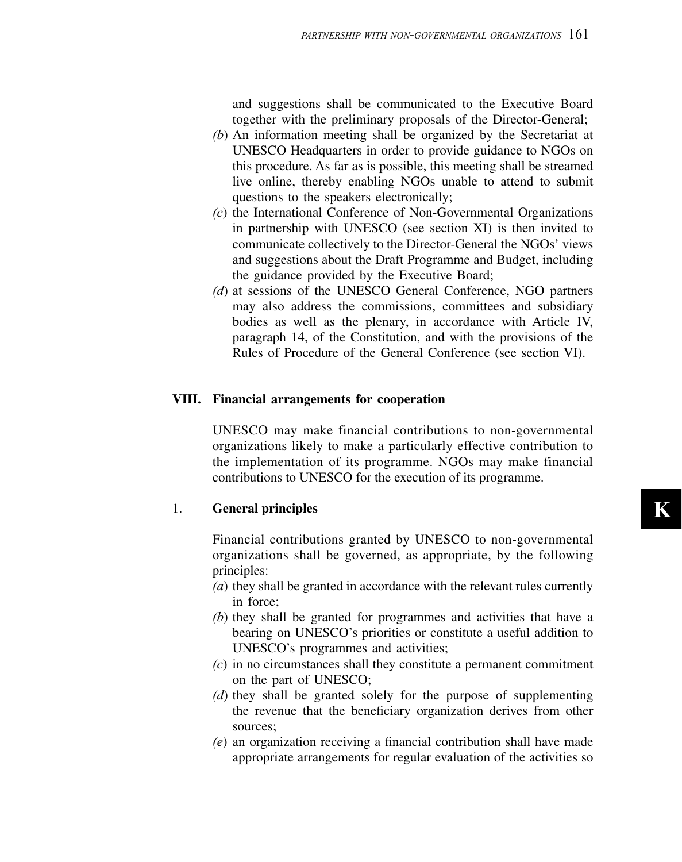and suggestions shall be communicated to the Executive Board together with the preliminary proposals of the Director-General;

- *(b*) An information meeting shall be organized by the Secretariat at UNESCO Headquarters in order to provide guidance to NGOs on this procedure. As far as is possible, this meeting shall be streamed live online, thereby enabling NGOs unable to attend to submit questions to the speakers electronically;
- *(c*) the International Conference of Non-Governmental Organizations in partnership with UNESCO (see section XI) is then invited to communicate collectively to the Director-General the NGOs' views and suggestions about the Draft Programme and Budget, including the guidance provided by the Executive Board;
- *(d*) at sessions of the UNESCO General Conference, NGO partners may also address the commissions, committees and subsidiary bodies as well as the plenary, in accordance with Article IV, paragraph 14, of the Constitution, and with the provisions of the Rules of Procedure of the General Conference (see section VI).

#### **VIII. Financial arrangements for cooperation**

UNESCO may make financial contributions to non-governmental organizations likely to make a particularly effective contribution to the implementation of its programme. NGOs may make financial contributions to UNESCO for the execution of its programme.

# 1. **General principles**

Financial contributions granted by UNESCO to non-governmental organizations shall be governed, as appropriate, by the following principles:

- *(a*) they shall be granted in accordance with the relevant rules currently in force;
- *(b*) they shall be granted for programmes and activities that have a bearing on UNESCO's priorities or constitute a useful addition to UNESCO's programmes and activities;
- *(c*) in no circumstances shall they constitute a permanent commitment on the part of UNESCO;
- *(d*) they shall be granted solely for the purpose of supplementing the revenue that the beneficiary organization derives from other sources;
- *(e*) an organization receiving a financial contribution shall have made appropriate arrangements for regular evaluation of the activities so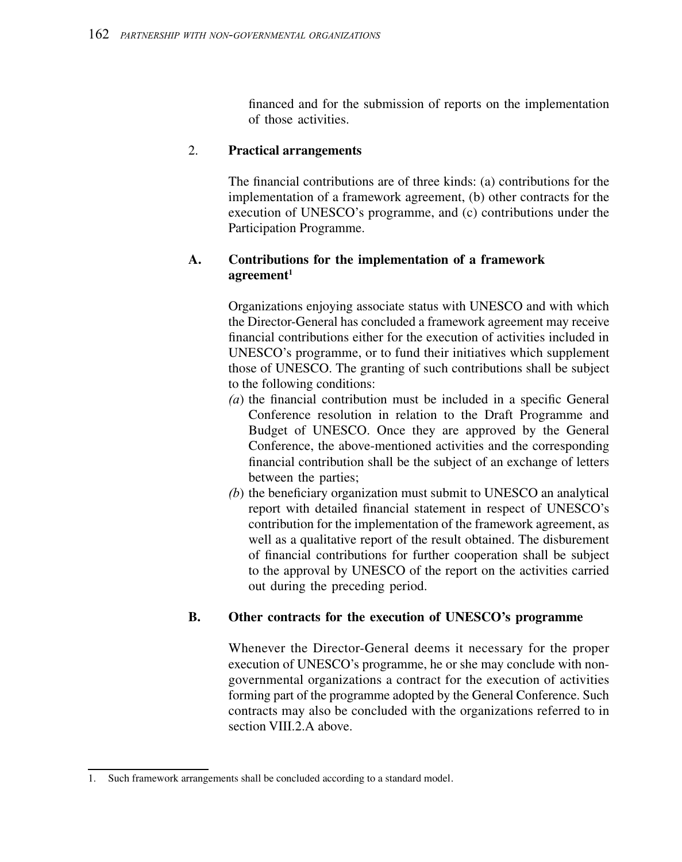financed and for the submission of reports on the implementation of those activities.

#### 2. **Practical arrangements**

The financial contributions are of three kinds: (a) contributions for the implementation of a framework agreement, (b) other contracts for the execution of UNESCO's programme, and (c) contributions under the Participation Programme.

# **A. Contributions for the implementation of a framework agreement1**

Organizations enjoying associate status with UNESCO and with which the Director-General has concluded a framework agreement may receive financial contributions either for the execution of activities included in UNESCO's programme, or to fund their initiatives which supplement those of UNESCO. The granting of such contributions shall be subject to the following conditions:

- *(a*) the financial contribution must be included in a specific General Conference resolution in relation to the Draft Programme and Budget of UNESCO. Once they are approved by the General Conference, the above-mentioned activities and the corresponding financial contribution shall be the subject of an exchange of letters between the parties;
- *(b*) the beneficiary organization must submit to UNESCO an analytical report with detailed financial statement in respect of UNESCO's contribution for the implementation of the framework agreement, as well as a qualitative report of the result obtained. The disburement of financial contributions for further cooperation shall be subject to the approval by UNESCO of the report on the activities carried out during the preceding period.

# **B. Other contracts for the execution of UNESCO's programme**

Whenever the Director-General deems it necessary for the proper execution of UNESCO's programme, he or she may conclude with nongovernmental organizations a contract for the execution of activities forming part of the programme adopted by the General Conference. Such contracts may also be concluded with the organizations referred to in section VIII.2.A above.

<sup>1.</sup> Such framework arrangements shall be concluded according to a standard model.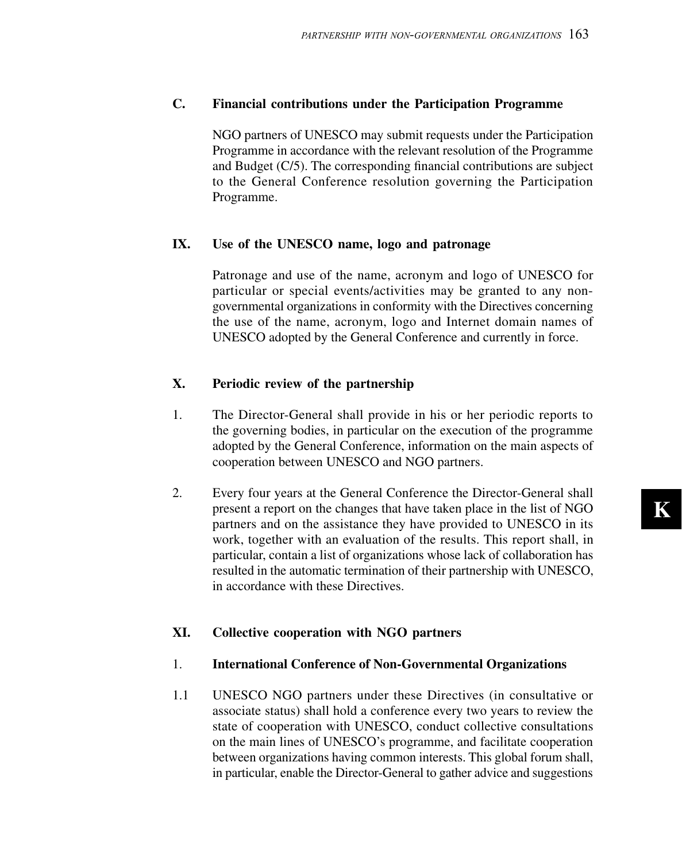# **C. Financial contributions under the Participation Programme**

NGO partners of UNESCO may submit requests under the Participation Programme in accordance with the relevant resolution of the Programme and Budget (C/5). The corresponding financial contributions are subject to the General Conference resolution governing the Participation Programme.

# **IX. Use of the UNESCO name, logo and patronage**

Patronage and use of the name, acronym and logo of UNESCO for particular or special events/activities may be granted to any nongovernmental organizations in conformity with the Directives concerning the use of the name, acronym, logo and Internet domain names of UNESCO adopted by the General Conference and currently in force.

# **X. Periodic review of the partnership**

- 1. The Director-General shall provide in his or her periodic reports to the governing bodies, in particular on the execution of the programme adopted by the General Conference, information on the main aspects of cooperation between UNESCO and NGO partners.
- 2. Every four years at the General Conference the Director-General shall present a report on the changes that have taken place in the list of NGO partners and on the assistance they have provided to UNESCO in its work, together with an evaluation of the results. This report shall, in particular, contain a list of organizations whose lack of collaboration has resulted in the automatic termination of their partnership with UNESCO, in accordance with these Directives.

# **XI. Collective cooperation with NGO partners**

# 1. **International Conference of Non-Governmental Organizations**

1.1 UNESCO NGO partners under these Directives (in consultative or associate status) shall hold a conference every two years to review the state of cooperation with UNESCO, conduct collective consultations on the main lines of UNESCO's programme, and facilitate cooperation between organizations having common interests. This global forum shall, in particular, enable the Director-General to gather advice and suggestions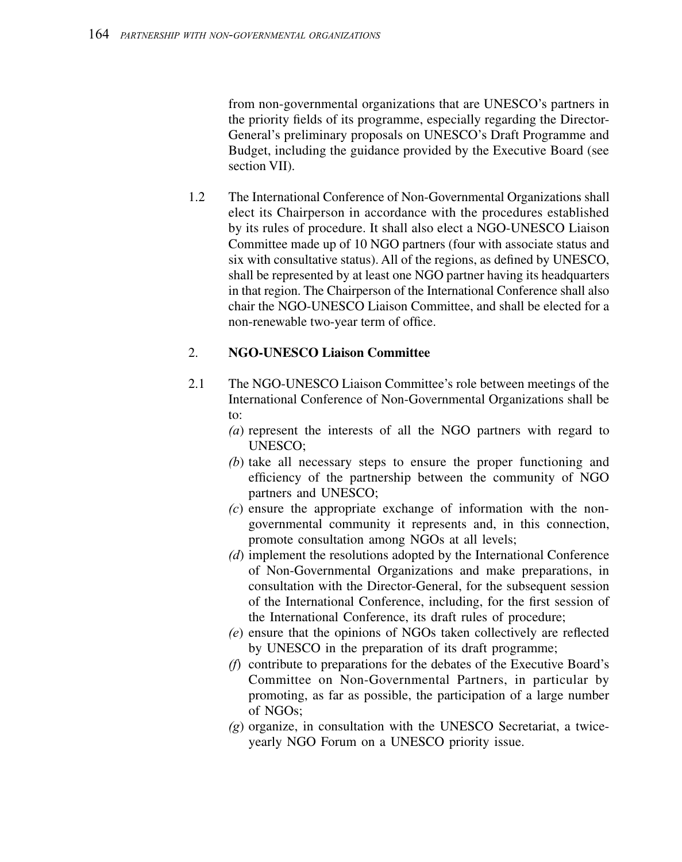from non-governmental organizations that are UNESCO's partners in the priority fields of its programme, especially regarding the Director-General's preliminary proposals on UNESCO's Draft Programme and Budget, including the guidance provided by the Executive Board (see section VII).

1.2 The International Conference of Non-Governmental Organizations shall elect its Chairperson in accordance with the procedures established by its rules of procedure. It shall also elect a NGO-UNESCO Liaison Committee made up of 10 NGO partners (four with associate status and six with consultative status). All of the regions, as defined by UNESCO, shall be represented by at least one NGO partner having its headquarters in that region. The Chairperson of the International Conference shall also chair the NGO-UNESCO Liaison Committee, and shall be elected for a non-renewable two-year term of office.

# 2. **NGO-UNESCO Liaison Committee**

- 2.1 The NGO-UNESCO Liaison Committee's role between meetings of the International Conference of Non-Governmental Organizations shall be to:
	- *(a*) represent the interests of all the NGO partners with regard to UNESCO;
	- *(b*) take all necessary steps to ensure the proper functioning and efficiency of the partnership between the community of NGO partners and UNESCO;
	- *(c*) ensure the appropriate exchange of information with the nongovernmental community it represents and, in this connection, promote consultation among NGOs at all levels;
	- *(d*) implement the resolutions adopted by the International Conference of Non-Governmental Organizations and make preparations, in consultation with the Director-General, for the subsequent session of the International Conference, including, for the first session of the International Conference, its draft rules of procedure;
	- *(e*) ensure that the opinions of NGOs taken collectively are reflected by UNESCO in the preparation of its draft programme;
	- *(f*) contribute to preparations for the debates of the Executive Board's Committee on Non-Governmental Partners, in particular by promoting, as far as possible, the participation of a large number of NGOs;
	- *(g*) organize, in consultation with the UNESCO Secretariat, a twiceyearly NGO Forum on a UNESCO priority issue.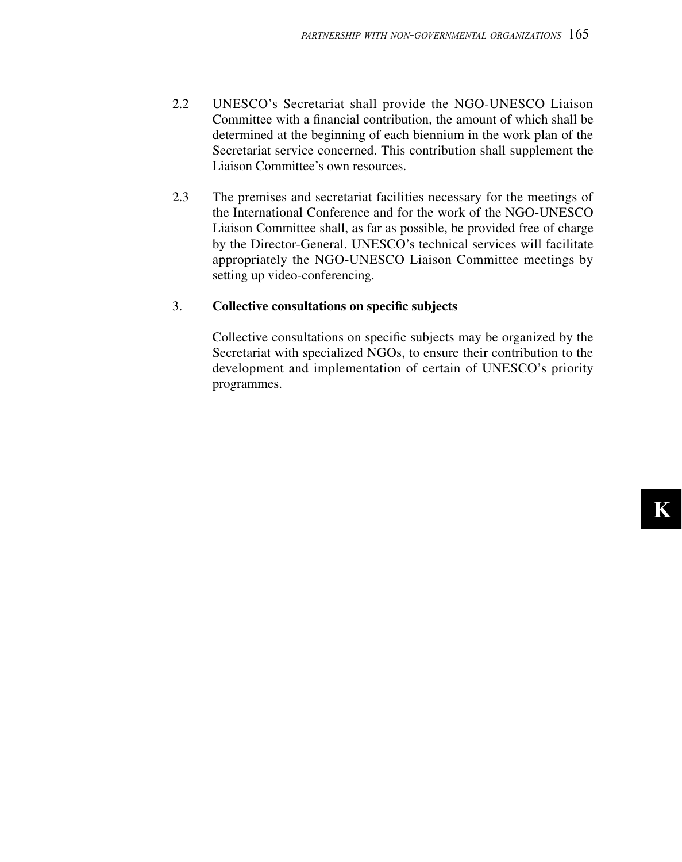- 2.2 UNESCO's Secretariat shall provide the NGO-UNESCO Liaison Committee with a financial contribution, the amount of which shall be determined at the beginning of each biennium in the work plan of the Secretariat service concerned. This contribution shall supplement the Liaison Committee's own resources.
- 2.3 The premises and secretariat facilities necessary for the meetings of the International Conference and for the work of the NGO-UNESCO Liaison Committee shall, as far as possible, be provided free of charge by the Director-General. UNESCO's technical services will facilitate appropriately the NGO-UNESCO Liaison Committee meetings by setting up video-conferencing.

#### 3. **Collective consultations on specific subjects**

Collective consultations on specific subjects may be organized by the Secretariat with specialized NGOs, to ensure their contribution to the development and implementation of certain of UNESCO's priority programmes.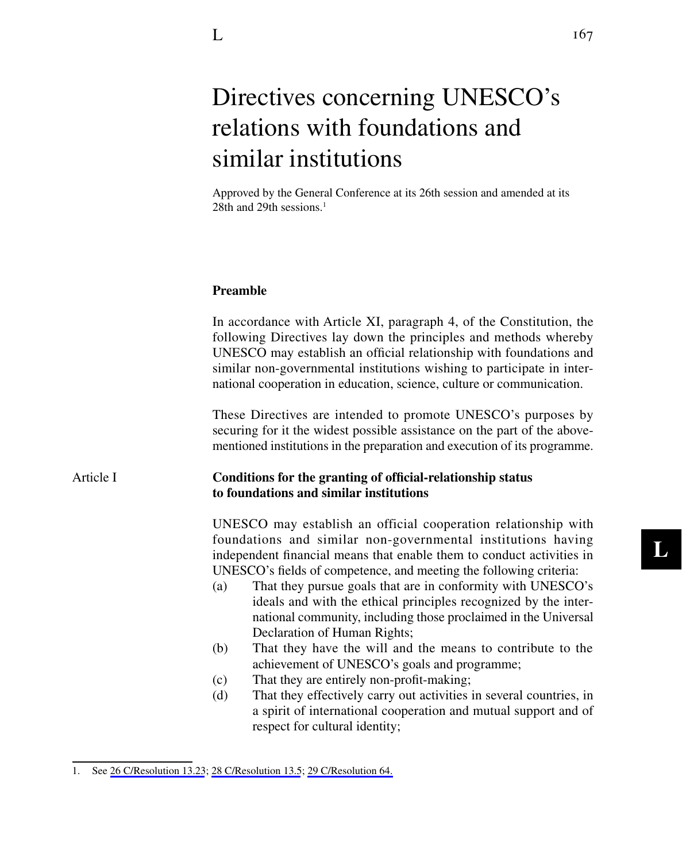# Directives concerning UNESCO's relations with foundations and similar institutions

Approved by the General Conference at its 26th session and amended at its 28th and 29th sessions.<sup>1</sup>

#### **Preamble**

In accordance with Article XI, paragraph 4, of the Constitution, the following Directives lay down the principles and methods whereby UNESCO may establish an official relationship with foundations and similar non-governmental institutions wishing to participate in international cooperation in education, science, culture or communication.

These Directives are intended to promote UNESCO's purposes by securing for it the widest possible assistance on the part of the abovementioned institutions in the preparation and execution of its programme.

# Article I **Conditions for the granting of official-relationship status to foundations and similar institutions**

UNESCO may establish an official cooperation relationship with foundations and similar non-governmental institutions having independent financial means that enable them to conduct activities in UNESCO's fields of competence, and meeting the following criteria:

- (a) That they pursue goals that are in conformity with UNESCO's ideals and with the ethical principles recognized by the international community, including those proclaimed in the Universal Declaration of Human Rights;
- (b) That they have the will and the means to contribute to the achievement of UNESCO's goals and programme;
- (c) That they are entirely non-profit-making;
- (d) That they effectively carry out activities in several countries, in a spirit of international cooperation and mutual support and of respect for cultural identity;

<sup>1.</sup> See [26 C/Resolution 13.23](https://unesdoc.unesco.org/ark:/48223/pf0000090448_eng.nameddest=13.23); [28 C/Resolution 13.5](https://unesdoc.unesco.org/ark:/48223/pf0000101803_eng.nameddest=13.5); [29 C/Resolution 64.](https://unesdoc.unesco.org/ark:/48223/pf0000110220_eng.nameddest=64)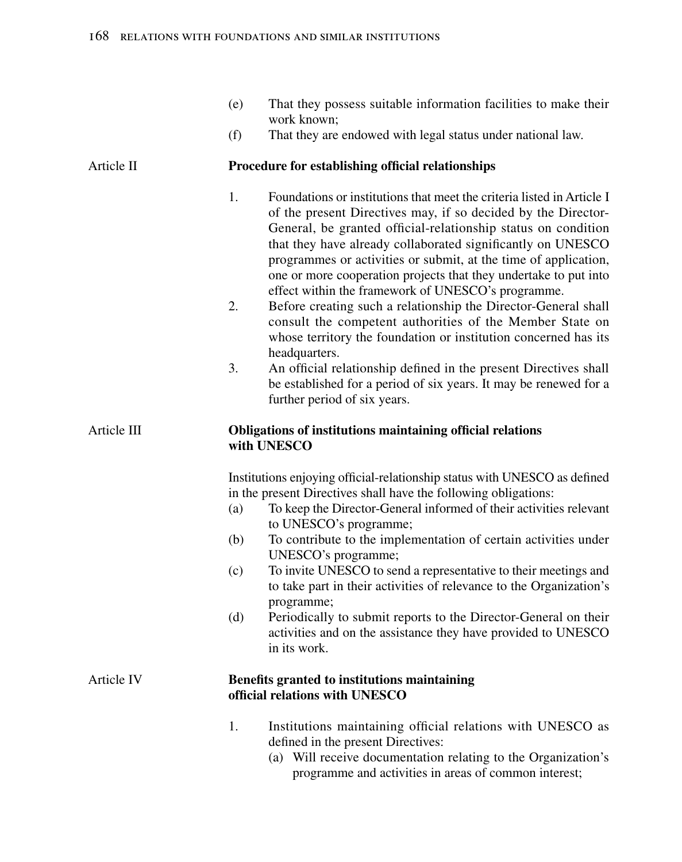| (e) | That they possess suitable information facilities to make their |
|-----|-----------------------------------------------------------------|
|     | work known;                                                     |

(f) That they are endowed with legal status under national law.

# Article II **Procedure for establishing official relationships**

- 1. Foundations or institutions that meet the criteria listed in Article I of the present Directives may, if so decided by the Director-General, be granted official-relationship status on condition that they have already collaborated significantly on UNESCO programmes or activities or submit, at the time of application, one or more cooperation projects that they undertake to put into effect within the framework of UNESCO's programme.
- 2. Before creating such a relationship the Director-General shall consult the competent authorities of the Member State on whose territory the foundation or institution concerned has its headquarters.
- 3. An official relationship defined in the present Directives shall be established for a period of six years. It may be renewed for a further period of six years.

# Article III **Obligations of institutions maintaining official relations with UNESCO**

Institutions enjoying official-relationship status with UNESCO as defined in the present Directives shall have the following obligations:

- (a) To keep the Director-General informed of their activities relevant to UNESCO's programme;
- (b) To contribute to the implementation of certain activities under UNESCO's programme;
- (c) To invite UNESCO to send a representative to their meetings and to take part in their activities of relevance to the Organization's programme;
- (d) Periodically to submit reports to the Director-General on their activities and on the assistance they have provided to UNESCO in its work.

# Article IV **Benefits granted to institutions maintaining official relations with UNESCO**

- 1. Institutions maintaining official relations with UNESCO as defined in the present Directives:
	- (a) Will receive documentation relating to the Organization's programme and activities in areas of common interest;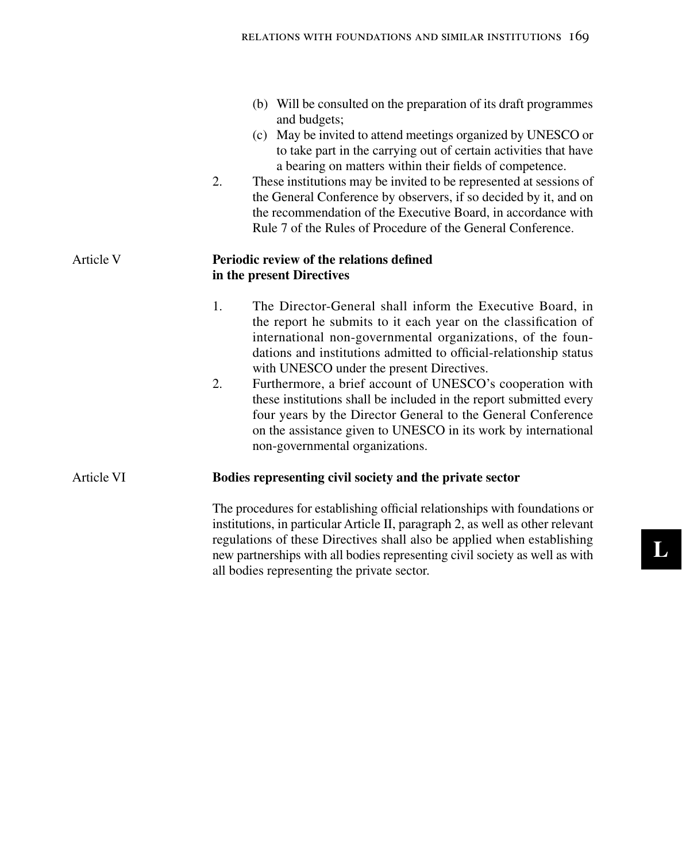|            | (b) Will be consulted on the preparation of its draft programmes<br>and budgets;<br>(c) May be invited to attend meetings organized by UNESCO or<br>to take part in the carrying out of certain activities that have<br>a bearing on matters within their fields of competence.<br>2.<br>These institutions may be invited to be represented at sessions of<br>the General Conference by observers, if so decided by it, and on<br>the recommendation of the Executive Board, in accordance with<br>Rule 7 of the Rules of Procedure of the General Conference. |
|------------|-----------------------------------------------------------------------------------------------------------------------------------------------------------------------------------------------------------------------------------------------------------------------------------------------------------------------------------------------------------------------------------------------------------------------------------------------------------------------------------------------------------------------------------------------------------------|
| Article V  | <b>Periodic review of the relations defined</b><br>in the present Directives                                                                                                                                                                                                                                                                                                                                                                                                                                                                                    |
|            | 1.<br>The Director-General shall inform the Executive Board, in<br>the report he submits to it each year on the classification of<br>international non-governmental organizations, of the foun-<br>dations and institutions admitted to official-relationship status<br>with UNESCO under the present Directives.                                                                                                                                                                                                                                               |
|            | 2.<br>Furthermore, a brief account of UNESCO's cooperation with<br>these institutions shall be included in the report submitted every<br>four years by the Director General to the General Conference<br>on the assistance given to UNESCO in its work by international<br>non-governmental organizations.                                                                                                                                                                                                                                                      |
| Article VI | Bodies representing civil society and the private sector                                                                                                                                                                                                                                                                                                                                                                                                                                                                                                        |
|            | The procedures for establishing official relationships with foundations or<br>institutions, in particular Article II, paragraph 2, as well as other relevant<br>regulations of these Directives shall also be applied when establishing<br>new partnerships with all bodies representing civil society as well as with                                                                                                                                                                                                                                          |

all bodies representing the private sector.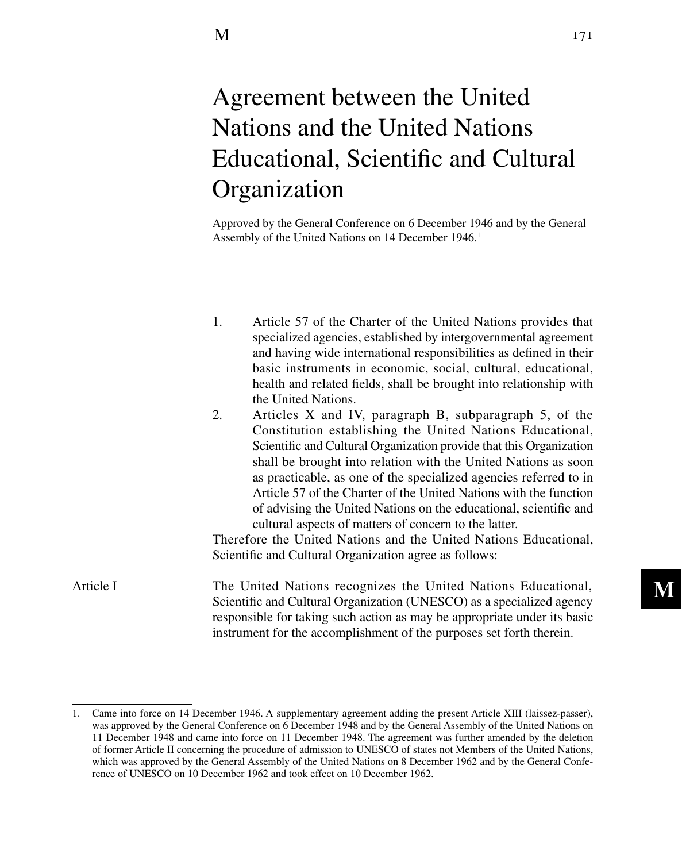# Agreement between the United Nations and the United Nations Educational, Scientific and Cultural **Organization**

Approved by the General Conference on 6 December 1946 and by the General Assembly of the United Nations on 14 December 1946.<sup>1</sup>

- 1. Article 57 of the Charter of the United Nations provides that specialized agencies, established by intergovernmental agreement and having wide international responsibilities as defined in their basic instruments in economic, social, cultural, educational, health and related fields, shall be brought into relationship with the United Nations.
- 2. Articles X and IV, paragraph B, subparagraph 5, of the Constitution establishing the United Nations Educational, Scientific and Cultural Organization provide that this Organization shall be brought into relation with the United Nations as soon as practicable, as one of the specialized agencies referred to in Article 57 of the Charter of the United Nations with the function of advising the United Nations on the educational, scientific and cultural aspects of matters of concern to the latter.

Therefore the United Nations and the United Nations Educational, Scientific and Cultural Organization agree as follows:

Article I The United Nations recognizes the United Nations Educational, Scientific and Cultural Organization (UNESCO) as a specialized agency responsible for taking such action as may be appropriate under its basic instrument for the accomplishment of the purposes set forth therein.

<sup>1.</sup> Came into force on 14 December 1946. A supplementary agreement adding the present Article XIII (laissez-passer), was approved by the General Conference on 6 December 1948 and by the General Assembly of the United Nations on 11 December 1948 and came into force on 11 December 1948. The agreement was further amended by the deletion of former Article II concerning the procedure of admission to UNESCO of states not Members of the United Nations, which was approved by the General Assembly of the United Nations on 8 December 1962 and by the General Conference of UNESCO on 10 December 1962 and took effect on 10 December 1962.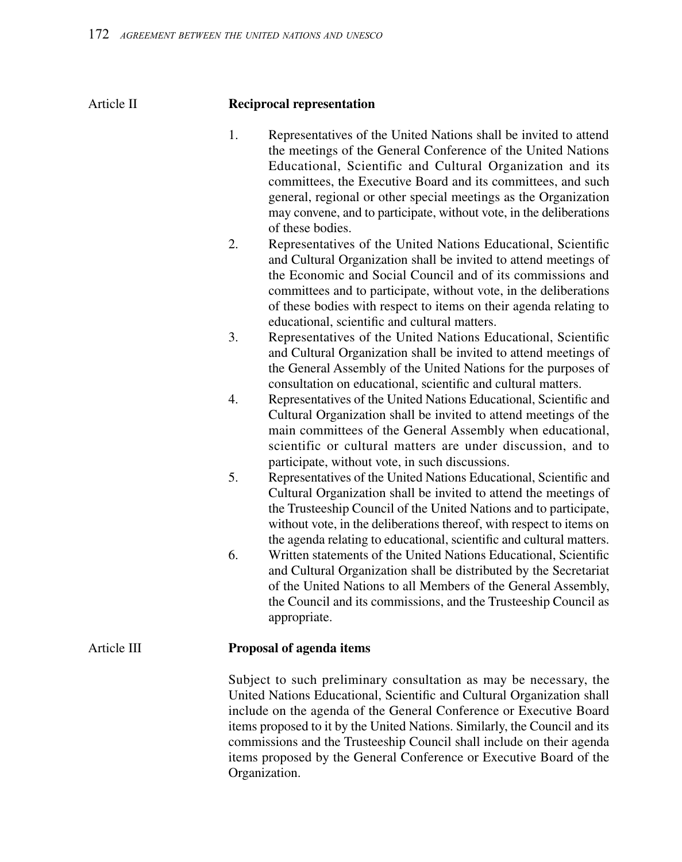Article II **Reciprocal representation** 

- 1. Representatives of the United Nations shall be invited to attend the meetings of the General Conference of the United Nations Educational, Scientific and Cultural Organization and its committees, the Executive Board and its committees, and such general, regional or other special meetings as the Organization may convene, and to participate, without vote, in the deliberations of these bodies.
- 2. Representatives of the United Nations Educational, Scientific and Cultural Organization shall be invited to attend meetings of the Economic and Social Council and of its commissions and committees and to participate, without vote, in the deliberations of these bodies with respect to items on their agenda relating to educational, scientific and cultural matters.
- 3. Representatives of the United Nations Educational, Scientific and Cultural Organization shall be invited to attend meetings of the General Assembly of the United Nations for the purposes of consultation on educational, scientific and cultural matters.
- 4. Representatives of the United Nations Educational, Scientific and Cultural Organization shall be invited to attend meetings of the main committees of the General Assembly when educational, scientific or cultural matters are under discussion, and to participate, without vote, in such discussions.
- 5. Representatives of the United Nations Educational, Scientific and Cultural Organization shall be invited to attend the meetings of the Trusteeship Council of the United Nations and to participate, without vote, in the deliberations thereof, with respect to items on the agenda relating to educational, scientific and cultural matters.
- 6. Written statements of the United Nations Educational, Scientific and Cultural Organization shall be distributed by the Secretariat of the United Nations to all Members of the General Assembly, the Council and its commissions, and the Trusteeship Council as appropriate.

# Article III **Proposal of agenda items**

Subject to such preliminary consultation as may be necessary, the United Nations Educational, Scientific and Cultural Organization shall include on the agenda of the General Conference or Executive Board items proposed to it by the United Nations. Similarly, the Council and its commissions and the Trusteeship Council shall include on their agenda items proposed by the General Conference or Executive Board of the Organization.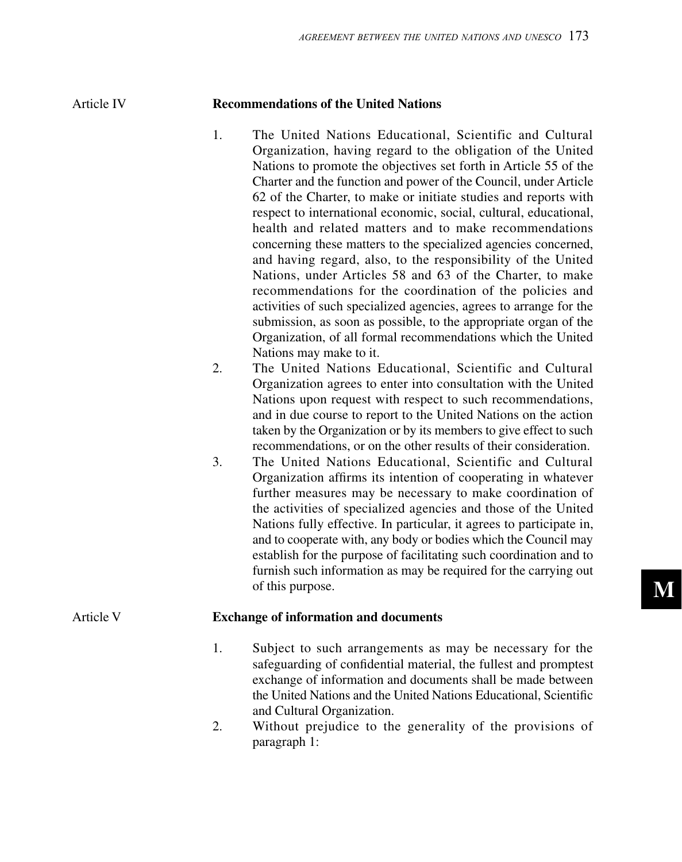#### Article IV **Recommendations of the United Nations**

- 1. The United Nations Educational, Scientific and Cultural Organization, having regard to the obligation of the United Nations to promote the objectives set forth in Article 55 of the Charter and the function and power of the Council, under Article 62 of the Charter, to make or initiate studies and reports with respect to international economic, social, cultural, educational, health and related matters and to make recommendations concerning these matters to the specialized agencies concerned, and having regard, also, to the responsibility of the United Nations, under Articles 58 and 63 of the Charter, to make recommendations for the coordination of the policies and activities of such specialized agencies, agrees to arrange for the submission, as soon as possible, to the appropriate organ of the Organization, of all formal recommendations which the United Nations may make to it.
- 2. The United Nations Educational, Scientific and Cultural Organization agrees to enter into consultation with the United Nations upon request with respect to such recommendations, and in due course to report to the United Nations on the action taken by the Organization or by its members to give effect to such recommendations, or on the other results of their consideration.
- 3. The United Nations Educational, Scientific and Cultural Organization affirms its intention of cooperating in whatever further measures may be necessary to make coordination of the activities of specialized agencies and those of the United Nations fully effective. In particular, it agrees to participate in, and to cooperate with, any body or bodies which the Council may establish for the purpose of facilitating such coordination and to furnish such information as may be required for the carrying out of this purpose.

# Article V **Exchange of information and documents**

- 1. Subject to such arrangements as may be necessary for the safeguarding of confidential material, the fullest and promptest exchange of information and documents shall be made between the United Nations and the United Nations Educational, Scientific and Cultural Organization.
- 2. Without prejudice to the generality of the provisions of paragraph 1: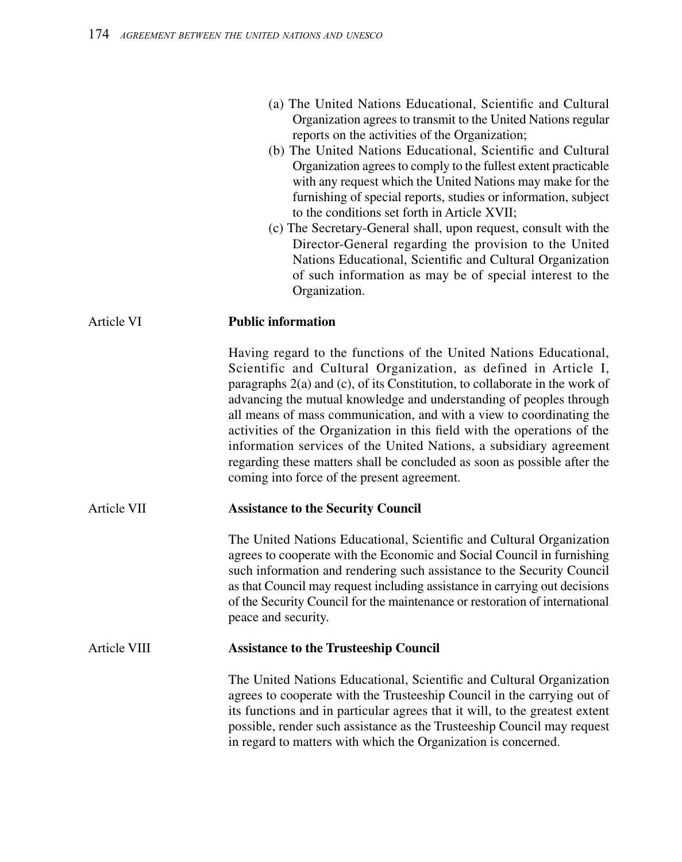|              | (a) The United Nations Educational, Scientific and Cultural<br>Organization agrees to transmit to the United Nations regular<br>reports on the activities of the Organization;<br>(b) The United Nations Educational, Scientific and Cultural<br>Organization agrees to comply to the fullest extent practicable<br>with any request which the United Nations may make for the<br>furnishing of special reports, studies or information, subject<br>to the conditions set forth in Article XVII;<br>(c) The Secretary-General shall, upon request, consult with the<br>Director-General regarding the provision to the United<br>Nations Educational, Scientific and Cultural Organization<br>of such information as may be of special interest to the<br>Organization. |
|--------------|-------------------------------------------------------------------------------------------------------------------------------------------------------------------------------------------------------------------------------------------------------------------------------------------------------------------------------------------------------------------------------------------------------------------------------------------------------------------------------------------------------------------------------------------------------------------------------------------------------------------------------------------------------------------------------------------------------------------------------------------------------------------------|
| Article VI   | <b>Public information</b>                                                                                                                                                                                                                                                                                                                                                                                                                                                                                                                                                                                                                                                                                                                                               |
|              | Having regard to the functions of the United Nations Educational,<br>Scientific and Cultural Organization, as defined in Article I,<br>paragraphs 2(a) and (c), of its Constitution, to collaborate in the work of<br>advancing the mutual knowledge and understanding of peoples through<br>all means of mass communication, and with a view to coordinating the<br>activities of the Organization in this field with the operations of the<br>information services of the United Nations, a subsidiary agreement<br>regarding these matters shall be concluded as soon as possible after the<br>coming into force of the present agreement.                                                                                                                           |
| Article VII  | <b>Assistance to the Security Council</b>                                                                                                                                                                                                                                                                                                                                                                                                                                                                                                                                                                                                                                                                                                                               |
|              | The United Nations Educational, Scientific and Cultural Organization<br>agrees to cooperate with the Economic and Social Council in furnishing<br>such information and rendering such assistance to the Security Council<br>as that Council may request including assistance in carrying out decisions<br>of the Security Council for the maintenance or restoration of international<br>peace and security.                                                                                                                                                                                                                                                                                                                                                            |
| Article VIII | <b>Assistance to the Trusteeship Council</b>                                                                                                                                                                                                                                                                                                                                                                                                                                                                                                                                                                                                                                                                                                                            |
|              | The United Nations Educational, Scientific and Cultural Organization<br>agrees to cooperate with the Trusteeship Council in the carrying out of<br>its functions and in particular agrees that it will, to the greatest extent<br>possible, render such assistance as the Trusteeship Council may request<br>in regard to matters with which the Organization is concerned.                                                                                                                                                                                                                                                                                                                                                                                             |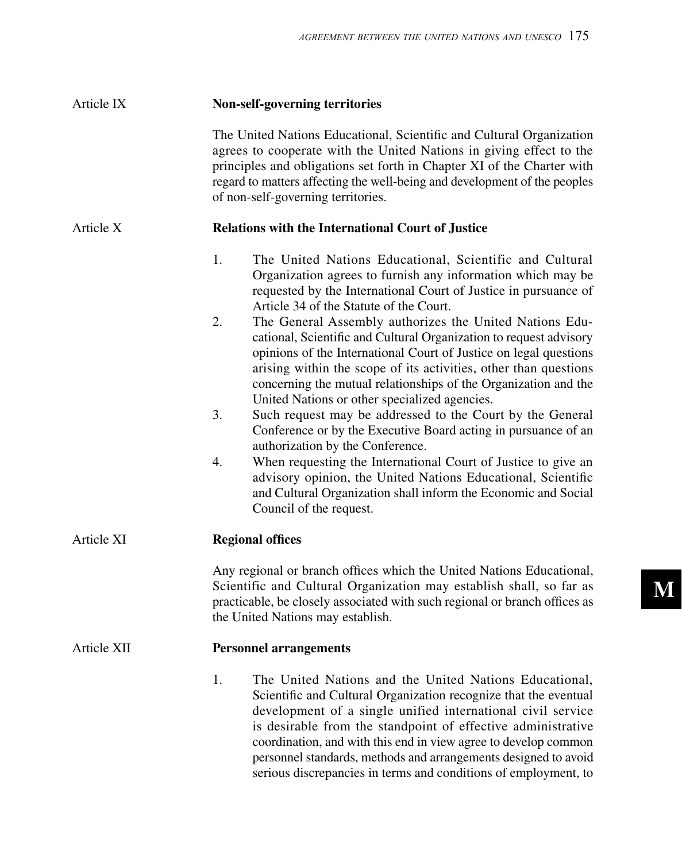# Article IX **Non-self-governing territories**

The United Nations Educational, Scientific and Cultural Organization agrees to cooperate with the United Nations in giving effect to the principles and obligations set forth in Chapter XI of the Charter with regard to matters affecting the well-being and development of the peoples of non-self-governing territories.

# Article X **Relations with the International Court of Justice**

- 1. The United Nations Educational, Scientific and Cultural Organization agrees to furnish any information which may be requested by the International Court of Justice in pursuance of Article 34 of the Statute of the Court.
- 2. The General Assembly authorizes the United Nations Educational, Scientific and Cultural Organization to request advisory opinions of the International Court of Justice on legal questions arising within the scope of its activities, other than questions concerning the mutual relationships of the Organization and the United Nations or other specialized agencies.
- 3. Such request may be addressed to the Court by the General Conference or by the Executive Board acting in pursuance of an authorization by the Conference.
- 4. When requesting the International Court of Justice to give an advisory opinion, the United Nations Educational, Scientific and Cultural Organization shall inform the Economic and Social Council of the request.

Article XI **Regional offices** 

Any regional or branch offices which the United Nations Educational, Scientific and Cultural Organization may establish shall, so far as practicable, be closely associated with such regional or branch offices as the United Nations may establish.

# Article XII **Personnel arrangements**

1. The United Nations and the United Nations Educational, Scientific and Cultural Organization recognize that the eventual development of a single unified international civil service is desirable from the standpoint of effective administrative coordination, and with this end in view agree to develop common personnel standards, methods and arrangements designed to avoid serious discrepancies in terms and conditions of employment, to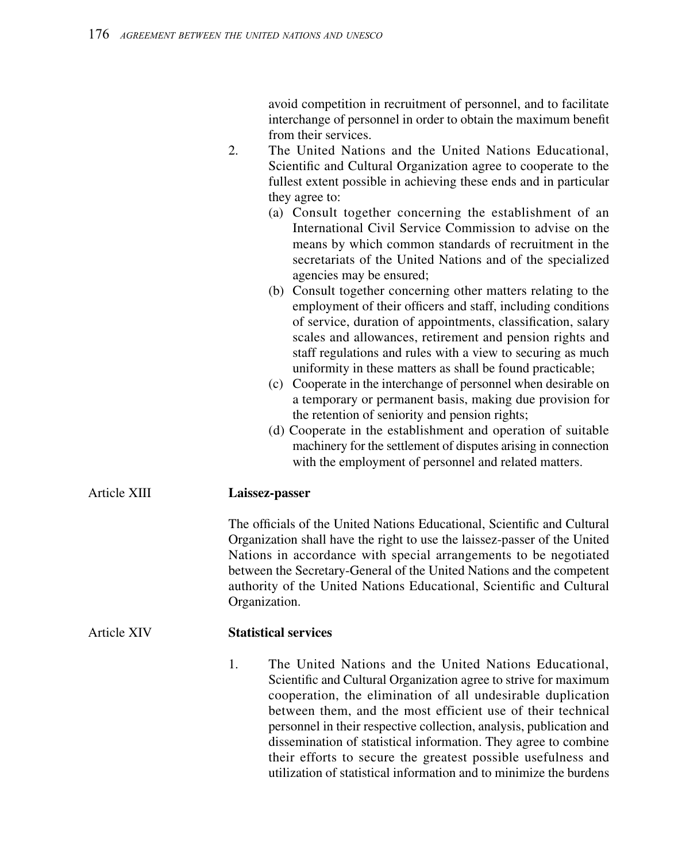avoid competition in recruitment of personnel, and to facilitate interchange of personnel in order to obtain the maximum benefit from their services.

- 2. The United Nations and the United Nations Educational, Scientific and Cultural Organization agree to cooperate to the fullest extent possible in achieving these ends and in particular they agree to:
	- (a) Consult together concerning the establishment of an International Civil Service Commission to advise on the means by which common standards of recruitment in the secretariats of the United Nations and of the specialized agencies may be ensured;
	- (b) Consult together concerning other matters relating to the employment of their officers and staff, including conditions of service, duration of appointments, classification, salary scales and allowances, retirement and pension rights and staff regulations and rules with a view to securing as much uniformity in these matters as shall be found practicable;
	- (c) Cooperate in the interchange of personnel when desirable on a temporary or permanent basis, making due provision for the retention of seniority and pension rights;
	- (d) Cooperate in the establishment and operation of suitable machinery for the settlement of disputes arising in connection with the employment of personnel and related matters.

# Article XIII **Laissez-passer**

The officials of the United Nations Educational, Scientific and Cultural Organization shall have the right to use the laissez-passer of the United Nations in accordance with special arrangements to be negotiated between the Secretary-General of the United Nations and the competent authority of the United Nations Educational, Scientific and Cultural Organization.

# Article XIV **Statistical services**

1. The United Nations and the United Nations Educational, Scientific and Cultural Organization agree to strive for maximum cooperation, the elimination of all undesirable duplication between them, and the most efficient use of their technical personnel in their respective collection, analysis, publication and dissemination of statistical information. They agree to combine their efforts to secure the greatest possible usefulness and utilization of statistical information and to minimize the burdens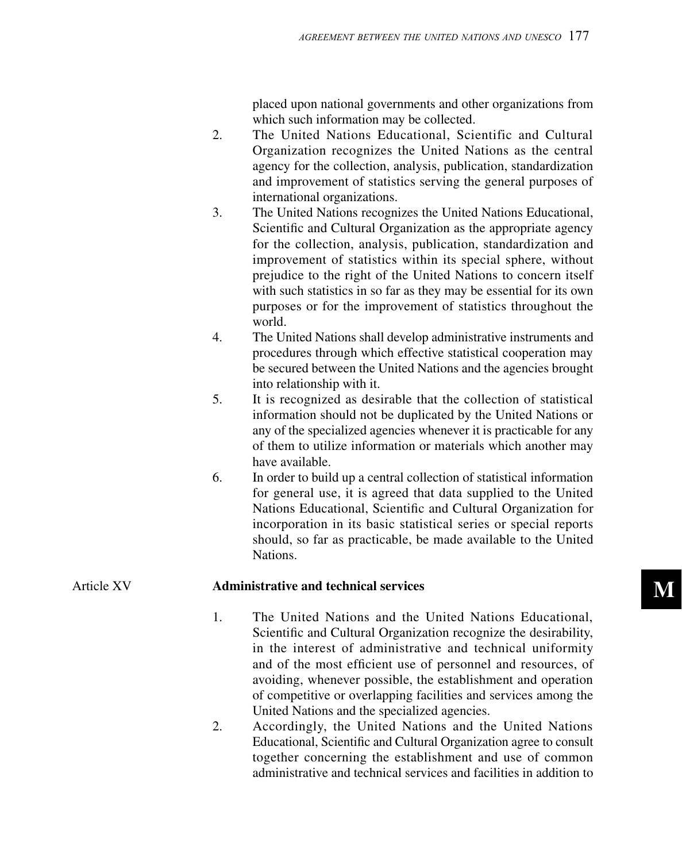placed upon national governments and other organizations from which such information may be collected.

- 2. The United Nations Educational, Scientific and Cultural Organization recognizes the United Nations as the central agency for the collection, analysis, publication, standardization and improvement of statistics serving the general purposes of international organizations.
- 3. The United Nations recognizes the United Nations Educational, Scientific and Cultural Organization as the appropriate agency for the collection, analysis, publication, standardization and improvement of statistics within its special sphere, without prejudice to the right of the United Nations to concern itself with such statistics in so far as they may be essential for its own purposes or for the improvement of statistics throughout the world.
- 4. The United Nations shall develop administrative instruments and procedures through which effective statistical cooperation may be secured between the United Nations and the agencies brought into relationship with it.
- 5. It is recognized as desirable that the collection of statistical information should not be duplicated by the United Nations or any of the specialized agencies whenever it is practicable for any of them to utilize information or materials which another may have available.
- 6. In order to build up a central collection of statistical information for general use, it is agreed that data supplied to the United Nations Educational, Scientific and Cultural Organization for incorporation in its basic statistical series or special reports should, so far as practicable, be made available to the United Nations.

# Article XV **Administrative and technical services**

- 1. The United Nations and the United Nations Educational, Scientific and Cultural Organization recognize the desirability, in the interest of administrative and technical uniformity and of the most efficient use of personnel and resources, of avoiding, whenever possible, the establishment and operation of competitive or overlapping facilities and services among the United Nations and the specialized agencies.
- 2. Accordingly, the United Nations and the United Nations Educational, Scientific and Cultural Organization agree to consult together concerning the establishment and use of common administrative and technical services and facilities in addition to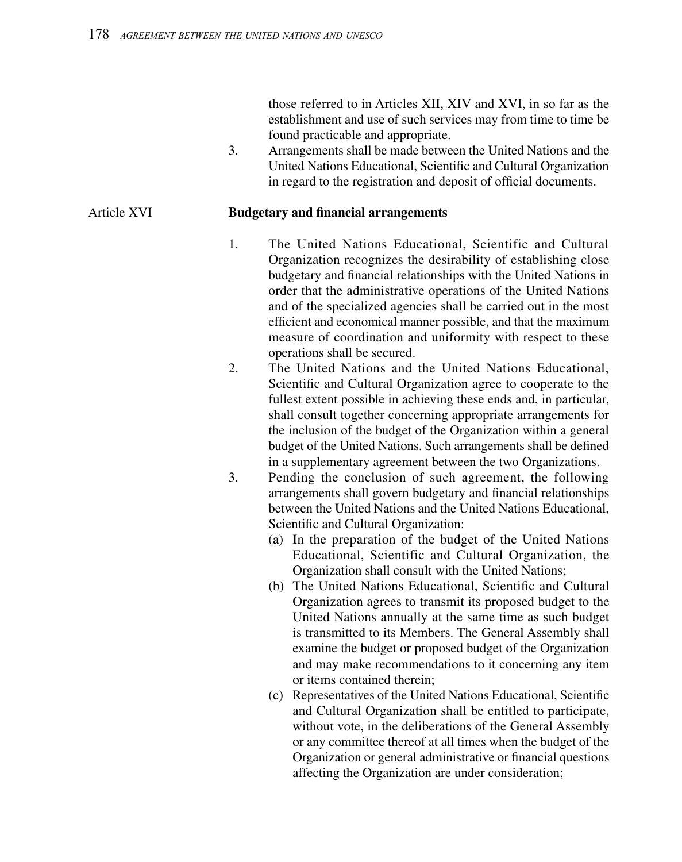those referred to in Articles XII, XIV and XVI, in so far as the establishment and use of such services may from time to time be found practicable and appropriate.

3. Arrangements shall be made between the United Nations and the United Nations Educational, Scientific and Cultural Organization in regard to the registration and deposit of official documents.

#### Article XVI **Budgetary and financial arrangements**

- 1. The United Nations Educational, Scientific and Cultural Organization recognizes the desirability of establishing close budgetary and financial relationships with the United Nations in order that the administrative operations of the United Nations and of the specialized agencies shall be carried out in the most efficient and economical manner possible, and that the maximum measure of coordination and uniformity with respect to these operations shall be secured.
- 2. The United Nations and the United Nations Educational, Scientific and Cultural Organization agree to cooperate to the fullest extent possible in achieving these ends and, in particular, shall consult together concerning appropriate arrangements for the inclusion of the budget of the Organization within a general budget of the United Nations. Such arrangements shall be defined in a supplementary agreement between the two Organizations.
- 3. Pending the conclusion of such agreement, the following arrangements shall govern budgetary and financial relationships between the United Nations and the United Nations Educational, Scientific and Cultural Organization:
	- (a) In the preparation of the budget of the United Nations Educational, Scientific and Cultural Organization, the Organization shall consult with the United Nations;
	- (b) The United Nations Educational, Scientific and Cultural Organization agrees to transmit its proposed budget to the United Nations annually at the same time as such budget is transmitted to its Members. The General Assembly shall examine the budget or proposed budget of the Organization and may make recommendations to it concerning any item or items contained therein;
	- (c) Representatives of the United Nations Educational, Scientific and Cultural Organization shall be entitled to participate, without vote, in the deliberations of the General Assembly or any committee thereof at all times when the budget of the Organization or general administrative or financial questions affecting the Organization are under consideration;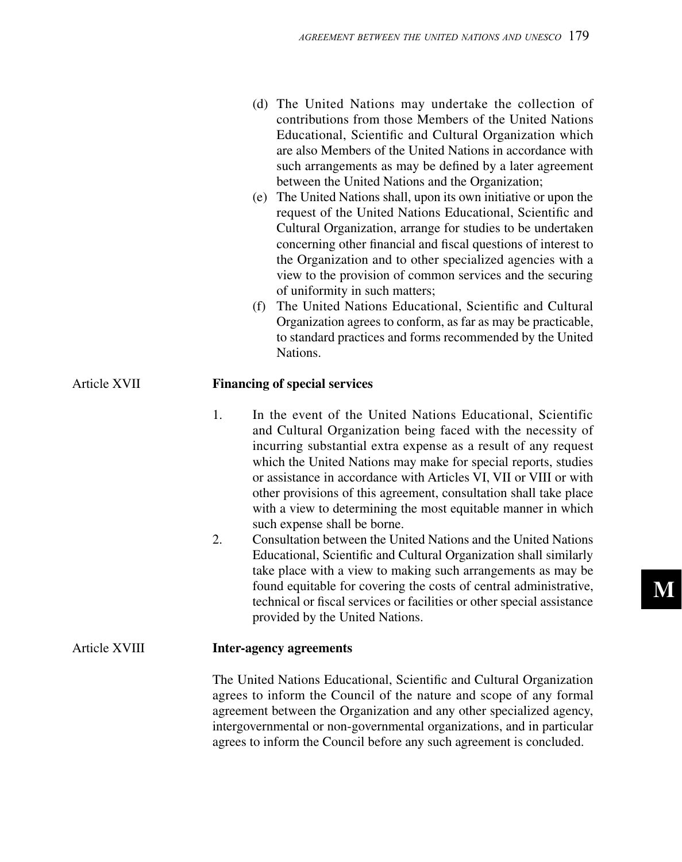| (d) The United Nations may undertake the collection of    |
|-----------------------------------------------------------|
| contributions from those Members of the United Nations    |
| Educational, Scientific and Cultural Organization which   |
| are also Members of the United Nations in accordance with |
| such arrangements as may be defined by a later agreement  |
| between the United Nations and the Organization;          |

- (e) The United Nations shall, upon its own initiative or upon the request of the United Nations Educational, Scientific and Cultural Organization, arrange for studies to be undertaken concerning other financial and fiscal questions of interest to the Organization and to other specialized agencies with a view to the provision of common services and the securing of uniformity in such matters;
- (f) The United Nations Educational, Scientific and Cultural Organization agrees to conform, as far as may be practicable, to standard practices and forms recommended by the United Nations.

# Article XVII **Financing of special services**

- 1. In the event of the United Nations Educational, Scientific and Cultural Organization being faced with the necessity of incurring substantial extra expense as a result of any request which the United Nations may make for special reports, studies or assistance in accordance with Articles VI, VII or VIII or with other provisions of this agreement, consultation shall take place with a view to determining the most equitable manner in which such expense shall be borne.
- 2. Consultation between the United Nations and the United Nations Educational, Scientific and Cultural Organization shall similarly take place with a view to making such arrangements as may be found equitable for covering the costs of central administrative, technical or fiscal services or facilities or other special assistance provided by the United Nations.

# Article XVIII **Inter-agency agreements**

The United Nations Educational, Scientific and Cultural Organization agrees to inform the Council of the nature and scope of any formal agreement between the Organization and any other specialized agency, intergovernmental or non-governmental organizations, and in particular agrees to inform the Council before any such agreement is concluded.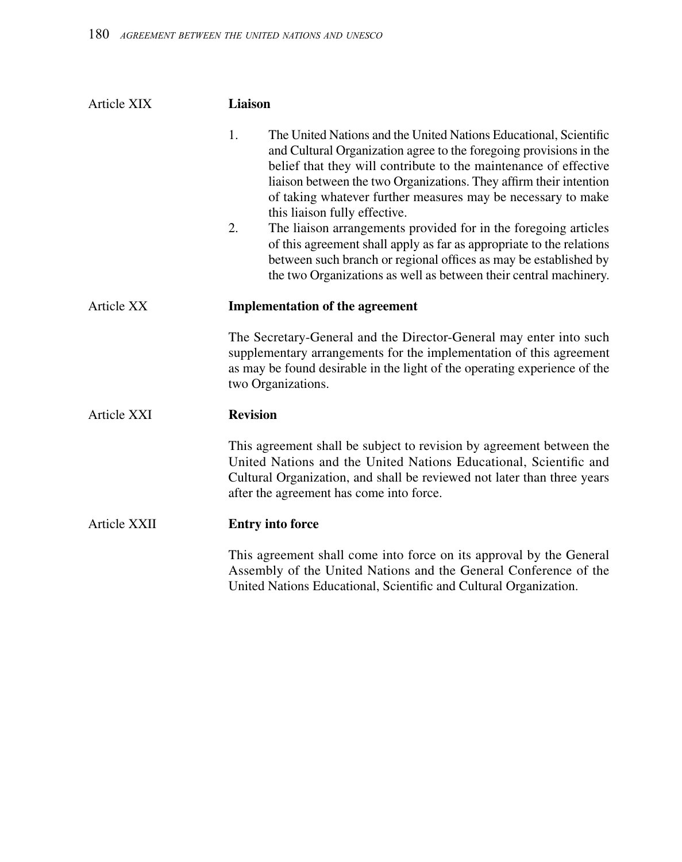| Article XIX        | Liaison                                                                                                                                                                                                                                                                                                                                                                                                                                                                                                                                                                                                                                                                            |
|--------------------|------------------------------------------------------------------------------------------------------------------------------------------------------------------------------------------------------------------------------------------------------------------------------------------------------------------------------------------------------------------------------------------------------------------------------------------------------------------------------------------------------------------------------------------------------------------------------------------------------------------------------------------------------------------------------------|
|                    | 1.<br>The United Nations and the United Nations Educational, Scientific<br>and Cultural Organization agree to the foregoing provisions in the<br>belief that they will contribute to the maintenance of effective<br>liaison between the two Organizations. They affirm their intention<br>of taking whatever further measures may be necessary to make<br>this liaison fully effective.<br>2.<br>The liaison arrangements provided for in the foregoing articles<br>of this agreement shall apply as far as appropriate to the relations<br>between such branch or regional offices as may be established by<br>the two Organizations as well as between their central machinery. |
| Article XX         | <b>Implementation of the agreement</b>                                                                                                                                                                                                                                                                                                                                                                                                                                                                                                                                                                                                                                             |
|                    | The Secretary-General and the Director-General may enter into such<br>supplementary arrangements for the implementation of this agreement<br>as may be found desirable in the light of the operating experience of the<br>two Organizations.                                                                                                                                                                                                                                                                                                                                                                                                                                       |
| <b>Article XXI</b> | <b>Revision</b>                                                                                                                                                                                                                                                                                                                                                                                                                                                                                                                                                                                                                                                                    |
|                    | This agreement shall be subject to revision by agreement between the<br>United Nations and the United Nations Educational, Scientific and<br>Cultural Organization, and shall be reviewed not later than three years<br>after the agreement has come into force.                                                                                                                                                                                                                                                                                                                                                                                                                   |
| Article XXII       | <b>Entry into force</b>                                                                                                                                                                                                                                                                                                                                                                                                                                                                                                                                                                                                                                                            |
|                    | This agreement shall come into force on its approval by the General<br>Assembly of the United Nations and the General Conference of the<br>United Nations Educational, Scientific and Cultural Organization.                                                                                                                                                                                                                                                                                                                                                                                                                                                                       |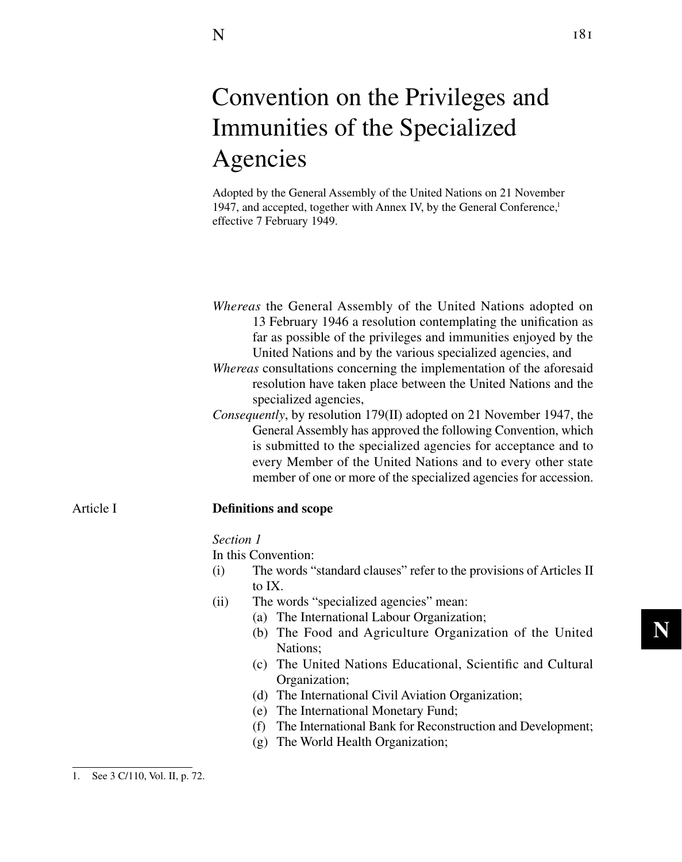Adopted by the General Assembly of the United Nations on 21 November 1947, and accepted, together with Annex IV, by the General Conference,<sup>1</sup> effective 7 February 1949.

| <i>Whereas</i> the General Assembly of the United Nations adopted on |
|----------------------------------------------------------------------|
| 13 February 1946 a resolution contemplating the unification as       |
| far as possible of the privileges and immunities enjoyed by the      |
| United Nations and by the various specialized agencies, and          |

- *Whereas* consultations concerning the implementation of the aforesaid resolution have taken place between the United Nations and the specialized agencies,
- *Consequently*, by resolution 179(II) adopted on 21 November 1947, the General Assembly has approved the following Convention, which is submitted to the specialized agencies for acceptance and to every Member of the United Nations and to every other state member of one or more of the specialized agencies for accession.

# Article I **Definitions and scope**

# *Section 1*

N

#### In this Convention:

- (i) The words "standard clauses" refer to the provisions of Articles II to IX.
- (ii) The words "specialized agencies" mean:
	- (a) The International Labour Organization;
	- (b) The Food and Agriculture Organization of the United Nations;
	- (c) The United Nations Educational, Scientific and Cultural Organization;
	- (d) The International Civil Aviation Organization;
	- (e) The International Monetary Fund;
	- (f) The International Bank for Reconstruction and Development;
	- (g) The World Health Organization;

<sup>1.</sup> See 3 C/110, Vol. II, p. 72.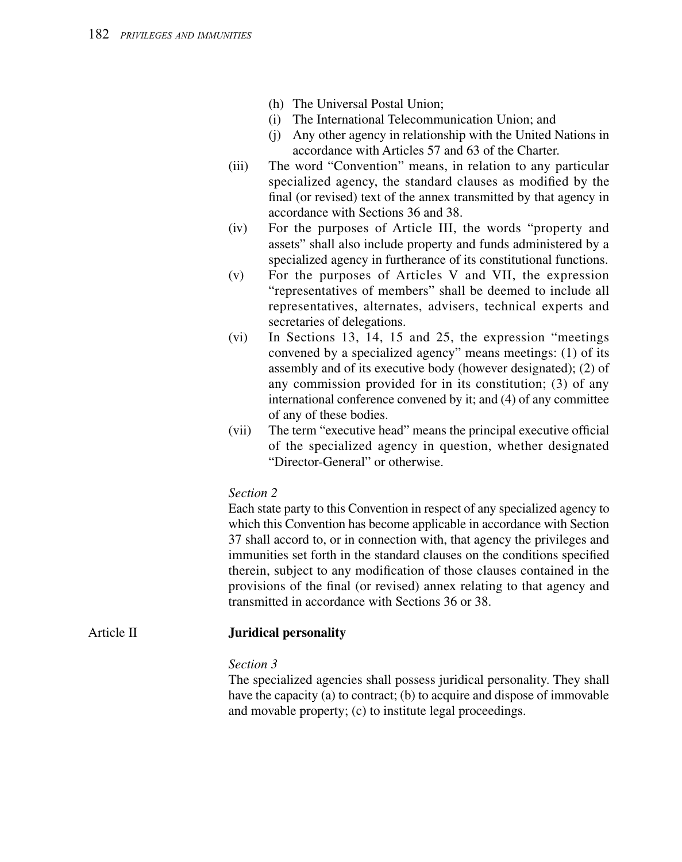- (h) The Universal Postal Union;
- (i) The International Telecommunication Union; and
- (j) Any other agency in relationship with the United Nations in accordance with Articles 57 and 63 of the Charter.
- (iii) The word "Convention" means, in relation to any particular specialized agency, the standard clauses as modified by the final (or revised) text of the annex transmitted by that agency in accordance with Sections 36 and 38.
- (iv) For the purposes of Article III, the words "property and assets" shall also include property and funds administered by a specialized agency in furtherance of its constitutional functions.
- (v) For the purposes of Articles V and VII, the expression "representatives of members" shall be deemed to include all representatives, alternates, advisers, technical experts and secretaries of delegations.
- (vi) In Sections 13, 14, 15 and 25, the expression "meetings convened by a specialized agency" means meetings: (1) of its assembly and of its executive body (however designated); (2) of any commission provided for in its constitution; (3) of any international conference convened by it; and (4) of any committee of any of these bodies.
- (vii) The term "executive head" means the principal executive official of the specialized agency in question, whether designated "Director-General" or otherwise.

#### *Section 2*

Each state party to this Convention in respect of any specialized agency to which this Convention has become applicable in accordance with Section 37 shall accord to, or in connection with, that agency the privileges and immunities set forth in the standard clauses on the conditions specified therein, subject to any modification of those clauses contained in the provisions of the final (or revised) annex relating to that agency and transmitted in accordance with Sections 36 or 38.

# Article II **Juridical personality**

#### *Section 3*

The specialized agencies shall possess juridical personality. They shall have the capacity (a) to contract; (b) to acquire and dispose of immovable and movable property; (c) to institute legal proceedings.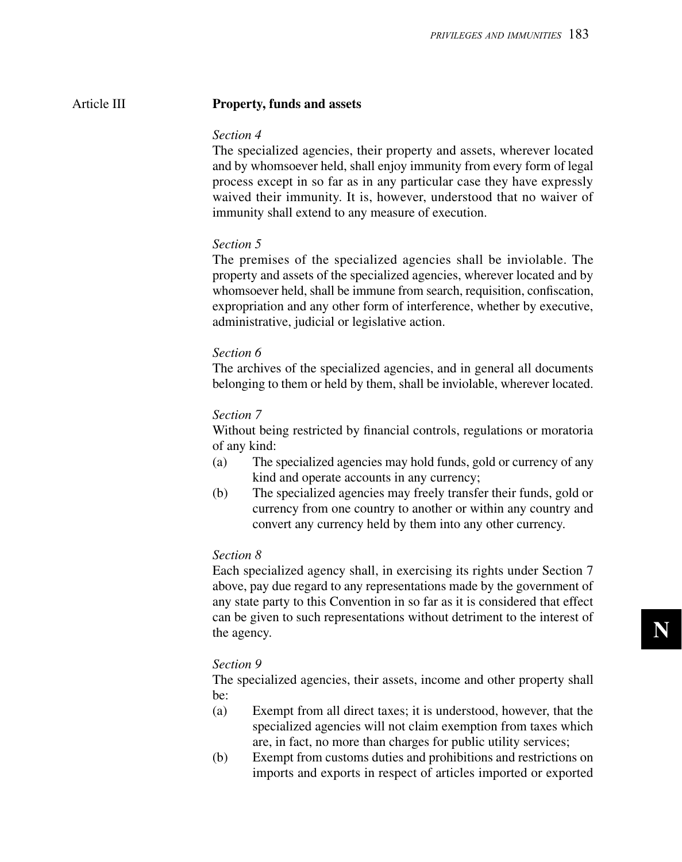# Article III **Property, funds and assets**

#### *Section 4*

The specialized agencies, their property and assets, wherever located and by whomsoever held, shall enjoy immunity from every form of legal process except in so far as in any particular case they have expressly waived their immunity. It is, however, understood that no waiver of immunity shall extend to any measure of execution.

# *Section 5*

The premises of the specialized agencies shall be inviolable. The property and assets of the specialized agencies, wherever located and by whomsoever held, shall be immune from search, requisition, confiscation, expropriation and any other form of interference, whether by executive, administrative, judicial or legislative action.

#### *Section 6*

The archives of the specialized agencies, and in general all documents belonging to them or held by them, shall be inviolable, wherever located.

#### *Section 7*

Without being restricted by financial controls, regulations or moratoria of any kind:

- (a) The specialized agencies may hold funds, gold or currency of any kind and operate accounts in any currency;
- (b) The specialized agencies may freely transfer their funds, gold or currency from one country to another or within any country and convert any currency held by them into any other currency.

#### *Section 8*

Each specialized agency shall, in exercising its rights under Section 7 above, pay due regard to any representations made by the government of any state party to this Convention in so far as it is considered that effect can be given to such representations without detriment to the interest of the agency.

#### *Section 9*

The specialized agencies, their assets, income and other property shall be:

- (a) Exempt from all direct taxes; it is understood, however, that the specialized agencies will not claim exemption from taxes which are, in fact, no more than charges for public utility services;
- (b) Exempt from customs duties and prohibitions and restrictions on imports and exports in respect of articles imported or exported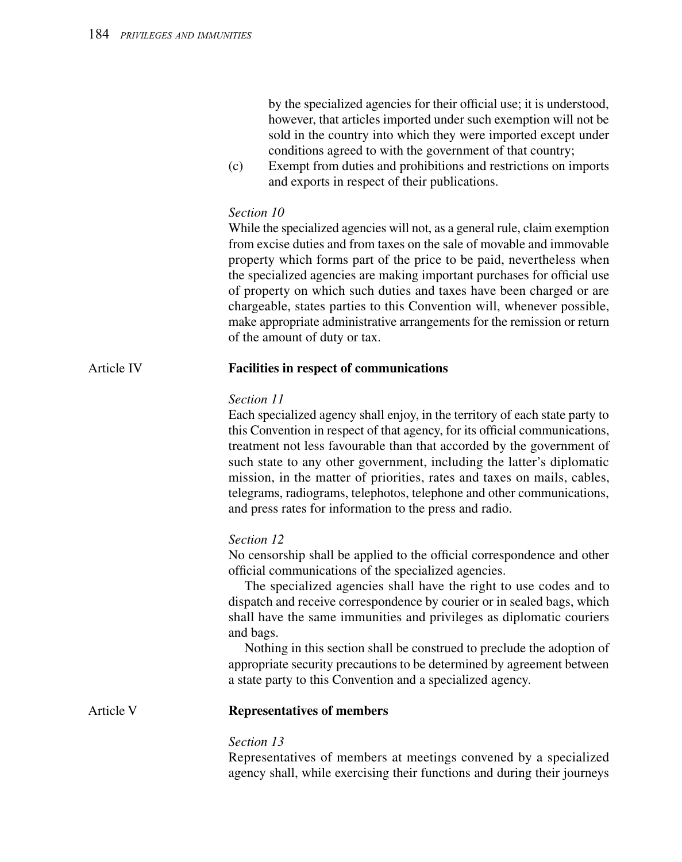by the specialized agencies for their official use; it is understood, however, that articles imported under such exemption will not be sold in the country into which they were imported except under conditions agreed to with the government of that country;

(c) Exempt from duties and prohibitions and restrictions on imports and exports in respect of their publications.

# *Section 10*

While the specialized agencies will not, as a general rule, claim exemption from excise duties and from taxes on the sale of movable and immovable property which forms part of the price to be paid, nevertheless when the specialized agencies are making important purchases for official use of property on which such duties and taxes have been charged or are chargeable, states parties to this Convention will, whenever possible, make appropriate administrative arrangements for the remission or return of the amount of duty or tax.

# Article IV **Facilities in respect of communications**

#### *Section 11*

Each specialized agency shall enjoy, in the territory of each state party to this Convention in respect of that agency, for its official communications, treatment not less favourable than that accorded by the government of such state to any other government, including the latter's diplomatic mission, in the matter of priorities, rates and taxes on mails, cables, telegrams, radiograms, telephotos, telephone and other communications, and press rates for information to the press and radio.

#### *Section 12*

No censorship shall be applied to the official correspondence and other official communications of the specialized agencies.

The specialized agencies shall have the right to use codes and to dispatch and receive correspondence by courier or in sealed bags, which shall have the same immunities and privileges as diplomatic couriers and bags.

Nothing in this section shall be construed to preclude the adoption of appropriate security precautions to be determined by agreement between a state party to this Convention and a specialized agency.

# Article V **Representatives of members**

#### *Section 13*

Representatives of members at meetings convened by a specialized agency shall, while exercising their functions and during their journeys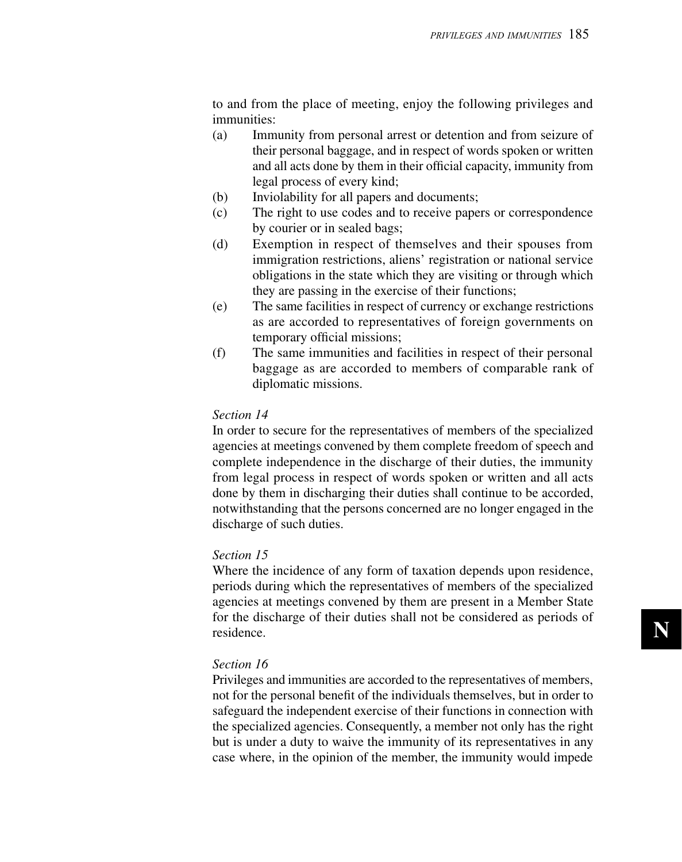to and from the place of meeting, enjoy the following privileges and immunities:

- (a) Immunity from personal arrest or detention and from seizure of their personal baggage, and in respect of words spoken or written and all acts done by them in their official capacity, immunity from legal process of every kind;
- (b) Inviolability for all papers and documents;
- (c) The right to use codes and to receive papers or correspondence by courier or in sealed bags;
- (d) Exemption in respect of themselves and their spouses from immigration restrictions, aliens' registration or national service obligations in the state which they are visiting or through which they are passing in the exercise of their functions;
- (e) The same facilities in respect of currency or exchange restrictions as are accorded to representatives of foreign governments on temporary official missions;
- (f) The same immunities and facilities in respect of their personal baggage as are accorded to members of comparable rank of diplomatic missions.

#### *Section 14*

In order to secure for the representatives of members of the specialized agencies at meetings convened by them complete freedom of speech and complete independence in the discharge of their duties, the immunity from legal process in respect of words spoken or written and all acts done by them in discharging their duties shall continue to be accorded, notwithstanding that the persons concerned are no longer engaged in the discharge of such duties.

## *Section 15*

Where the incidence of any form of taxation depends upon residence, periods during which the representatives of members of the specialized agencies at meetings convened by them are present in a Member State for the discharge of their duties shall not be considered as periods of residence.

# *Section 16*

Privileges and immunities are accorded to the representatives of members, not for the personal benefit of the individuals themselves, but in order to safeguard the independent exercise of their functions in connection with the specialized agencies. Consequently, a member not only has the right but is under a duty to waive the immunity of its representatives in any case where, in the opinion of the member, the immunity would impede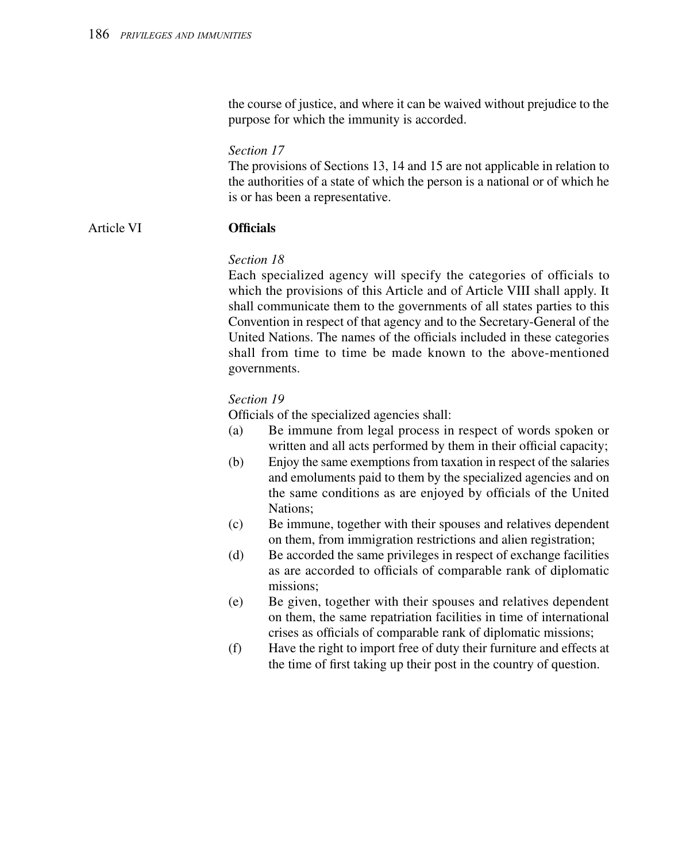the course of justice, and where it can be waived without prejudice to the purpose for which the immunity is accorded.

#### *Section 17*

The provisions of Sections 13, 14 and 15 are not applicable in relation to the authorities of a state of which the person is a national or of which he is or has been a representative.

Article VI **Officials**

#### *Section 18*

Each specialized agency will specify the categories of officials to which the provisions of this Article and of Article VIII shall apply. It shall communicate them to the governments of all states parties to this Convention in respect of that agency and to the Secretary-General of the United Nations. The names of the officials included in these categories shall from time to time be made known to the above-mentioned governments.

#### *Section 19*

Officials of the specialized agencies shall:

- (a) Be immune from legal process in respect of words spoken or written and all acts performed by them in their official capacity;
- (b) Enjoy the same exemptions from taxation in respect of the salaries and emoluments paid to them by the specialized agencies and on the same conditions as are enjoyed by officials of the United Nations;
- (c) Be immune, together with their spouses and relatives dependent on them, from immigration restrictions and alien registration;
- (d) Be accorded the same privileges in respect of exchange facilities as are accorded to officials of comparable rank of diplomatic missions;
- (e) Be given, together with their spouses and relatives dependent on them, the same repatriation facilities in time of international crises as officials of comparable rank of diplomatic missions;
- (f) Have the right to import free of duty their furniture and effects at the time of first taking up their post in the country of question.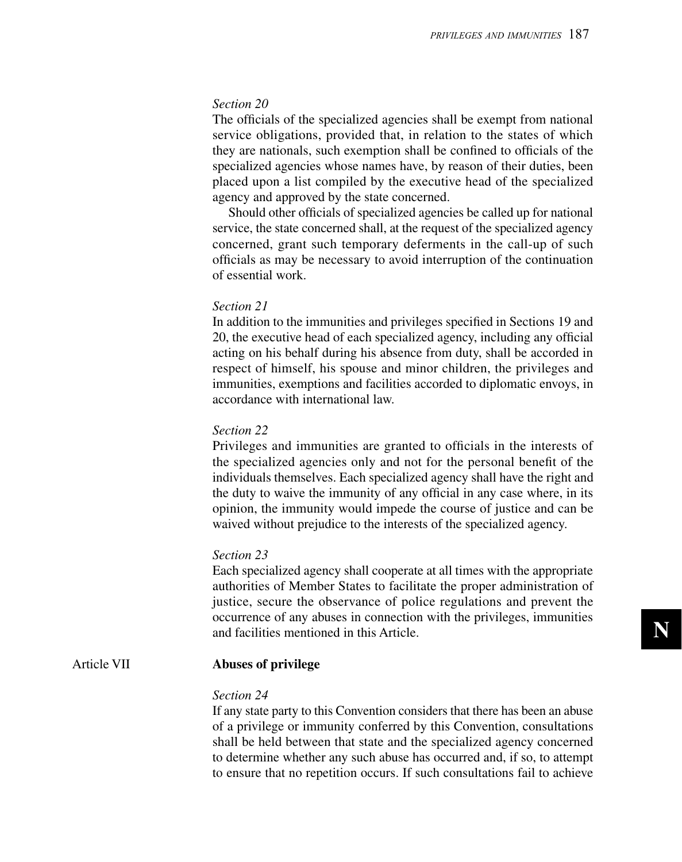#### *Section 20*

The officials of the specialized agencies shall be exempt from national service obligations, provided that, in relation to the states of which they are nationals, such exemption shall be confined to officials of the specialized agencies whose names have, by reason of their duties, been placed upon a list compiled by the executive head of the specialized agency and approved by the state concerned.

Should other officials of specialized agencies be called up for national service, the state concerned shall, at the request of the specialized agency concerned, grant such temporary deferments in the call-up of such officials as may be necessary to avoid interruption of the continuation of essential work.

#### *Section 21*

In addition to the immunities and privileges specified in Sections 19 and 20, the executive head of each specialized agency, including any official acting on his behalf during his absence from duty, shall be accorded in respect of himself, his spouse and minor children, the privileges and immunities, exemptions and facilities accorded to diplomatic envoys, in accordance with international law.

#### *Section 22*

Privileges and immunities are granted to officials in the interests of the specialized agencies only and not for the personal benefit of the individuals themselves. Each specialized agency shall have the right and the duty to waive the immunity of any official in any case where, in its opinion, the immunity would impede the course of justice and can be waived without prejudice to the interests of the specialized agency.

#### *Section 23*

Each specialized agency shall cooperate at all times with the appropriate authorities of Member States to facilitate the proper administration of justice, secure the observance of police regulations and prevent the occurrence of any abuses in connection with the privileges, immunities and facilities mentioned in this Article.

### Article VII **Abuses of privilege**

#### *Section 24*

If any state party to this Convention considers that there has been an abuse of a privilege or immunity conferred by this Convention, consultations shall be held between that state and the specialized agency concerned to determine whether any such abuse has occurred and, if so, to attempt to ensure that no repetition occurs. If such consultations fail to achieve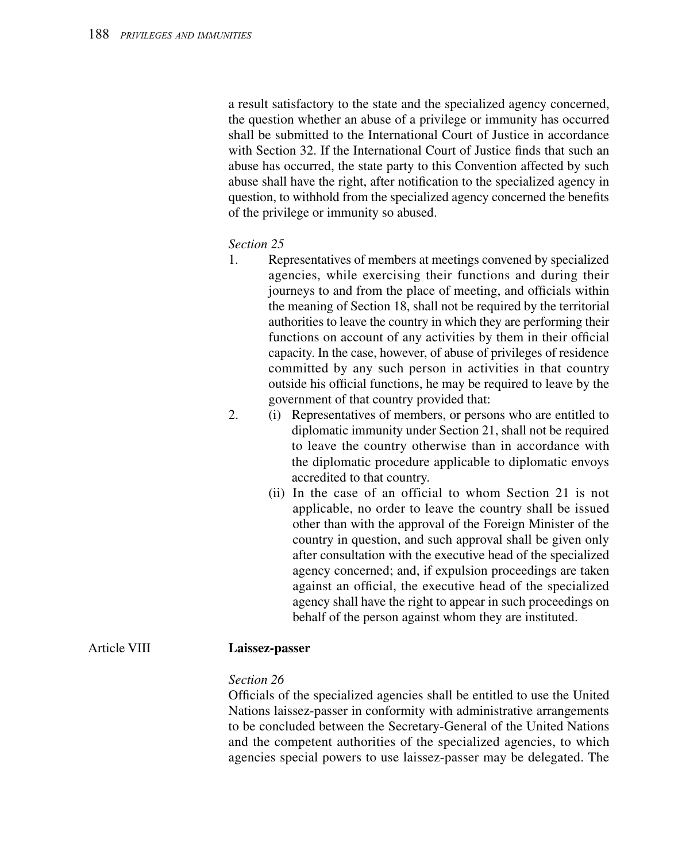a result satisfactory to the state and the specialized agency concerned, the question whether an abuse of a privilege or immunity has occurred shall be submitted to the International Court of Justice in accordance with Section 32. If the International Court of Justice finds that such an abuse has occurred, the state party to this Convention affected by such abuse shall have the right, after notification to the specialized agency in question, to withhold from the specialized agency concerned the benefits of the privilege or immunity so abused.

#### *Section 25*

- 1. Representatives of members at meetings convened by specialized agencies, while exercising their functions and during their journeys to and from the place of meeting, and officials within the meaning of Section 18, shall not be required by the territorial authorities to leave the country in which they are performing their functions on account of any activities by them in their official capacity. In the case, however, of abuse of privileges of residence committed by any such person in activities in that country outside his official functions, he may be required to leave by the government of that country provided that:
- 2. (i) Representatives of members, or persons who are entitled to diplomatic immunity under Section 21, shall not be required to leave the country otherwise than in accordance with the diplomatic procedure applicable to diplomatic envoys accredited to that country.
	- (ii) In the case of an official to whom Section 21 is not applicable, no order to leave the country shall be issued other than with the approval of the Foreign Minister of the country in question, and such approval shall be given only after consultation with the executive head of the specialized agency concerned; and, if expulsion proceedings are taken against an official, the executive head of the specialized agency shall have the right to appear in such proceedings on behalf of the person against whom they are instituted.

#### Article VIII **Laissez-passer**

#### *Section 26*

Officials of the specialized agencies shall be entitled to use the United Nations laissez-passer in conformity with administrative arrangements to be concluded between the Secretary-General of the United Nations and the competent authorities of the specialized agencies, to which agencies special powers to use laissez-passer may be delegated. The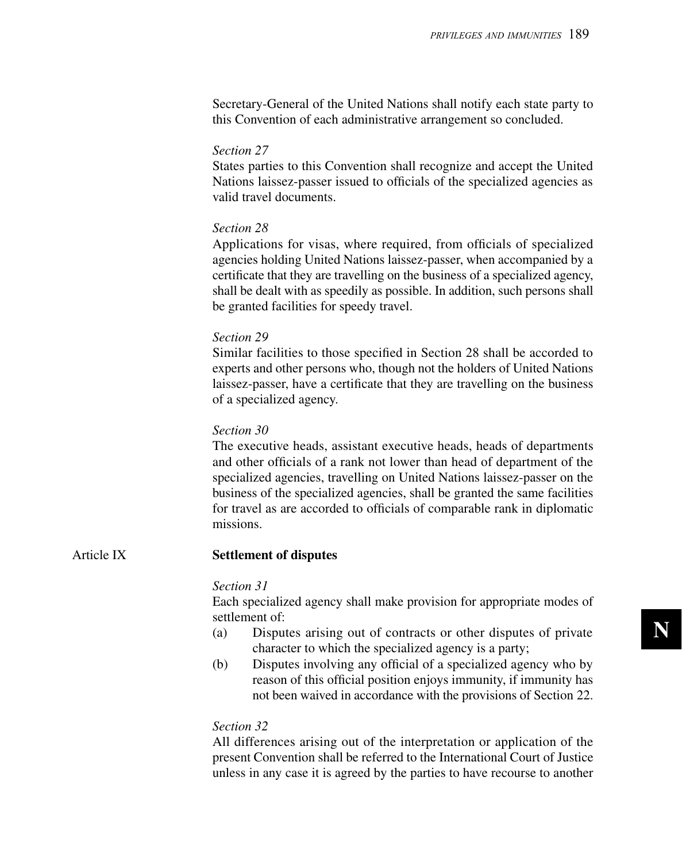Secretary-General of the United Nations shall notify each state party to this Convention of each administrative arrangement so concluded.

#### *Section 27*

States parties to this Convention shall recognize and accept the United Nations laissez-passer issued to officials of the specialized agencies as valid travel documents.

#### *Section 28*

Applications for visas, where required, from officials of specialized agencies holding United Nations laissez-passer, when accompanied by a certificate that they are travelling on the business of a specialized agency, shall be dealt with as speedily as possible. In addition, such persons shall be granted facilities for speedy travel.

#### *Section 29*

Similar facilities to those specified in Section 28 shall be accorded to experts and other persons who, though not the holders of United Nations laissez-passer, have a certificate that they are travelling on the business of a specialized agency.

#### *Section 30*

The executive heads, assistant executive heads, heads of departments and other officials of a rank not lower than head of department of the specialized agencies, travelling on United Nations laissez-passer on the business of the specialized agencies, shall be granted the same facilities for travel as are accorded to officials of comparable rank in diplomatic missions.

#### Article IX **Settlement of disputes**

#### *Section 31*

Each specialized agency shall make provision for appropriate modes of settlement of:

- (a) Disputes arising out of contracts or other disputes of private character to which the specialized agency is a party;
- (b) Disputes involving any official of a specialized agency who by reason of this official position enjoys immunity, if immunity has not been waived in accordance with the provisions of Section 22.

### *Section 32*

All differences arising out of the interpretation or application of the present Convention shall be referred to the International Court of Justice unless in any case it is agreed by the parties to have recourse to another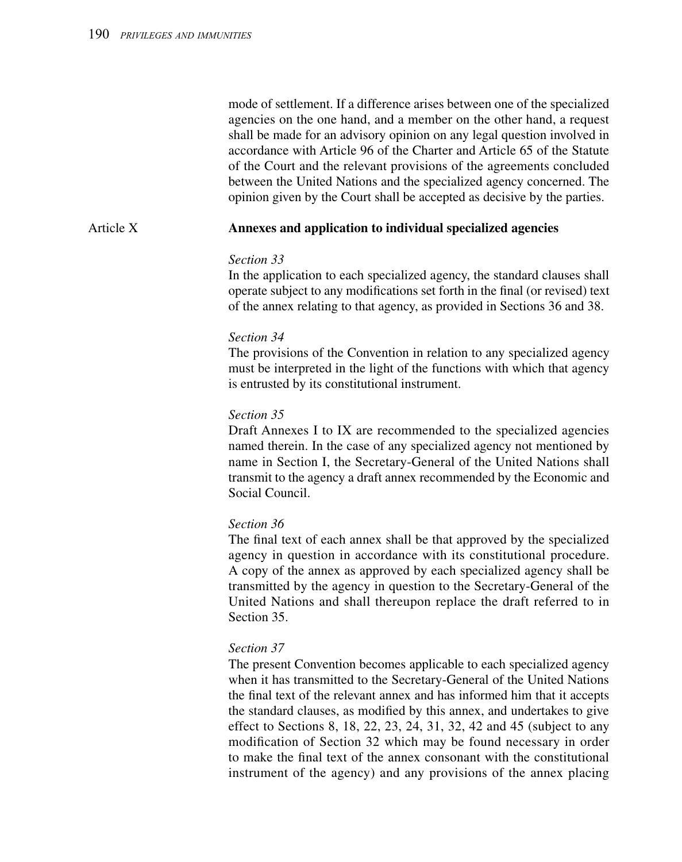mode of settlement. If a difference arises between one of the specialized agencies on the one hand, and a member on the other hand, a request shall be made for an advisory opinion on any legal question involved in accordance with Article 96 of the Charter and Article 65 of the Statute of the Court and the relevant provisions of the agreements concluded between the United Nations and the specialized agency concerned. The opinion given by the Court shall be accepted as decisive by the parties.

#### Article X **Annexes and application to individual specialized agencies**

#### *Section 33*

In the application to each specialized agency, the standard clauses shall operate subject to any modifications set forth in the final (or revised) text of the annex relating to that agency, as provided in Sections 36 and 38.

#### *Section 34*

The provisions of the Convention in relation to any specialized agency must be interpreted in the light of the functions with which that agency is entrusted by its constitutional instrument.

#### *Section 35*

Draft Annexes I to IX are recommended to the specialized agencies named therein. In the case of any specialized agency not mentioned by name in Section I, the Secretary-General of the United Nations shall transmit to the agency a draft annex recommended by the Economic and Social Council.

#### *Section 36*

The final text of each annex shall be that approved by the specialized agency in question in accordance with its constitutional procedure. A copy of the annex as approved by each specialized agency shall be transmitted by the agency in question to the Secretary-General of the United Nations and shall thereupon replace the draft referred to in Section 35.

#### *Section 37*

The present Convention becomes applicable to each specialized agency when it has transmitted to the Secretary-General of the United Nations the final text of the relevant annex and has informed him that it accepts the standard clauses, as modified by this annex, and undertakes to give effect to Sections 8, 18, 22, 23, 24, 31, 32, 42 and 45 (subject to any modification of Section 32 which may be found necessary in order to make the final text of the annex consonant with the constitutional instrument of the agency) and any provisions of the annex placing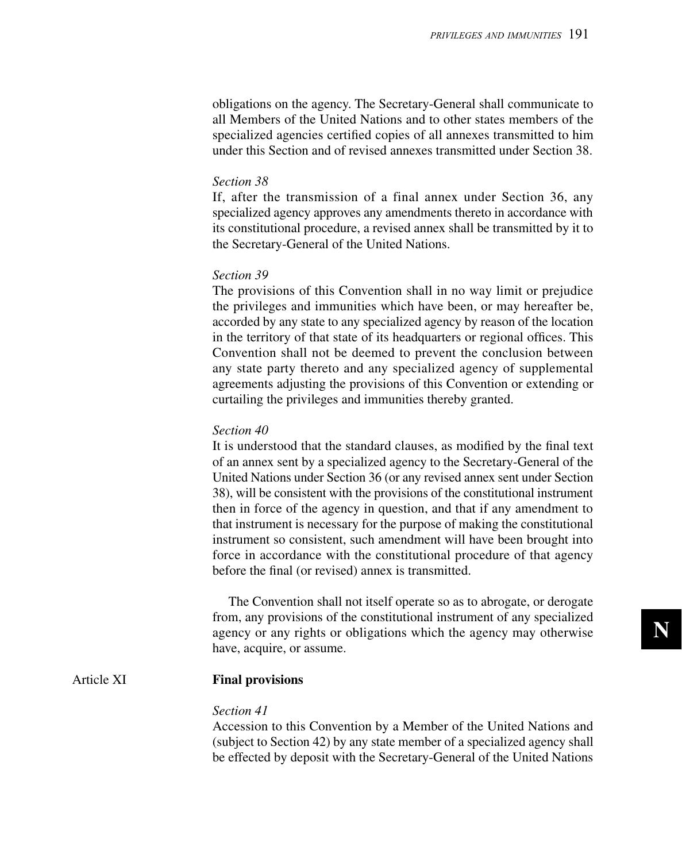obligations on the agency. The Secretary-General shall communicate to all Members of the United Nations and to other states members of the specialized agencies certified copies of all annexes transmitted to him under this Section and of revised annexes transmitted under Section 38.

#### *Section 38*

If, after the transmission of a final annex under Section 36, any specialized agency approves any amendments thereto in accordance with its constitutional procedure, a revised annex shall be transmitted by it to the Secretary-General of the United Nations.

#### *Section 39*

The provisions of this Convention shall in no way limit or prejudice the privileges and immunities which have been, or may hereafter be, accorded by any state to any specialized agency by reason of the location in the territory of that state of its headquarters or regional offices. This Convention shall not be deemed to prevent the conclusion between any state party thereto and any specialized agency of supplemental agreements adjusting the provisions of this Convention or extending or curtailing the privileges and immunities thereby granted.

#### *Section 40*

It is understood that the standard clauses, as modified by the final text of an annex sent by a specialized agency to the Secretary-General of the United Nations under Section 36 (or any revised annex sent under Section 38), will be consistent with the provisions of the constitutional instrument then in force of the agency in question, and that if any amendment to that instrument is necessary for the purpose of making the constitutional instrument so consistent, such amendment will have been brought into force in accordance with the constitutional procedure of that agency before the final (or revised) annex is transmitted.

The Convention shall not itself operate so as to abrogate, or derogate from, any provisions of the constitutional instrument of any specialized agency or any rights or obligations which the agency may otherwise have, acquire, or assume.

#### Article XI **Final provisions**

#### *Section 41*

Accession to this Convention by a Member of the United Nations and (subject to Section 42) by any state member of a specialized agency shall be effected by deposit with the Secretary-General of the United Nations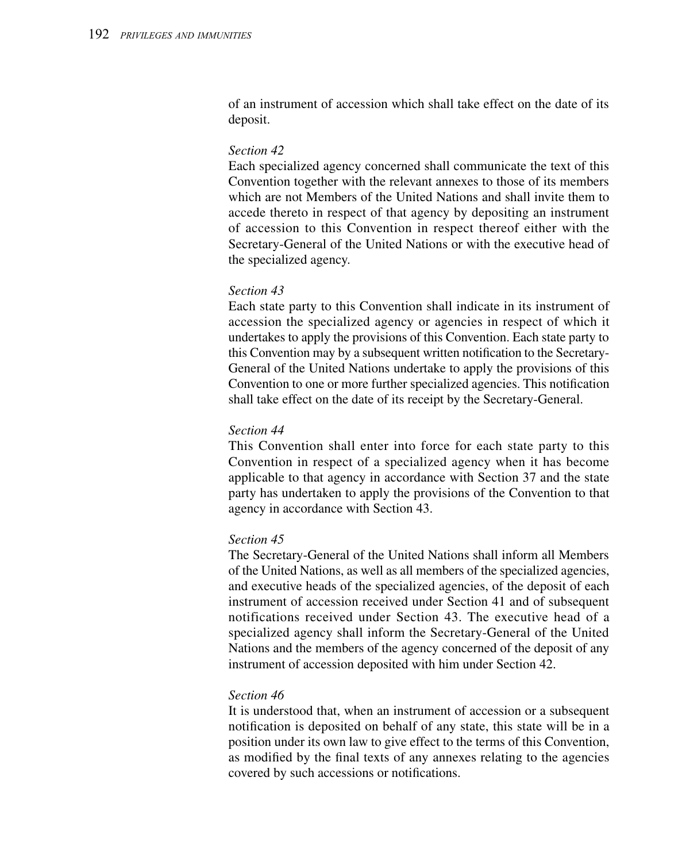of an instrument of accession which shall take effect on the date of its deposit.

#### *Section 42*

Each specialized agency concerned shall communicate the text of this Convention together with the relevant annexes to those of its members which are not Members of the United Nations and shall invite them to accede thereto in respect of that agency by depositing an instrument of accession to this Convention in respect thereof either with the Secretary-General of the United Nations or with the executive head of the specialized agency.

#### *Section 43*

Each state party to this Convention shall indicate in its instrument of accession the specialized agency or agencies in respect of which it undertakes to apply the provisions of this Convention. Each state party to this Convention may by a subsequent written notification to the Secretary-General of the United Nations undertake to apply the provisions of this Convention to one or more further specialized agencies. This notification shall take effect on the date of its receipt by the Secretary-General.

#### *Section 44*

This Convention shall enter into force for each state party to this Convention in respect of a specialized agency when it has become applicable to that agency in accordance with Section 37 and the state party has undertaken to apply the provisions of the Convention to that agency in accordance with Section 43.

#### *Section 45*

The Secretary-General of the United Nations shall inform all Members of the United Nations, as well as all members of the specialized agencies, and executive heads of the specialized agencies, of the deposit of each instrument of accession received under Section 41 and of subsequent notifications received under Section 43. The executive head of a specialized agency shall inform the Secretary-General of the United Nations and the members of the agency concerned of the deposit of any instrument of accession deposited with him under Section 42.

#### *Section 46*

It is understood that, when an instrument of accession or a subsequent notification is deposited on behalf of any state, this state will be in a position under its own law to give effect to the terms of this Convention, as modified by the final texts of any annexes relating to the agencies covered by such accessions or notifications.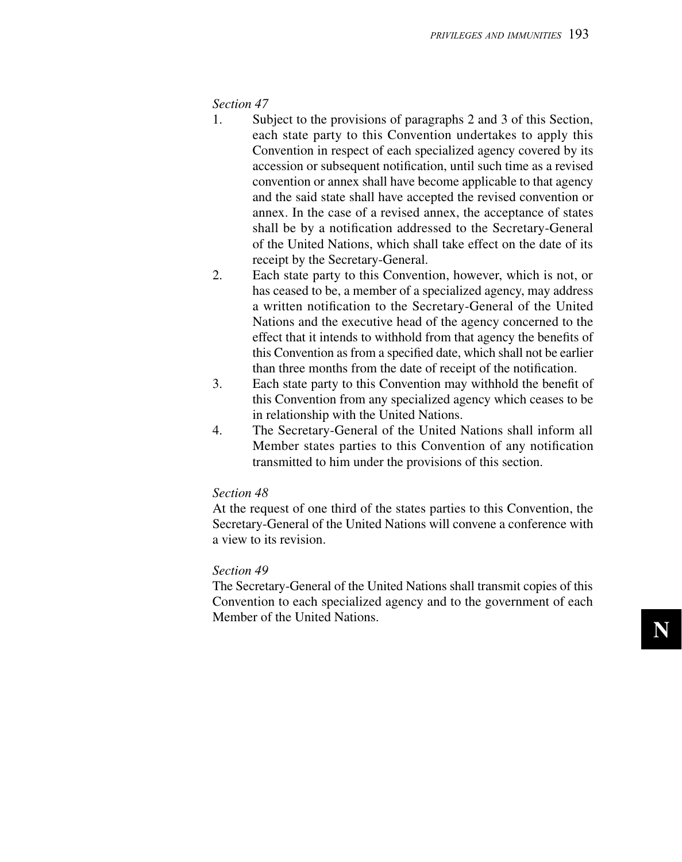#### *Section 47*

- 1. Subject to the provisions of paragraphs 2 and 3 of this Section, each state party to this Convention undertakes to apply this Convention in respect of each specialized agency covered by its accession or subsequent notification, until such time as a revised convention or annex shall have become applicable to that agency and the said state shall have accepted the revised convention or annex. In the case of a revised annex, the acceptance of states shall be by a notification addressed to the Secretary-General of the United Nations, which shall take effect on the date of its receipt by the Secretary-General.
- 2. Each state party to this Convention, however, which is not, or has ceased to be, a member of a specialized agency, may address a written notification to the Secretary-General of the United Nations and the executive head of the agency concerned to the effect that it intends to withhold from that agency the benefits of this Convention as from a specified date, which shall not be earlier than three months from the date of receipt of the notification.
- 3. Each state party to this Convention may withhold the benefit of this Convention from any specialized agency which ceases to be in relationship with the United Nations.
- 4. The Secretary-General of the United Nations shall inform all Member states parties to this Convention of any notification transmitted to him under the provisions of this section.

#### *Section 48*

At the request of one third of the states parties to this Convention, the Secretary-General of the United Nations will convene a conference with a view to its revision.

#### *Section 49*

The Secretary-General of the United Nations shall transmit copies of this Convention to each specialized agency and to the government of each Member of the United Nations.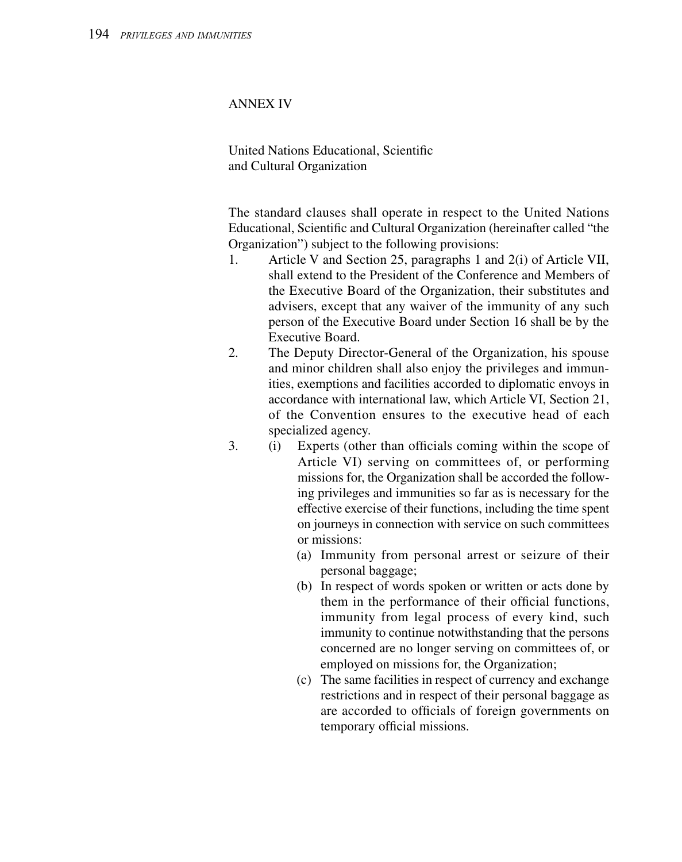#### ANNEX IV

United Nations Educational, Scientific and Cultural Organization

The standard clauses shall operate in respect to the United Nations Educational, Scientific and Cultural Organization (hereinafter called "the Organization") subject to the following provisions:

- 1. Article V and Section 25, paragraphs 1 and 2(i) of Article VII, shall extend to the President of the Conference and Members of the Executive Board of the Organization, their substitutes and advisers, except that any waiver of the immunity of any such person of the Executive Board under Section 16 shall be by the Executive Board.
- 2. The Deputy Director-General of the Organization, his spouse and minor children shall also enjoy the privileges and immunities, exemptions and facilities accorded to diplomatic envoys in accordance with international law, which Article VI, Section 21, of the Convention ensures to the executive head of each specialized agency.
- 3. (i) Experts (other than officials coming within the scope of Article VI) serving on committees of, or performing missions for, the Organization shall be accorded the following privileges and immunities so far as is necessary for the effective exercise of their functions, including the time spent on journeys in connection with service on such committees or missions:
	- (a) Immunity from personal arrest or seizure of their personal baggage;
	- (b) In respect of words spoken or written or acts done by them in the performance of their official functions, immunity from legal process of every kind, such immunity to continue notwithstanding that the persons concerned are no longer serving on committees of, or employed on missions for, the Organization;
	- (c) The same facilities in respect of currency and exchange restrictions and in respect of their personal baggage as are accorded to officials of foreign governments on temporary official missions.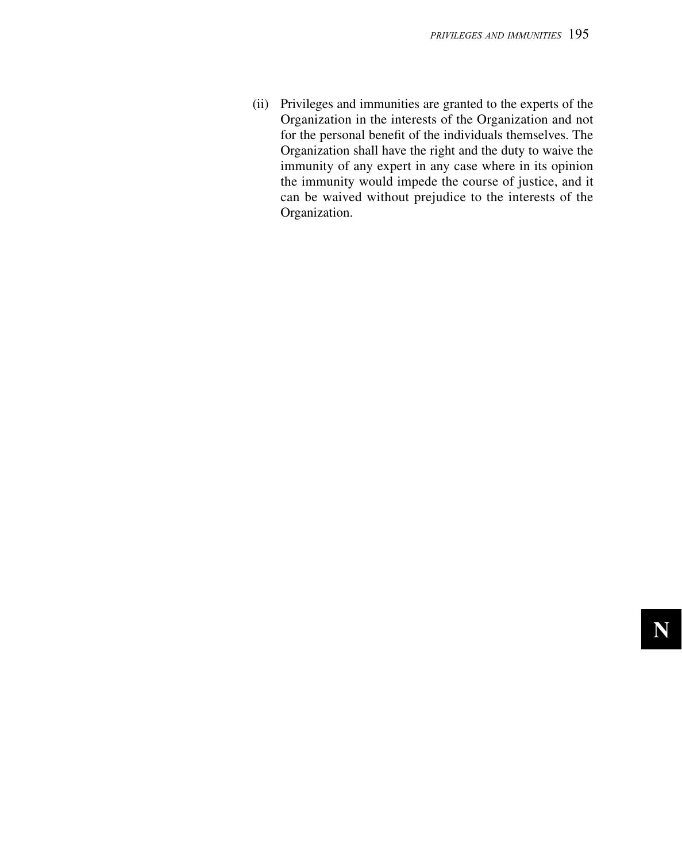(ii) Privileges and immunities are granted to the experts of the Organization in the interests of the Organization and not for the personal benefit of the individuals themselves. The Organization shall have the right and the duty to waive the immunity of any expert in any case where in its opinion the immunity would impede the course of justice, and it can be waived without prejudice to the interests of the Organization.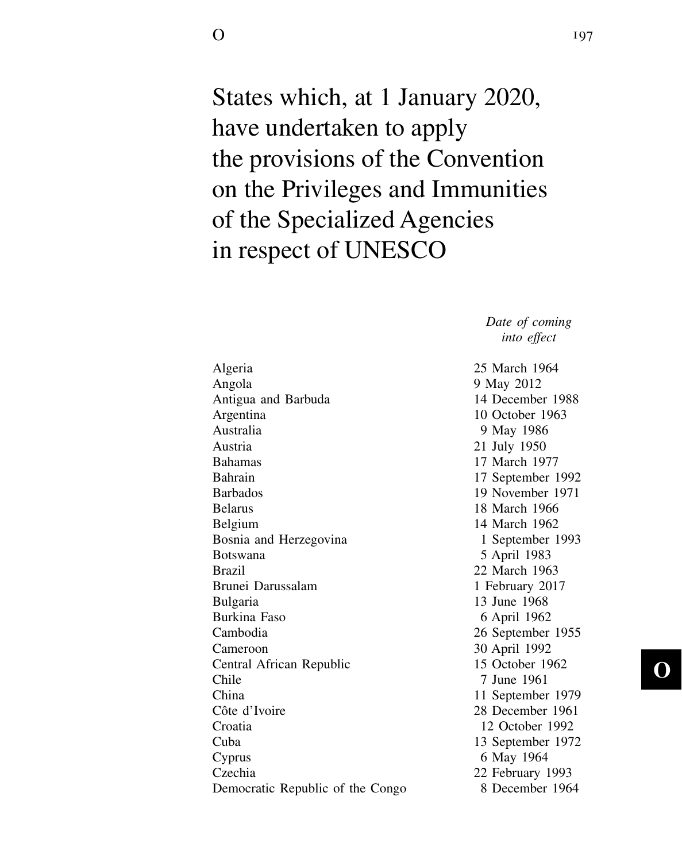have undertaken to apply the provisions of the Convention on the Privileges and Immunities of the Specialized Agencies in respect of UNESCO

> *Date of coming into effect*

Algeria 25 March 1964 Angola 9 May 2012 Antigua and Barbuda 14 December 1988 Argentina 10 October 1963 Australia 9 May 1986 Austria 21 July 1950 Bahamas 17 March 1977 Bahrain 17 September 1992 Barbados 19 November 1971 Belarus 18 March 1966 Belgium 14 March 1962 Bosnia and Herzegovina 1 September 1993 Botswana 5 April 1983 Brazil 22 March 1963 Brunei Darussalam 1 February 2017 Bulgaria 13 June 1968 Burkina Faso 6 April 1962 Cambodia 26 September 1955 Cameroon 30 April 1992 Central African Republic 15 October 1962 Chile 7 June 1961 China 11 September 1979 Côte d'Ivoire 28 December 1961 Croatia 12 October 1992 Cuba 13 September 1972 Cyprus 6 May 1964 Czechia 22 February 1993 Democratic Republic of the Congo 8 December 1964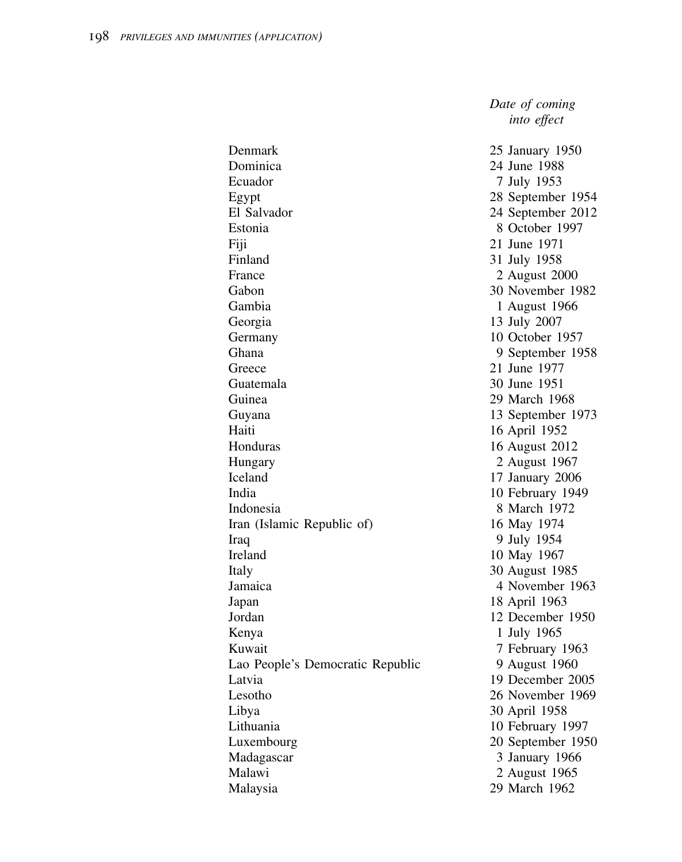Denmark 25 January 1950 Dominica 24 June 1988 Ecuador 7 July 1953 Egypt 28 September 1954 El Salvador 24 September 2012 Estonia 8 October 1997 Fiii 21 June 1971 Finland 31 July 1958 France 2 August 2000 Gabon 30 November 1982 Gambia 1 August 1966 Georgia 13 July 2007 Germany 10 October 1957 Ghana 9 September 1958 Greece 21 June 1977 Guatemala 30 June 1951 Guinea 29 March 1968 Guyana 13 September 1973 Haiti 16 April 1952 Honduras 16 August 2012 Hungary 2 August 1967 Iceland 17 January 2006 India 10 February 1949 Indonesia 8 March 1972 Iran (Islamic Republic of) 16 May 1974 Iraq 9 July 1954 Ireland 10 May 1967 Italy 30 August 1985 Jamaica 4 November 1963 Japan 18 April 1963 Jordan 12 December 1950 Kenya 1 July 1965 Kuwait 7 February 1963 Lao People's Democratic Republic 9 August 1960 Latvia 19 December 2005 Lesotho 26 November 1969 Libya 30 April 1958 Lithuania 10 February 1997 Luxembourg 20 September 1950 Madagascar 3 January 1966 Malawi 2 August 1965 Malaysia 29 March 1962

*into effect* 

*Date of coming*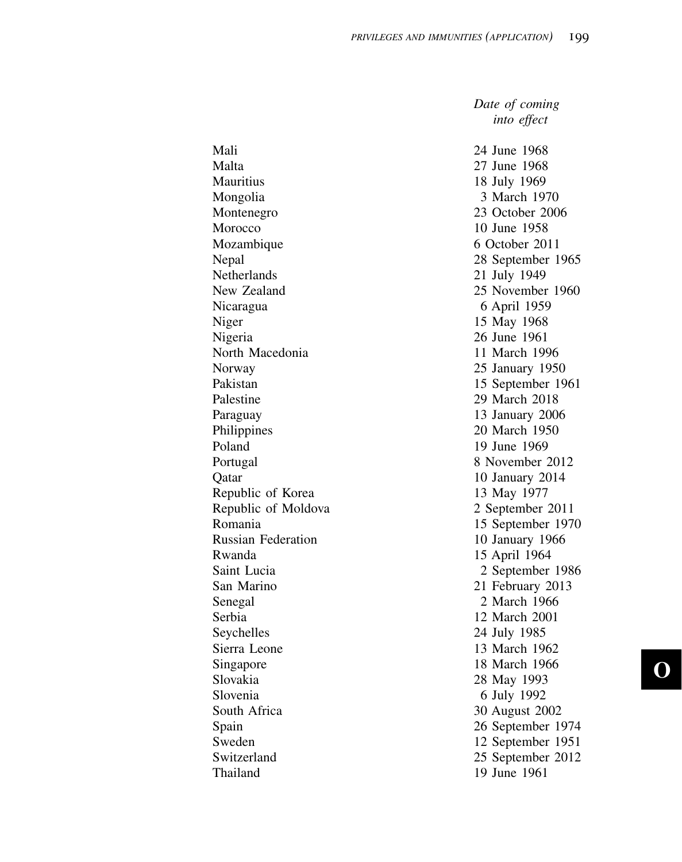*Date of coming into effect* 

Mali 24 June 1968 Malta 27 June 1968 Mauritius 18 July 1969 Mongolia 3 March 1970 Montenegro 23 October 2006 Morocco 10 June 1958 Mozambique 6 October 2011 Nepal 28 September 1965 Netherlands 21 July 1949 New Zealand 25 November 1960 Nicaragua 6 April 1959 Niger 15 May 1968 Nigeria 26 June 1961 North Macedonia 11 March 1996 Norway 25 January 1950 Pakistan 15 September 1961 Palestine 29 March 2018 Paraguay 13 January 2006 Philippines 20 March 1950 Poland 19 June 1969 Portugal 8 November 2012 Qatar 10 January 2014 Republic of Korea 13 May 1977 Republic of Moldova 2 September 2011 Romania 15 September 1970 Russian Federation 10 January 1966 Rwanda 15 April 1964 Saint Lucia 2 September 1986 San Marino 21 February 2013 Senegal 2 March 1966 Serbia 12 March 2001 Seychelles 24 July 1985 Sierra Leone 13 March 1962 Singapore 18 March 1966 Slovakia 28 May 1993 Slovenia 6 July 1992 South Africa 30 August 2002 Spain 26 September 1974 Sweden 12 September 1951 Switzerland 25 September 2012 Thailand 19 June 1961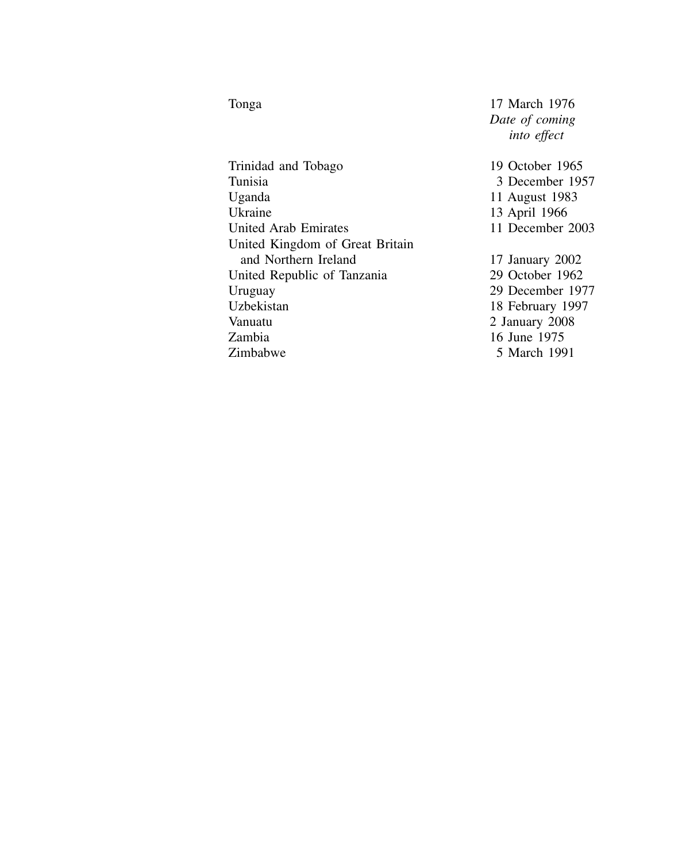Trinidad and Tobago 19 October 1965 Tunisia 3 December 1957 Uganda 11 August 1983<br>Ukraine 13 April 1966 United Arab Emirates United Kingdom of Great Britain and Northern Ireland 17 January 2002 United Republic of Tanzania 29 October 1962 Uruguay 29 December 1977<br>Uzbekistan 18 February 1997 Vanuatu 2 January 2008<br>
2 January 2008<br>
2 January 2008<br>
2 January 2008 Zambia 16 June 1975<br>
Zimbabwe 5 March 199

Tonga 17 March 1976 *Date of coming into effect*  13 April 1966<br>11 December 2003

18 February 1997 5 March 1991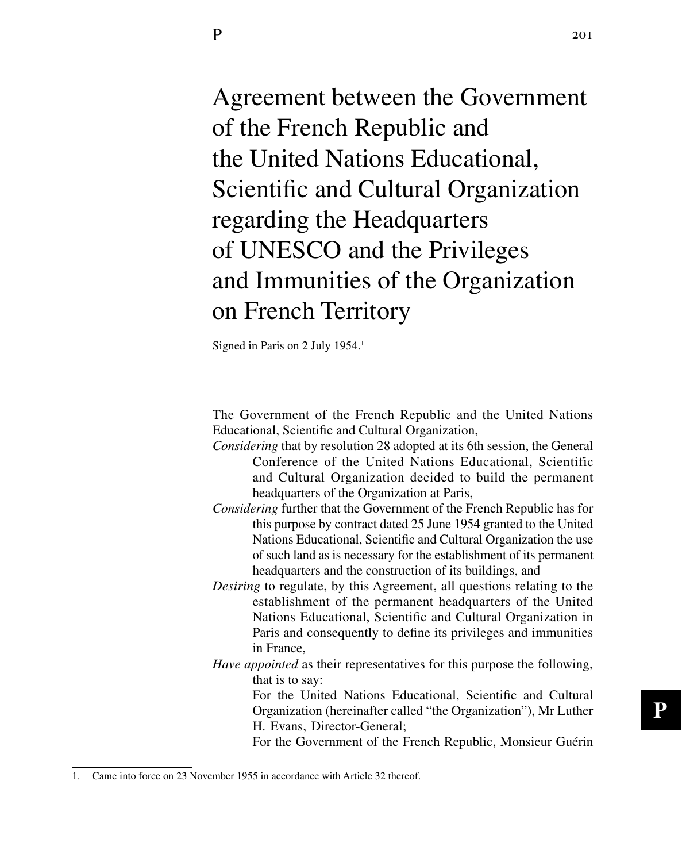Agreement between the Government of the French Republic and the United Nations Educational, Scientific and Cultural Organization regarding the Headquarters of UNESCO and the Privileges and Immunities of the Organization on French Territory

Signed in Paris on 2 July 1954.<sup>1</sup>

The Government of the French Republic and the United Nations Educational, Scientific and Cultural Organization,

- *Considering* that by resolution 28 adopted at its 6th session, the General Conference of the United Nations Educational, Scientific and Cultural Organization decided to build the permanent headquarters of the Organization at Paris,
- *Considering* further that the Government of the French Republic has for this purpose by contract dated 25 June 1954 granted to the United Nations Educational, Scientific and Cultural Organization the use of such land as is necessary for the establishment of its permanent headquarters and the construction of its buildings, and
- *Desiring* to regulate, by this Agreement, all questions relating to the establishment of the permanent headquarters of the United Nations Educational, Scientific and Cultural Organization in Paris and consequently to define its privileges and immunities in France,
- *Have appointed* as their representatives for this purpose the following, that is to say:

For the United Nations Educational, Scientific and Cultural Organization (hereinafter called "the Organization"), Mr Luther H. Evans, Director-General;

For the Government of the French Republic, Monsieur Guérin

<sup>1.</sup> Came into force on 23 November 1955 in accordance with Article 32 thereof.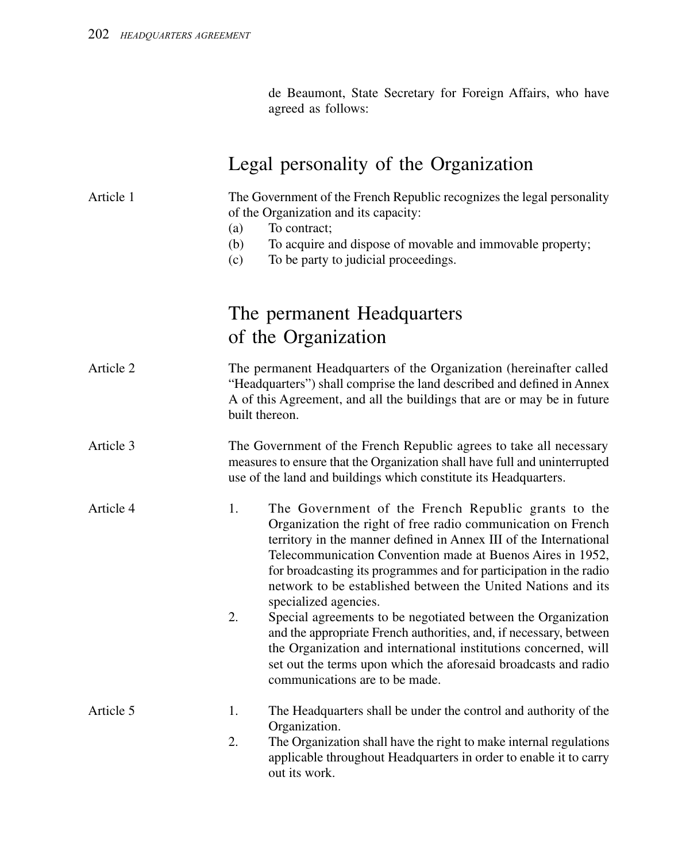de Beaumont, State Secretary for Foreign Affairs, who have agreed as follows:

# Legal personality of the Organization

| Article 1 | The Government of the French Republic recognizes the legal personality<br>of the Organization and its capacity:<br>(a)<br>To contract;<br>(b)<br>To acquire and dispose of movable and immovable property;<br>(c)<br>To be party to judicial proceedings.                                                                                                                                                                                                                                                                                                                                                                                  |  |
|-----------|--------------------------------------------------------------------------------------------------------------------------------------------------------------------------------------------------------------------------------------------------------------------------------------------------------------------------------------------------------------------------------------------------------------------------------------------------------------------------------------------------------------------------------------------------------------------------------------------------------------------------------------------|--|
|           | The permanent Headquarters<br>of the Organization                                                                                                                                                                                                                                                                                                                                                                                                                                                                                                                                                                                          |  |
| Article 2 | The permanent Headquarters of the Organization (hereinafter called<br>"Headquarters") shall comprise the land described and defined in Annex<br>A of this Agreement, and all the buildings that are or may be in future<br>built thereon.                                                                                                                                                                                                                                                                                                                                                                                                  |  |
| Article 3 | The Government of the French Republic agrees to take all necessary<br>measures to ensure that the Organization shall have full and uninterrupted<br>use of the land and buildings which constitute its Headquarters.                                                                                                                                                                                                                                                                                                                                                                                                                       |  |
| Article 4 | 1.<br>The Government of the French Republic grants to the<br>Organization the right of free radio communication on French<br>territory in the manner defined in Annex III of the International<br>Telecommunication Convention made at Buenos Aires in 1952,<br>for broadcasting its programmes and for participation in the radio<br>network to be established between the United Nations and its<br>specialized agencies.<br>2.<br>Special agreements to be negotiated between the Organization<br>and the appropriate French authorities, and, if necessary, between<br>the Organization and international institutions concerned, will |  |
|           | set out the terms upon which the aforesaid broadcasts and radio<br>communications are to be made.                                                                                                                                                                                                                                                                                                                                                                                                                                                                                                                                          |  |
| Article 5 | 1.<br>The Headquarters shall be under the control and authority of the<br>Organization.<br>2.<br>The Organization shall have the right to make internal regulations<br>applicable throughout Headquarters in order to enable it to carry<br>out its work.                                                                                                                                                                                                                                                                                                                                                                                  |  |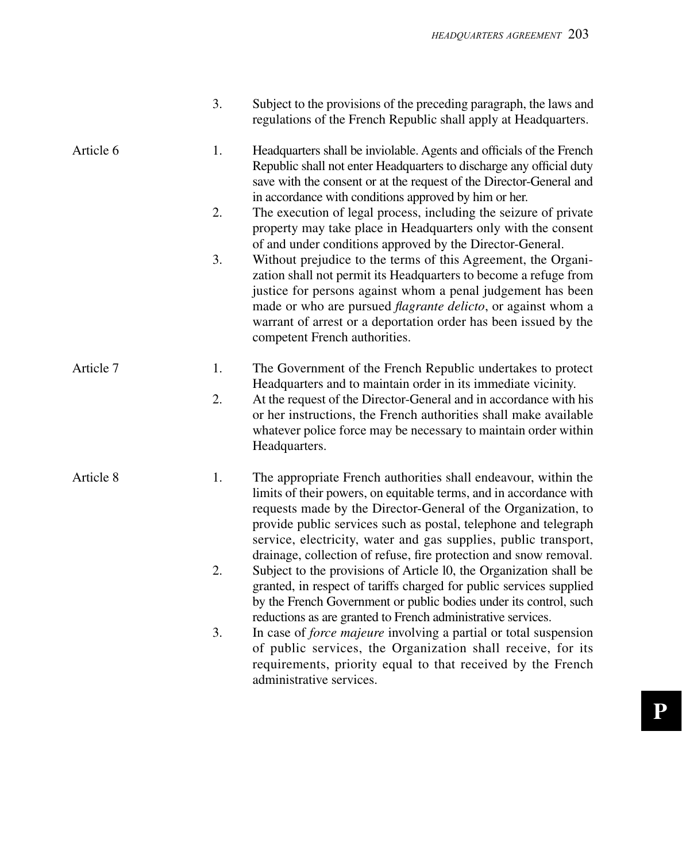|           | 3.       | Subject to the provisions of the preceding paragraph, the laws and<br>regulations of the French Republic shall apply at Headquarters.                                                                                                                                                                                                                                                                            |
|-----------|----------|------------------------------------------------------------------------------------------------------------------------------------------------------------------------------------------------------------------------------------------------------------------------------------------------------------------------------------------------------------------------------------------------------------------|
| Article 6 | 1.       | Headquarters shall be inviolable. Agents and officials of the French<br>Republic shall not enter Headquarters to discharge any official duty<br>save with the consent or at the request of the Director-General and<br>in accordance with conditions approved by him or her.                                                                                                                                     |
|           | 2.       | The execution of legal process, including the seizure of private<br>property may take place in Headquarters only with the consent<br>of and under conditions approved by the Director-General.                                                                                                                                                                                                                   |
|           | 3.       | Without prejudice to the terms of this Agreement, the Organi-<br>zation shall not permit its Headquarters to become a refuge from<br>justice for persons against whom a penal judgement has been<br>made or who are pursued <i>flagrante delicto</i> , or against whom a<br>warrant of arrest or a deportation order has been issued by the<br>competent French authorities.                                     |
| Article 7 | 1.<br>2. | The Government of the French Republic undertakes to protect<br>Headquarters and to maintain order in its immediate vicinity.<br>At the request of the Director-General and in accordance with his<br>or her instructions, the French authorities shall make available<br>whatever police force may be necessary to maintain order within<br>Headquarters.                                                        |
| Article 8 | 1.       | The appropriate French authorities shall endeavour, within the<br>limits of their powers, on equitable terms, and in accordance with<br>requests made by the Director-General of the Organization, to<br>provide public services such as postal, telephone and telegraph<br>service, electricity, water and gas supplies, public transport,<br>drainage, collection of refuse, fire protection and snow removal. |
|           | 2.       | Subject to the provisions of Article 10, the Organization shall be<br>granted, in respect of tariffs charged for public services supplied<br>by the French Government or public bodies under its control, such<br>reductions as are granted to French administrative services.                                                                                                                                   |
|           | 3.       | In case of <i>force majeure</i> involving a partial or total suspension<br>of public services, the Organization shall receive, for its<br>requirements, priority equal to that received by the French<br>administrative services.                                                                                                                                                                                |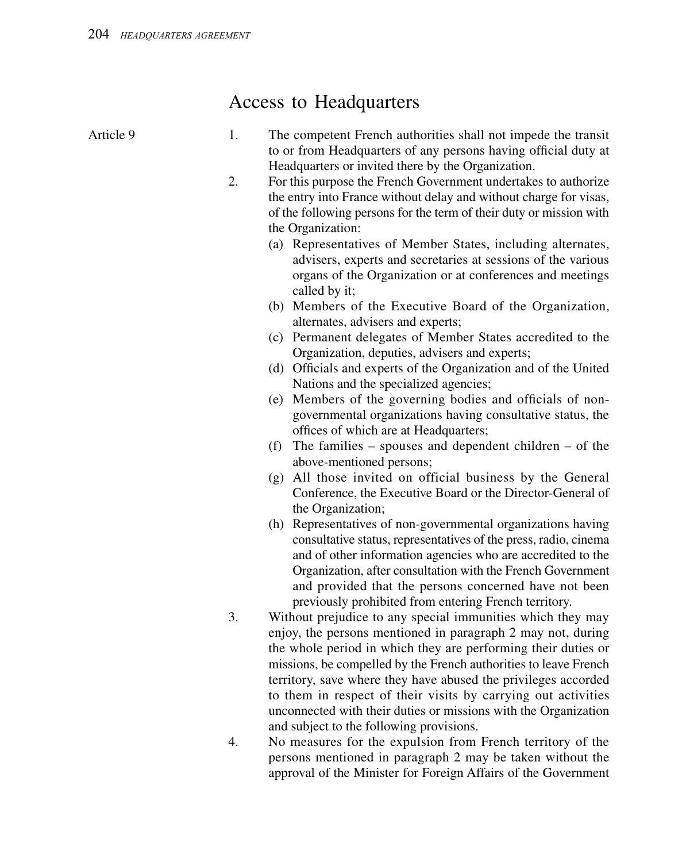## Access to Headquarters

- Article 9 1. The competent French authorities shall not impede the transit to or from Headquarters of any persons having official duty at Headquarters or invited there by the Organization.
	- 2. For this purpose the French Government undertakes to authorize the entry into France without delay and without charge for visas, of the following persons for the term of their duty or mission with the Organization:
		- (a) Representatives of Member States, including alternates, advisers, experts and secretaries at sessions of the various organs of the Organization or at conferences and meetings called by it;
		- (b) Members of the Executive Board of the Organization, alternates, advisers and experts;
		- (c) Permanent delegates of Member States accredited to the Organization, deputies, advisers and experts;
		- (d) Officials and experts of the Organization and of the United Nations and the specialized agencies;
		- (e) Members of the governing bodies and officials of nongovernmental organizations having consultative status, the offices of which are at Headquarters;
		- (f) The families spouses and dependent children of the above-mentioned persons;
		- (g) All those invited on official business by the General Conference, the Executive Board or the Director-General of the Organization;
		- (h) Representatives of non-governmental organizations having consultative status, representatives of the press, radio, cinema and of other information agencies who are accredited to the Organization, after consultation with the French Government and provided that the persons concerned have not been previously prohibited from entering French territory.
	- 3. Without prejudice to any special immunities which they may enjoy, the persons mentioned in paragraph 2 may not, during the whole period in which they are performing their duties or missions, be compelled by the French authorities to leave French territory, save where they have abused the privileges accorded to them in respect of their visits by carrying out activities unconnected with their duties or missions with the Organization and subject to the following provisions.
	- 4. No measures for the expulsion from French territory of the persons mentioned in paragraph 2 may be taken without the approval of the Minister for Foreign Affairs of the Government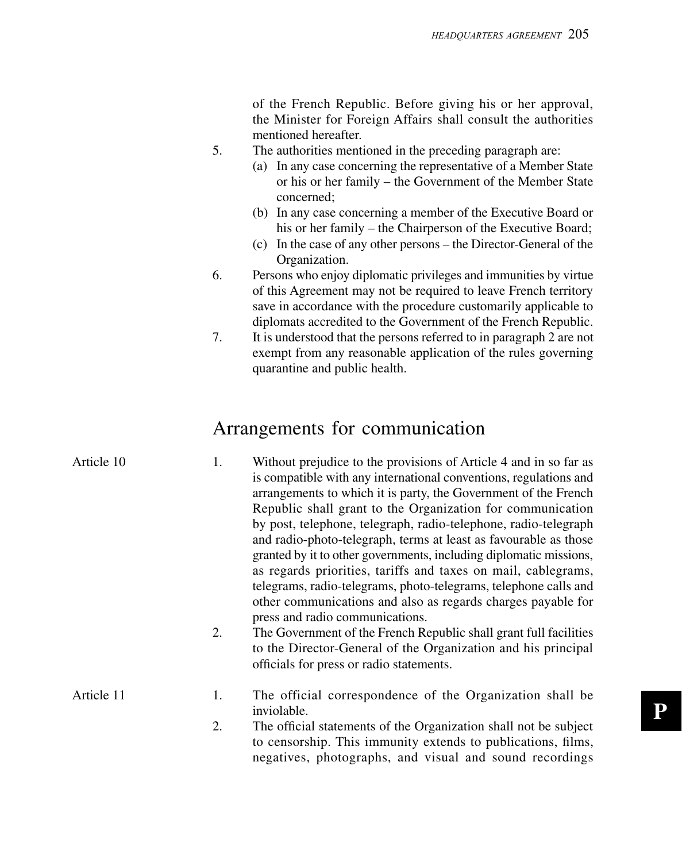of the French Republic. Before giving his or her approval, the Minister for Foreign Affairs shall consult the authorities mentioned hereafter.

- 5. The authorities mentioned in the preceding paragraph are:
	- (a) In any case concerning the representative of a Member State or his or her family – the Government of the Member State concerned;
	- (b) In any case concerning a member of the Executive Board or his or her family – the Chairperson of the Executive Board;
	- (c) In the case of any other persons the Director-General of the Organization.
- 6. Persons who enjoy diplomatic privileges and immunities by virtue of this Agreement may not be required to leave French territory save in accordance with the procedure customarily applicable to diplomats accredited to the Government of the French Republic.
- 7. It is understood that the persons referred to in paragraph 2 are not exempt from any reasonable application of the rules governing quarantine and public health.

### Arrangements for communication

| Article 10 | 1. | Without prejudice to the provisions of Article 4 and in so far as<br>is compatible with any international conventions, regulations and<br>arrangements to which it is party, the Government of the French<br>Republic shall grant to the Organization for communication<br>by post, telephone, telegraph, radio-telephone, radio-telegraph<br>and radio-photo-telegraph, terms at least as favourable as those<br>granted by it to other governments, including diplomatic missions,<br>as regards priorities, tariffs and taxes on mail, cablegrams,<br>telegrams, radio-telegrams, photo-telegrams, telephone calls and<br>other communications and also as regards charges payable for<br>press and radio communications. |
|------------|----|------------------------------------------------------------------------------------------------------------------------------------------------------------------------------------------------------------------------------------------------------------------------------------------------------------------------------------------------------------------------------------------------------------------------------------------------------------------------------------------------------------------------------------------------------------------------------------------------------------------------------------------------------------------------------------------------------------------------------|
|            | 2. | The Government of the French Republic shall grant full facilities<br>to the Director-General of the Organization and his principal<br>officials for press or radio statements.                                                                                                                                                                                                                                                                                                                                                                                                                                                                                                                                               |
| Article 11 | 1. | The official correspondence of the Organization shall be<br>inviolable.                                                                                                                                                                                                                                                                                                                                                                                                                                                                                                                                                                                                                                                      |
|            | 2. | The official statements of the Organization shall not be subject<br>to censorship. This immunity extends to publications, films,<br>negatives, photographs, and visual and sound recordings                                                                                                                                                                                                                                                                                                                                                                                                                                                                                                                                  |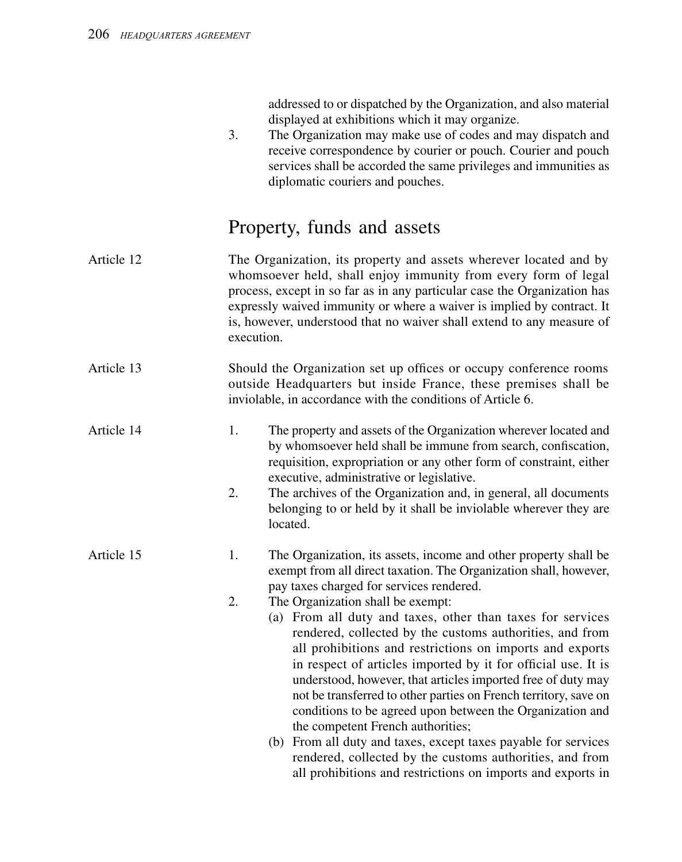addressed to or dispatched by the Organization, and also material displayed at exhibitions which it may organize.

3. The Organization may make use of codes and may dispatch and receive correspondence by courier or pouch. Courier and pouch services shall be accorded the same privileges and immunities as diplomatic couriers and pouches.

# Property, funds and assets

| Article 12 | The Organization, its property and assets wherever located and by<br>whomsoever held, shall enjoy immunity from every form of legal<br>process, except in so far as in any particular case the Organization has<br>expressly waived immunity or where a waiver is implied by contract. It<br>is, however, understood that no waiver shall extend to any measure of<br>execution.                                                                                                                                                                                                                                                                                                                                                  |  |
|------------|-----------------------------------------------------------------------------------------------------------------------------------------------------------------------------------------------------------------------------------------------------------------------------------------------------------------------------------------------------------------------------------------------------------------------------------------------------------------------------------------------------------------------------------------------------------------------------------------------------------------------------------------------------------------------------------------------------------------------------------|--|
| Article 13 | Should the Organization set up offices or occupy conference rooms<br>outside Headquarters but inside France, these premises shall be<br>inviolable, in accordance with the conditions of Article 6.                                                                                                                                                                                                                                                                                                                                                                                                                                                                                                                               |  |
| Article 14 | 1.<br>The property and assets of the Organization wherever located and<br>by whomsoever held shall be immune from search, confiscation,<br>requisition, expropriation or any other form of constraint, either<br>executive, administrative or legislative.                                                                                                                                                                                                                                                                                                                                                                                                                                                                        |  |
|            | 2.<br>The archives of the Organization and, in general, all documents<br>belonging to or held by it shall be inviolable wherever they are<br>located.                                                                                                                                                                                                                                                                                                                                                                                                                                                                                                                                                                             |  |
| Article 15 | 1.<br>The Organization, its assets, income and other property shall be<br>exempt from all direct taxation. The Organization shall, however,<br>pay taxes charged for services rendered.                                                                                                                                                                                                                                                                                                                                                                                                                                                                                                                                           |  |
|            | 2.<br>The Organization shall be exempt:<br>(a) From all duty and taxes, other than taxes for services<br>rendered, collected by the customs authorities, and from<br>all prohibitions and restrictions on imports and exports<br>in respect of articles imported by it for official use. It is<br>understood, however, that articles imported free of duty may<br>not be transferred to other parties on French territory, save on<br>conditions to be agreed upon between the Organization and<br>the competent French authorities;<br>(b) From all duty and taxes, except taxes payable for services<br>rendered, collected by the customs authorities, and from<br>all prohibitions and restrictions on imports and exports in |  |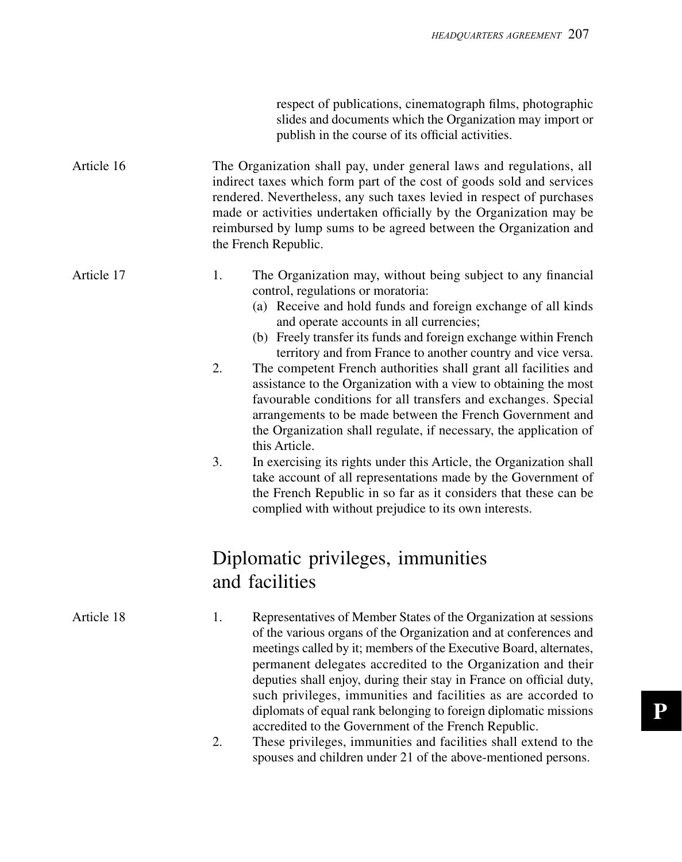|            | respect of publications, cinematograph films, photographic<br>slides and documents which the Organization may import or<br>publish in the course of its official activities.                                                                                                                                                                                                                                                                                                                                                                                                                                                                                                                                                                                                                                                                                                                                                                                                                        |  |
|------------|-----------------------------------------------------------------------------------------------------------------------------------------------------------------------------------------------------------------------------------------------------------------------------------------------------------------------------------------------------------------------------------------------------------------------------------------------------------------------------------------------------------------------------------------------------------------------------------------------------------------------------------------------------------------------------------------------------------------------------------------------------------------------------------------------------------------------------------------------------------------------------------------------------------------------------------------------------------------------------------------------------|--|
| Article 16 | The Organization shall pay, under general laws and regulations, all<br>indirect taxes which form part of the cost of goods sold and services<br>rendered. Nevertheless, any such taxes levied in respect of purchases<br>made or activities undertaken officially by the Organization may be<br>reimbursed by lump sums to be agreed between the Organization and<br>the French Republic.                                                                                                                                                                                                                                                                                                                                                                                                                                                                                                                                                                                                           |  |
| Article 17 | 1.<br>The Organization may, without being subject to any financial<br>control, regulations or moratoria:<br>(a) Receive and hold funds and foreign exchange of all kinds<br>and operate accounts in all currencies;<br>(b) Freely transfer its funds and foreign exchange within French<br>territory and from France to another country and vice versa.<br>2.<br>The competent French authorities shall grant all facilities and<br>assistance to the Organization with a view to obtaining the most<br>favourable conditions for all transfers and exchanges. Special<br>arrangements to be made between the French Government and<br>the Organization shall regulate, if necessary, the application of<br>this Article.<br>3.<br>In exercising its rights under this Article, the Organization shall<br>take account of all representations made by the Government of<br>the French Republic in so far as it considers that these can be<br>complied with without prejudice to its own interests. |  |
|            | Diplomatic privileges, immunities<br>and facilities                                                                                                                                                                                                                                                                                                                                                                                                                                                                                                                                                                                                                                                                                                                                                                                                                                                                                                                                                 |  |
| Article 18 | 1.<br>Representatives of Member States of the Organization at sessions<br>of the various organs of the Organization and at conferences and<br>meetings called by it; members of the Executive Board, alternates,<br>permanent delegates accredited to the Organization and their<br>deputies shall enjoy, during their stay in France on official duty,<br>such privileges, immunities and facilities as are accorded to<br>diplomats of equal rank belonging to foreign diplomatic missions<br>accredited to the Government of the French Republic.<br>2.<br>These privileges, immunities and facilities shall extend to the<br>spouses and children under 21 of the above-mentioned persons.                                                                                                                                                                                                                                                                                                      |  |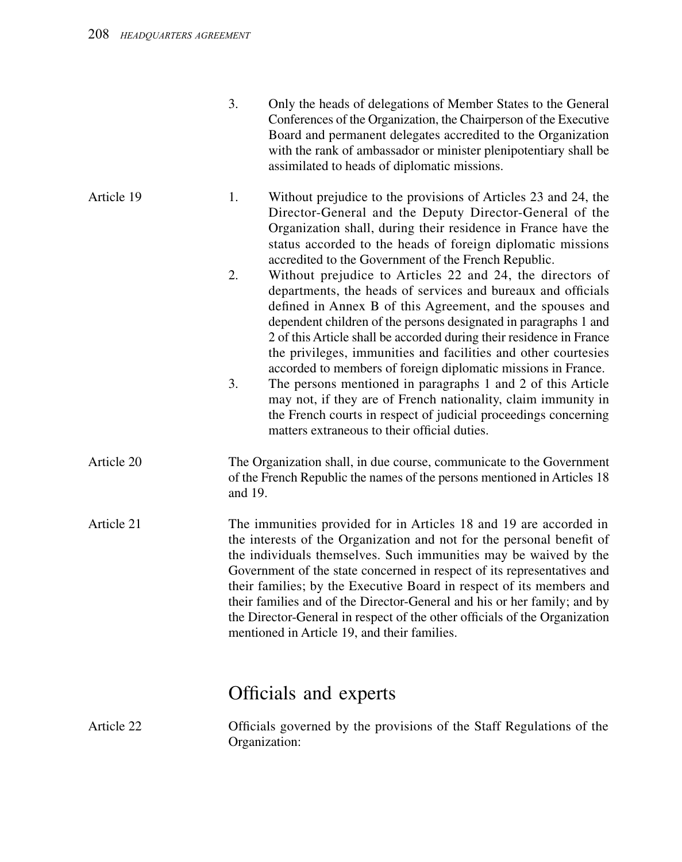| Article 19 | 1.<br>Without prejudice to the provisions of Articles 23 and 24, the<br>Director-General and the Deputy Director-General of the<br>Organization shall, during their residence in France have the<br>status accorded to the heads of foreign diplomatic missions<br>accredited to the Government of the French Republic.<br>2.<br>Without prejudice to Articles 22 and 24, the directors of<br>departments, the heads of services and bureaux and officials<br>defined in Annex B of this Agreement, and the spouses and<br>dependent children of the persons designated in paragraphs 1 and<br>2 of this Article shall be accorded during their residence in France<br>the privileges, immunities and facilities and other courtesies<br>accorded to members of foreign diplomatic missions in France.<br>3.<br>The persons mentioned in paragraphs 1 and 2 of this Article<br>may not, if they are of French nationality, claim immunity in<br>the French courts in respect of judicial proceedings concerning<br>matters extraneous to their official duties. |  |
|------------|-----------------------------------------------------------------------------------------------------------------------------------------------------------------------------------------------------------------------------------------------------------------------------------------------------------------------------------------------------------------------------------------------------------------------------------------------------------------------------------------------------------------------------------------------------------------------------------------------------------------------------------------------------------------------------------------------------------------------------------------------------------------------------------------------------------------------------------------------------------------------------------------------------------------------------------------------------------------------------------------------------------------------------------------------------------------|--|
| Article 20 | The Organization shall, in due course, communicate to the Government<br>of the French Republic the names of the persons mentioned in Articles 18<br>and 19.                                                                                                                                                                                                                                                                                                                                                                                                                                                                                                                                                                                                                                                                                                                                                                                                                                                                                                     |  |
| Article 21 | The immunities provided for in Articles 18 and 19 are accorded in<br>the interests of the Organization and not for the personal benefit of<br>the individuals themselves. Such immunities may be waived by the<br>Government of the state concerned in respect of its representatives and<br>their families; by the Executive Board in respect of its members and<br>their families and of the Director-General and his or her family; and by<br>the Director-General in respect of the other officials of the Organization<br>mentioned in Article 19, and their families.                                                                                                                                                                                                                                                                                                                                                                                                                                                                                     |  |
|            | Officials and experts                                                                                                                                                                                                                                                                                                                                                                                                                                                                                                                                                                                                                                                                                                                                                                                                                                                                                                                                                                                                                                           |  |

Article 22 Officials governed by the provisions of the Staff Regulations of the Organization: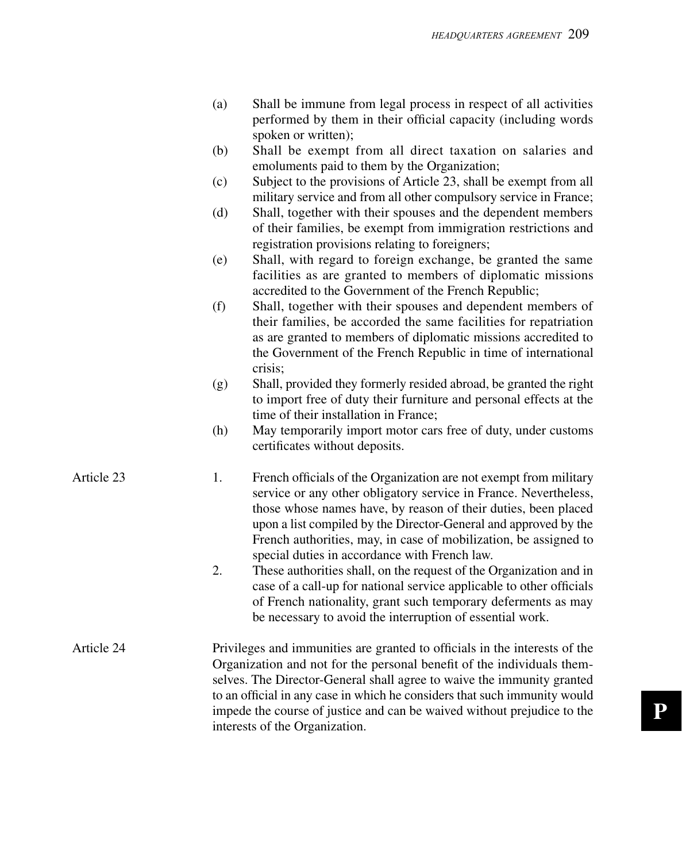| (a) | Shall be immune from legal process in respect of all activities |
|-----|-----------------------------------------------------------------|
|     | performed by them in their official capacity (including words)  |
|     | spoken or written);                                             |

- (b) Shall be exempt from all direct taxation on salaries and emoluments paid to them by the Organization;
- (c) Subject to the provisions of Article 23, shall be exempt from all military service and from all other compulsory service in France;
- (d) Shall, together with their spouses and the dependent members of their families, be exempt from immigration restrictions and registration provisions relating to foreigners;
- (e) Shall, with regard to foreign exchange, be granted the same facilities as are granted to members of diplomatic missions accredited to the Government of the French Republic;
- (f) Shall, together with their spouses and dependent members of their families, be accorded the same facilities for repatriation as are granted to members of diplomatic missions accredited to the Government of the French Republic in time of international crisis;
- (g) Shall, provided they formerly resided abroad, be granted the right to import free of duty their furniture and personal effects at the time of their installation in France;
- (h) May temporarily import motor cars free of duty, under customs certificates without deposits.
- Article 23 1. French officials of the Organization are not exempt from military service or any other obligatory service in France. Nevertheless, those whose names have, by reason of their duties, been placed upon a list compiled by the Director-General and approved by the French authorities, may, in case of mobilization, be assigned to special duties in accordance with French law.
	- 2. These authorities shall, on the request of the Organization and in case of a call-up for national service applicable to other officials of French nationality, grant such temporary deferments as may be necessary to avoid the interruption of essential work.
- Article 24 Privileges and immunities are granted to officials in the interests of the Organization and not for the personal benefit of the individuals themselves. The Director-General shall agree to waive the immunity granted to an official in any case in which he considers that such immunity would impede the course of justice and can be waived without prejudice to the interests of the Organization.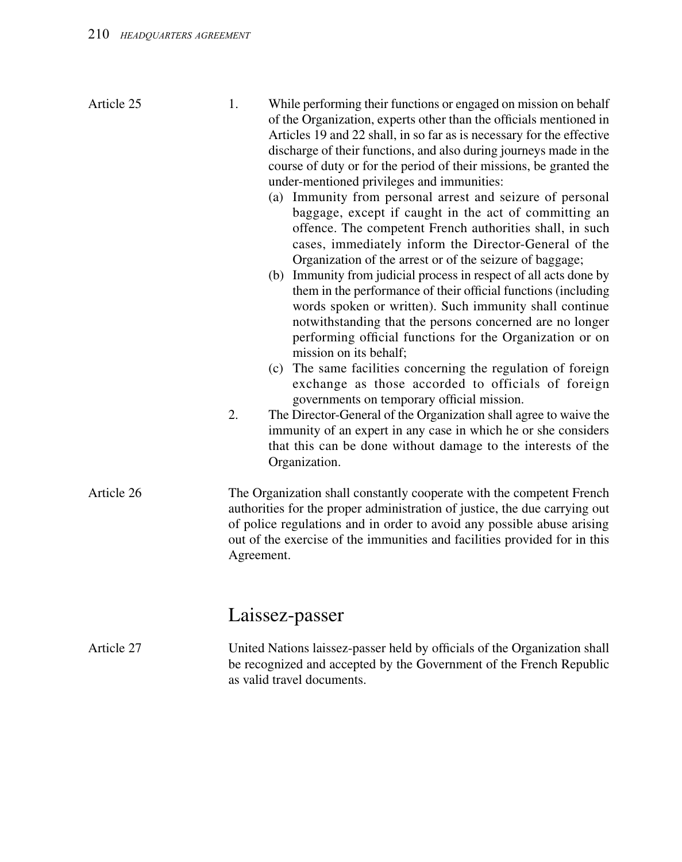| Article 25 | 1.<br>2.   | While performing their functions or engaged on mission on behalf<br>of the Organization, experts other than the officials mentioned in<br>Articles 19 and 22 shall, in so far as is necessary for the effective<br>discharge of their functions, and also during journeys made in the<br>course of duty or for the period of their missions, be granted the<br>under-mentioned privileges and immunities:<br>(a) Immunity from personal arrest and seizure of personal<br>baggage, except if caught in the act of committing an<br>offence. The competent French authorities shall, in such<br>cases, immediately inform the Director-General of the<br>Organization of the arrest or of the seizure of baggage;<br>(b) Immunity from judicial process in respect of all acts done by<br>them in the performance of their official functions (including<br>words spoken or written). Such immunity shall continue<br>notwithstanding that the persons concerned are no longer<br>performing official functions for the Organization or on<br>mission on its behalf;<br>(c) The same facilities concerning the regulation of foreign<br>exchange as those accorded to officials of foreign<br>governments on temporary official mission.<br>The Director-General of the Organization shall agree to waive the<br>immunity of an expert in any case in which he or she considers<br>that this can be done without damage to the interests of the<br>Organization. |
|------------|------------|-----------------------------------------------------------------------------------------------------------------------------------------------------------------------------------------------------------------------------------------------------------------------------------------------------------------------------------------------------------------------------------------------------------------------------------------------------------------------------------------------------------------------------------------------------------------------------------------------------------------------------------------------------------------------------------------------------------------------------------------------------------------------------------------------------------------------------------------------------------------------------------------------------------------------------------------------------------------------------------------------------------------------------------------------------------------------------------------------------------------------------------------------------------------------------------------------------------------------------------------------------------------------------------------------------------------------------------------------------------------------------------------------------------------------------------------------------------------|
| Article 26 | Agreement. | The Organization shall constantly cooperate with the competent French<br>authorities for the proper administration of justice, the due carrying out<br>of police regulations and in order to avoid any possible abuse arising<br>out of the exercise of the immunities and facilities provided for in this                                                                                                                                                                                                                                                                                                                                                                                                                                                                                                                                                                                                                                                                                                                                                                                                                                                                                                                                                                                                                                                                                                                                                      |

## Laissez-passer

Article 27 United Nations laissez-passer held by officials of the Organization shall be recognized and accepted by the Government of the French Republic as valid travel documents.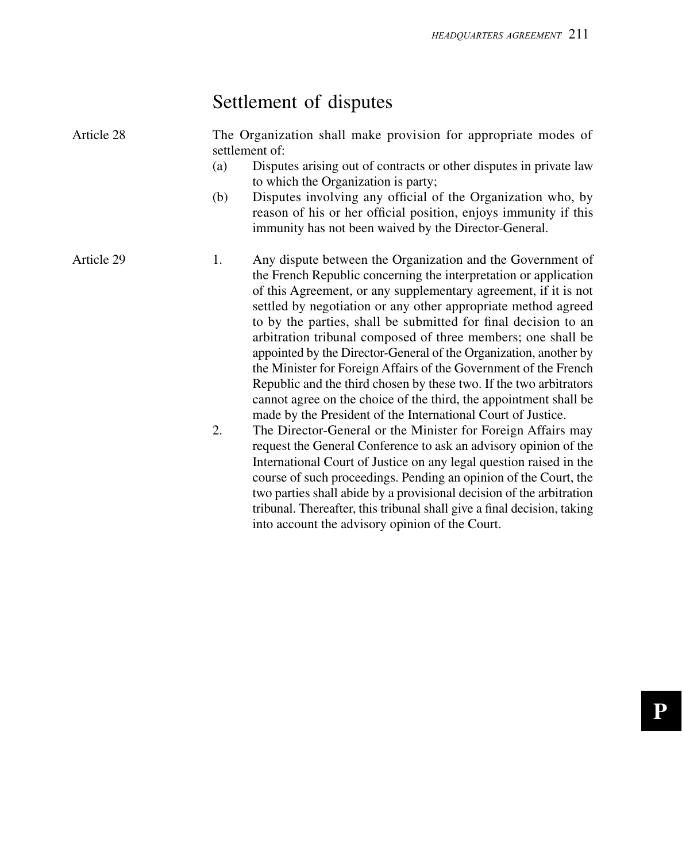# Settlement of disputes

| Article 28 | (a)<br>(b) | The Organization shall make provision for appropriate modes of<br>settlement of:<br>Disputes arising out of contracts or other disputes in private law<br>to which the Organization is party;<br>Disputes involving any official of the Organization who, by<br>reason of his or her official position, enjoys immunity if this<br>immunity has not been waived by the Director-General.                                                                                                                                                                                                                                                                                                                                                                                                                                                                                                                                                                                                                                                                                                                                                                                                                                                     |
|------------|------------|----------------------------------------------------------------------------------------------------------------------------------------------------------------------------------------------------------------------------------------------------------------------------------------------------------------------------------------------------------------------------------------------------------------------------------------------------------------------------------------------------------------------------------------------------------------------------------------------------------------------------------------------------------------------------------------------------------------------------------------------------------------------------------------------------------------------------------------------------------------------------------------------------------------------------------------------------------------------------------------------------------------------------------------------------------------------------------------------------------------------------------------------------------------------------------------------------------------------------------------------|
| Article 29 | 1.<br>2.   | Any dispute between the Organization and the Government of<br>the French Republic concerning the interpretation or application<br>of this Agreement, or any supplementary agreement, if it is not<br>settled by negotiation or any other appropriate method agreed<br>to by the parties, shall be submitted for final decision to an<br>arbitration tribunal composed of three members; one shall be<br>appointed by the Director-General of the Organization, another by<br>the Minister for Foreign Affairs of the Government of the French<br>Republic and the third chosen by these two. If the two arbitrators<br>cannot agree on the choice of the third, the appointment shall be<br>made by the President of the International Court of Justice.<br>The Director-General or the Minister for Foreign Affairs may<br>request the General Conference to ask an advisory opinion of the<br>International Court of Justice on any legal question raised in the<br>course of such proceedings. Pending an opinion of the Court, the<br>two parties shall abide by a provisional decision of the arbitration<br>tribunal. Thereafter, this tribunal shall give a final decision, taking<br>into account the advisory opinion of the Court. |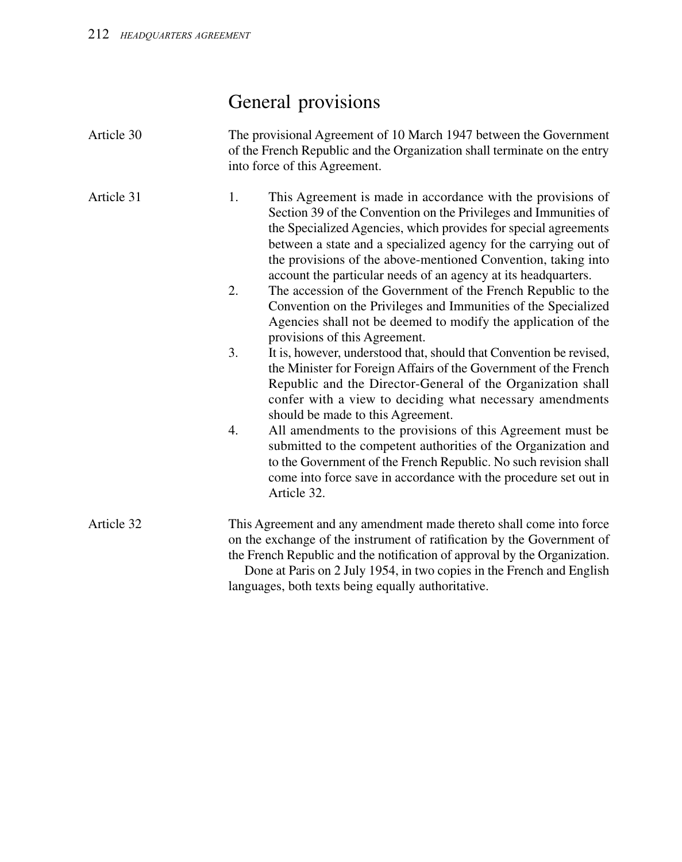# General provisions

| Article 30 | The provisional Agreement of 10 March 1947 between the Government<br>of the French Republic and the Organization shall terminate on the entry<br>into force of this Agreement.                                                                                                                                                                                                                                  |  |
|------------|-----------------------------------------------------------------------------------------------------------------------------------------------------------------------------------------------------------------------------------------------------------------------------------------------------------------------------------------------------------------------------------------------------------------|--|
| Article 31 | 1.<br>This Agreement is made in accordance with the provisions of<br>Section 39 of the Convention on the Privileges and Immunities of<br>the Specialized Agencies, which provides for special agreements<br>between a state and a specialized agency for the carrying out of<br>the provisions of the above-mentioned Convention, taking into<br>account the particular needs of an agency at its headquarters. |  |
|            | 2.<br>The accession of the Government of the French Republic to the<br>Convention on the Privileges and Immunities of the Specialized<br>Agencies shall not be deemed to modify the application of the<br>provisions of this Agreement.                                                                                                                                                                         |  |
|            | 3.<br>It is, however, understood that, should that Convention be revised,<br>the Minister for Foreign Affairs of the Government of the French<br>Republic and the Director-General of the Organization shall<br>confer with a view to deciding what necessary amendments<br>should be made to this Agreement.                                                                                                   |  |
|            | 4.<br>All amendments to the provisions of this Agreement must be<br>submitted to the competent authorities of the Organization and<br>to the Government of the French Republic. No such revision shall<br>come into force save in accordance with the procedure set out in<br>Article 32.                                                                                                                       |  |
| Article 32 | This Agreement and any amendment made thereto shall come into force<br>on the exchange of the instrument of ratification by the Government of<br>the French Republic and the notification of approval by the Organization.<br>Done at Paris on 2 July 1954, in two copies in the French and English<br>languages, both texts being equally authoritative.                                                       |  |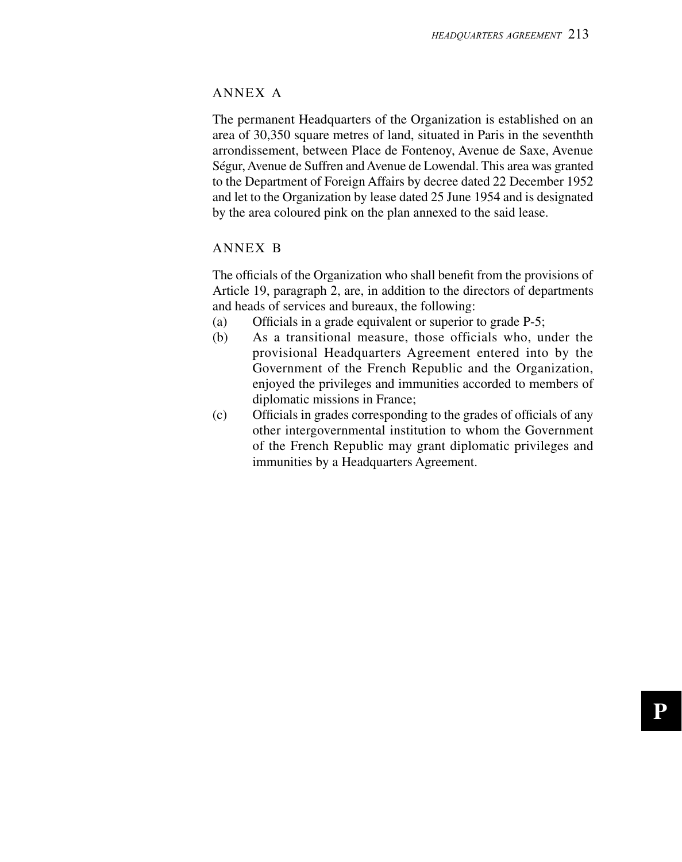#### ANNEX A

The permanent Headquarters of the Organization is established on an area of 30,350 square metres of land, situated in Paris in the seventhth arrondissement, between Place de Fontenoy, Avenue de Saxe, Avenue Ségur, Avenue de Suffren and Avenue de Lowendal. This area was granted to the Department of Foreign Affairs by decree dated 22 December 1952 and let to the Organization by lease dated 25 June 1954 and is designated by the area coloured pink on the plan annexed to the said lease.

#### ANNEX B

The officials of the Organization who shall benefit from the provisions of Article 19, paragraph 2, are, in addition to the directors of departments and heads of services and bureaux, the following:

- (a) Officials in a grade equivalent or superior to grade P-5;
- (b) As a transitional measure, those officials who, under the provisional Headquarters Agreement entered into by the Government of the French Republic and the Organization, enjoyed the privileges and immunities accorded to members of diplomatic missions in France;
- (c) Officials in grades corresponding to the grades of officials of any other intergovernmental institution to whom the Government of the French Republic may grant diplomatic privileges and immunities by a Headquarters Agreement.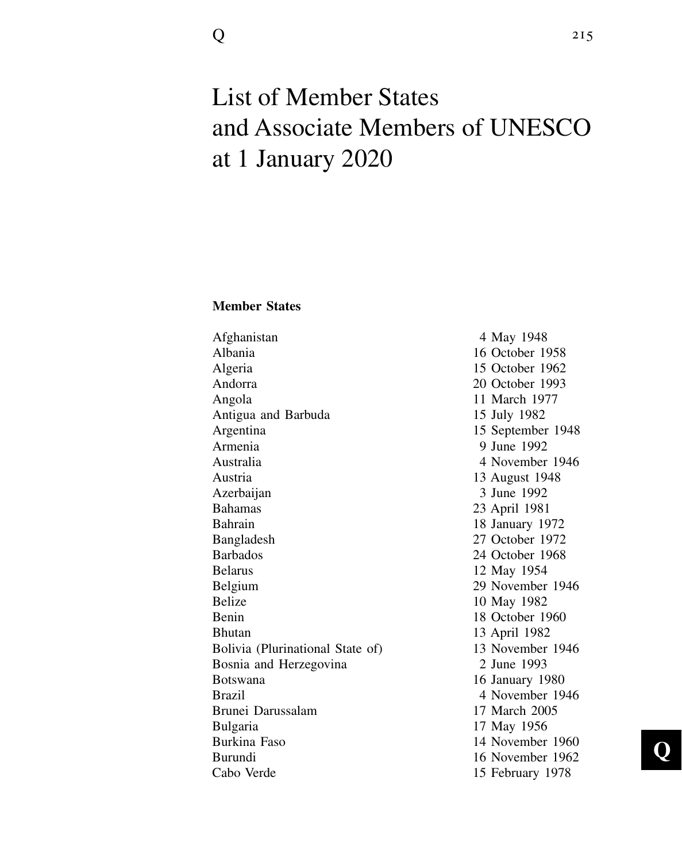# List of Member States and Associate Members of UNESCO at 1 January 2020

#### **Member States**

Afghanistan 4 May 1948 Albania 16 October 1958 Algeria 15 October 1962 Andorra 20 October 1993 Angola 11 March 1977 Antigua and Barbuda 15 July 1982 Argentina 15 September 1948 Armenia 9 June 1992 Australia 4 November 1946 Austria 13 August 1948 Azerbaijan 3 June 1992 Bahamas 23 April 1981 Bahrain 18 January 1972 Bangladesh 27 October 1972 Barbados 24 October 1968 Belarus 12 May 1954 Belgium 29 November 1946 Belize 10 May 1982 Benin 18 October 1960 Bhutan 13 April 1982 Bolivia (Plurinational State of) 13 November 1946 Bosnia and Herzegovina 2 June 1993 Botswana 16 January 1980 Brazil 4 November 1946 Brunei Darussalam 17 March 2005 Bulgaria 17 May 1956 Burkina Faso 14 November 1960 Burundi 16 November 1962 Cabo Verde 15 February 1978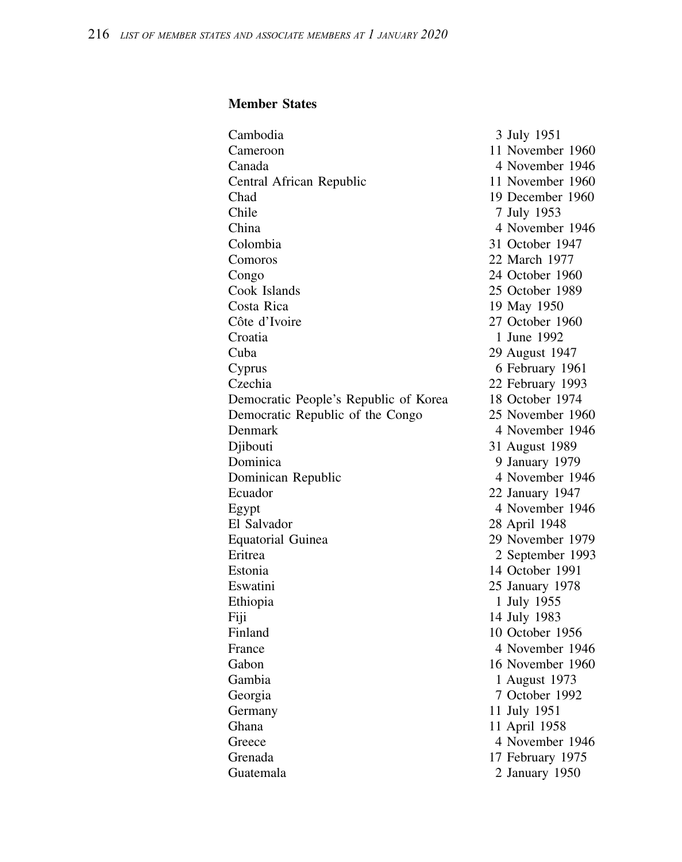Cambodia 3 July 1951 Cameroon 11 November 1960 Canada 4 November 1946 Central African Republic 11 November 1960 Chad 19 December 1960 Chile 7 July 1953 China 4 November 1946 Colombia 31 October 1947 Comoros 22 March 1977 Congo 24 October 1960 Cook Islands 25 October 1989 Costa Rica 19 May 1950 Côte d'Ivoire 27 October 1960 Croatia 1 June 1992 Cuba 29 August 1947 Cyprus 6 February 1961 Czechia 22 February 1993 Democratic People's Republic of Korea 18 October 1974 Democratic Republic of the Congo 25 November 1960 Denmark 4 November 1946 Djibouti 31 August 1989 Dominica 9 January 1979 Dominican Republic 4 November 1946 Ecuador 22 January 1947 Egypt 4 November 1946 El Salvador 28 April 1948 Equatorial Guinea 29 November 1979 Eritrea 2 September 1993 Estonia 14 October 1991 Eswatini 25 January 1978 Ethiopia 1 July 1955 Fiji 14 July 1983 Finland 10 October 1956 France 4 November 1946 Gabon 16 November 1960 Gambia 1 August 1973 Georgia 7 October 1992 Germany 11 July 1951 Ghana 11 April 1958 Greece 4 November 1946 Grenada 17 February 1975 Guatemala 2 January 1950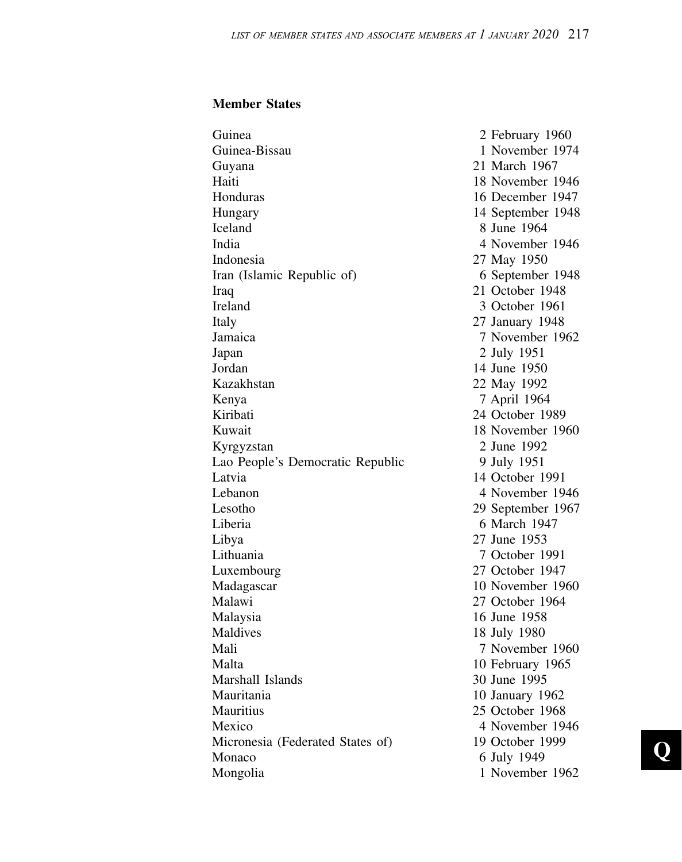Guinea-Bissau 1 November 1974 Guyana 21 March 1967 Haiti 18 November 1946<br>Honduras 16 December 1947 Hungary 14 September 1948 Iceland 8 June 1964 India 4 November 1946 Indonesia 27 May 1950 Iran (Islamic Republic of) 6 September 1948 Iraq 21 October 1948 Ireland 3 October 1961 Italy 27 January 1948 Jamaica 7 November 1962 Japan 2 July 1951 Jordan 14 June 1950 Kazakhstan 22 May 1992 Kenya 7 April 1964 Kiribati 24 October 1989 Kuwait 18 November 1960 Kyrgyzstan 2 June 1992 Lao People's Democratic Republic 9 July 1951 Latvia 14 October 1991 Lebanon 4 November 1946 Lesotho 29 September 1967 Liberia 6 March 1947 Libya 27 June 1953 Lithuania 7 October 1991 Luxembourg 27 October 1947 Madagascar 10 November 1960 Malawi 27 October 1964 Malaysia 16 June 1958 Maldives 18 July 1980 Mali 7 November 1960 Malta 10 February 1965 Marshall Islands 30 June 1995 Mauritania 10 January 1962 Mauritius 25 October 1968 Mexico 4 November 1946 Micronesia (Federated States of) 19 October 1999 Monaco 6 July 1949 Mongolia 1 November 1962

Guinea 2 February 1960 16 December 1947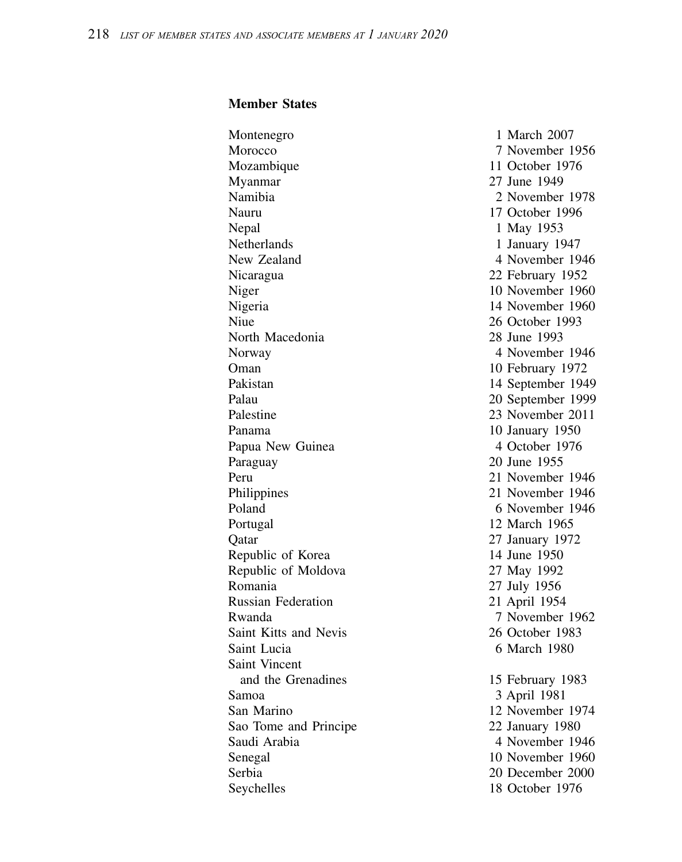Montenegro 1 March 2007 Morocco 7 November 1956 Mozambique 11 October 1976 Myanmar 27 June 1949 Namibia 2 November 1978 Nauru 17 October 1996 Nepal 1 May 1953 Netherlands 1 January 1947 New Zealand 4 November 1946 Nicaragua 22 February 1952 Niger 10 November 1960 Nigeria 14 November 1960 Niue 26 October 1993 North Macedonia 28 June 1993 Norway 4 November 1946 Oman 10 February 1972 Pakistan 14 September 1949 Palau 20 September 1999 Palestine 23 November 2011 Panama 10 January 1950 Papua New Guinea 4 October 1976 Paraguay 20 June 1955 Peru 21 November 1946 Philippines 21 November 1946 Poland 6 November 1946 Portugal 12 March 1965 Qatar 27 January 1972 Republic of Korea 14 June 1950 Republic of Moldova 27 May 1992 Romania 27 July 1956 Russian Federation 21 April 1954 Rwanda 7 November 1962 Saint Kitts and Nevis 26 October 1983 Saint Lucia 6 March 1980 Saint Vincent and the Grenadines 15 February 1983 Samoa 3 April 1981 San Marino 12 November 1974 Sao Tome and Principe 22 January 1980 Saudi Arabia  $4$  November 1946 Senegal 10 November 1960 Serbia 20 December 2000 Seychelles 18 October 1976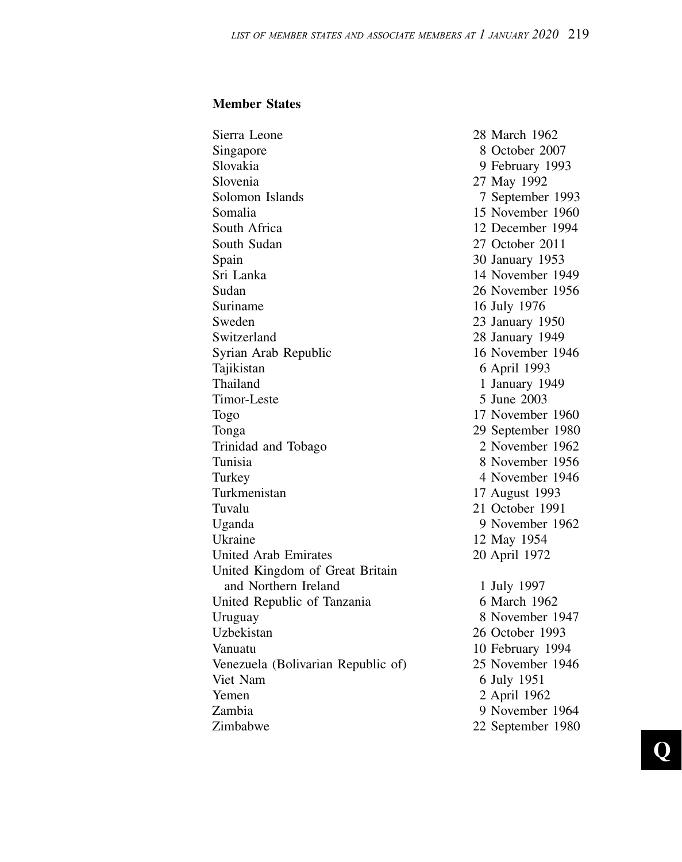Sierra Leone 28 March 1962 Singapore 8 October 2007 Slovakia 9 February 1993 Slovenia 27 May 1992 Somalia 15 November 1960 South Africa 12 December 1994 South Sudan 27 October 2011 Spain 30 January 1953 Sri Lanka 14 November 1949 Sudan 26 November 1956 Suriname 16 July 1976 Sweden 23 January 1950 Switzerland 28 January 1949 Syrian Arab Republic 16 November 1946 Tajikistan 6 April 1993 Thailand 1 January 1949 Timor-Leste 5 June 2003 Togo 17 November 1960 Tonga 29 September 1980 Trinidad and Tobago 2 November 1962 Tunisia 8 November 1956 Turkey 4 November 1946 Turkmenistan 17 August 1993 Tuvalu 21 October 1991 Uganda 9 November 1962 Ukraine 12 May 1954 United Arab Emirates 20 April 1972 United Kingdom of Great Britain and Northern Ireland 1 July 1997 United Republic of Tanzania 6 March 1962 Uruguay 8 November 1947 Uzbekistan 26 October 1993 Vanuatu 10 February 1994 Venezuela (Bolivarian Republic of) 25 November 1946 Viet Nam 6 July 1951 Yemen 2 April 1962 Zambia 9 November 1964

7 September 1993 Zimbabwe 22 September 1980